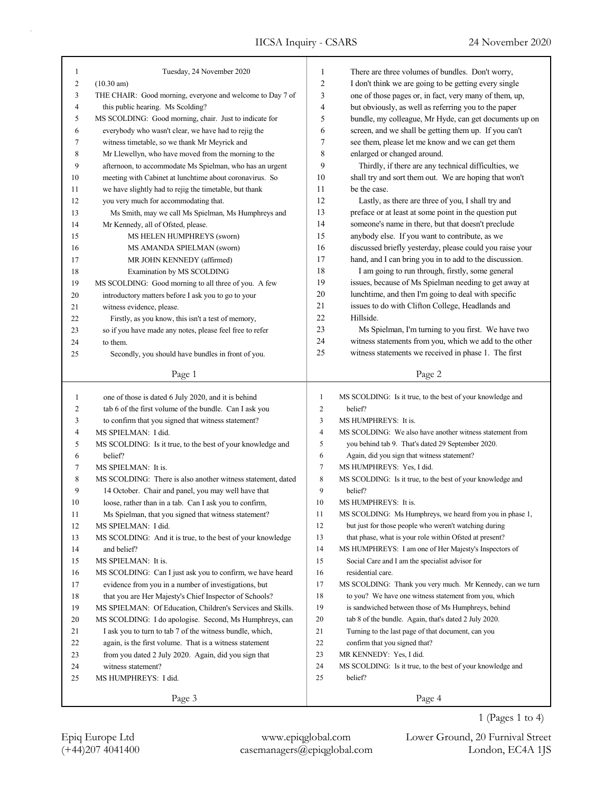| 1  | Tuesday, 24 November 2020                                   | 1              | There are three volumes of bundles. Don't worry,           |
|----|-------------------------------------------------------------|----------------|------------------------------------------------------------|
| 2  | $(10.30 \text{ am})$                                        | 2              | I don't think we are going to be getting every single      |
| 3  | THE CHAIR: Good morning, everyone and welcome to Day 7 of   | 3              | one of those pages or, in fact, very many of them, up,     |
| 4  | this public hearing. Ms Scolding?                           | 4              | but obviously, as well as referring you to the paper       |
| 5  | MS SCOLDING: Good morning, chair. Just to indicate for      | 5              | bundle, my colleague, Mr Hyde, can get documents up on     |
| 6  | everybody who wasn't clear, we have had to rejig the        | 6              | screen, and we shall be getting them up. If you can't      |
| 7  | witness timetable, so we thank Mr Meyrick and               | 7              | see them, please let me know and we can get them           |
| 8  | Mr Llewellyn, who have moved from the morning to the        | 8              | enlarged or changed around.                                |
| 9  | afternoon, to accommodate Ms Spielman, who has an urgent    | 9              | Thirdly, if there are any technical difficulties, we       |
| 10 | meeting with Cabinet at lunchtime about coronavirus. So     | 10             | shall try and sort them out. We are hoping that won't      |
| 11 | we have slightly had to rejig the timetable, but thank      | 11             | be the case.                                               |
| 12 | you very much for accommodating that.                       | 12             | Lastly, as there are three of you, I shall try and         |
| 13 | Ms Smith, may we call Ms Spielman, Ms Humphreys and         | 13             | preface or at least at some point in the question put      |
| 14 | Mr Kennedy, all of Ofsted, please.                          | 14             | someone's name in there, but that doesn't preclude         |
| 15 | MS HELEN HUMPHREYS (sworn)                                  | 15             | anybody else. If you want to contribute, as we             |
| 16 | MS AMANDA SPIELMAN (sworn)                                  | 16             | discussed briefly yesterday, please could you raise your   |
| 17 | MR JOHN KENNEDY (affirmed)                                  | 17             | hand, and I can bring you in to add to the discussion.     |
| 18 | Examination by MS SCOLDING                                  | 18             | I am going to run through, firstly, some general           |
| 19 | MS SCOLDING: Good morning to all three of you. A few        | 19             | issues, because of Ms Spielman needing to get away at      |
| 20 | introductory matters before I ask you to go to your         | 20             | lunchtime, and then I'm going to deal with specific        |
| 21 | witness evidence, please.                                   | 21             | issues to do with Clifton College, Headlands and           |
| 22 | Firstly, as you know, this isn't a test of memory,          | 22             | Hillside.                                                  |
| 23 | so if you have made any notes, please feel free to refer    | 23             | Ms Spielman, I'm turning to you first. We have two         |
| 24 | to them.                                                    | 24             | witness statements from you, which we add to the other     |
| 25 | Secondly, you should have bundles in front of you.          | 25             | witness statements we received in phase 1. The first       |
|    |                                                             |                |                                                            |
|    | Page 1                                                      |                | Page 2                                                     |
|    |                                                             |                |                                                            |
|    |                                                             |                |                                                            |
| 1  | one of those is dated 6 July 2020, and it is behind         | 1              | MS SCOLDING: Is it true, to the best of your knowledge and |
| 2  | tab 6 of the first volume of the bundle. Can I ask you      | $\overline{c}$ | belief?                                                    |
| 3  | to confirm that you signed that witness statement?          | $\mathfrak{Z}$ | MS HUMPHREYS: It is.                                       |
| 4  | MS SPIELMAN: I did.                                         | $\overline{4}$ | MS SCOLDING: We also have another witness statement from   |
| 5  | MS SCOLDING: Is it true, to the best of your knowledge and  | 5              | you behind tab 9. That's dated 29 September 2020.          |
| 6  | belief?                                                     | 6              | Again, did you sign that witness statement?                |
| 7  | MS SPIELMAN: It is.                                         | $\tau$         | MS HUMPHREYS: Yes, I did.                                  |
| 8  | MS SCOLDING: There is also another witness statement, dated | 8              | MS SCOLDING: Is it true, to the best of your knowledge and |
| 9  | 14 October. Chair and panel, you may well have that         | 9              | belief?                                                    |
| 10 | loose, rather than in a tab. Can I ask you to confirm,      | 10             | MS HUMPHREYS: It is.                                       |
| 11 | Ms Spielman, that you signed that witness statement?        | 11             | MS SCOLDING: Ms Humphreys, we heard from you in phase 1,   |
| 12 | MS SPIELMAN: I did.                                         | 12             | but just for those people who weren't watching during      |
| 13 | MS SCOLDING: And it is true, to the best of your knowledge  | 13             | that phase, what is your role within Ofsted at present?    |
| 14 | and belief?                                                 | 14             | MS HUMPHREYS: I am one of Her Majesty's Inspectors of      |
| 15 | MS SPIELMAN: It is.                                         | 15             | Social Care and I am the specialist advisor for            |
| 16 | MS SCOLDING: Can I just ask you to confirm, we have heard   | 16             | residential care.                                          |
| 17 | evidence from you in a number of investigations, but        | 17             | MS SCOLDING: Thank you very much. Mr Kennedy, can we turn  |
| 18 | that you are Her Majesty's Chief Inspector of Schools?      | 18             | to you? We have one witness statement from you, which      |
| 19 | MS SPIELMAN: Of Education, Children's Services and Skills.  | 19             | is sandwiched between those of Ms Humphreys, behind        |
| 20 | MS SCOLDING: I do apologise. Second, Ms Humphreys, can      | 20             | tab 8 of the bundle. Again, that's dated 2 July 2020.      |
| 21 | I ask you to turn to tab 7 of the witness bundle, which,    | 21             | Turning to the last page of that document, can you         |
| 22 | again, is the first volume. That is a witness statement     | 22             | confirm that you signed that?                              |
| 23 | from you dated 2 July 2020. Again, did you sign that        | 23             | MR KENNEDY: Yes, I did.                                    |
| 24 | witness statement?                                          | 24             | MS SCOLDING: Is it true, to the best of your knowledge and |
| 25 | MS HUMPHREYS: I did.                                        | 25             | belief?                                                    |

1 (Pages 1 to 4)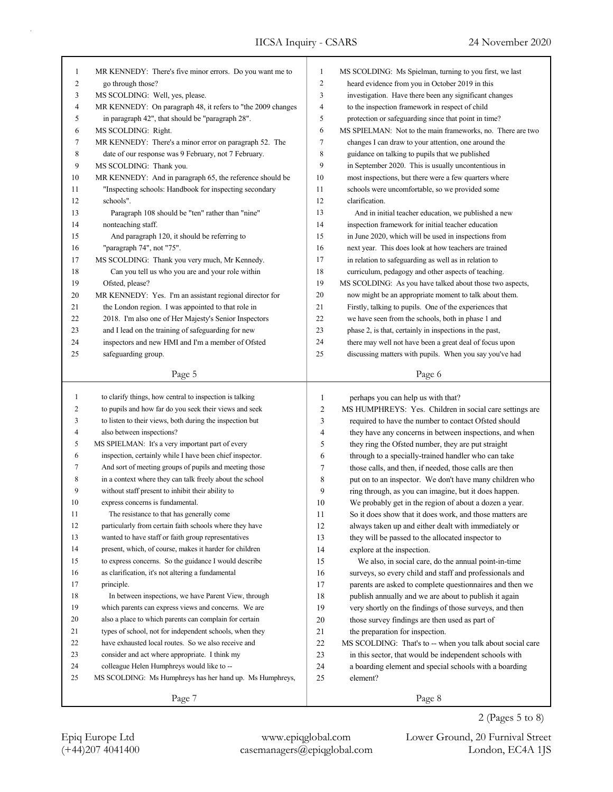| $\mathbf{1}$   | MR KENNEDY: There's five minor errors. Do you want me to    | $\mathbf{1}$ | MS SCOLDING: Ms Spielman, turning to you first, we last    |
|----------------|-------------------------------------------------------------|--------------|------------------------------------------------------------|
| $\overline{c}$ | go through those?                                           | 2            | heard evidence from you in October 2019 in this            |
| 3              | MS SCOLDING: Well, yes, please.                             | 3            | investigation. Have there been any significant changes     |
| 4              | MR KENNEDY: On paragraph 48, it refers to "the 2009 changes | 4            | to the inspection framework in respect of child            |
| 5              | in paragraph 42", that should be "paragraph 28".            | 5            | protection or safeguarding since that point in time?       |
| 6              | MS SCOLDING: Right.                                         | 6            | MS SPIELMAN: Not to the main frameworks, no. There are two |
| 7              | MR KENNEDY: There's a minor error on paragraph 52. The      | 7            | changes I can draw to your attention, one around the       |
| 8              | date of our response was 9 February, not 7 February.        | 8            | guidance on talking to pupils that we published            |
| 9              | MS SCOLDING: Thank you.                                     | 9            | in September 2020. This is usually uncontentious in        |
| 10             | MR KENNEDY: And in paragraph 65, the reference should be    | 10           | most inspections, but there were a few quarters where      |
| 11             | "Inspecting schools: Handbook for inspecting secondary      | 11           | schools were uncomfortable, so we provided some            |
| 12             | schools".                                                   | 12           | clarification.                                             |
| 13             | Paragraph 108 should be "ten" rather than "nine"            | 13           | And in initial teacher education, we published a new       |
| 14             | nonteaching staff.                                          | 14           | inspection framework for initial teacher education         |
| 15             | And paragraph 120, it should be referring to                | 15           | in June 2020, which will be used in inspections from       |
| 16             | "paragraph 74", not "75".                                   | 16           | next year. This does look at how teachers are trained      |
| 17             | MS SCOLDING: Thank you very much, Mr Kennedy.               | 17           | in relation to safeguarding as well as in relation to      |
| 18             | Can you tell us who you are and your role within            | 18           | curriculum, pedagogy and other aspects of teaching.        |
| 19             | Ofsted, please?                                             | 19           | MS SCOLDING: As you have talked about those two aspects,   |
| 20             | MR KENNEDY: Yes. I'm an assistant regional director for     | 20           | now might be an appropriate moment to talk about them.     |
| 21             | the London region. I was appointed to that role in          | 21           | Firstly, talking to pupils. One of the experiences that    |
| 22             | 2018. I'm also one of Her Majesty's Senior Inspectors       | 22           | we have seen from the schools, both in phase 1 and         |
| 23             | and I lead on the training of safeguarding for new          | 23           | phase 2, is that, certainly in inspections in the past,    |
| 24             | inspectors and new HMI and I'm a member of Ofsted           | 24           | there may well not have been a great deal of focus upon    |
| 25             | safeguarding group.                                         | 25           | discussing matters with pupils. When you say you've had    |
|                |                                                             |              |                                                            |
|                | Page 5                                                      |              | Page 6                                                     |
|                |                                                             |              |                                                            |
|                |                                                             |              |                                                            |
| $\mathbf{1}$   | to clarify things, how central to inspection is talking     | $\mathbf{1}$ | perhaps you can help us with that?                         |
| 2              | to pupils and how far do you seek their views and seek      | 2            | MS HUMPHREYS: Yes. Children in social care settings are    |
| 3              | to listen to their views, both during the inspection but    | 3            | required to have the number to contact Ofsted should       |
| 4              | also between inspections?                                   | 4            | they have any concerns in between inspections, and when    |
| 5              | MS SPIELMAN: It's a very important part of every            | 5            | they ring the Ofsted number, they are put straight         |
| 6              | inspection, certainly while I have been chief inspector.    | 6            | through to a specially-trained handler who can take        |
| 7              | And sort of meeting groups of pupils and meeting those      | 7            | those calls, and then, if needed, those calls are then     |
| 8              | in a context where they can talk freely about the school    | 8            | put on to an inspector. We don't have many children who    |
| 9              | without staff present to inhibit their ability to           | 9            | ring through, as you can imagine, but it does happen.      |
| 10             | express concerns is fundamental.                            | 10           | We probably get in the region of about a dozen a year.     |
| 11             | The resistance to that has generally come                   | 11           | So it does show that it does work, and those matters are   |
| 12             | particularly from certain faith schools where they have     | 12           | always taken up and either dealt with immediately or       |
| 13             | wanted to have staff or faith group representatives         | 13           | they will be passed to the allocated inspector to          |
| 14             | present, which, of course, makes it harder for children     | 14           | explore at the inspection.                                 |
| 15             | to express concerns. So the guidance I would describe       | 15           | We also, in social care, do the annual point-in-time       |
| 16             | as clarification, it's not altering a fundamental           | 16           | surveys, so every child and staff and professionals and    |
| 17             | principle.                                                  | 17           | parents are asked to complete questionnaires and then we   |
| 18             | In between inspections, we have Parent View, through        | 18           | publish annually and we are about to publish it again      |
| 19             | which parents can express views and concerns. We are        | 19           | very shortly on the findings of those surveys, and then    |
| 20             | also a place to which parents can complain for certain      | 20           | those survey findings are then used as part of             |
| 21             | types of school, not for independent schools, when they     | 21           | the preparation for inspection.                            |
| 22             | have exhausted local routes. So we also receive and         | 22           | MS SCOLDING: That's to -- when you talk about social care  |
| 23             | consider and act where appropriate. I think my              | 23           | in this sector, that would be independent schools with     |
| 24             | colleague Helen Humphreys would like to --                  | 24           | a boarding element and special schools with a boarding     |
| 25             | MS SCOLDING: Ms Humphreys has her hand up. Ms Humphreys,    | 25           | element?                                                   |
|                | Page 7                                                      |              | Page 8                                                     |

2 (Pages 5 to 8)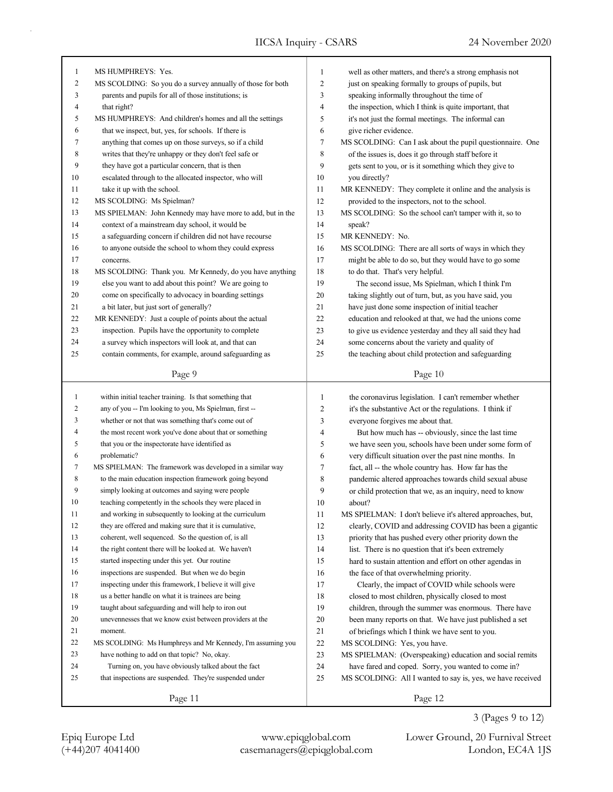| $\mathbf{1}$   | MS HUMPHREYS: Yes.                                         | 1            | well as other matters, and there's a strong emphasis not   |
|----------------|------------------------------------------------------------|--------------|------------------------------------------------------------|
| $\overline{c}$ | MS SCOLDING: So you do a survey annually of those for both | 2            | just on speaking formally to groups of pupils, but         |
| 3              | parents and pupils for all of those institutions; is       | 3            | speaking informally throughout the time of                 |
| 4              | that right?                                                | 4            | the inspection, which I think is quite important, that     |
| 5              | MS HUMPHREYS: And children's homes and all the settings    | 5            | it's not just the formal meetings. The informal can        |
| 6              | that we inspect, but, yes, for schools. If there is        | 6            | give richer evidence.                                      |
| 7              | anything that comes up on those surveys, so if a child     | 7            | MS SCOLDING: Can I ask about the pupil questionnaire. One  |
| 8              | writes that they're unhappy or they don't feel safe or     | 8            | of the issues is, does it go through staff before it       |
| 9              | they have got a particular concern, that is then           | 9            | gets sent to you, or is it something which they give to    |
| 10             | escalated through to the allocated inspector, who will     | 10           | you directly?                                              |
| 11             | take it up with the school.                                | 11           | MR KENNEDY: They complete it online and the analysis is    |
| 12             | MS SCOLDING: Ms Spielman?                                  | 12           | provided to the inspectors, not to the school.             |
| 13             | MS SPIELMAN: John Kennedy may have more to add, but in the | 13           | MS SCOLDING: So the school can't tamper with it, so to     |
| 14             | context of a mainstream day school, it would be            | 14           | speak?                                                     |
| 15             | a safeguarding concern if children did not have recourse   | 15           | MR KENNEDY: No.                                            |
| 16             | to anyone outside the school to whom they could express    | 16           | MS SCOLDING: There are all sorts of ways in which they     |
| 17             | concerns.                                                  | 17           | might be able to do so, but they would have to go some     |
| 18             | MS SCOLDING: Thank you. Mr Kennedy, do you have anything   | 18           | to do that. That's very helpful.                           |
| 19             | else you want to add about this point? We are going to     | 19           | The second issue, Ms Spielman, which I think I'm           |
| 20             | come on specifically to advocacy in boarding settings      | 20           | taking slightly out of turn, but, as you have said, you    |
| 21             | a bit later, but just sort of generally?                   | 21           | have just done some inspection of initial teacher          |
| 22             | MR KENNEDY: Just a couple of points about the actual       | 22           | education and relooked at that, we had the unions come     |
| 23             | inspection. Pupils have the opportunity to complete        | 23           | to give us evidence yesterday and they all said they had   |
| 24             | a survey which inspectors will look at, and that can       | 24           | some concerns about the variety and quality of             |
| 25             | contain comments, for example, around safeguarding as      | 25           | the teaching about child protection and safeguarding       |
|                |                                                            |              |                                                            |
|                | Page 9                                                     |              | Page 10                                                    |
|                |                                                            |              |                                                            |
|                |                                                            |              |                                                            |
| $\mathbf{1}$   | within initial teacher training. Is that something that    | $\mathbf{1}$ | the coronavirus legislation. I can't remember whether      |
| 2              | any of you -- I'm looking to you, Ms Spielman, first --    | 2            | it's the substantive Act or the regulations. I think if    |
| 3              | whether or not that was something that's come out of       | 3            | everyone forgives me about that.                           |
| 4              | the most recent work you've done about that or something   | 4            | But how much has -- obviously, since the last time         |
| 5              | that you or the inspectorate have identified as            | 5            | we have seen you, schools have been under some form of     |
| 6              | problematic?                                               | 6            | very difficult situation over the past nine months. In     |
| 7              | MS SPIELMAN: The framework was developed in a similar way  | 7            | fact, all -- the whole country has. How far has the        |
| 8              | to the main education inspection framework going beyond    | 8            | pandemic altered approaches towards child sexual abuse     |
| 9              | simply looking at outcomes and saying were people          | 9            | or child protection that we, as an inquiry, need to know   |
| 10             | teaching competently in the schools they were placed in    | 10           | about?                                                     |
| 11             | and working in subsequently to looking at the curriculum   | 11           | MS SPIELMAN: I don't believe it's altered approaches, but, |
| 12             | they are offered and making sure that it is cumulative,    | 12           | clearly, COVID and addressing COVID has been a gigantic    |
| 13             | coherent, well sequenced. So the question of, is all       | 13           | priority that has pushed every other priority down the     |
| 14             | the right content there will be looked at. We haven't      | 14           | list. There is no question that it's been extremely        |
| 15             | started inspecting under this yet. Our routine             | 15           | hard to sustain attention and effort on other agendas in   |
| 16             | inspections are suspended. But when we do begin            | 16           | the face of that overwhelming priority.                    |
| 17             | inspecting under this framework, I believe it will give    | 17           | Clearly, the impact of COVID while schools were            |
| 18             | us a better handle on what it is trainees are being        | 18           | closed to most children, physically closed to most         |
| 19             | taught about safeguarding and will help to iron out        | 19           | children, through the summer was enormous. There have      |
| $20\,$         | unevennesses that we know exist between providers at the   | 20           | been many reports on that. We have just published a set    |
| 21             | moment.                                                    | 21           | of briefings which I think we have sent to you.            |
| 22             | MS SCOLDING: Ms Humphreys and Mr Kennedy, I'm assuming you | 22           | MS SCOLDING: Yes, you have.                                |
| 23             | have nothing to add on that topic? No, okay.               | 23           | MS SPIELMAN: (Overspeaking) education and social remits    |
| 24             | Turning on, you have obviously talked about the fact       | 24           | have fared and coped. Sorry, you wanted to come in?        |
| 25             | that inspections are suspended. They're suspended under    | 25           | MS SCOLDING: All I wanted to say is, yes, we have received |

(+44)207 4041400 casemanagers@epiqglobal.com London, EC4A 1JS Epiq Europe Ltd www.epiqglobal.com Lower Ground, 20 Furnival Street

3 (Pages 9 to 12)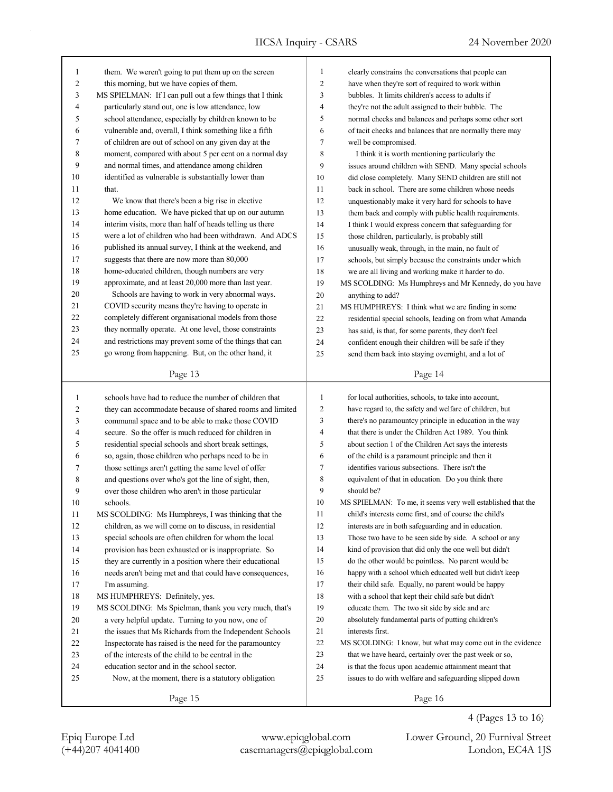| 1              | them. We weren't going to put them up on the screen                                                            | $\mathbf{1}$   | clearly constrains the conversations that people can        |
|----------------|----------------------------------------------------------------------------------------------------------------|----------------|-------------------------------------------------------------|
| $\overline{c}$ | this morning, but we have copies of them.                                                                      | $\overline{c}$ | have when they're sort of required to work within           |
| 3              | MS SPIELMAN: If I can pull out a few things that I think                                                       | 3              | bubbles. It limits children's access to adults if           |
| 4              | particularly stand out, one is low attendance, low                                                             | 4              | they're not the adult assigned to their bubble. The         |
| 5              | school attendance, especially by children known to be                                                          | 5              | normal checks and balances and perhaps some other sort      |
| 6              | vulnerable and, overall, I think something like a fifth                                                        | 6              | of tacit checks and balances that are normally there may    |
| 7              | of children are out of school on any given day at the                                                          | 7              | well be compromised.                                        |
| 8              | moment, compared with about 5 per cent on a normal day                                                         | 8              | I think it is worth mentioning particularly the             |
| 9              | and normal times, and attendance among children                                                                | 9              | issues around children with SEND. Many special schools      |
| 10             | identified as vulnerable is substantially lower than                                                           | 10             | did close completely. Many SEND children are still not      |
| 11             | that.                                                                                                          | 11             | back in school. There are some children whose needs         |
| 12             | We know that there's been a big rise in elective                                                               | 12             | unquestionably make it very hard for schools to have        |
| 13             | home education. We have picked that up on our autumn                                                           | 13             | them back and comply with public health requirements.       |
| 14             | interim visits, more than half of heads telling us there                                                       | 14             | I think I would express concern that safeguarding for       |
| 15             | were a lot of children who had been withdrawn. And ADCS                                                        | 15             | those children, particularly, is probably still             |
| 16             | published its annual survey, I think at the weekend, and                                                       | 16             | unusually weak, through, in the main, no fault of           |
| 17             | suggests that there are now more than 80,000                                                                   | 17             | schools, but simply because the constraints under which     |
| 18             | home-educated children, though numbers are very                                                                | 18             | we are all living and working make it harder to do.         |
| 19             | approximate, and at least 20,000 more than last year.                                                          | 19             | MS SCOLDING: Ms Humphreys and Mr Kennedy, do you have       |
| 20             | Schools are having to work in very abnormal ways.                                                              | 20             | anything to add?                                            |
| 21             | COVID security means they're having to operate in                                                              | 21             | MS HUMPHREYS: I think what we are finding in some           |
| 22             | completely different organisational models from those                                                          | 22             | residential special schools, leading on from what Amanda    |
| 23             | they normally operate. At one level, those constraints                                                         | 23             | has said, is that, for some parents, they don't feel        |
| 24             | and restrictions may prevent some of the things that can                                                       | 24             | confident enough their children will be safe if they        |
| 25             | go wrong from happening. But, on the other hand, it                                                            | 25             | send them back into staying overnight, and a lot of         |
|                | Page 13                                                                                                        |                | Page 14                                                     |
|                |                                                                                                                |                |                                                             |
|                |                                                                                                                |                |                                                             |
| 1              | schools have had to reduce the number of children that                                                         | $\mathbf{1}$   | for local authorities, schools, to take into account,       |
| 2              |                                                                                                                | $\overline{c}$ | have regard to, the safety and welfare of children, but     |
| 3              | they can accommodate because of shared rooms and limited<br>communal space and to be able to make those COVID  | 3              | there's no paramountcy principle in education in the way    |
| 4              | secure. So the offer is much reduced for children in                                                           | $\overline{4}$ | that there is under the Children Act 1989. You think        |
| 5              |                                                                                                                | 5              | about section 1 of the Children Act says the interests      |
| 6              | residential special schools and short break settings,                                                          | 6              | of the child is a paramount principle and then it           |
| 7              | so, again, those children who perhaps need to be in                                                            | 7              | identifies various subsections. There isn't the             |
| 8              | those settings aren't getting the same level of offer<br>and questions over who's got the line of sight, then, | 8              | equivalent of that in education. Do you think there         |
| 9              | over those children who aren't in those particular                                                             | 9              | should be?                                                  |
| 10             | schools.                                                                                                       | 10             | MS SPIELMAN: To me, it seems very well established that the |
| 11             | MS SCOLDING: Ms Humphreys, I was thinking that the                                                             | 11             | child's interests come first, and of course the child's     |
| 12             | children, as we will come on to discuss, in residential                                                        | 12             | interests are in both safeguarding and in education.        |
| 13             | special schools are often children for whom the local                                                          | 13             | Those two have to be seen side by side. A school or any     |
| 14             | provision has been exhausted or is inappropriate. So                                                           | 14             | kind of provision that did only the one well but didn't     |
| 15             | they are currently in a position where their educational                                                       | 15             | do the other would be pointless. No parent would be         |
| 16             | needs aren't being met and that could have consequences,                                                       | 16             | happy with a school which educated well but didn't keep     |
| 17             | I'm assuming.                                                                                                  | 17             | their child safe. Equally, no parent would be happy         |
| $18\,$         | MS HUMPHREYS: Definitely, yes.                                                                                 | 18             | with a school that kept their child safe but didn't         |
| 19             | MS SCOLDING: Ms Spielman, thank you very much, that's                                                          | 19             | educate them. The two sit side by side and are              |
| 20             | a very helpful update. Turning to you now, one of                                                              | 20             | absolutely fundamental parts of putting children's          |
| $21\,$         | the issues that Ms Richards from the Independent Schools                                                       | 21             | interests first.                                            |
| $22\,$         | Inspectorate has raised is the need for the paramountcy                                                        | 22             | MS SCOLDING: I know, but what may come out in the evidence  |
| 23             | of the interests of the child to be central in the                                                             | 23             | that we have heard, certainly over the past week or so,     |
| 24             | education sector and in the school sector.                                                                     | 24             | is that the focus upon academic attainment meant that       |
| 25             | Now, at the moment, there is a statutory obligation                                                            | 25             | issues to do with welfare and safeguarding slipped down     |
|                | Page 15                                                                                                        |                | Page 16                                                     |

4 (Pages 13 to 16)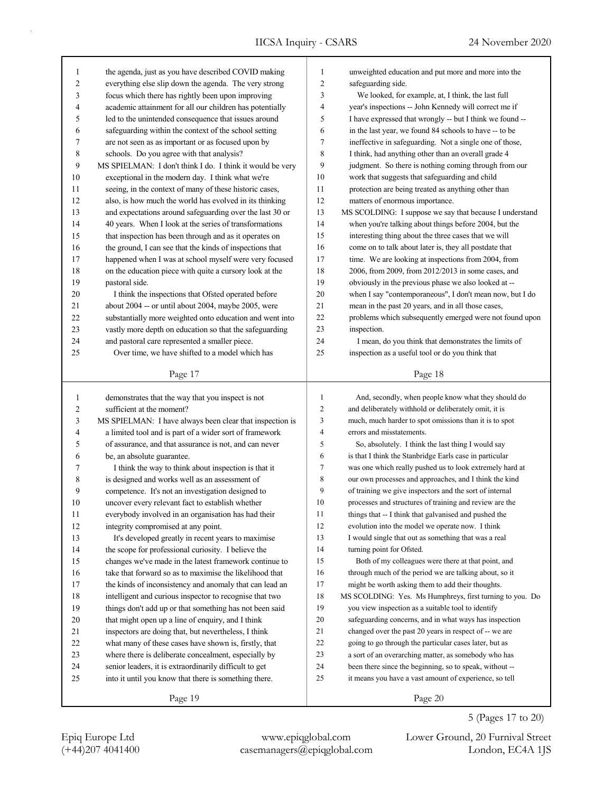| 1              | the agenda, just as you have described COVID making       | 1              | unweighted education and put more and more into the      |
|----------------|-----------------------------------------------------------|----------------|----------------------------------------------------------|
| $\overline{c}$ | everything else slip down the agenda. The very strong     | 2              | safeguarding side.                                       |
| 3              | focus which there has rightly been upon improving         | 3              | We looked, for example, at, I think, the last full       |
| 4              | academic attainment for all our children has potentially  | 4              | year's inspections -- John Kennedy will correct me if    |
| 5              | led to the unintended consequence that issues around      | 5              | I have expressed that wrongly -- but I think we found -- |
| 6              | safeguarding within the context of the school setting     | 6              | in the last year, we found 84 schools to have -- to be   |
| 7              | are not seen as as important or as focused upon by        | 7              | ineffective in safeguarding. Not a single one of those,  |
| 8              | schools. Do you agree with that analysis?                 | 8              | I think, had anything other than an overall grade 4      |
| 9              | MS SPIELMAN: I don't think I do. I think it would be very | 9              | judgment. So there is nothing coming through from our    |
| 10             | exceptional in the modern day. I think what we're         | 10             | work that suggests that safeguarding and child           |
| 11             | seeing, in the context of many of these historic cases,   | 11             | protection are being treated as anything other than      |
| 12             | also, is how much the world has evolved in its thinking   | 12             | matters of enormous importance.                          |
| 13             | and expectations around safeguarding over the last 30 or  | 13             | MS SCOLDING: I suppose we say that because I understand  |
| 14             | 40 years. When I look at the series of transformations    | 14             | when you're talking about things before 2004, but the    |
| 15             | that inspection has been through and as it operates on    | 15             | interesting thing about the three cases that we will     |
| 16             | the ground, I can see that the kinds of inspections that  | 16             | come on to talk about later is, they all postdate that   |
| 17             | happened when I was at school myself were very focused    | 17             | time. We are looking at inspections from 2004, from      |
| 18             | on the education piece with quite a cursory look at the   | 18             | 2006, from 2009, from 2012/2013 in some cases, and       |
| 19             | pastoral side.                                            | 19             | obviously in the previous phase we also looked at --     |
| 20             | I think the inspections that Ofsted operated before       | 20             | when I say "contemporaneous", I don't mean now, but I do |
| 21             | about 2004 -- or until about 2004, maybe 2005, were       | 21             | mean in the past 20 years, and in all those cases,       |
| 22             | substantially more weighted onto education and went into  | 22             | problems which subsequently emerged were not found upon  |
| 23             | vastly more depth on education so that the safeguarding   | 23             | inspection.                                              |
| 24             | and pastoral care represented a smaller piece.            | 24             | I mean, do you think that demonstrates the limits of     |
| 25             | Over time, we have shifted to a model which has           | 25             | inspection as a useful tool or do you think that         |
|                |                                                           |                |                                                          |
|                | Page 17                                                   |                | Page 18                                                  |
|                |                                                           |                |                                                          |
|                |                                                           |                |                                                          |
| $\mathbf{1}$   | demonstrates that the way that you inspect is not         | $\mathbf{1}$   | And, secondly, when people know what they should do      |
| $\overline{c}$ | sufficient at the moment?                                 | $\overline{2}$ | and deliberately withhold or deliberately omit, it is    |
| 3              | MS SPIELMAN: I have always been clear that inspection is  | 3              | much, much harder to spot omissions than it is to spot   |
| 4              | a limited tool and is part of a wider sort of framework   | $\overline{4}$ | errors and misstatements.                                |
| 5              | of assurance, and that assurance is not, and can never    | 5              | So, absolutely. I think the last thing I would say       |
| 6              | be, an absolute guarantee.                                | 6              | is that I think the Stanbridge Earls case in particular  |
| 7              | I think the way to think about inspection is that it      | 7              | was one which really pushed us to look extremely hard at |
| 8              | is designed and works well as an assessment of            | 8              | our own processes and approaches, and I think the kind   |
| 9              | competence. It's not an investigation designed to         | 9              | of training we give inspectors and the sort of internal  |
| 10             | uncover every relevant fact to establish whether          | 10             | processes and structures of training and review are the  |
| 11             | everybody involved in an organisation has had their       | 11             | things that -- I think that galvanised and pushed the    |
| 12             | integrity compromised at any point.                       | 12             | evolution into the model we operate now. I think         |
| 13             | It's developed greatly in recent years to maximise        | 13             | I would single that out as something that was a real     |
| 14             | the scope for professional curiosity. I believe the       | 14             | turning point for Ofsted.                                |
| 15             | changes we've made in the latest framework continue to    | 15             | Both of my colleagues were there at that point, and      |
| 16             | take that forward so as to maximise the likelihood that   | 16             | through much of the period we are talking about, so it   |
| $17\,$         | the kinds of inconsistency and anomaly that can lead an   | 17             | might be worth asking them to add their thoughts.        |
| $18\,$         | intelligent and curious inspector to recognise that two   | 18             | MS SCOLDING: Yes. Ms Humphreys, first turning to you. Do |
| 19             | things don't add up or that something has not been said   | 19             | you view inspection as a suitable tool to identify       |
| $20\,$         | that might open up a line of enquiry, and I think         | $20\,$         | safeguarding concerns, and in what ways has inspection   |
| 21             | inspectors are doing that, but nevertheless, I think      | $21\,$         | changed over the past 20 years in respect of -- we are   |
| 22             | what many of these cases have shown is, firstly, that     | $22\,$         | going to go through the particular cases later, but as   |
| $23\,$         | where there is deliberate concealment, especially by      | 23             | a sort of an overarching matter, as somebody who has     |
| $24\,$         | senior leaders, it is extraordinarily difficult to get    | 24             | been there since the beginning, so to speak, without --  |
| $25\,$         | into it until you know that there is something there.     | 25             | it means you have a vast amount of experience, so tell   |

Page 20

5 (Pages 17 to 20)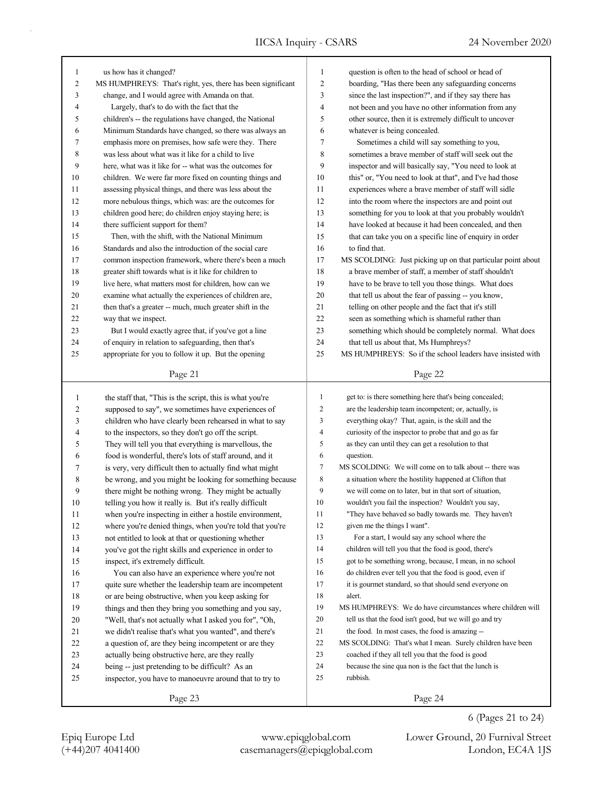| $\mathbf{1}$   | us how has it changed?                                      | $\mathbf{1}$   | question is often to the head of school or head of          |
|----------------|-------------------------------------------------------------|----------------|-------------------------------------------------------------|
| 2              | MS HUMPHREYS: That's right, yes, there has been significant | $\sqrt{2}$     | boarding, "Has there been any safeguarding concerns         |
| 3              | change, and I would agree with Amanda on that.              | 3              | since the last inspection?", and if they say there has      |
| 4              | Largely, that's to do with the fact that the                | 4              | not been and you have no other information from any         |
| 5              | children's -- the regulations have changed, the National    | 5              | other source, then it is extremely difficult to uncover     |
| 6              | Minimum Standards have changed, so there was always an      | 6              | whatever is being concealed.                                |
| 7              | emphasis more on premises, how safe were they. There        | 7              | Sometimes a child will say something to you,                |
| 8              | was less about what was it like for a child to live         | 8              | sometimes a brave member of staff will seek out the         |
| 9              | here, what was it like for -- what was the outcomes for     | 9              | inspector and will basically say, "You need to look at      |
| 10             | children. We were far more fixed on counting things and     | 10             | this" or, "You need to look at that", and I've had those    |
| 11             | assessing physical things, and there was less about the     | 11             | experiences where a brave member of staff will sidle        |
| 12             | more nebulous things, which was: are the outcomes for       | 12             | into the room where the inspectors are and point out        |
| 13             | children good here; do children enjoy staying here; is      | 13             | something for you to look at that you probably wouldn't     |
| 14             | there sufficient support for them?                          | 14             | have looked at because it had been concealed, and then      |
| 15             | Then, with the shift, with the National Minimum             | 15             | that can take you on a specific line of enquiry in order    |
| 16             | Standards and also the introduction of the social care      | 16             | to find that.                                               |
| 17             | common inspection framework, where there's been a much      | 17             | MS SCOLDING: Just picking up on that particular point about |
| 18             | greater shift towards what is it like for children to       | 18             | a brave member of staff, a member of staff shouldn't        |
| 19             | live here, what matters most for children, how can we       | 19             | have to be brave to tell you those things. What does        |
| 20             | examine what actually the experiences of children are,      | 20             | that tell us about the fear of passing -- you know,         |
| 21             | then that's a greater -- much, much greater shift in the    | 21             | telling on other people and the fact that it's still        |
| 22             | way that we inspect.                                        | 22             | seen as something which is shameful rather than             |
| 23             | But I would exactly agree that, if you've got a line        | 23             | something which should be completely normal. What does      |
| 24             | of enquiry in relation to safeguarding, then that's         | 24             | that tell us about that, Ms Humphreys?                      |
| 25             | appropriate for you to follow it up. But the opening        | 25             | MS HUMPHREYS: So if the school leaders have insisted with   |
|                |                                                             |                |                                                             |
|                | Page 21                                                     |                | Page 22                                                     |
|                |                                                             |                |                                                             |
|                |                                                             |                |                                                             |
| $\mathbf{1}$   | the staff that, "This is the script, this is what you're    | $\mathbf{1}$   | get to: is there something here that's being concealed;     |
| $\overline{c}$ | supposed to say", we sometimes have experiences of          | $\mathfrak{2}$ | are the leadership team incompetent; or, actually, is       |
| 3              | children who have clearly been rehearsed in what to say     | $\mathfrak{Z}$ | everything okay? That, again, is the skill and the          |
| 4              | to the inspectors, so they don't go off the script.         | $\overline{4}$ | curiosity of the inspector to probe that and go as far      |
| 5              | They will tell you that everything is marvellous, the       | 5              | as they can until they can get a resolution to that         |
| 6              | food is wonderful, there's lots of staff around, and it     | 6              | question.                                                   |
| 7              | is very, very difficult then to actually find what might    | $\tau$         | MS SCOLDING: We will come on to talk about -- there was     |
| 8              | be wrong, and you might be looking for something because    | $\,$ 8 $\,$    | a situation where the hostility happened at Clifton that    |
| 9              | there might be nothing wrong. They might be actually        | 9              | we will come on to later, but in that sort of situation,    |
| 10             | telling you how it really is. But it's really difficult     | 10             | wouldn't you fail the inspection? Wouldn't you say,         |
| 11             | when you're inspecting in either a hostile environment,     | 11             | "They have behaved so badly towards me. They haven't        |
| 12             | where you're denied things, when you're told that you're    | 12             | given me the things I want".                                |
| 13             | not entitled to look at that or questioning whether         | 13             | For a start, I would say any school where the               |
| 14             | you've got the right skills and experience in order to      | 14             | children will tell you that the food is good, there's       |
| 15             | inspect, it's extremely difficult.                          | 15             | got to be something wrong, because, I mean, in no school    |
| 16             | You can also have an experience where you're not            | 16             | do children ever tell you that the food is good, even if    |
| 17             | quite sure whether the leadership team are incompetent      | 17             | it is gourmet standard, so that should send everyone on     |
| 18             | or are being obstructive, when you keep asking for          | 18             | alert.                                                      |
| 19             | things and then they bring you something and you say,       | 19             | MS HUMPHREYS: We do have circumstances where children will  |
| 20             | "Well, that's not actually what I asked you for", "Oh,      | 20             | tell us that the food isn't good, but we will go and try    |
| 21             | we didn't realise that's what you wanted", and there's      | 21             | the food. In most cases, the food is amazing --             |
| 22             | a question of, are they being incompetent or are they       | 22             | MS SCOLDING: That's what I mean. Surely children have been  |
| 23             | actually being obstructive here, are they really            | 23             | coached if they all tell you that the food is good          |
| 24             | being -- just pretending to be difficult? As an             | 24             | because the sine qua non is the fact that the lunch is      |
| 25             | inspector, you have to manoeuvre around that to try to      | 25             | rubbish.                                                    |
|                | Page 23                                                     |                | Page 24                                                     |

(+44)207 4041400 casemanagers@epiqglobal.com London, EC4A 1JS Epiq Europe Ltd www.epiqglobal.com Lower Ground, 20 Furnival Street

6 (Pages 21 to 24)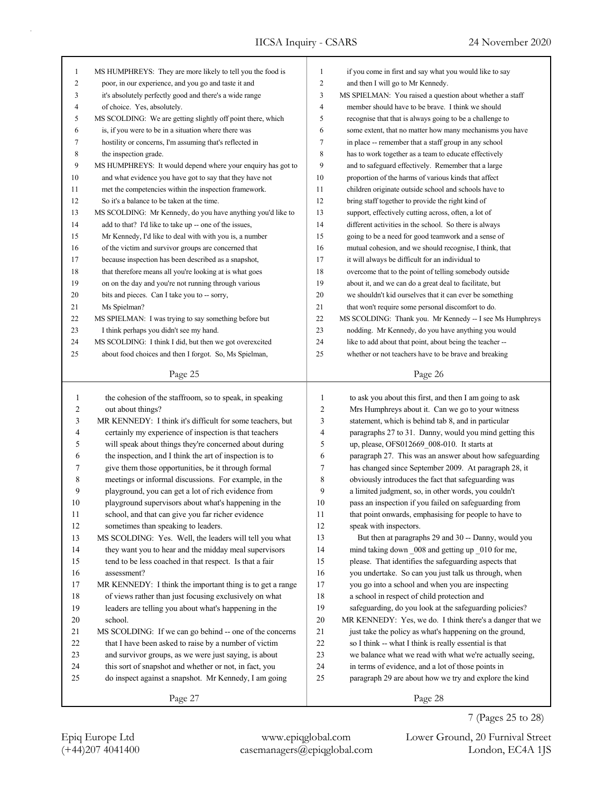| 1            | MS HUMPHREYS: They are more likely to tell you the food is                     | 1              | if you come in first and say what you would like to say                                                  |
|--------------|--------------------------------------------------------------------------------|----------------|----------------------------------------------------------------------------------------------------------|
| 2            | poor, in our experience, and you go and taste it and                           | $\overline{c}$ | and then I will go to Mr Kennedy.                                                                        |
| 3            | it's absolutely perfectly good and there's a wide range                        | 3              | MS SPIELMAN: You raised a question about whether a staff                                                 |
| 4            | of choice. Yes, absolutely.                                                    | 4              | member should have to be brave. I think we should                                                        |
| 5            | MS SCOLDING: We are getting slightly off point there, which                    | 5              | recognise that that is always going to be a challenge to                                                 |
| 6            | is, if you were to be in a situation where there was                           | 6              | some extent, that no matter how many mechanisms you have                                                 |
| 7            | hostility or concerns, I'm assuming that's reflected in                        | 7              | in place -- remember that a staff group in any school                                                    |
| 8            | the inspection grade.                                                          | 8              | has to work together as a team to educate effectively                                                    |
| 9            | MS HUMPHREYS: It would depend where your enquiry has got to                    | 9              | and to safeguard effectively. Remember that a large                                                      |
| 10           | and what evidence you have got to say that they have not                       | 10             | proportion of the harms of various kinds that affect                                                     |
| 11           | met the competencies within the inspection framework.                          | 11             | children originate outside school and schools have to                                                    |
| 12           | So it's a balance to be taken at the time.                                     | 12             | bring staff together to provide the right kind of                                                        |
| 13           | MS SCOLDING: Mr Kennedy, do you have anything you'd like to                    | 13             | support, effectively cutting across, often, a lot of                                                     |
| 14           | add to that? I'd like to take up -- one of the issues,                         | 14             | different activities in the school. So there is always                                                   |
| 15           | Mr Kennedy, I'd like to deal with with you is, a number                        | 15             | going to be a need for good teamwork and a sense of                                                      |
| 16           | of the victim and survivor groups are concerned that                           | 16             | mutual cohesion, and we should recognise, I think, that                                                  |
| 17           | because inspection has been described as a snapshot,                           | 17             | it will always be difficult for an individual to                                                         |
| 18           | that therefore means all you're looking at is what goes                        | 18             | overcome that to the point of telling somebody outside                                                   |
| 19           | on on the day and you're not running through various                           | 19             | about it, and we can do a great deal to facilitate, but                                                  |
| 20           | bits and pieces. Can I take you to -- sorry,                                   | 20             | we shouldn't kid ourselves that it can ever be something                                                 |
| 21           | Ms Spielman?                                                                   | 21             | that won't require some personal discomfort to do.                                                       |
| 22           | MS SPIELMAN: I was trying to say something before but                          | 22             | MS SCOLDING: Thank you. Mr Kennedy -- I see Ms Humphreys                                                 |
| 23           | I think perhaps you didn't see my hand.                                        | 23             | nodding. Mr Kennedy, do you have anything you would                                                      |
| 24           | MS SCOLDING: I think I did, but then we got overexcited                        | 24             | like to add about that point, about being the teacher --                                                 |
| 25           | about food choices and then I forgot. So, Ms Spielman,                         | 25             | whether or not teachers have to be brave and breaking                                                    |
|              | Page 25                                                                        |                | Page 26                                                                                                  |
| $\mathbf{1}$ |                                                                                | 1              |                                                                                                          |
|              | the cohesion of the staffroom, so to speak, in speaking                        | 2              | to ask you about this first, and then I am going to ask                                                  |
| 2<br>3       | out about things?<br>MR KENNEDY: I think it's difficult for some teachers, but | 3              | Mrs Humphreys about it. Can we go to your witness<br>statement, which is behind tab 8, and in particular |
| 4            | certainly my experience of inspection is that teachers                         | 4              | paragraphs 27 to 31. Danny, would you mind getting this                                                  |
| 5            | will speak about things they're concerned about during                         | 5              | up, please, OFS012669_008-010. It starts at                                                              |
| 6            | the inspection, and I think the art of inspection is to                        | 6              | paragraph 27. This was an answer about how safeguarding                                                  |
| 7            | give them those opportunities, be it through formal                            | 7              | has changed since September 2009. At paragraph 28, it                                                    |
| 8            | meetings or informal discussions. For example, in the                          | 8              | obviously introduces the fact that safeguarding was                                                      |
| 9            | playground, you can get a lot of rich evidence from                            | 9              | a limited judgment, so, in other words, you couldn't                                                     |
| 10           | playground supervisors about what's happening in the                           | 10             | pass an inspection if you failed on safeguarding from                                                    |
| 11           | school, and that can give you far richer evidence                              | 11             | that point onwards, emphasising for people to have to                                                    |
| $12\,$       | sometimes than speaking to leaders.                                            | 12             | speak with inspectors.                                                                                   |
| 13           | MS SCOLDING: Yes. Well, the leaders will tell you what                         | 13             | But then at paragraphs 29 and 30 -- Danny, would you                                                     |
| $14$         | they want you to hear and the midday meal supervisors                          | 14             | mind taking down 008 and getting up 010 for me,                                                          |
| 15           | tend to be less coached in that respect. Is that a fair                        | 15             | please. That identifies the safeguarding aspects that                                                    |
| $16\,$       | assessment?                                                                    | 16             | you undertake. So can you just talk us through, when                                                     |
| 17           | MR KENNEDY: I think the important thing is to get a range                      | 17             | you go into a school and when you are inspecting                                                         |
| 18           | of views rather than just focusing exclusively on what                         | 18             | a school in respect of child protection and                                                              |
| 19           | leaders are telling you about what's happening in the                          | 19             | safeguarding, do you look at the safeguarding policies?                                                  |
| 20           | school.                                                                        | 20             | MR KENNEDY: Yes, we do. I think there's a danger that we                                                 |
| 21           | MS SCOLDING: If we can go behind -- one of the concerns                        | 21             | just take the policy as what's happening on the ground,                                                  |
| $22\,$       | that I have been asked to raise by a number of victim                          | 22             | so I think -- what I think is really essential is that                                                   |
| 23           | and survivor groups, as we were just saying, is about                          | $23\,$         | we balance what we read with what we're actually seeing,                                                 |
| $24\,$       | this sort of snapshot and whether or not, in fact, you                         | 24             | in terms of evidence, and a lot of those points in                                                       |
| 25           |                                                                                |                |                                                                                                          |
|              |                                                                                |                |                                                                                                          |
|              | do inspect against a snapshot. Mr Kennedy, I am going<br>Page 27               | 25             | paragraph 29 are about how we try and explore the kind<br>Page 28                                        |

(+44)207 4041400 casemanagers@epiqglobal.com London, EC4A 1JS Epiq Europe Ltd www.epiqglobal.com Lower Ground, 20 Furnival Street

7 (Pages 25 to 28)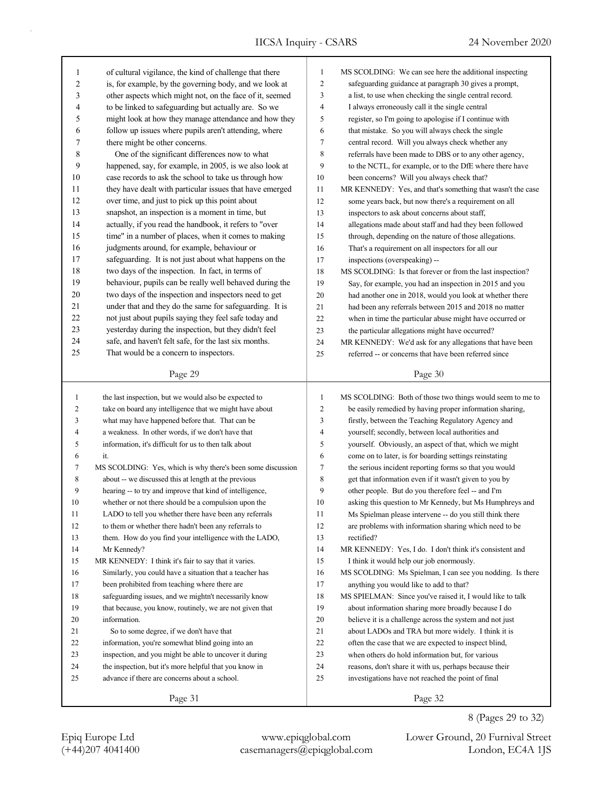Page 29 1 of cultural vigilance, the kind of challenge that there 2 is, for example, by the governing body, and we look at 3 other aspects which might not, on the face of it, seemed 4 to be linked to safeguarding but actually are. So we 5 might look at how they manage attendance and how they 6 follow up issues where pupils aren't attending, where 7 there might be other concerns. 8 One of the significant differences now to what 9 happened, say, for example, in 2005, is we also look at 10 case records to ask the school to take us through how 11 they have dealt with particular issues that have emerged 12 over time, and just to pick up this point about 13 snapshot, an inspection is a moment in time, but 14 actually, if you read the handbook, it refers to "over 15 time" in a number of places, when it comes to making 16 judgments around, for example, behaviour or 17 safeguarding. It is not just about what happens on the 18 two days of the inspection. In fact, in terms of 19 behaviour, pupils can be really well behaved during the 20 two days of the inspection and inspectors need to get 21 under that and they do the same for safeguarding. It is 22 not just about pupils saying they feel safe today and 23 yesterday during the inspection, but they didn't feel 24 safe, and haven't felt safe, for the last six months. 25 That would be a concern to inspectors. Page 31 1 the last inspection, but we would also be expected to 2 take on board any intelligence that we might have about 3 what may have happened before that. That can be 4 a weakness. In other words, if we don't have that 5 information, it's difficult for us to then talk about 6 it. 7 MS SCOLDING: Yes, which is why there's been some discussion 8 about -- we discussed this at length at the previous 9 hearing -- to try and improve that kind of intelligence, 10 whether or not there should be a compulsion upon the 11 LADO to tell you whether there have been any referrals 12 to them or whether there hadn't been any referrals to 13 them. How do you find your intelligence with the LADO, 14 Mr Kennedy? 15 MR KENNEDY: I think it's fair to say that it varies. 16 Similarly, you could have a situation that a teacher has 17 been prohibited from teaching where there are 18 safeguarding issues, and we mightn't necessarily know 19 that because, you know, routinely, we are not given that 20 information. 21 So to some degree, if we don't have that 22 information, you're somewhat blind going into an 23 inspection, and you might be able to uncover it during 24 the inspection, but it's more helpful that you know in 25 advance if there are concerns about a school. Page 30 1 MS SCOLDING: We can see here the additional inspecting 2 safeguarding guidance at paragraph 30 gives a prompt, 3 a list, to use when checking the single central record. 4 I always erroneously call it the single central 5 register, so I'm going to apologise if I continue with 6 that mistake. So you will always check the single 7 central record. Will you always check whether any 8 referrals have been made to DBS or to any other agency, 9 to the NCTL, for example, or to the DfE where there have 10 been concerns? Will you always check that? 11 MR KENNEDY: Yes, and that's something that wasn't the case 12 some years back, but now there's a requirement on all 13 inspectors to ask about concerns about staff, 14 allegations made about staff and had they been followed 15 through, depending on the nature of those allegations. 16 That's a requirement on all inspectors for all our 17 inspections (overspeaking) -- 18 MS SCOLDING: Is that forever or from the last inspection? 19 Say, for example, you had an inspection in 2015 and you 20 had another one in 2018, would you look at whether there 21 had been any referrals between 2015 and 2018 no matter 22 when in time the particular abuse might have occurred or 23 the particular allegations might have occurred? 24 MR KENNEDY: We'd ask for any allegations that have been 25 referred -- or concerns that have been referred since 1 MS SCOLDING: Both of those two things would seem to me to 2 be easily remedied by having proper information sharing, 3 firstly, between the Teaching Regulatory Agency and 4 yourself; secondly, between local authorities and 5 yourself. Obviously, an aspect of that, which we might 6 come on to later, is for boarding settings reinstating 7 the serious incident reporting forms so that you would 8 get that information even if it wasn't given to you by 9 other people. But do you therefore feel -- and I'm 10 asking this question to Mr Kennedy, but Ms Humphreys and 11 Ms Spielman please intervene -- do you still think there 12 are problems with information sharing which need to be 13 rectified? 14 MR KENNEDY: Yes, I do. I don't think it's consistent and 15 I think it would help our job enormously. 16 MS SCOLDING: Ms Spielman, I can see you nodding. Is there 17 anything you would like to add to that? 18 MS SPIELMAN: Since you've raised it, I would like to talk 19 about information sharing more broadly because I do 20 believe it is a challenge across the system and not just 21 about LADOs and TRA but more widely. I think it is 22 often the case that we are expected to inspect blind, 23 when others do hold information but, for various 24 reasons, don't share it with us, perhaps because their 25 investigations have not reached the point of final

Page 32

(+44)207 4041400 casemanagers@epiqglobal.com London, EC4A 1JS Epiq Europe Ltd www.epiqglobal.com Lower Ground, 20 Furnival Street

8 (Pages 29 to 32)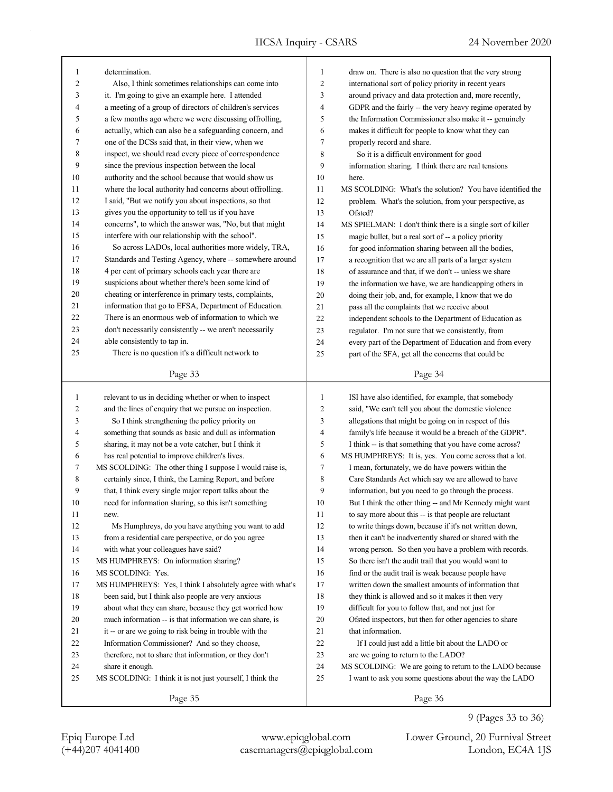| 1              | determination.                                            | $\mathbf{1}$   | draw on. There is also no question that the very strong     |
|----------------|-----------------------------------------------------------|----------------|-------------------------------------------------------------|
| 2              | Also, I think sometimes relationships can come into       | $\overline{2}$ | international sort of policy priority in recent years       |
| 3              | it. I'm going to give an example here. I attended         | 3              | around privacy and data protection and, more recently,      |
| 4              | a meeting of a group of directors of children's services  | 4              | GDPR and the fairly -- the very heavy regime operated by    |
| 5              | a few months ago where we were discussing offrolling,     | 5              | the Information Commissioner also make it -- genuinely      |
| 6              | actually, which can also be a safeguarding concern, and   | 6              | makes it difficult for people to know what they can         |
| 7              | one of the DCSs said that, in their view, when we         | 7              | properly record and share.                                  |
| 8              | inspect, we should read every piece of correspondence     | 8              | So it is a difficult environment for good                   |
| 9              | since the previous inspection between the local           | 9              | information sharing. I think there are real tensions        |
| 10             | authority and the school because that would show us       | 10             | here.                                                       |
| 11             | where the local authority had concerns about offrolling.  | 11             | MS SCOLDING: What's the solution? You have identified the   |
| 12             | I said, "But we notify you about inspections, so that     | 12             | problem. What's the solution, from your perspective, as     |
| 13             | gives you the opportunity to tell us if you have          | 13             | Ofsted?                                                     |
| 14             | concerns", to which the answer was, "No, but that might   | 14             | MS SPIELMAN: I don't think there is a single sort of killer |
| 15             | interfere with our relationship with the school".         | 15             | magic bullet, but a real sort of -- a policy priority       |
| 16             | So across LADOs, local authorities more widely, TRA,      | 16             | for good information sharing between all the bodies,        |
| 17             | Standards and Testing Agency, where -- somewhere around   | 17             | a recognition that we are all parts of a larger system      |
| 18             | 4 per cent of primary schools each year there are         | 18             | of assurance and that, if we don't -- unless we share       |
| 19             | suspicions about whether there's been some kind of        | 19             | the information we have, we are handicapping others in      |
| 20             | cheating or interference in primary tests, complaints,    | 20             | doing their job, and, for example, I know that we do        |
| 21             | information that go to EFSA, Department of Education.     | 21             | pass all the complaints that we receive about               |
| $22\,$         | There is an enormous web of information to which we       | 22             | independent schools to the Department of Education as       |
| 23             | don't necessarily consistently -- we aren't necessarily   | 23             | regulator. I'm not sure that we consistently, from          |
| 24             | able consistently to tap in.                              | 24             | every part of the Department of Education and from every    |
| 25             | There is no question it's a difficult network to          | 25             | part of the SFA, get all the concerns that could be         |
|                |                                                           |                |                                                             |
|                | Page 33                                                   |                | Page 34                                                     |
|                |                                                           |                |                                                             |
|                |                                                           |                |                                                             |
| $\mathbf{1}$   | relevant to us in deciding whether or when to inspect     | $\mathbf{1}$   | ISI have also identified, for example, that somebody        |
| $\overline{c}$ | and the lines of enquiry that we pursue on inspection.    | $\mathbf{2}$   | said, "We can't tell you about the domestic violence        |
| 3              | So I think strengthening the policy priority on           | 3              | allegations that might be going on in respect of this       |
| 4              | something that sounds as basic and dull as information    | 4              | family's life because it would be a breach of the GDPR".    |
| 5              | sharing, it may not be a vote catcher, but I think it     | 5              | I think -- is that something that you have come across?     |
| 6              | has real potential to improve children's lives.           | 6              | MS HUMPHREYS: It is, yes. You come across that a lot.       |
| 7              | MS SCOLDING: The other thing I suppose I would raise is,  | 7              | I mean, fortunately, we do have powers within the           |
| 8              | certainly since, I think, the Laming Report, and before   | 8              | Care Standards Act which say we are allowed to have         |
| 9              | that, I think every single major report talks about the   | 9              | information, but you need to go through the process.        |
| 10             | need for information sharing, so this isn't something     | 10             | But I think the other thing -- and Mr Kennedy might want    |
| 11             | new.                                                      | 11             | to say more about this -- is that people are reluctant      |
| 12             | Ms Humphreys, do you have anything you want to add        | 12             | to write things down, because if it's not written down,     |
| 13             | from a residential care perspective, or do you agree      | 13             | then it can't be inadvertently shared or shared with the    |
| 14             | with what your colleagues have said?                      | 14             | wrong person. So then you have a problem with records.      |
| 15             | MS HUMPHREYS: On information sharing?                     | 15             | So there isn't the audit trail that you would want to       |
| 16             | MS SCOLDING: Yes.                                         | 16             | find or the audit trail is weak because people have         |
| 17             | MS HUMPHREYS: Yes, I think I absolutely agree with what's | 17             | written down the smallest amounts of information that       |
| 18             | been said, but I think also people are very anxious       | $18\,$         | they think is allowed and so it makes it then very          |
| 19             | about what they can share, because they get worried how   | 19             | difficult for you to follow that, and not just for          |
| 20             | much information -- is that information we can share, is  | 20             | Ofsted inspectors, but then for other agencies to share     |
| 21             | it -- or are we going to risk being in trouble with the   | 21             | that information.                                           |
| 22             | Information Commissioner? And so they choose,             | $22\,$         | If I could just add a little bit about the LADO or          |
| 23             | therefore, not to share that information, or they don't   | 23             | are we going to return to the LADO?                         |
| 24             | share it enough.                                          | 24             | MS SCOLDING: We are going to return to the LADO because     |
| 25             | MS SCOLDING: I think it is not just yourself, I think the | 25             | I want to ask you some questions about the way the LADO     |

(+44)207 4041400 casemanagers@epiqglobal.com London, EC4A 1JS Epiq Europe Ltd www.epiqglobal.com Lower Ground, 20 Furnival Street

9 (Pages 33 to 36)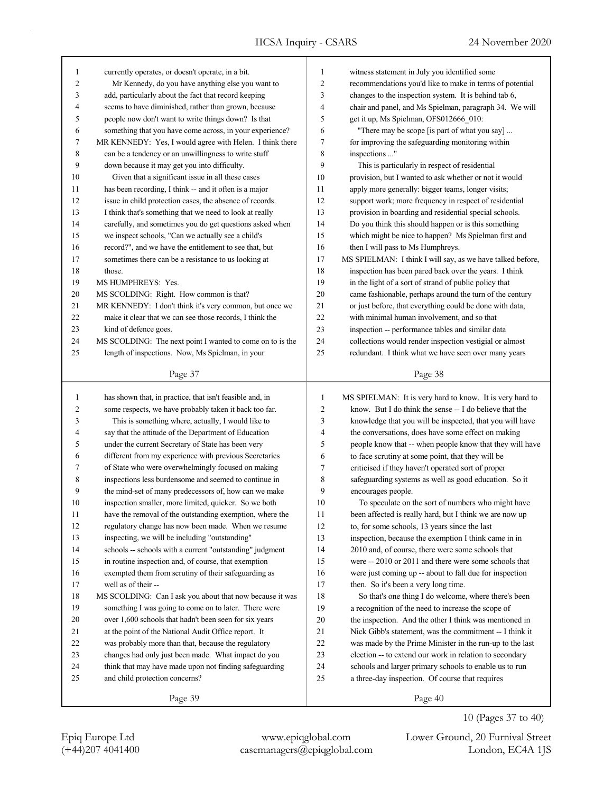| 1            | currently operates, or doesn't operate, in a bit.         | 1              | witness statement in July you identified some              |
|--------------|-----------------------------------------------------------|----------------|------------------------------------------------------------|
| 2            | Mr Kennedy, do you have anything else you want to         | $\overline{2}$ | recommendations you'd like to make in terms of potential   |
| 3            | add, particularly about the fact that record keeping      | 3              | changes to the inspection system. It is behind tab 6,      |
| 4            | seems to have diminished, rather than grown, because      | 4              | chair and panel, and Ms Spielman, paragraph 34. We will    |
| 5            | people now don't want to write things down? Is that       | 5              | get it up, Ms Spielman, OFS012666_010:                     |
| 6            | something that you have come across, in your experience?  | 6              | "There may be scope [is part of what you say]              |
| 7            | MR KENNEDY: Yes, I would agree with Helen. I think there  | $\tau$         | for improving the safeguarding monitoring within           |
| 8            | can be a tendency or an unwillingness to write stuff      | 8              | inspections "                                              |
| 9            | down because it may get you into difficulty.              | 9              | This is particularly in respect of residential             |
| 10           | Given that a significant issue in all these cases         | 10             | provision, but I wanted to ask whether or not it would     |
| 11           | has been recording, I think -- and it often is a major    | 11             | apply more generally: bigger teams, longer visits;         |
| 12           | issue in child protection cases, the absence of records.  | 12             | support work; more frequency in respect of residential     |
| 13           | I think that's something that we need to look at really   | 13             | provision in boarding and residential special schools.     |
| 14           | carefully, and sometimes you do get questions asked when  | 14             | Do you think this should happen or is this something       |
| 15           | we inspect schools, "Can we actually see a child's        | 15             | which might be nice to happen? Ms Spielman first and       |
| 16           | record?", and we have the entitlement to see that, but    | 16             | then I will pass to Ms Humphreys.                          |
| 17           | sometimes there can be a resistance to us looking at      | 17             | MS SPIELMAN: I think I will say, as we have talked before, |
| 18           | those.                                                    | 18             | inspection has been pared back over the years. I think     |
| 19           | MS HUMPHREYS: Yes.                                        | 19             | in the light of a sort of strand of public policy that     |
| 20           | MS SCOLDING: Right. How common is that?                   | 20             | came fashionable, perhaps around the turn of the century   |
| 21           | MR KENNEDY: I don't think it's very common, but once we   | 21             | or just before, that everything could be done with data,   |
| 22           | make it clear that we can see those records, I think the  | 22             | with minimal human involvement, and so that                |
| 23           | kind of defence goes.                                     | 23             | inspection -- performance tables and similar data          |
| 24           | MS SCOLDING: The next point I wanted to come on to is the | 24             | collections would render inspection vestigial or almost    |
| 25           | length of inspections. Now, Ms Spielman, in your          | 25             | redundant. I think what we have seen over many years       |
|              |                                                           |                |                                                            |
|              | Page 37                                                   |                | Page 38                                                    |
|              |                                                           |                |                                                            |
|              |                                                           |                |                                                            |
| $\mathbf{1}$ | has shown that, in practice, that isn't feasible and, in  | $\mathbf{1}$   | MS SPIELMAN: It is very hard to know. It is very hard to   |
| 2            | some respects, we have probably taken it back too far.    | $\overline{c}$ | know. But I do think the sense -- I do believe that the    |
| 3            | This is something where, actually, I would like to        | 3              | knowledge that you will be inspected, that you will have   |
| 4            | say that the attitude of the Department of Education      | 4              | the conversations, does have some effect on making         |
| 5            | under the current Secretary of State has been very        | 5              | people know that -- when people know that they will have   |
| 6            | different from my experience with previous Secretaries    | 6              | to face scrutiny at some point, that they will be          |
| 7            | of State who were overwhelmingly focused on making        | 7              | criticised if they haven't operated sort of proper         |
| 8            | inspections less burdensome and seemed to continue in     | 8              | safeguarding systems as well as good education. So it      |
| 9            | the mind-set of many predecessors of, how can we make     | 9              | encourages people.                                         |
| 10           | inspection smaller, more limited, quicker. So we both     | 10             | To speculate on the sort of numbers who might have         |
| 11           | have the removal of the outstanding exemption, where the  | 11             | been affected is really hard, but I think we are now up    |
| 12           | regulatory change has now been made. When we resume       | 12             | to, for some schools, 13 years since the last              |
| 13           | inspecting, we will be including "outstanding"            | 13             | inspection, because the exemption I think came in in       |
| 14           | schools -- schools with a current "outstanding" judgment  | 14             | 2010 and, of course, there were some schools that          |
| 15           | in routine inspection and, of course, that exemption      | 15             | were -- 2010 or 2011 and there were some schools that      |
| 16           | exempted them from scrutiny of their safeguarding as      | 16             | were just coming up -- about to fall due for inspection    |
| 17           | well as of their --                                       | 17             | then. So it's been a very long time.                       |
| 18           | MS SCOLDING: Can I ask you about that now because it was  | $18\,$         | So that's one thing I do welcome, where there's been       |
| 19           | something I was going to come on to later. There were     | 19             | a recognition of the need to increase the scope of         |
| 20           | over 1,600 schools that hadn't been seen for six years    | $20\,$         | the inspection. And the other I think was mentioned in     |
| 21           | at the point of the National Audit Office report. It      | 21             | Nick Gibb's statement, was the commitment -- I think it    |
| 22           | was probably more than that, because the regulatory       | $22\,$         | was made by the Prime Minister in the run-up to the last   |
| 23           | changes had only just been made. What impact do you       | 23             | election -- to extend our work in relation to secondary    |
| 24           | think that may have made upon not finding safeguarding    | 24             | schools and larger primary schools to enable us to run     |
| 25           | and child protection concerns?                            | 25             | a three-day inspection. Of course that requires            |

10 (Pages 37 to 40)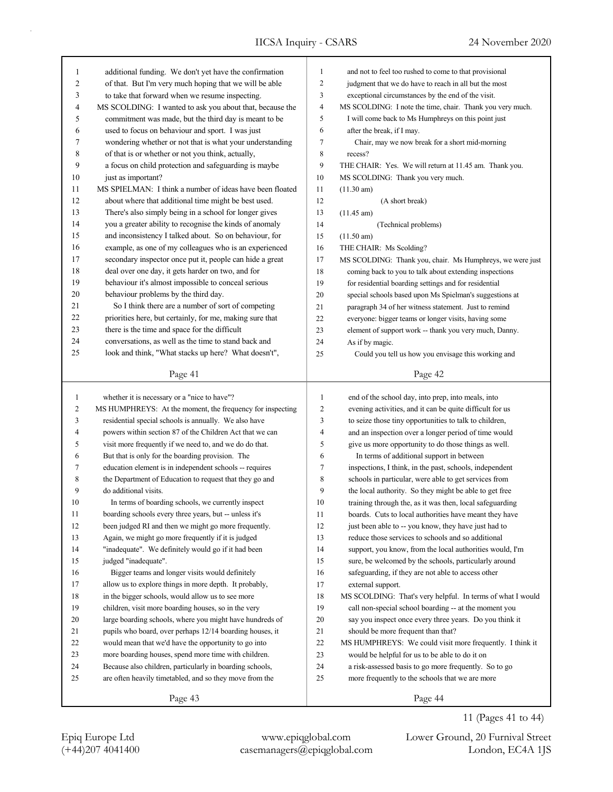| 1              | additional funding. We don't yet have the confirmation    | $\mathbf{1}$   | and not to feel too rushed to come to that provisional     |
|----------------|-----------------------------------------------------------|----------------|------------------------------------------------------------|
| 2              | of that. But I'm very much hoping that we will be able    | $\overline{2}$ | judgment that we do have to reach in all but the most      |
| 3              | to take that forward when we resume inspecting.           | 3              | exceptional circumstances by the end of the visit.         |
| 4              | MS SCOLDING: I wanted to ask you about that, because the  | $\overline{4}$ | MS SCOLDING: I note the time, chair. Thank you very much.  |
| 5              | commitment was made, but the third day is meant to be     | 5              | I will come back to Ms Humphreys on this point just        |
| 6              | used to focus on behaviour and sport. I was just          | 6              | after the break, if I may.                                 |
| 7              | wondering whether or not that is what your understanding  | 7              | Chair, may we now break for a short mid-morning            |
| 8              | of that is or whether or not you think, actually,         | $\,$ 8 $\,$    | recess?                                                    |
| 9              | a focus on child protection and safeguarding is maybe     | 9              | THE CHAIR: Yes. We will return at 11.45 am. Thank you.     |
| 10             | just as important?                                        | 10             | MS SCOLDING: Thank you very much.                          |
| 11             | MS SPIELMAN: I think a number of ideas have been floated  | 11             | (11.30 am)                                                 |
| 12             | about where that additional time might be best used.      | 12             | (A short break)                                            |
| 13             | There's also simply being in a school for longer gives    | 13             | $(11.45 \text{ am})$                                       |
| 14             | you a greater ability to recognise the kinds of anomaly   | 14             | (Technical problems)                                       |
| 15             | and inconsistency I talked about. So on behaviour, for    | 15             | $(11.50 \text{ am})$                                       |
| 16             | example, as one of my colleagues who is an experienced    | 16             | THE CHAIR: Ms Scolding?                                    |
| 17             | secondary inspector once put it, people can hide a great  | 17             | MS SCOLDING: Thank you, chair. Ms Humphreys, we were just  |
| 18             | deal over one day, it gets harder on two, and for         | 18             | coming back to you to talk about extending inspections     |
| 19             | behaviour it's almost impossible to conceal serious       | 19             | for residential boarding settings and for residential      |
| 20             | behaviour problems by the third day.                      | 20             | special schools based upon Ms Spielman's suggestions at    |
| 21             | So I think there are a number of sort of competing        | 21             | paragraph 34 of her witness statement. Just to remind      |
| 22             | priorities here, but certainly, for me, making sure that  | 22             | everyone: bigger teams or longer visits, having some       |
| 23             | there is the time and space for the difficult             | 23             | element of support work -- thank you very much, Danny.     |
| 24             | conversations, as well as the time to stand back and      | 24             | As if by magic.                                            |
| 25             | look and think, "What stacks up here? What doesn't",      | 25             | Could you tell us how you envisage this working and        |
|                |                                                           |                |                                                            |
|                | Page 41                                                   |                | Page 42                                                    |
|                |                                                           |                |                                                            |
|                |                                                           |                |                                                            |
| 1              | whether it is necessary or a "nice to have"?              | $\mathbf{1}$   | end of the school day, into prep, into meals, into         |
| $\overline{c}$ | MS HUMPHREYS: At the moment, the frequency for inspecting | $\overline{2}$ | evening activities, and it can be quite difficult for us   |
| 3              | residential special schools is annually. We also have     | 3              | to seize those tiny opportunities to talk to children,     |
| 4              | powers within section 87 of the Children Act that we can  | $\overline{4}$ | and an inspection over a longer period of time would       |
| 5              | visit more frequently if we need to, and we do do that.   | 5              | give us more opportunity to do those things as well.       |
| 6              | But that is only for the boarding provision. The          | 6              | In terms of additional support in between                  |
| 7              | education element is in independent schools -- requires   | 7              | inspections, I think, in the past, schools, independent    |
| 8              | the Department of Education to request that they go and   | $\,$ 8 $\,$    | schools in particular, were able to get services from      |
| 9              | do additional visits.                                     | 9              | the local authority. So they might be able to get free     |
| 10             | In terms of boarding schools, we currently inspect        | 10             | training through the, as it was then, local safeguarding   |
| 11             | boarding schools every three years, but -- unless it's    | 11             | boards. Cuts to local authorities have meant they have     |
| 12             | been judged RI and then we might go more frequently.      | 12             | just been able to -- you know, they have just had to       |
| 13             | Again, we might go more frequently if it is judged        | 13             | reduce those services to schools and so additional         |
| 14             | "inadequate". We definitely would go if it had been       | 14             | support, you know, from the local authorities would, I'm   |
| 15             | judged "inadequate".                                      | 15             | sure, be welcomed by the schools, particularly around      |
| 16             | Bigger teams and longer visits would definitely           | 16             | safeguarding, if they are not able to access other         |
| 17             | allow us to explore things in more depth. It probably,    | 17             | external support.                                          |
| 18             | in the bigger schools, would allow us to see more         | 18             | MS SCOLDING: That's very helpful. In terms of what I would |
| 19             | children, visit more boarding houses, so in the very      | 19             | call non-special school boarding -- at the moment you      |
| $20\,$         | large boarding schools, where you might have hundreds of  | 20             | say you inspect once every three years. Do you think it    |
| 21             | pupils who board, over perhaps 12/14 boarding houses, it  | 21             | should be more frequent than that?                         |
| 22             | would mean that we'd have the opportunity to go into      | 22             | MS HUMPHREYS: We could visit more frequently. I think it   |
| 23             | more boarding houses, spend more time with children.      | 23             | would be helpful for us to be able to do it on             |
| 24             | Because also children, particularly in boarding schools,  | 24             | a risk-assessed basis to go more frequently. So to go      |
| 25             | are often heavily timetabled, and so they move from the   | 25             | more frequently to the schools that we are more            |

11 (Pages 41 to 44)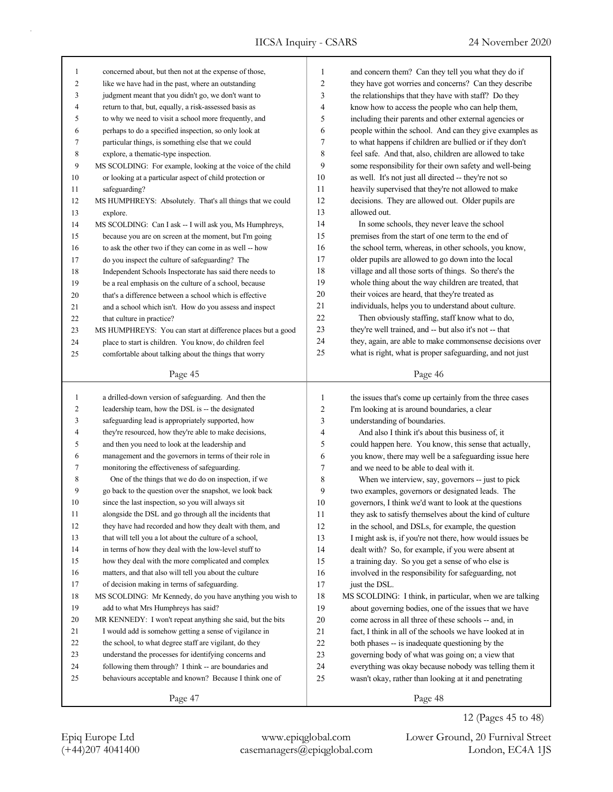| 1              | concerned about, but then not at the expense of those,             | $\mathbf{1}$   | and concern them? Can they tell you what they do if               |
|----------------|--------------------------------------------------------------------|----------------|-------------------------------------------------------------------|
| $\overline{2}$ | like we have had in the past, where an outstanding                 | $\overline{c}$ | they have got worries and concerns? Can they describe             |
| 3              | judgment meant that you didn't go, we don't want to                | 3              | the relationships that they have with staff? Do they              |
| 4              | return to that, but, equally, a risk-assessed basis as             | 4              | know how to access the people who can help them,                  |
| 5              | to why we need to visit a school more frequently, and              | 5              | including their parents and other external agencies or            |
| 6              | perhaps to do a specified inspection, so only look at              | 6              | people within the school. And can they give examples as           |
| 7              | particular things, is something else that we could                 | 7              | to what happens if children are bullied or if they don't          |
| 8              | explore, a thematic-type inspection.                               | 8              | feel safe. And that, also, children are allowed to take           |
| 9              | MS SCOLDING: For example, looking at the voice of the child        | 9              | some responsibility for their own safety and well-being           |
| 10             | or looking at a particular aspect of child protection or           | 10             | as well. It's not just all directed -- they're not so             |
| 11             | safeguarding?                                                      | 11             | heavily supervised that they're not allowed to make               |
| 12             | MS HUMPHREYS: Absolutely. That's all things that we could          | 12             | decisions. They are allowed out. Older pupils are                 |
| 13             | explore.                                                           | 13             | allowed out.                                                      |
| 14             | MS SCOLDING: Can I ask -- I will ask you, Ms Humphreys,            | 14             | In some schools, they never leave the school                      |
| 15             | because you are on screen at the moment, but I'm going             | 15             | premises from the start of one term to the end of                 |
| 16             | to ask the other two if they can come in as well -- how            | 16             | the school term, whereas, in other schools, you know,             |
| 17             | do you inspect the culture of safeguarding? The                    | 17             | older pupils are allowed to go down into the local                |
| 18             | Independent Schools Inspectorate has said there needs to           | 18             | village and all those sorts of things. So there's the             |
| 19             | be a real emphasis on the culture of a school, because             | 19             | whole thing about the way children are treated, that              |
| 20             | that's a difference between a school which is effective            | 20             | their voices are heard, that they're treated as                   |
| 21             | and a school which isn't. How do you assess and inspect            | 21             | individuals, helps you to understand about culture.               |
| 22             | that culture in practice?                                          | 22             | Then obviously staffing, staff know what to do,                   |
| 23             | MS HUMPHREYS: You can start at difference places but a good        | 23             | they're well trained, and -- but also it's not -- that            |
| 24             | place to start is children. You know, do children feel             | 24             | they, again, are able to make commonsense decisions over          |
| 25             | comfortable about talking about the things that worry              | 25             | what is right, what is proper safeguarding, and not just          |
|                |                                                                    |                |                                                                   |
|                | Page 45                                                            |                | Page 46                                                           |
|                |                                                                    |                |                                                                   |
|                |                                                                    |                |                                                                   |
| $\mathbf{1}$   | a drilled-down version of safeguarding. And then the               | $\mathbf{1}$   | the issues that's come up certainly from the three cases          |
| $\overline{c}$ | leadership team, how the DSL is -- the designated                  | $\sqrt{2}$     | I'm looking at is around boundaries, a clear                      |
| 3              | safeguarding lead is appropriately supported, how                  | 3              | understanding of boundaries.                                      |
| 4              | they're resourced, how they're able to make decisions,             | 4              | And also I think it's about this business of, it                  |
| 5              | and then you need to look at the leadership and                    | 5              | could happen here. You know, this sense that actually,            |
| 6              | management and the governors in terms of their role in             | 6              | you know, there may well be a safeguarding issue here             |
| 7              | monitoring the effectiveness of safeguarding.                      | 7              | and we need to be able to deal with it.                           |
| 8              | One of the things that we do do on inspection, if we               | 8              | When we interview, say, governors -- just to pick                 |
| 9              | go back to the question over the snapshot, we look back            | 9              | two examples, governors or designated leads. The                  |
| 10             | since the last inspection, so you will always sit                  | 10             | governors, I think we'd want to look at the questions             |
| 11             | alongside the DSL and go through all the incidents that            | $11\,$         | they ask to satisfy themselves about the kind of culture          |
| 12             | they have had recorded and how they dealt with them, and           | 12             | in the school, and DSLs, for example, the question                |
| 13             | that will tell you a lot about the culture of a school,            | 13             | I might ask is, if you're not there, how would issues be          |
| 14             | in terms of how they deal with the low-level stuff to              | 14             | dealt with? So, for example, if you were absent at                |
| 15             | how they deal with the more complicated and complex                | 15             | a training day. So you get a sense of who else is                 |
| 16             | matters, and that also will tell you about the culture             | 16             | involved in the responsibility for safeguarding, not              |
| 17             | of decision making in terms of safeguarding.                       | 17             | just the DSL.                                                     |
| 18             | MS SCOLDING: Mr Kennedy, do you have anything you wish to          | 18             | MS SCOLDING: I think, in particular, when we are talking          |
| 19             | add to what Mrs Humphreys has said?                                | 19             | about governing bodies, one of the issues that we have            |
| 20             | MR KENNEDY: I won't repeat anything she said, but the bits         | $20\,$         | come across in all three of these schools -- and, in              |
| 21             | I would add is somehow getting a sense of vigilance in             | 21             | fact, I think in all of the schools we have looked at in          |
| 22             | the school, to what degree staff are vigilant, do they             | $22\,$         | both phases -- is inadequate questioning by the                   |
| 23             | understand the processes for identifying concerns and              | 23             | governing body of what was going on; a view that                  |
| 24<br>25       | following them through? I think -- are boundaries and              | 24<br>25       | everything was okay because nobody was telling them it            |
|                | behaviours acceptable and known? Because I think one of<br>Page 47 |                | wasn't okay, rather than looking at it and penetrating<br>Page 48 |

12 (Pages 45 to 48)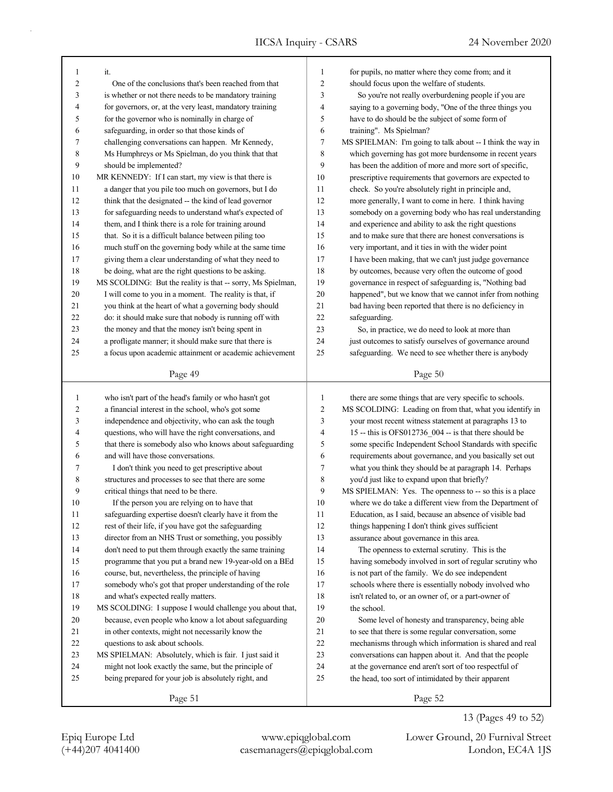| 1              | it.                                                         | $\mathbf{1}$   | for pupils, no matter where they come from; and it                                                          |
|----------------|-------------------------------------------------------------|----------------|-------------------------------------------------------------------------------------------------------------|
| $\overline{c}$ | One of the conclusions that's been reached from that        | $\overline{c}$ | should focus upon the welfare of students.                                                                  |
| 3              | is whether or not there needs to be mandatory training      | 3              | So you're not really overburdening people if you are                                                        |
| 4              | for governors, or, at the very least, mandatory training    | $\overline{4}$ | saying to a governing body, "One of the three things you                                                    |
| 5              | for the governor who is nominally in charge of              | 5              | have to do should be the subject of some form of                                                            |
| 6              | safeguarding, in order so that those kinds of               | 6              | training". Ms Spielman?                                                                                     |
| 7              | challenging conversations can happen. Mr Kennedy,           | $\tau$         | MS SPIELMAN: I'm going to talk about -- I think the way in                                                  |
| 8              | Ms Humphreys or Ms Spielman, do you think that that         | 8              | which governing has got more burdensome in recent years                                                     |
| 9              | should be implemented?                                      | 9              | has been the addition of more and more sort of specific,                                                    |
| 10             | MR KENNEDY: If I can start, my view is that there is        | 10             | prescriptive requirements that governors are expected to                                                    |
| 11             | a danger that you pile too much on governors, but I do      | 11             | check. So you're absolutely right in principle and,                                                         |
| 12             | think that the designated -- the kind of lead governor      | 12             | more generally, I want to come in here. I think having                                                      |
| 13             | for safeguarding needs to understand what's expected of     | 13             | somebody on a governing body who has real understanding                                                     |
| 14             | them, and I think there is a role for training around       | 14             | and experience and ability to ask the right questions                                                       |
| 15             | that. So it is a difficult balance between piling too       | 15             | and to make sure that there are honest conversations is                                                     |
| 16             | much stuff on the governing body while at the same time     | 16             | very important, and it ties in with the wider point                                                         |
| 17             | giving them a clear understanding of what they need to      | 17             | I have been making, that we can't just judge governance                                                     |
| 18             | be doing, what are the right questions to be asking.        | 18             | by outcomes, because very often the outcome of good                                                         |
| 19             | MS SCOLDING: But the reality is that -- sorry, Ms Spielman, | 19             | governance in respect of safeguarding is, "Nothing bad                                                      |
| $20\,$         | I will come to you in a moment. The reality is that, if     | 20             | happened", but we know that we cannot infer from nothing                                                    |
| 21             | you think at the heart of what a governing body should      | 21             | bad having been reported that there is no deficiency in                                                     |
| 22             | do: it should make sure that nobody is running off with     | 22             |                                                                                                             |
| 23             | the money and that the money isn't being spent in           | 23             | safeguarding.                                                                                               |
| 24             | a profligate manner; it should make sure that there is      | 24             | So, in practice, we do need to look at more than<br>just outcomes to satisfy ourselves of governance around |
|                |                                                             | 25             |                                                                                                             |
| 25             | a focus upon academic attainment or academic achievement    |                | safeguarding. We need to see whether there is anybody                                                       |
|                | Page 49                                                     |                | Page 50                                                                                                     |
|                |                                                             |                |                                                                                                             |
|                |                                                             |                |                                                                                                             |
| 1              | who isn't part of the head's family or who hasn't got       | $\mathbf{1}$   | there are some things that are very specific to schools.                                                    |
| 2              | a financial interest in the school, who's got some          | $\overline{c}$ | MS SCOLDING: Leading on from that, what you identify in                                                     |
| 3              | independence and objectivity, who can ask the tough         | 3              | your most recent witness statement at paragraphs 13 to                                                      |
| 4              | questions, who will have the right conversations, and       | $\overline{4}$ | 15 -- this is OFS012736_004 -- is that there should be                                                      |
| 5              | that there is somebody also who knows about safeguarding    | 5              | some specific Independent School Standards with specific                                                    |
| 6              | and will have those conversations.                          | 6              | requirements about governance, and you basically set out                                                    |
| 7              | I don't think you need to get prescriptive about            | $\overline{7}$ | what you think they should be at paragraph 14. Perhaps                                                      |
| 8              | structures and processes to see that there are some         | 8              | you'd just like to expand upon that briefly?                                                                |
| 9              | critical things that need to be there.                      | 9              | MS SPIELMAN: Yes. The openness to -- so this is a place                                                     |
| 10             | If the person you are relying on to have that               | 10             | where we do take a different view from the Department of                                                    |
| 11             | safeguarding expertise doesn't clearly have it from the     | 11             | Education, as I said, because an absence of visible bad                                                     |
| 12             | rest of their life, if you have got the safeguarding        | 12             | things happening I don't think gives sufficient                                                             |
| 13             | director from an NHS Trust or something, you possibly       | 13             | assurance about governance in this area.                                                                    |
| 14             | don't need to put them through exactly the same training    | 14             | The openness to external scrutiny. This is the                                                              |
| 15             | programme that you put a brand new 19-year-old on a BEd     | 15             | having somebody involved in sort of regular scrutiny who                                                    |
| 16             | course, but, nevertheless, the principle of having          | 16             | is not part of the family. We do see independent                                                            |
| 17             | somebody who's got that proper understanding of the role    | 17             | schools where there is essentially nobody involved who                                                      |
| 18             | and what's expected really matters.                         | 18             | isn't related to, or an owner of, or a part-owner of                                                        |
| 19             | MS SCOLDING: I suppose I would challenge you about that,    | 19             | the school.                                                                                                 |
| 20             | because, even people who know a lot about safeguarding      | 20             | Some level of honesty and transparency, being able                                                          |
| 21             | in other contexts, might not necessarily know the           | 21             | to see that there is some regular conversation, some                                                        |
| $22\,$         | questions to ask about schools.                             | 22             | mechanisms through which information is shared and real                                                     |
| 23             | MS SPIELMAN: Absolutely, which is fair. I just said it      | 23             | conversations can happen about it. And that the people                                                      |
| 24             | might not look exactly the same, but the principle of       | 24             | at the governance end aren't sort of too respectful of                                                      |
| 25             | being prepared for your job is absolutely right, and        | 25             | the head, too sort of intimidated by their apparent                                                         |
|                | Page 51                                                     |                | Page 52                                                                                                     |

(+44)207 4041400 casemanagers@epiqglobal.com London, EC4A 1JS Epiq Europe Ltd www.epiqglobal.com Lower Ground, 20 Furnival Street

13 (Pages 49 to 52)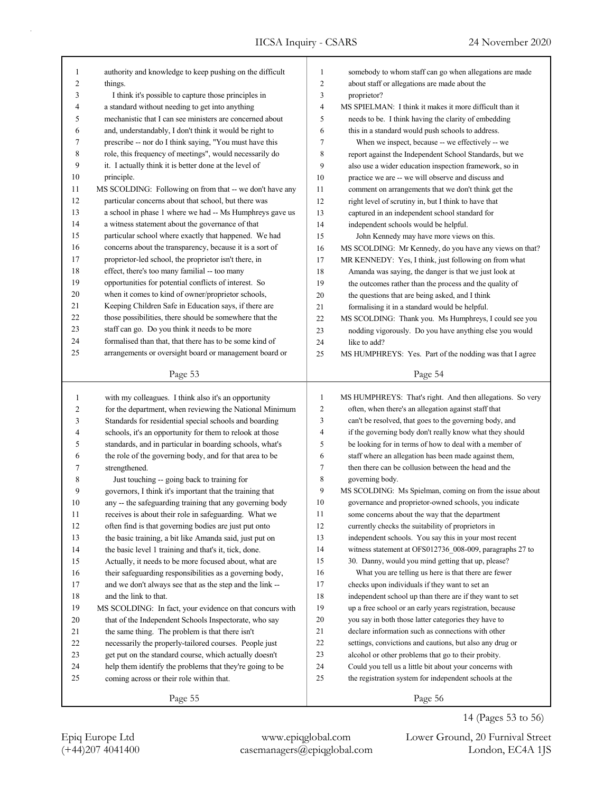ī

| 1              | authority and knowledge to keep pushing on the difficult | 1              | somebody to whom staff can go when allegations are made   |
|----------------|----------------------------------------------------------|----------------|-----------------------------------------------------------|
| 2              | things.                                                  | 2              | about staff or allegations are made about the             |
| 3              | I think it's possible to capture those principles in     | 3              | proprietor?                                               |
| 4              | a standard without needing to get into anything          | 4              | MS SPIELMAN: I think it makes it more difficult than it   |
| 5              | mechanistic that I can see ministers are concerned about | 5              | needs to be. I think having the clarity of embedding      |
| 6              | and, understandably, I don't think it would be right to  | 6              | this in a standard would push schools to address.         |
| 7              | prescribe -- nor do I think saying, "You must have this  | 7              | When we inspect, because -- we effectively -- we          |
| 8              | role, this frequency of meetings", would necessarily do  | 8              | report against the Independent School Standards, but we   |
| 9              | it. I actually think it is better done at the level of   | 9              | also use a wider education inspection framework, so in    |
| 10             | principle.                                               | 10             | practice we are -- we will observe and discuss and        |
| 11             | MS SCOLDING: Following on from that -- we don't have any | 11             | comment on arrangements that we don't think get the       |
| 12             | particular concerns about that school, but there was     | 12             | right level of scrutiny in, but I think to have that      |
| 13             | a school in phase 1 where we had -- Ms Humphreys gave us | 13             | captured in an independent school standard for            |
| 14             | a witness statement about the governance of that         | 14             | independent schools would be helpful.                     |
| 15             | particular school where exactly that happened. We had    | 15             | John Kennedy may have more views on this.                 |
| 16             | concerns about the transparency, because it is a sort of | 16             |                                                           |
| 17             | proprietor-led school, the proprietor isn't there, in    | 17             | MS SCOLDING: Mr Kennedy, do you have any views on that?   |
| 18             | effect, there's too many familial -- too many            |                | MR KENNEDY: Yes, I think, just following on from what     |
| 19             |                                                          | 18             | Amanda was saying, the danger is that we just look at     |
|                | opportunities for potential conflicts of interest. So    | 19             | the outcomes rather than the process and the quality of   |
| 20             | when it comes to kind of owner/proprietor schools,       | 20             | the questions that are being asked, and I think           |
| 21             | Keeping Children Safe in Education says, if there are    | 21             | formalising it in a standard would be helpful.            |
| 22             | those possibilities, there should be somewhere that the  | 22             | MS SCOLDING: Thank you. Ms Humphreys, I could see you     |
| 23             | staff can go. Do you think it needs to be more           | 23             | nodding vigorously. Do you have anything else you would   |
| 24             | formalised than that, that there has to be some kind of  | 24             | like to add?                                              |
| 25             | arrangements or oversight board or management board or   | 25             | MS HUMPHREYS: Yes. Part of the nodding was that I agree   |
|                | Page 53                                                  |                | Page 54                                                   |
|                |                                                          |                |                                                           |
|                |                                                          |                |                                                           |
| $\mathbf{1}$   |                                                          | $\mathbf{1}$   |                                                           |
|                | with my colleagues. I think also it's an opportunity     |                | MS HUMPHREYS: That's right. And then allegations. So very |
| $\overline{c}$ | for the department, when reviewing the National Minimum  | $\overline{c}$ | often, when there's an allegation against staff that      |
| 3              | Standards for residential special schools and boarding   | 3              | can't be resolved, that goes to the governing body, and   |
| 4              | schools, it's an opportunity for them to relook at those | 4              | if the governing body don't really know what they should  |
| 5              | standards, and in particular in boarding schools, what's | 5              | be looking for in terms of how to deal with a member of   |
| 6              | the role of the governing body, and for that area to be  | 6              | staff where an allegation has been made against them,     |
| 7              | strengthened.                                            | 7              | then there can be collusion between the head and the      |
| 8              | Just touching -- going back to training for              | 8              | governing body.                                           |
| 9              | governors, I think it's important that the training that | 9              | MS SCOLDING: Ms Spielman, coming on from the issue about  |
| 10             | any -- the safeguarding training that any governing body | 10             | governance and proprietor-owned schools, you indicate     |
| $1\,1$         | receives is about their role in safeguarding. What we    | 11             | some concerns about the way that the department           |
| 12             | often find is that governing bodies are just put onto    | 12             | currently checks the suitability of proprietors in        |
| 13             | the basic training, a bit like Amanda said, just put on  | 13             | independent schools. You say this in your most recent     |
| 14             | the basic level 1 training and that's it, tick, done.    | 14             | witness statement at OFS012736_008-009, paragraphs 27 to  |
| 15             | Actually, it needs to be more focused about, what are    | 15             | 30. Danny, would you mind getting that up, please?        |
| 16             | their safeguarding responsibilities as a governing body, | 16             | What you are telling us here is that there are fewer      |
| 17             | and we don't always see that as the step and the link -- | 17             | checks upon individuals if they want to set an            |
| 18             | and the link to that.                                    | 18             | independent school up than there are if they want to set  |
| 19             | MS SCOLDING: In fact, your evidence on that concurs with | 19             | up a free school or an early years registration, because  |
| 20             | that of the Independent Schools Inspectorate, who say    | $20\,$         | you say in both those latter categories they have to      |
| 21             | the same thing. The problem is that there isn't          | 21             | declare information such as connections with other        |
| 22             | necessarily the properly-tailored courses. People just   | $22\,$         | settings, convictions and cautions, but also any drug or  |
| 23             | get put on the standard course, which actually doesn't   | 23             | alcohol or other problems that go to their probity.       |
| 24             | help them identify the problems that they're going to be | 24             | Could you tell us a little bit about your concerns with   |
| 25             | coming across or their role within that.                 | 25             | the registration system for independent schools at the    |
|                | Page 55                                                  |                | Page 56                                                   |

14 (Pages 53 to 56)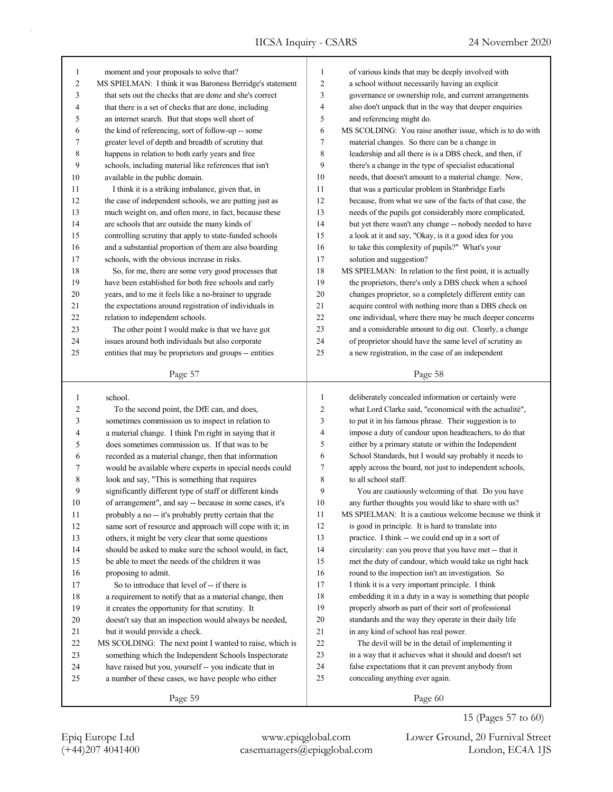| moment and your proposals to solve that?                  | $\mathbf{1}$                                                                                                                                                                                                                                                   | of various kinds that may be deeply involved with           |
|-----------------------------------------------------------|----------------------------------------------------------------------------------------------------------------------------------------------------------------------------------------------------------------------------------------------------------------|-------------------------------------------------------------|
| MS SPIELMAN: I think it was Baroness Berridge's statement | $\overline{c}$                                                                                                                                                                                                                                                 | a school without necessarily having an explicit             |
| that sets out the checks that are done and she's correct  | 3                                                                                                                                                                                                                                                              | governance or ownership role, and current arrangements      |
| that there is a set of checks that are done, including    | 4                                                                                                                                                                                                                                                              | also don't unpack that in the way that deeper enquiries     |
| an internet search. But that stops well short of          | 5                                                                                                                                                                                                                                                              | and referencing might do.                                   |
| the kind of referencing, sort of follow-up -- some        | 6                                                                                                                                                                                                                                                              | MS SCOLDING: You raise another issue, which is to do with   |
| greater level of depth and breadth of scrutiny that       | 7                                                                                                                                                                                                                                                              | material changes. So there can be a change in               |
| happens in relation to both early years and free          | 8                                                                                                                                                                                                                                                              | leadership and all there is is a DBS check, and then, if    |
| schools, including material like references that isn't    | 9                                                                                                                                                                                                                                                              | there's a change in the type of specialist educational      |
| available in the public domain.                           | 10                                                                                                                                                                                                                                                             | needs, that doesn't amount to a material change. Now,       |
| I think it is a striking imbalance, given that, in        | 11                                                                                                                                                                                                                                                             | that was a particular problem in Stanbridge Earls           |
| the case of independent schools, we are putting just as   | 12                                                                                                                                                                                                                                                             | because, from what we saw of the facts of that case, the    |
| much weight on, and often more, in fact, because these    | 13                                                                                                                                                                                                                                                             | needs of the pupils got considerably more complicated,      |
| are schools that are outside the many kinds of            | 14                                                                                                                                                                                                                                                             | but yet there wasn't any change -- nobody needed to have    |
| controlling scrutiny that apply to state-funded schools   | 15                                                                                                                                                                                                                                                             | a look at it and say, "Okay, is it a good idea for you      |
| and a substantial proportion of them are also boarding    | 16                                                                                                                                                                                                                                                             | to take this complexity of pupils?" What's your             |
| schools, with the obvious increase in risks.              | 17                                                                                                                                                                                                                                                             | solution and suggestion?                                    |
| So, for me, there are some very good processes that       | 18                                                                                                                                                                                                                                                             | MS SPIELMAN: In relation to the first point, it is actually |
| have been established for both free schools and early     | 19                                                                                                                                                                                                                                                             | the proprietors, there's only a DBS check when a school     |
|                                                           | 20                                                                                                                                                                                                                                                             | changes proprietor, so a completely different entity can    |
| the expectations around registration of individuals in    | 21                                                                                                                                                                                                                                                             | acquire control with nothing more than a DBS check on       |
|                                                           | 22                                                                                                                                                                                                                                                             | one individual, where there may be much deeper concerns     |
|                                                           | 23                                                                                                                                                                                                                                                             | and a considerable amount to dig out. Clearly, a change     |
|                                                           | 24                                                                                                                                                                                                                                                             | of proprietor should have the same level of scrutiny as     |
|                                                           | 25                                                                                                                                                                                                                                                             | a new registration, in the case of an independent           |
|                                                           |                                                                                                                                                                                                                                                                |                                                             |
|                                                           |                                                                                                                                                                                                                                                                |                                                             |
| Page 57                                                   |                                                                                                                                                                                                                                                                | Page 58                                                     |
|                                                           |                                                                                                                                                                                                                                                                |                                                             |
| school.                                                   | $\mathbf{1}$                                                                                                                                                                                                                                                   | deliberately concealed information or certainly were        |
| To the second point, the DfE can, and does,               | $\overline{2}$                                                                                                                                                                                                                                                 | what Lord Clarke said, "economical with the actualité",     |
| sometimes commission us to inspect in relation to         | 3                                                                                                                                                                                                                                                              | to put it in his famous phrase. Their suggestion is to      |
| a material change. I think I'm right in saying that it    | $\overline{4}$                                                                                                                                                                                                                                                 | impose a duty of candour upon headteachers, to do that      |
| does sometimes commission us. If that was to be           | 5                                                                                                                                                                                                                                                              | either by a primary statute or within the Independent       |
| recorded as a material change, then that information      | 6                                                                                                                                                                                                                                                              | School Standards, but I would say probably it needs to      |
| would be available where experts in special needs could   | 7                                                                                                                                                                                                                                                              | apply across the board, not just to independent schools,    |
| look and say, "This is something that requires            | 8                                                                                                                                                                                                                                                              | to all school staff.                                        |
| significantly different type of staff or different kinds  | 9                                                                                                                                                                                                                                                              | You are cautiously welcoming of that. Do you have           |
| of arrangement", and say -- because in some cases, it's   | 10                                                                                                                                                                                                                                                             | any further thoughts you would like to share with us?       |
| probably a no -- it's probably pretty certain that the    | 11                                                                                                                                                                                                                                                             | MS SPIELMAN: It is a cautious welcome because we think it   |
| same sort of resource and approach will cope with it; in  | 12                                                                                                                                                                                                                                                             | is good in principle. It is hard to translate into          |
| others, it might be very clear that some questions        | 13                                                                                                                                                                                                                                                             | practice. I think -- we could end up in a sort of           |
| should be asked to make sure the school would, in fact,   | 14                                                                                                                                                                                                                                                             | circularity: can you prove that you have met -- that it     |
| be able to meet the needs of the children it was          | 15                                                                                                                                                                                                                                                             | met the duty of candour, which would take us right back     |
| proposing to admit.                                       | 16                                                                                                                                                                                                                                                             | round to the inspection isn't an investigation. So          |
| So to introduce that level of -- if there is              | 17                                                                                                                                                                                                                                                             | I think it is a very important principle. I think           |
| a requirement to notify that as a material change, then   | 18                                                                                                                                                                                                                                                             | embedding it in a duty in a way is something that people    |
| it creates the opportunity for that scrutiny. It          | 19                                                                                                                                                                                                                                                             | properly absorb as part of their sort of professional       |
| doesn't say that an inspection would always be needed,    | $20\,$                                                                                                                                                                                                                                                         | standards and the way they operate in their daily life      |
| but it would provide a check.                             | 21                                                                                                                                                                                                                                                             | in any kind of school has real power.                       |
| MS SCOLDING: The next point I wanted to raise, which is   | 22                                                                                                                                                                                                                                                             | The devil will be in the detail of implementing it          |
| something which the Independent Schools Inspectorate      | 23                                                                                                                                                                                                                                                             | in a way that it achieves what it should and doesn't set    |
| have raised but you, yourself -- you indicate that in     | 24                                                                                                                                                                                                                                                             | false expectations that it can prevent anybody from         |
| a number of these cases, we have people who either        | 25                                                                                                                                                                                                                                                             | concealing anything ever again.                             |
|                                                           | years, and to me it feels like a no-brainer to upgrade<br>relation to independent schools.<br>The other point I would make is that we have got<br>issues around both individuals but also corporate<br>entities that may be proprietors and groups -- entities |                                                             |

15 (Pages 57 to 60)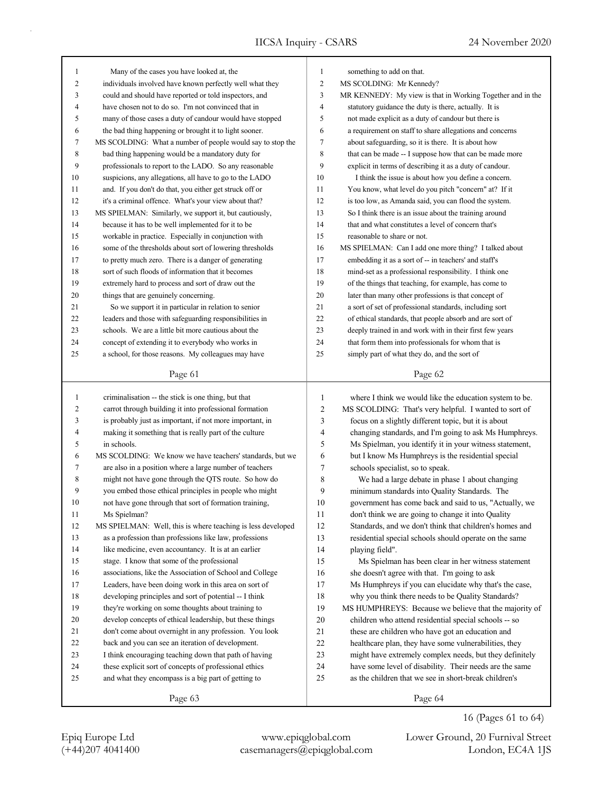| 1            | Many of the cases you have looked at, the                   | 1                       | something to add on that.                                  |
|--------------|-------------------------------------------------------------|-------------------------|------------------------------------------------------------|
| 2            | individuals involved have known perfectly well what they    | $\overline{c}$          | MS SCOLDING: Mr Kennedy?                                   |
| 3            | could and should have reported or told inspectors, and      | 3                       | MR KENNEDY: My view is that in Working Together and in the |
| 4            | have chosen not to do so. I'm not convinced that in         | 4                       | statutory guidance the duty is there, actually. It is      |
| 5            | many of those cases a duty of candour would have stopped    | 5                       | not made explicit as a duty of candour but there is        |
| 6            | the bad thing happening or brought it to light sooner.      | 6                       | a requirement on staff to share allegations and concerns   |
| 7            | MS SCOLDING: What a number of people would say to stop the  | 7                       | about safeguarding, so it is there. It is about how        |
| 8            | bad thing happening would be a mandatory duty for           | 8                       | that can be made -- I suppose how that can be made more    |
| 9            | professionals to report to the LADO. So any reasonable      | 9                       | explicit in terms of describing it as a duty of candour.   |
| 10           | suspicions, any allegations, all have to go to the LADO     | 10                      | I think the issue is about how you define a concern.       |
| 11           | and. If you don't do that, you either get struck off or     | 11                      | You know, what level do you pitch "concern" at? If it      |
| 12           | it's a criminal offence. What's your view about that?       | 12                      | is too low, as Amanda said, you can flood the system.      |
| 13           | MS SPIELMAN: Similarly, we support it, but cautiously,      | 13                      | So I think there is an issue about the training around     |
| 14           | because it has to be well implemented for it to be          | 14                      | that and what constitutes a level of concern that's        |
| 15           | workable in practice. Especially in conjunction with        | 15                      | reasonable to share or not.                                |
| 16           | some of the thresholds about sort of lowering thresholds    | 16                      | MS SPIELMAN: Can I add one more thing? I talked about      |
| 17           | to pretty much zero. There is a danger of generating        | 17                      | embedding it as a sort of -- in teachers' and staff's      |
| 18           | sort of such floods of information that it becomes          | 18                      | mind-set as a professional responsibility. I think one     |
| 19           | extremely hard to process and sort of draw out the          | 19                      | of the things that teaching, for example, has come to      |
| 20           | things that are genuinely concerning.                       | 20                      | later than many other professions is that concept of       |
| 21           | So we support it in particular in relation to senior        | 21                      | a sort of set of professional standards, including sort    |
| 22           | leaders and those with safeguarding responsibilities in     | 22                      | of ethical standards, that people absorb and are sort of   |
| 23           | schools. We are a little bit more cautious about the        | 23                      | deeply trained in and work with in their first few years   |
| 24           | concept of extending it to everybody who works in           | 24                      | that form them into professionals for whom that is         |
| 25           | a school, for those reasons. My colleagues may have         | 25                      | simply part of what they do, and the sort of               |
|              |                                                             |                         |                                                            |
|              | Page 61                                                     |                         | Page 62                                                    |
| $\mathbf{1}$ | criminalisation -- the stick is one thing, but that         | $\mathbf{1}$            | where I think we would like the education system to be.    |
| 2            | carrot through building it into professional formation      | $\overline{\mathbf{c}}$ | MS SCOLDING: That's very helpful. I wanted to sort of      |
| 3            | is probably just as important, if not more important, in    | 3                       | focus on a slightly different topic, but it is about       |
| 4            | making it something that is really part of the culture      | 4                       | changing standards, and I'm going to ask Ms Humphreys.     |
| 5            | in schools.                                                 | 5                       | Ms Spielman, you identify it in your witness statement,    |
| 6            | MS SCOLDING: We know we have teachers' standards, but we    | 6                       | but I know Ms Humphreys is the residential special         |
| 7            | are also in a position where a large number of teachers     | 7                       | schools specialist, so to speak.                           |
| 8            | might not have gone through the QTS route. So how do        | 8                       | We had a large debate in phase 1 about changing            |
| 9            | you embed those ethical principles in people who might      | 9                       | minimum standards into Quality Standards. The              |
| 10           | not have gone through that sort of formation training,      | 10                      | government has come back and said to us, "Actually, we     |
| 11           | Ms Spielman?                                                | 11                      | don't think we are going to change it into Quality         |
| 12           | MS SPIELMAN: Well, this is where teaching is less developed | 12                      | Standards, and we don't think that children's homes and    |
| 13           | as a profession than professions like law, professions      | 13                      | residential special schools should operate on the same     |
| 14           | like medicine, even accountancy. It is at an earlier        | 14                      | playing field".                                            |
| 15           | stage. I know that some of the professional                 | 15                      | Ms Spielman has been clear in her witness statement        |
| 16           | associations, like the Association of School and College    | 16                      | she doesn't agree with that. I'm going to ask              |
| 17           | Leaders, have been doing work in this area on sort of       | 17                      | Ms Humphreys if you can elucidate why that's the case,     |
| 18           | developing principles and sort of potential -- I think      | 18                      | why you think there needs to be Quality Standards?         |
| 19           | they're working on some thoughts about training to          | 19                      | MS HUMPHREYS: Because we believe that the majority of      |
| $20\,$       | develop concepts of ethical leadership, but these things    | 20                      | children who attend residential special schools -- so      |
| 21           | don't come about overnight in any profession. You look      | 21                      | these are children who have got an education and           |
| 22           | back and you can see an iteration of development.           | 22                      | healthcare plan, they have some vulnerabilities, they      |
| 23           | I think encouraging teaching down that path of having       | 23                      | might have extremely complex needs, but they definitely    |
| 24           | these explicit sort of concepts of professional ethics      | 24                      | have some level of disability. Their needs are the same    |
| 25           | and what they encompass is a big part of getting to         | 25                      | as the children that we see in short-break children's      |
|              |                                                             |                         |                                                            |

Page 63

(+44)207 4041400 casemanagers@epiqglobal.com London, EC4A 1JS Epiq Europe Ltd www.epiqglobal.com Lower Ground, 20 Furnival Street

16 (Pages 61 to 64)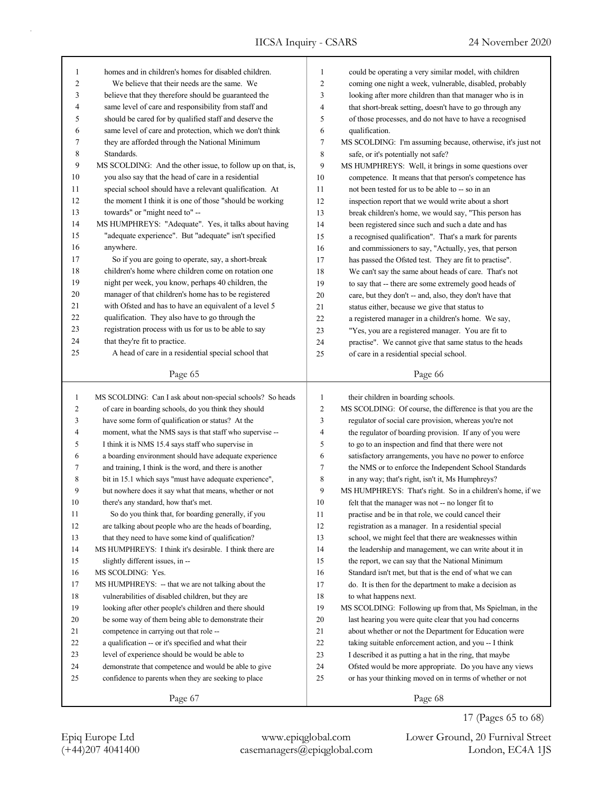| 1            | homes and in children's homes for disabled children.        | 1              | could be operating a very similar model, with children      |
|--------------|-------------------------------------------------------------|----------------|-------------------------------------------------------------|
| 2            | We believe that their needs are the same. We                | $\overline{2}$ | coming one night a week, vulnerable, disabled, probably     |
| 3            | believe that they therefore should be guaranteed the        | 3              | looking after more children than that manager who is in     |
| 4            | same level of care and responsibility from staff and        | $\overline{4}$ | that short-break setting, doesn't have to go through any    |
| 5            | should be cared for by qualified staff and deserve the      | 5              | of those processes, and do not have to have a recognised    |
| 6            | same level of care and protection, which we don't think     | 6              | qualification.                                              |
| 7            | they are afforded through the National Minimum              | 7              | MS SCOLDING: I'm assuming because, otherwise, it's just not |
| 8            | Standards.                                                  | 8              | safe, or it's potentially not safe?                         |
| 9            | MS SCOLDING: And the other issue, to follow up on that, is, | 9              | MS HUMPHREYS: Well, it brings in some questions over        |
| $10\,$       | you also say that the head of care in a residential         | 10             | competence. It means that that person's competence has      |
| 11           | special school should have a relevant qualification. At     | 11             | not been tested for us to be able to -- so in an            |
| 12           | the moment I think it is one of those "should be working    | 12             | inspection report that we would write about a short         |
| 13           | towards" or "might need to" --                              | 13             | break children's home, we would say, "This person has       |
| 14           | MS HUMPHREYS: "Adequate". Yes, it talks about having        | 14             | been registered since such and such a date and has          |
| 15           | "adequate experience". But "adequate" isn't specified       | 15             | a recognised qualification". That's a mark for parents      |
| 16           | anywhere.                                                   | 16             | and commissioners to say, "Actually, yes, that person       |
| 17           | So if you are going to operate, say, a short-break          | 17             | has passed the Ofsted test. They are fit to practise".      |
| 18           | children's home where children come on rotation one         | 18             | We can't say the same about heads of care. That's not       |
| 19           | night per week, you know, perhaps 40 children, the          | 19             | to say that -- there are some extremely good heads of       |
| 20           | manager of that children's home has to be registered        | 20             | care, but they don't -- and, also, they don't have that     |
| 21           | with Ofsted and has to have an equivalent of a level 5      | 21             | status either, because we give that status to               |
| 22           | qualification. They also have to go through the             | 22             | a registered manager in a children's home. We say,          |
| 23           | registration process with us for us to be able to say       | 23             | "Yes, you are a registered manager. You are fit to          |
| 24           | that they're fit to practice.                               | 24             | practise". We cannot give that same status to the heads     |
| 25           | A head of care in a residential special school that         | 25             | of care in a residential special school.                    |
|              |                                                             |                |                                                             |
|              | Page 65                                                     |                | Page 66                                                     |
|              |                                                             |                |                                                             |
|              |                                                             |                |                                                             |
| $\mathbf{1}$ | MS SCOLDING: Can I ask about non-special schools? So heads  | $\mathbf{1}$   | their children in boarding schools.                         |
| 2            | of care in boarding schools, do you think they should       | $\overline{c}$ | MS SCOLDING: Of course, the difference is that you are the  |
| 3            | have some form of qualification or status? At the           | 3              | regulator of social care provision, whereas you're not      |
| 4            | moment, what the NMS says is that staff who supervise --    | 4              | the regulator of boarding provision. If any of you were     |
| 5            | I think it is NMS 15.4 says staff who supervise in          | 5              | to go to an inspection and find that there were not         |
| 6            | a boarding environment should have adequate experience      | 6              | satisfactory arrangements, you have no power to enforce     |
| 7            | and training, I think is the word, and there is another     | 7              | the NMS or to enforce the Independent School Standards      |
| 8            | bit in 15.1 which says "must have adequate experience",     | 8              | in any way; that's right, isn't it, Ms Humphreys?           |
| 9            | but nowhere does it say what that means, whether or not     | 9              | MS HUMPHREYS: That's right. So in a children's home, if we  |
| 10           | there's any standard, how that's met.                       | 10             | felt that the manager was not -- no longer fit to           |
| 11           | So do you think that, for boarding generally, if you        | 11             | practise and be in that role, we could cancel their         |
| 12           | are talking about people who are the heads of boarding,     | 12             | registration as a manager. In a residential special         |
| 13           | that they need to have some kind of qualification?          | 13             | school, we might feel that there are weaknesses within      |
| 14           | MS HUMPHREYS: I think it's desirable. I think there are     | 14             | the leadership and management, we can write about it in     |
| 15           | slightly different issues, in --                            | 15             | the report, we can say that the National Minimum            |
| 16           | MS SCOLDING: Yes.                                           | 16             | Standard isn't met, but that is the end of what we can      |
| 17           | MS HUMPHREYS: -- that we are not talking about the          | 17             | do. It is then for the department to make a decision as     |
| 18           | vulnerabilities of disabled children, but they are          | 18             | to what happens next.                                       |
| 19           | looking after other people's children and there should      | 19             | MS SCOLDING: Following up from that, Ms Spielman, in the    |
| 20           | be some way of them being able to demonstrate their         | 20             | last hearing you were quite clear that you had concerns     |
| 21           | competence in carrying out that role --                     | 21             | about whether or not the Department for Education were      |
| 22           | a qualification -- or it's specified and what their         | 22             | taking suitable enforcement action, and you -- I think      |
| 23           | level of experience should be would be able to              | 23             | I described it as putting a hat in the ring, that maybe     |
| 24           | demonstrate that competence and would be able to give       | 24             | Ofsted would be more appropriate. Do you have any views     |
| 25           | confidence to parents when they are seeking to place        | 25             | or has your thinking moved on in terms of whether or not    |

(+44)207 4041400 casemanagers@epiqglobal.com London, EC4A 1JS Epiq Europe Ltd www.epiqglobal.com Lower Ground, 20 Furnival Street

17 (Pages 65 to 68)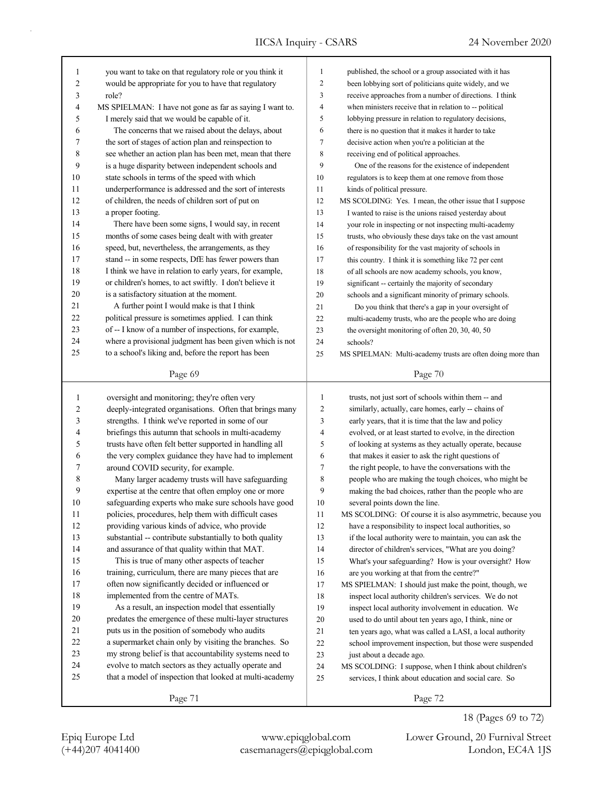| $\mathbf{1}$ | you want to take on that regulatory role or you think it | 1              | published, the school or a group associated with it has     |
|--------------|----------------------------------------------------------|----------------|-------------------------------------------------------------|
| 2            | would be appropriate for you to have that regulatory     | $\overline{c}$ | been lobbying sort of politicians quite widely, and we      |
| 3            | role?                                                    | 3              | receive approaches from a number of directions. I think     |
| 4            | MS SPIELMAN: I have not gone as far as saying I want to. | 4              | when ministers receive that in relation to -- political     |
| 5            | I merely said that we would be capable of it.            | 5              | lobbying pressure in relation to regulatory decisions,      |
| 6            | The concerns that we raised about the delays, about      | 6              | there is no question that it makes it harder to take        |
| 7            | the sort of stages of action plan and reinspection to    | 7              | decisive action when you're a politician at the             |
| 8            | see whether an action plan has been met, mean that there | 8              | receiving end of political approaches.                      |
| 9            | is a huge disparity between independent schools and      | 9              | One of the reasons for the existence of independent         |
| 10           | state schools in terms of the speed with which           | 10             | regulators is to keep them at one remove from those         |
| 11           | underperformance is addressed and the sort of interests  | 11             | kinds of political pressure.                                |
| 12           | of children, the needs of children sort of put on        | 12             | MS SCOLDING: Yes. I mean, the other issue that I suppose    |
| 13           | a proper footing.                                        | 13             | I wanted to raise is the unions raised yesterday about      |
| 14           | There have been some signs, I would say, in recent       | 14             | your role in inspecting or not inspecting multi-academy     |
| 15           | months of some cases being dealt with with greater       | 15             | trusts, who obviously these days take on the vast amount    |
| 16           | speed, but, nevertheless, the arrangements, as they      | 16             | of responsibility for the vast majority of schools in       |
| 17           | stand -- in some respects, DfE has fewer powers than     | 17             | this country. I think it is something like 72 per cent      |
| 18           | I think we have in relation to early years, for example, | 18             | of all schools are now academy schools, you know,           |
| 19           | or children's homes, to act swiftly. I don't believe it  | 19             | significant -- certainly the majority of secondary          |
| $20\,$       | is a satisfactory situation at the moment.               | 20             | schools and a significant minority of primary schools.      |
| 21           | A further point I would make is that I think             | 21             | Do you think that there's a gap in your oversight of        |
| 22           | political pressure is sometimes applied. I can think     | 22             | multi-academy trusts, who are the people who are doing      |
| 23           | of -- I know of a number of inspections, for example,    | 23             | the oversight monitoring of often 20, 30, 40, 50            |
| 24           | where a provisional judgment has been given which is not | 24             | schools?                                                    |
| 25           | to a school's liking and, before the report has been     | 25             | MS SPIELMAN: Multi-academy trusts are often doing more than |
|              |                                                          |                |                                                             |
|              | Page 69                                                  |                | Page 70                                                     |
|              |                                                          |                |                                                             |
|              |                                                          |                |                                                             |
| 1            | oversight and monitoring; they're often very             | $\mathbf{1}$   | trusts, not just sort of schools within them -- and         |
| 2            | deeply-integrated organisations. Often that brings many  | 2              | similarly, actually, care homes, early -- chains of         |
| 3            | strengths. I think we've reported in some of our         | 3              | early years, that it is time that the law and policy        |
| 4            | briefings this autumn that schools in multi-academy      | 4              | evolved, or at least started to evolve, in the direction    |
| 5            | trusts have often felt better supported in handling all  | 5              | of looking at systems as they actually operate, because     |
| 6            | the very complex guidance they have had to implement     | 6              | that makes it easier to ask the right questions of          |
| 7            | around COVID security, for example.                      | 7              | the right people, to have the conversations with the        |
| 8            | Many larger academy trusts will have safeguarding        | 8              | people who are making the tough choices, who might be       |
| 9            | expertise at the centre that often employ one or more    | 9              | making the bad choices, rather than the people who are      |
| 10           | safeguarding experts who make sure schools have good     | 10             | several points down the line.                               |
| 11           | policies, procedures, help them with difficult cases     | 11             | MS SCOLDING: Of course it is also asymmetric, because you   |
| 12           | providing various kinds of advice, who provide           | 12             | have a responsibility to inspect local authorities, so      |
| 13           | substantial -- contribute substantially to both quality  | 13             | if the local authority were to maintain, you can ask the    |
| 14           | and assurance of that quality within that MAT.           | 14             | director of children's services, "What are you doing?       |
| 15           | This is true of many other aspects of teacher            | 15             | What's your safeguarding? How is your oversight? How        |
| 16           | training, curriculum, there are many pieces that are     | 16             | are you working at that from the centre?"                   |
| 17           | often now significantly decided or influenced or         | 17             | MS SPIELMAN: I should just make the point, though, we       |
| $18\,$       | implemented from the centre of MATs.                     | 18             | inspect local authority children's services. We do not      |
| 19           | As a result, an inspection model that essentially        | 19             | inspect local authority involvement in education. We        |
| 20           | predates the emergence of these multi-layer structures   | 20             | used to do until about ten years ago, I think, nine or      |
| 21           | puts us in the position of somebody who audits           | 21             | ten years ago, what was called a LASI, a local authority    |
| 22           | a supermarket chain only by visiting the branches. So    | 22             | school improvement inspection, but those were suspended     |
| 23           | my strong belief is that accountability systems need to  | 23             | just about a decade ago.                                    |
| 24           | evolve to match sectors as they actually operate and     | 24             | MS SCOLDING: I suppose, when I think about children's       |
| 25           | that a model of inspection that looked at multi-academy  | 25             | services, I think about education and social care. So       |
|              | Page 71                                                  |                | Page 72                                                     |

(+44)207 4041400 casemanagers@epiqglobal.com London, EC4A 1JS Epiq Europe Ltd www.epiqglobal.com Lower Ground, 20 Furnival Street

18 (Pages 69 to 72)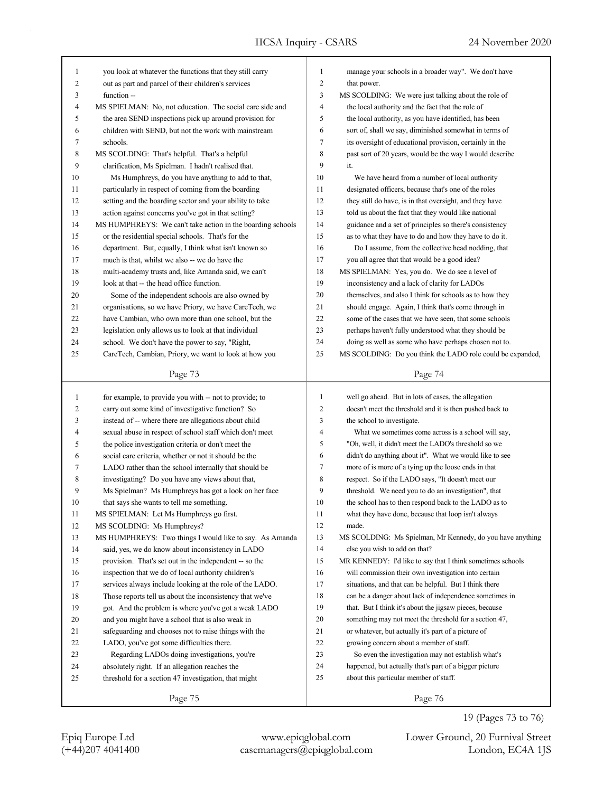| 1              | you look at whatever the functions that they still carry   | 1                | manage your schools in a broader way". We don't have       |
|----------------|------------------------------------------------------------|------------------|------------------------------------------------------------|
| $\overline{c}$ | out as part and parcel of their children's services        | $\boldsymbol{2}$ | that power.                                                |
| 3              | function --                                                | 3                | MS SCOLDING: We were just talking about the role of        |
| 4              | MS SPIELMAN: No, not education. The social care side and   | $\overline{4}$   | the local authority and the fact that the role of          |
| 5              | the area SEND inspections pick up around provision for     | 5                | the local authority, as you have identified, has been      |
| 6              | children with SEND, but not the work with mainstream       | 6                | sort of, shall we say, diminished somewhat in terms of     |
| 7              | schools.                                                   | $\tau$           | its oversight of educational provision, certainly in the   |
| 8              | MS SCOLDING: That's helpful. That's a helpful              | 8                | past sort of 20 years, would be the way I would describe   |
| 9              | clarification, Ms Spielman. I hadn't realised that.        | 9                | it.                                                        |
| 10             | Ms Humphreys, do you have anything to add to that,         | 10               | We have heard from a number of local authority             |
| 11             | particularly in respect of coming from the boarding        | 11               | designated officers, because that's one of the roles       |
| 12             | setting and the boarding sector and your ability to take   | 12               | they still do have, is in that oversight, and they have    |
| 13             | action against concerns you've got in that setting?        | 13               | told us about the fact that they would like national       |
| 14             | MS HUMPHREYS: We can't take action in the boarding schools | 14               | guidance and a set of principles so there's consistency    |
| 15             | or the residential special schools. That's for the         | 15               | as to what they have to do and how they have to do it.     |
| 16             | department. But, equally, I think what isn't known so      | 16               | Do I assume, from the collective head nodding, that        |
| 17             | much is that, whilst we also -- we do have the             | 17               | you all agree that that would be a good idea?              |
| 18             | multi-academy trusts and, like Amanda said, we can't       | 18               | MS SPIELMAN: Yes, you do. We do see a level of             |
| 19             | look at that -- the head office function.                  | 19               | inconsistency and a lack of clarity for LADOs              |
| 20             | Some of the independent schools are also owned by          | 20               | themselves, and also I think for schools as to how they    |
| 21             | organisations, so we have Priory, we have CareTech, we     | 21               | should engage. Again, I think that's come through in       |
| 22             | have Cambian, who own more than one school, but the        | 22               | some of the cases that we have seen, that some schools     |
| 23             | legislation only allows us to look at that individual      | 23               | perhaps haven't fully understood what they should be       |
| 24             | school. We don't have the power to say, "Right,            | 24               | doing as well as some who have perhaps chosen not to.      |
| 25             | CareTech, Cambian, Priory, we want to look at how you      | 25               | MS SCOLDING: Do you think the LADO role could be expanded, |
|                |                                                            |                  |                                                            |
|                | Page 73                                                    |                  | Page 74                                                    |
|                |                                                            |                  |                                                            |
|                |                                                            |                  |                                                            |
| $\mathbf{1}$   | for example, to provide you with -- not to provide; to     | $\mathbf{1}$     | well go ahead. But in lots of cases, the allegation        |
| 2              | carry out some kind of investigative function? So          | $\overline{2}$   | doesn't meet the threshold and it is then pushed back to   |
| 3              | instead of -- where there are allegations about child      | 3                | the school to investigate.                                 |
| 4              | sexual abuse in respect of school staff which don't meet   | $\overline{4}$   | What we sometimes come across is a school will say,        |
| 5              | the police investigation criteria or don't meet the        | 5                | "Oh, well, it didn't meet the LADO's threshold so we       |
| 6              | social care criteria, whether or not it should be the      | 6                | didn't do anything about it". What we would like to see    |
| 7              | LADO rather than the school internally that should be      | $\tau$           | more of is more of a tying up the loose ends in that       |
| $\,$ 8 $\,$    | investigating? Do you have any views about that,           | 8                | respect. So if the LADO says, "It doesn't meet our         |
| 9              | Ms Spielman? Ms Humphreys has got a look on her face       | 9                | threshold. We need you to do an investigation", that       |
| 10             | that says she wants to tell me something.                  | 10               | the school has to then respond back to the LADO as to      |
| 11             | MS SPIELMAN: Let Ms Humphreys go first.                    | 11               | what they have done, because that loop isn't always        |
| 12             | MS SCOLDING: Ms Humphreys?                                 | 12               | made.                                                      |
| 13             | MS HUMPHREYS: Two things I would like to say. As Amanda    | 13               | MS SCOLDING: Ms Spielman, Mr Kennedy, do you have anything |
| 14             | said, yes, we do know about inconsistency in LADO          | 14               | else you wish to add on that?                              |
| 15             | provision. That's set out in the independent -- so the     | 15               | MR KENNEDY: I'd like to say that I think sometimes schools |
| 16             | inspection that we do of local authority children's        | 16               | will commission their own investigation into certain       |
| 17             | services always include looking at the role of the LADO.   | 17               | situations, and that can be helpful. But I think there     |
| $18\,$         | Those reports tell us about the inconsistency that we've   | 18               | can be a danger about lack of independence sometimes in    |
| 19             | got. And the problem is where you've got a weak LADO       | 19               | that. But I think it's about the jigsaw pieces, because    |
| 20             | and you might have a school that is also weak in           | 20               | something may not meet the threshold for a section 47,     |
| 21             | safeguarding and chooses not to raise things with the      | 21               | or whatever, but actually it's part of a picture of        |
| 22             | LADO, you've got some difficulties there.                  | 22               | growing concern about a member of staff.                   |
| 23             | Regarding LADOs doing investigations, you're               | 23               | So even the investigation may not establish what's         |
| 24             | absolutely right. If an allegation reaches the             | 24               | happened, but actually that's part of a bigger picture     |
| 25             | threshold for a section 47 investigation, that might       | 25               | about this particular member of staff.                     |

(+44)207 4041400 casemanagers@epiqglobal.com London, EC4A 1JS Epiq Europe Ltd www.epiqglobal.com Lower Ground, 20 Furnival Street

19 (Pages 73 to 76)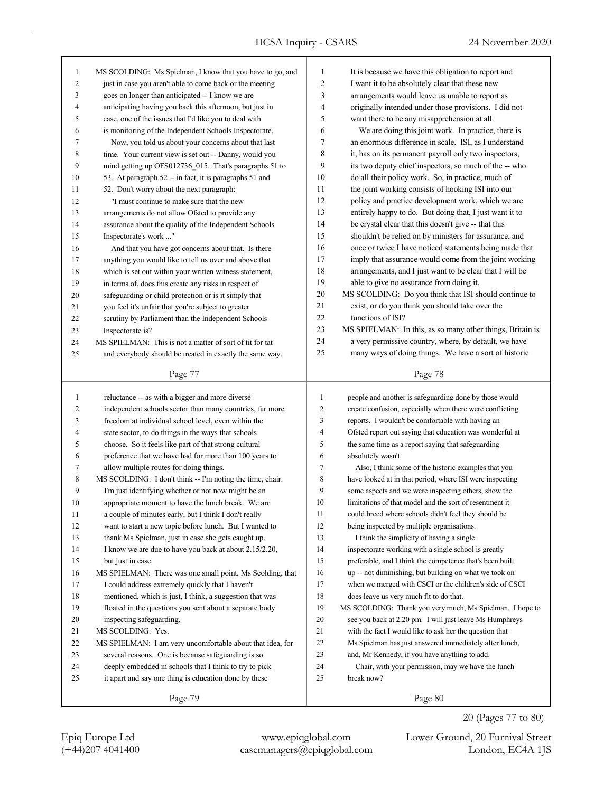| $\mathbf{1}$   | MS SCOLDING: Ms Spielman, I know that you have to go, and | $\mathbf{1}$   | It is because we have this obligation to report and       |
|----------------|-----------------------------------------------------------|----------------|-----------------------------------------------------------|
| $\overline{c}$ | just in case you aren't able to come back or the meeting  | 2              | I want it to be absolutely clear that these new           |
| 3              | goes on longer than anticipated -- I know we are          | 3              | arrangements would leave us unable to report as           |
| 4              | anticipating having you back this afternoon, but just in  | 4              | originally intended under those provisions. I did not     |
| 5              | case, one of the issues that I'd like you to deal with    | 5              | want there to be any misapprehension at all.              |
| 6              | is monitoring of the Independent Schools Inspectorate.    | 6              | We are doing this joint work. In practice, there is       |
| 7              | Now, you told us about your concerns about that last      | 7              | an enormous difference in scale. ISI, as I understand     |
| 8              | time. Your current view is set out -- Danny, would you    | 8              | it, has on its permanent payroll only two inspectors,     |
| 9              | mind getting up OFS012736_015. That's paragraphs 51 to    | 9              | its two deputy chief inspectors, so much of the -- who    |
| 10             | 53. At paragraph 52 -- in fact, it is paragraphs 51 and   | 10             | do all their policy work. So, in practice, much of        |
| 11             | 52. Don't worry about the next paragraph:                 | 11             | the joint working consists of hooking ISI into our        |
| 12             | "I must continue to make sure that the new                | 12             | policy and practice development work, which we are        |
| 13             | arrangements do not allow Ofsted to provide any           | 13             | entirely happy to do. But doing that, I just want it to   |
| 14             | assurance about the quality of the Independent Schools    | 14             | be crystal clear that this doesn't give -- that this      |
| 15             | Inspectorate's work "                                     | 15             | shouldn't be relied on by ministers for assurance, and    |
| 16             | And that you have got concerns about that. Is there       | 16             | once or twice I have noticed statements being made that   |
| 17             | anything you would like to tell us over and above that    | 17             | imply that assurance would come from the joint working    |
| 18             | which is set out within your written witness statement,   | 18             | arrangements, and I just want to be clear that I will be  |
| 19             | in terms of, does this create any risks in respect of     | 19             | able to give no assurance from doing it.                  |
| 20             | safeguarding or child protection or is it simply that     | $20\,$         | MS SCOLDING: Do you think that ISI should continue to     |
| 21             | you feel it's unfair that you're subject to greater       | 21             | exist, or do you think you should take over the           |
| 22             | scrutiny by Parliament than the Independent Schools       | 22             | functions of ISI?                                         |
| 23             | Inspectorate is?                                          | 23             | MS SPIELMAN: In this, as so many other things, Britain is |
| 24             | MS SPIELMAN: This is not a matter of sort of tit for tat  | 24             | a very permissive country, where, by default, we have     |
| 25             | and everybody should be treated in exactly the same way.  | 25             | many ways of doing things. We have a sort of historic     |
|                |                                                           |                |                                                           |
|                | Page 77                                                   |                | Page 78                                                   |
|                |                                                           |                |                                                           |
|                |                                                           |                |                                                           |
| $\mathbf{1}$   | reluctance -- as with a bigger and more diverse           | $\mathbf{1}$   | people and another is safeguarding done by those would    |
| $\overline{c}$ | independent schools sector than many countries, far more  | $\overline{c}$ | create confusion, especially when there were conflicting  |
| 3              | freedom at individual school level, even within the       | 3              | reports. I wouldn't be comfortable with having an         |
| 4              | state sector, to do things in the ways that schools       | 4              | Ofsted report out saying that education was wonderful at  |
| 5              | choose. So it feels like part of that strong cultural     | 5              | the same time as a report saying that safeguarding        |
| 6              | preference that we have had for more than 100 years to    | 6              | absolutely wasn't.                                        |
| 7              | allow multiple routes for doing things.                   | 7              | Also, I think some of the historic examples that you      |
| 8              | MS SCOLDING: I don't think -- I'm noting the time, chair. | 8              | have looked at in that period, where ISI were inspecting  |
| 9              | I'm just identifying whether or not now might be an       | 9              | some aspects and we were inspecting others, show the      |
| 10             | appropriate moment to have the lunch break. We are        | 10             | limitations of that model and the sort of resentment it   |
| 11             | a couple of minutes early, but I think I don't really     | 11             | could breed where schools didn't feel they should be      |
| 12             | want to start a new topic before lunch. But I wanted to   | 12             | being inspected by multiple organisations.                |
| 13             | thank Ms Spielman, just in case she gets caught up.       | 13             | I think the simplicity of having a single                 |
| 14             | I know we are due to have you back at about 2.15/2.20,    | 14             | inspectorate working with a single school is greatly      |
| 15             | but just in case.                                         | 15             | preferable, and I think the competence that's been built  |
| 16             | MS SPIELMAN: There was one small point, Ms Scolding, that | 16             | up -- not diminishing, but building on what we took on    |
| 17             | I could address extremely quickly that I haven't          | 17             | when we merged with CSCI or the children's side of CSCI   |
| $18\,$         | mentioned, which is just, I think, a suggestion that was  | 18             | does leave us very much fit to do that.                   |
| 19             | floated in the questions you sent about a separate body   | 19             | MS SCOLDING: Thank you very much, Ms Spielman. I hope to  |
| 20             | inspecting safeguarding.                                  | 20             | see you back at 2.20 pm. I will just leave Ms Humphreys   |
| 21             | MS SCOLDING: Yes.                                         | 21             | with the fact I would like to ask her the question that   |
| 22             | MS SPIELMAN: I am very uncomfortable about that idea, for | 22             | Ms Spielman has just answered immediately after lunch,    |
| 23             | several reasons. One is because safeguarding is so        | 23             | and, Mr Kennedy, if you have anything to add.             |
| 24             | deeply embedded in schools that I think to try to pick    | 24             | Chair, with your permission, may we have the lunch        |
| 25             | it apart and say one thing is education done by these     | 25             | break now?                                                |
|                | Page 79                                                   |                | Page 80                                                   |

(+44)207 4041400 casemanagers@epiqglobal.com London, EC4A 1JS Epiq Europe Ltd www.epiqglobal.com Lower Ground, 20 Furnival Street

20 (Pages 77 to 80)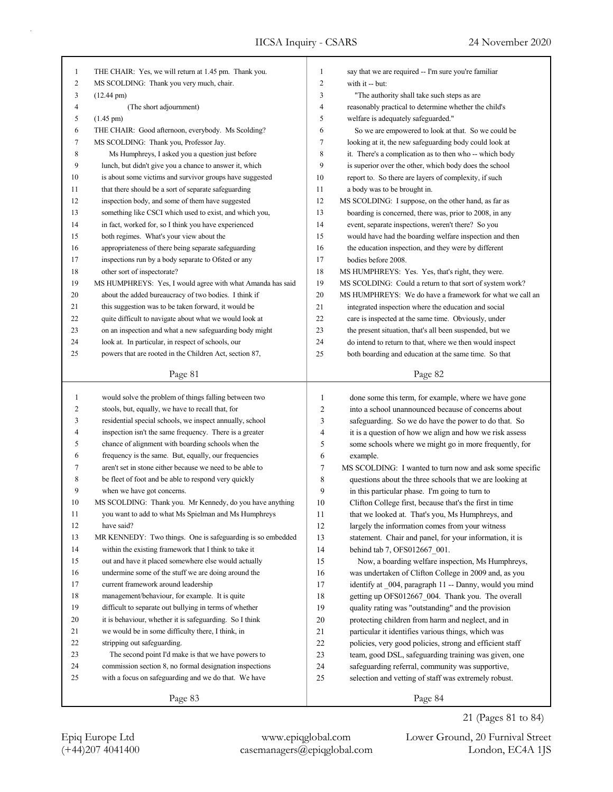٦

| 1            | THE CHAIR: Yes, we will return at 1.45 pm. Thank you.                                                            | 1              | say that we are required -- I'm sure you're familiar     |
|--------------|------------------------------------------------------------------------------------------------------------------|----------------|----------------------------------------------------------|
| 2            | MS SCOLDING: Thank you very much, chair.                                                                         | 2              | with it -- but:                                          |
| 3            | $(12.44 \text{ pm})$                                                                                             | 3              | "The authority shall take such steps as are              |
| 4            | (The short adjournment)                                                                                          | 4              | reasonably practical to determine whether the child's    |
| 5            | $(1.45 \text{ pm})$                                                                                              | 5              | welfare is adequately safeguarded."                      |
| 6            | THE CHAIR: Good afternoon, everybody. Ms Scolding?                                                               | 6              | So we are empowered to look at that. So we could be      |
| 7            | MS SCOLDING: Thank you, Professor Jay.                                                                           | 7              | looking at it, the new safeguarding body could look at   |
| 8            | Ms Humphreys, I asked you a question just before                                                                 | 8              | it. There's a complication as to then who -- which body  |
| 9            | lunch, but didn't give you a chance to answer it, which                                                          | 9              | is superior over the other, which body does the school   |
| 10           | is about some victims and survivor groups have suggested                                                         | 10             | report to. So there are layers of complexity, if such    |
| 11           | that there should be a sort of separate safeguarding                                                             | 11             | a body was to be brought in.                             |
| 12           | inspection body, and some of them have suggested                                                                 | 12             | MS SCOLDING: I suppose, on the other hand, as far as     |
| 13           | something like CSCI which used to exist, and which you,                                                          | 13             | boarding is concerned, there was, prior to 2008, in any  |
| 14           | in fact, worked for, so I think you have experienced                                                             | 14             | event, separate inspections, weren't there? So you       |
| 15           | both regimes. What's your view about the                                                                         | 15             | would have had the boarding welfare inspection and then  |
| 16           | appropriateness of there being separate safeguarding                                                             | 16             | the education inspection, and they were by different     |
| 17           | inspections run by a body separate to Ofsted or any                                                              | 17             | bodies before 2008.                                      |
| 18           | other sort of inspectorate?                                                                                      | 18             | MS HUMPHREYS: Yes. Yes, that's right, they were.         |
| 19           | MS HUMPHREYS: Yes, I would agree with what Amanda has said                                                       | 19             | MS SCOLDING: Could a return to that sort of system work? |
| 20           | about the added bureaucracy of two bodies. I think if                                                            | 20             | MS HUMPHREYS: We do have a framework for what we call an |
| 21           | this suggestion was to be taken forward, it would be                                                             | 21             | integrated inspection where the education and social     |
| 22           | quite difficult to navigate about what we would look at                                                          | 22             | care is inspected at the same time. Obviously, under     |
| 23           | on an inspection and what a new safeguarding body might                                                          | 23             | the present situation, that's all been suspended, but we |
| 24           | look at. In particular, in respect of schools, our                                                               | 24             | do intend to return to that, where we then would inspect |
| 25           | powers that are rooted in the Children Act, section 87,                                                          | 25             | both boarding and education at the same time. So that    |
|              |                                                                                                                  |                |                                                          |
|              | Page 81                                                                                                          |                | Page 82                                                  |
|              |                                                                                                                  |                |                                                          |
| $\mathbf{1}$ |                                                                                                                  |                |                                                          |
| 2            | would solve the problem of things falling between two                                                            | $\mathbf{1}$   | done some this term, for example, where we have gone     |
| 3            | stools, but, equally, we have to recall that, for                                                                | $\overline{c}$ | into a school unannounced because of concerns about      |
| 4            | residential special schools, we inspect annually, school                                                         | 3              | safeguarding. So we do have the power to do that. So     |
|              | inspection isn't the same frequency. There is a greater                                                          | 4              | it is a question of how we align and how we risk assess  |
| 5            | chance of alignment with boarding schools when the                                                               | 5              | some schools where we might go in more frequently, for   |
| 6            | frequency is the same. But, equally, our frequencies<br>aren't set in stone either because we need to be able to | 6              | example.                                                 |
| 7            |                                                                                                                  | $\tau$         | MS SCOLDING: I wanted to turn now and ask some specific  |
| 8            | be fleet of foot and be able to respond very quickly                                                             | 8              | questions about the three schools that we are looking at |
| 9            | when we have got concerns.                                                                                       | 9              | in this particular phase. I'm going to turn to           |
| 10           | MS SCOLDING: Thank you. Mr Kennedy, do you have anything                                                         | 10             | Clifton College first, because that's the first in time  |
| 11<br>12     | you want to add to what Ms Spielman and Ms Humphreys                                                             | $11\,$         | that we looked at. That's you, Ms Humphreys, and         |
|              | have said?                                                                                                       | 12             | largely the information comes from your witness          |
| 13           | MR KENNEDY: Two things. One is safeguarding is so embedded                                                       | 13             | statement. Chair and panel, for your information, it is  |
| 14           | within the existing framework that I think to take it                                                            | 14             | behind tab 7, OFS012667 001.                             |
| 15           | out and have it placed somewhere else would actually                                                             | 15             | Now, a boarding welfare inspection, Ms Humphreys,        |
| 16           | undermine some of the stuff we are doing around the                                                              | 16             | was undertaken of Clifton College in 2009 and, as you    |
| 17           | current framework around leadership                                                                              | 17             | identify at 004, paragraph 11 -- Danny, would you mind   |
| 18           | management/behaviour, for example. It is quite                                                                   | 18             | getting up OFS012667 004. Thank you. The overall         |
| 19           | difficult to separate out bullying in terms of whether                                                           | 19             | quality rating was "outstanding" and the provision       |
| 20           | it is behaviour, whether it is safeguarding. So I think                                                          | 20             | protecting children from harm and neglect, and in        |
| 21           | we would be in some difficulty there, I think, in                                                                | 21             | particular it identifies various things, which was       |
| 22           | stripping out safeguarding.                                                                                      | $22\,$         | policies, very good policies, strong and efficient staff |
| 23           | The second point I'd make is that we have powers to                                                              | 23             | team, good DSL, safeguarding training was given, one     |
| 24           | commission section 8, no formal designation inspections                                                          | 24             | safeguarding referral, community was supportive,         |
| 25           | with a focus on safeguarding and we do that. We have                                                             | 25             | selection and vetting of staff was extremely robust.     |

21 (Pages 81 to 84)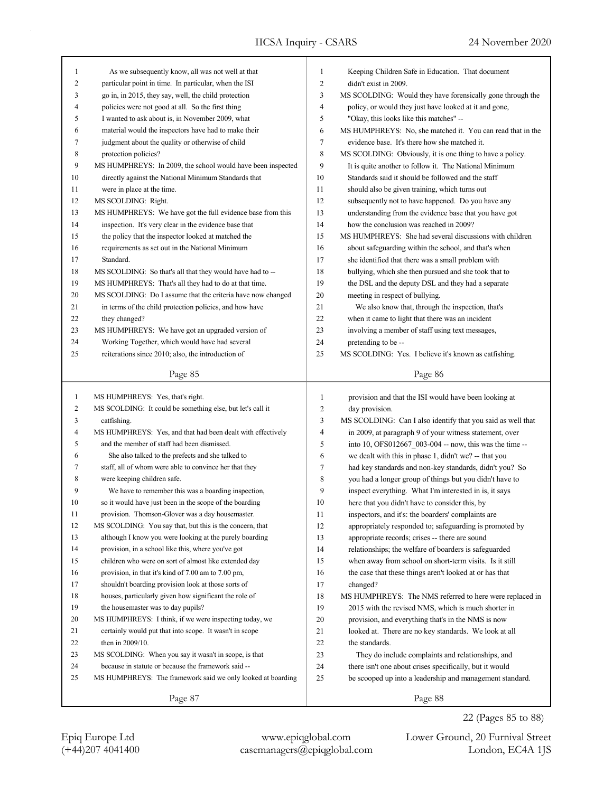| 1              | As we subsequently know, all was not well at that           | 1              | Keeping Children Safe in Education. That document           |
|----------------|-------------------------------------------------------------|----------------|-------------------------------------------------------------|
| 2              | particular point in time. In particular, when the ISI       | $\overline{c}$ | didn't exist in 2009.                                       |
| 3              | go in, in 2015, they say, well, the child protection        | 3              | MS SCOLDING: Would they have forensically gone through the  |
| 4              | policies were not good at all. So the first thing           | $\overline{4}$ | policy, or would they just have looked at it and gone,      |
| 5              | I wanted to ask about is, in November 2009, what            | 5              | "Okay, this looks like this matches" --                     |
| 6              | material would the inspectors have had to make their        | 6              | MS HUMPHREYS: No, she matched it. You can read that in the  |
| 7              | judgment about the quality or otherwise of child            | 7              | evidence base. It's there how she matched it.               |
| 8              | protection policies?                                        | $\,$ 8 $\,$    | MS SCOLDING: Obviously, it is one thing to have a policy.   |
| 9              | MS HUMPHREYS: In 2009, the school would have been inspected | 9              | It is quite another to follow it. The National Minimum      |
| 10             | directly against the National Minimum Standards that        | 10             | Standards said it should be followed and the staff          |
| 11             | were in place at the time.                                  | 11             | should also be given training, which turns out              |
| 12             | MS SCOLDING: Right.                                         | 12             | subsequently not to have happened. Do you have any          |
| 13             | MS HUMPHREYS: We have got the full evidence base from this  | 13             | understanding from the evidence base that you have got      |
| 14             | inspection. It's very clear in the evidence base that       | 14             | how the conclusion was reached in 2009?                     |
| 15             | the policy that the inspector looked at matched the         | 15             | MS HUMPHREYS: She had several discussions with children     |
| 16             | requirements as set out in the National Minimum             | 16             | about safeguarding within the school, and that's when       |
| 17             | Standard.                                                   | 17             | she identified that there was a small problem with          |
| 18             | MS SCOLDING: So that's all that they would have had to --   | 18             | bullying, which she then pursued and she took that to       |
| 19             | MS HUMPHREYS: That's all they had to do at that time.       | 19             | the DSL and the deputy DSL and they had a separate          |
| 20             | MS SCOLDING: Do I assume that the criteria have now changed | 20             | meeting in respect of bullying.                             |
| 21             | in terms of the child protection policies, and how have     | 21             | We also know that, through the inspection, that's           |
| 22             | they changed?                                               | 22             | when it came to light that there was an incident            |
| 23             | MS HUMPHREYS: We have got an upgraded version of            | 23             | involving a member of staff using text messages,            |
| 24             | Working Together, which would have had several              | 24             | pretending to be --                                         |
| 25             | reiterations since 2010; also, the introduction of          | 25             | MS SCOLDING: Yes. I believe it's known as catfishing.       |
|                |                                                             |                |                                                             |
|                | Page 85                                                     |                | Page 86                                                     |
|                |                                                             |                |                                                             |
|                |                                                             |                |                                                             |
| $\mathbf{1}$   | MS HUMPHREYS: Yes, that's right.                            | $\mathbf{1}$   | provision and that the ISI would have been looking at       |
| $\overline{c}$ | MS SCOLDING: It could be something else, but let's call it  | $\sqrt{2}$     | day provision.                                              |
| 3              | catfishing.                                                 | $\mathfrak{Z}$ | MS SCOLDING: Can I also identify that you said as well that |
| 4              | MS HUMPHREYS: Yes, and that had been dealt with effectively | $\overline{4}$ | in 2009, at paragraph 9 of your witness statement, over     |
| 5              | and the member of staff had been dismissed.                 | 5              | into 10, OFS012667_003-004 -- now, this was the time --     |
| 6              | She also talked to the prefects and she talked to           | 6              | we dealt with this in phase 1, didn't we? -- that you       |
| 7              | staff, all of whom were able to convince her that they      | 7              | had key standards and non-key standards, didn't you? So     |
| 8              | were keeping children safe.                                 | 8              | you had a longer group of things but you didn't have to     |
| 9              | We have to remember this was a boarding inspection,         | 9              | inspect everything. What I'm interested in is, it says      |
| 10             | so it would have just been in the scope of the boarding     | 10             | here that you didn't have to consider this, by              |
| 11             | provision. Thomson-Glover was a day housemaster.            | 11             | inspectors, and it's: the boarders' complaints are          |
| 12             | MS SCOLDING: You say that, but this is the concern, that    | 12             | appropriately responded to; safeguarding is promoted by     |
| 13             | although I know you were looking at the purely boarding     | 13             | appropriate records; crises -- there are sound              |
| 14             | provision, in a school like this, where you've got          | 14             | relationships; the welfare of boarders is safeguarded       |
| 15             | children who were on sort of almost like extended day       | 15             | when away from school on short-term visits. Is it still     |
| 16             | provision, in that it's kind of 7.00 am to 7.00 pm,         | 16             | the case that these things aren't looked at or has that     |
| 17             | shouldn't boarding provision look at those sorts of         | 17             | changed?                                                    |
| 18             | houses, particularly given how significant the role of      | 18             | MS HUMPHREYS: The NMS referred to here were replaced in     |
| 19             | the housemaster was to day pupils?                          | 19             | 2015 with the revised NMS, which is much shorter in         |
| $20\,$         | MS HUMPHREYS: I think, if we were inspecting today, we      | 20             | provision, and everything that's in the NMS is now          |
| 21             | certainly would put that into scope. It wasn't in scope     | 21             | looked at. There are no key standards. We look at all       |
| 22             | then in $2009/10$ .                                         | 22             | the standards.                                              |
| 23             | MS SCOLDING: When you say it wasn't in scope, is that       | 23             | They do include complaints and relationships, and           |
| 24             | because in statute or because the framework said --         | 24             | there isn't one about crises specifically, but it would     |
| 25             | MS HUMPHREYS: The framework said we only looked at boarding | 25             | be scooped up into a leadership and management standard.    |

22 (Pages 85 to 88)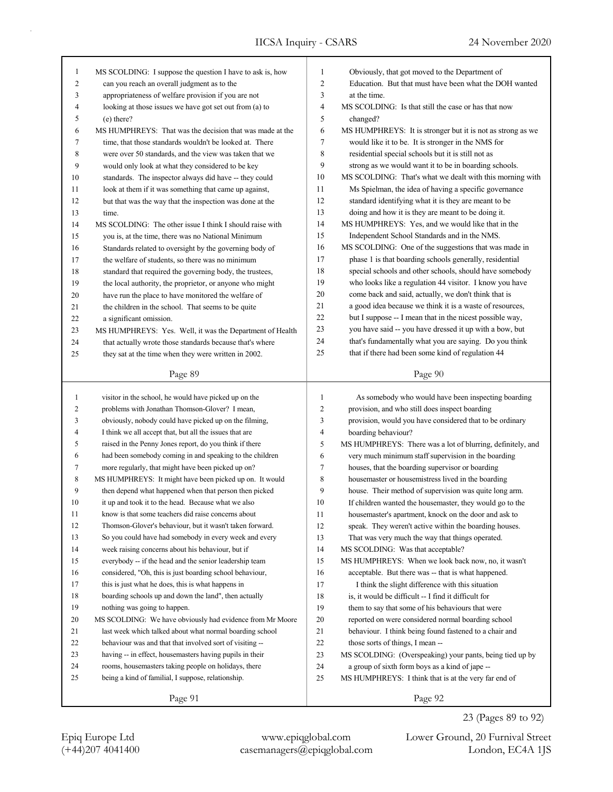| $\mathbf{1}$   | MS SCOLDING: I suppose the question I have to ask is, how                                               | 1              | Obviously, that got moved to the Department of             |
|----------------|---------------------------------------------------------------------------------------------------------|----------------|------------------------------------------------------------|
| $\overline{c}$ | can you reach an overall judgment as to the                                                             | 2              | Education. But that must have been what the DOH wanted     |
| 3              | appropriateness of welfare provision if you are not                                                     | 3              | at the time.                                               |
| 4              | looking at those issues we have got set out from (a) to                                                 | 4              | MS SCOLDING: Is that still the case or has that now        |
| 5              | $(e)$ there?                                                                                            | 5              |                                                            |
| 6              | MS HUMPHREYS: That was the decision that was made at the                                                | 6              | changed?                                                   |
|                |                                                                                                         | 7              | MS HUMPHREYS: It is stronger but it is not as strong as we |
| 7              | time, that those standards wouldn't be looked at. There                                                 |                | would like it to be. It is stronger in the NMS for         |
| 8              | were over 50 standards, and the view was taken that we                                                  | 8              | residential special schools but it is still not as         |
| 9              | would only look at what they considered to be key                                                       | 9<br>10        | strong as we would want it to be in boarding schools.      |
| 10             | standards. The inspector always did have -- they could                                                  |                | MS SCOLDING: That's what we dealt with this morning with   |
| 11             | look at them if it was something that came up against,                                                  | 11             | Ms Spielman, the idea of having a specific governance      |
| 12             | but that was the way that the inspection was done at the                                                | 12             | standard identifying what it is they are meant to be       |
| 13             | time.                                                                                                   | 13             | doing and how it is they are meant to be doing it.         |
| 14             | MS SCOLDING: The other issue I think I should raise with                                                | 14             | MS HUMPHREYS: Yes, and we would like that in the           |
| 15             | you is, at the time, there was no National Minimum                                                      | 15             | Independent School Standards and in the NMS.               |
| 16             | Standards related to oversight by the governing body of                                                 | 16             | MS SCOLDING: One of the suggestions that was made in       |
| 17             | the welfare of students, so there was no minimum                                                        | 17             | phase 1 is that boarding schools generally, residential    |
| 18             | standard that required the governing body, the trustees,                                                | 18             | special schools and other schools, should have somebody    |
| 19             | the local authority, the proprietor, or anyone who might                                                | 19             | who looks like a regulation 44 visitor. I know you have    |
| 20             | have run the place to have monitored the welfare of                                                     | 20             | come back and said, actually, we don't think that is       |
| 21             | the children in the school. That seems to be quite                                                      | 21             | a good idea because we think it is a waste of resources,   |
| 22             | a significant omission.                                                                                 | 22             | but I suppose -- I mean that in the nicest possible way,   |
| 23             | MS HUMPHREYS: Yes. Well, it was the Department of Health                                                | 23             | you have said -- you have dressed it up with a bow, but    |
| 24             | that actually wrote those standards because that's where                                                | 24             | that's fundamentally what you are saying. Do you think     |
| 25             | they sat at the time when they were written in 2002.                                                    | 25             | that if there had been some kind of regulation 44          |
|                | Page 89                                                                                                 |                | Page 90                                                    |
|                |                                                                                                         |                |                                                            |
|                |                                                                                                         |                |                                                            |
| $\mathbf{1}$   |                                                                                                         | $\mathbf{1}$   |                                                            |
| 2              | visitor in the school, he would have picked up on the<br>problems with Jonathan Thomson-Glover? I mean, | $\overline{c}$ | As somebody who would have been inspecting boarding        |
| 3              |                                                                                                         | 3              | provision, and who still does inspect boarding             |
| 4              | obviously, nobody could have picked up on the filming,                                                  | 4              | provision, would you have considered that to be ordinary   |
|                | I think we all accept that, but all the issues that are                                                 | 5              | boarding behaviour?                                        |
| 5              | raised in the Penny Jones report, do you think if there                                                 |                | MS HUMPHREYS: There was a lot of blurring, definitely, and |
| 6              | had been somebody coming in and speaking to the children                                                | 6              | very much minimum staff supervision in the boarding        |
| 7              | more regularly, that might have been picked up on?                                                      | $\tau$         | houses, that the boarding supervisor or boarding           |
| 8              | MS HUMPHREYS: It might have been picked up on. It would                                                 | 8              | housemaster or housemistress lived in the boarding         |
| 9              | then depend what happened when that person then picked                                                  | 9              | house. Their method of supervision was quite long arm.     |
| 10             | it up and took it to the head. Because what we also                                                     | 10             | If children wanted the housemaster, they would go to the   |
| 11             | know is that some teachers did raise concerns about                                                     | 11             | housemaster's apartment, knock on the door and ask to      |
| 12             | Thomson-Glover's behaviour, but it wasn't taken forward.                                                | 12             | speak. They weren't active within the boarding houses.     |
| 13             | So you could have had somebody in every week and every                                                  | 13             | That was very much the way that things operated.           |
| 14             | week raising concerns about his behaviour, but if                                                       | 14             | MS SCOLDING: Was that acceptable?                          |
| 15             | everybody -- if the head and the senior leadership team                                                 | 15             | MS HUMPHREYS: When we look back now, no, it wasn't         |
| 16             | considered, "Oh, this is just boarding school behaviour,                                                | 16             | acceptable. But there was -- that is what happened.        |
| 17             | this is just what he does, this is what happens in                                                      | 17             | I think the slight difference with this situation          |
| 18             | boarding schools up and down the land", then actually                                                   | 18             | is, it would be difficult -- I find it difficult for       |
| 19             | nothing was going to happen.                                                                            | 19             | them to say that some of his behaviours that were          |
| 20             | MS SCOLDING: We have obviously had evidence from Mr Moore                                               | 20             | reported on were considered normal boarding school         |
| 21             | last week which talked about what normal boarding school                                                | 21             | behaviour. I think being found fastened to a chair and     |
| 22             | behaviour was and that that involved sort of visiting --                                                | 22             | those sorts of things, I mean --                           |
| 23             | having -- in effect, housemasters having pupils in their                                                | 23             | MS SCOLDING: (Overspeaking) your pants, being tied up by   |
| 24             | rooms, housemasters taking people on holidays, there                                                    | 24             | a group of sixth form boys as a kind of jape --            |
| 25             | being a kind of familial, I suppose, relationship.                                                      | 25             | MS HUMPHREYS: I think that is at the very far end of       |
|                | Page 91                                                                                                 |                | Page 92                                                    |

(+44)207 4041400 casemanagers@epiqglobal.com London, EC4A 1JS Epiq Europe Ltd www.epiqglobal.com Lower Ground, 20 Furnival Street

23 (Pages 89 to 92)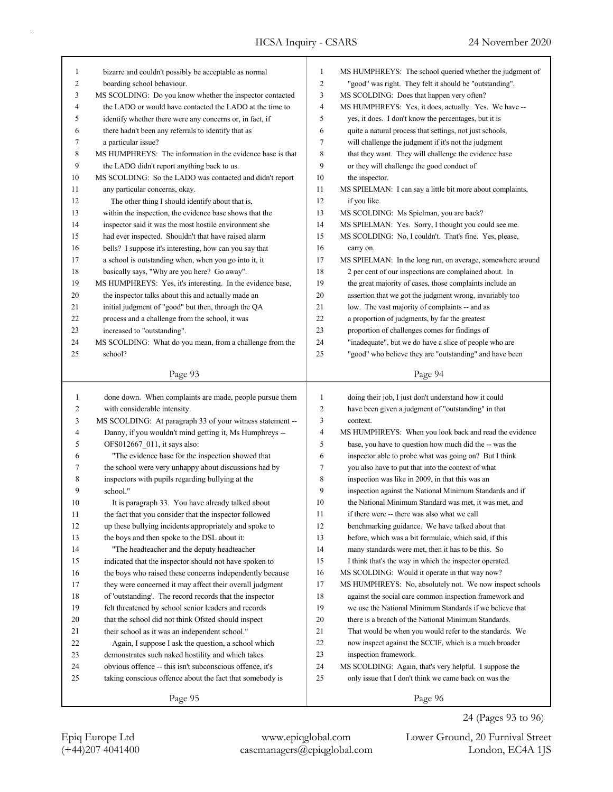| 1  | bizarre and couldn't possibly be acceptable as normal      | $\mathbf{1}$   | MS HUMPHREYS: The school queried whether the judgment of   |
|----|------------------------------------------------------------|----------------|------------------------------------------------------------|
| 2  | boarding school behaviour.                                 | $\overline{c}$ | "good" was right. They felt it should be "outstanding".    |
| 3  | MS SCOLDING: Do you know whether the inspector contacted   | 3              | MS SCOLDING: Does that happen very often?                  |
| 4  | the LADO or would have contacted the LADO at the time to   | 4              | MS HUMPHREYS: Yes, it does, actually. Yes. We have --      |
| 5  | identify whether there were any concerns or, in fact, if   | 5              | yes, it does. I don't know the percentages, but it is      |
| 6  | there hadn't been any referrals to identify that as        | 6              | quite a natural process that settings, not just schools,   |
| 7  | a particular issue?                                        | 7              | will challenge the judgment if it's not the judgment       |
| 8  | MS HUMPHREYS: The information in the evidence base is that | 8              | that they want. They will challenge the evidence base      |
| 9  | the LADO didn't report anything back to us.                | 9              | or they will challenge the good conduct of                 |
| 10 | MS SCOLDING: So the LADO was contacted and didn't report   | 10             | the inspector.                                             |
| 11 | any particular concerns, okay.                             | 11             | MS SPIELMAN: I can say a little bit more about complaints, |
| 12 | The other thing I should identify about that is,           | 12             | if you like.                                               |
| 13 | within the inspection, the evidence base shows that the    | 13             | MS SCOLDING: Ms Spielman, you are back?                    |
| 14 | inspector said it was the most hostile environment she     | 14             | MS SPIELMAN: Yes. Sorry, I thought you could see me.       |
| 15 | had ever inspected. Shouldn't that have raised alarm       | 15             | MS SCOLDING: No, I couldn't. That's fine. Yes, please,     |
| 16 | bells? I suppose it's interesting, how can you say that    | 16             | carry on.                                                  |
| 17 | a school is outstanding when, when you go into it, it      | 17             | MS SPIELMAN: In the long run, on average, somewhere around |
| 18 | basically says, "Why are you here? Go away".               | 18             | 2 per cent of our inspections are complained about. In     |
| 19 | MS HUMPHREYS: Yes, it's interesting. In the evidence base, | 19             | the great majority of cases, those complaints include an   |
| 20 | the inspector talks about this and actually made an        | 20             | assertion that we got the judgment wrong, invariably too   |
| 21 | initial judgment of "good" but then, through the QA        | 21             | low. The vast majority of complaints -- and as             |
| 22 | process and a challenge from the school, it was            | 22             | a proportion of judgments, by far the greatest             |
| 23 | increased to "outstanding".                                | 23             | proportion of challenges comes for findings of             |
| 24 | MS SCOLDING: What do you mean, from a challenge from the   | 24             | "inadequate", but we do have a slice of people who are     |
| 25 | school?                                                    | 25             | "good" who believe they are "outstanding" and have been    |
|    |                                                            |                |                                                            |
|    | Page 93                                                    |                | Page 94                                                    |
|    |                                                            |                |                                                            |
|    |                                                            |                |                                                            |
| 1  | done down. When complaints are made, people pursue them    | $\mathbf{1}$   | doing their job, I just don't understand how it could      |
| 2  | with considerable intensity.                               | $\overline{c}$ | have been given a judgment of "outstanding" in that        |
| 3  | MS SCOLDING: At paragraph 33 of your witness statement --  | 3              | context.                                                   |
| 4  | Danny, if you wouldn't mind getting it, Ms Humphreys --    | 4              | MS HUMPHREYS: When you look back and read the evidence     |
| 5  | OFS012667_011, it says also:                               | 5              | base, you have to question how much did the -- was the     |
| 6  | "The evidence base for the inspection showed that          | 6              | inspector able to probe what was going on? But I think     |
| 7  | the school were very unhappy about discussions had by      | 7              | you also have to put that into the context of what         |
| 8  | inspectors with pupils regarding bullying at the           | 8              | inspection was like in 2009, in that this was an           |
| 9  | school."                                                   | 9              | inspection against the National Minimum Standards and if   |
| 10 | It is paragraph 33. You have already talked about          | 10             | the National Minimum Standard was met, it was met, and     |
| 11 | the fact that you consider that the inspector followed     | 11             | if there were -- there was also what we call               |
| 12 | up these bullying incidents appropriately and spoke to     | 12             | benchmarking guidance. We have talked about that           |
| 13 | the boys and then spoke to the DSL about it:               | 13             | before, which was a bit formulaic, which said, if this     |
| 14 | "The headteacher and the deputy headteacher                | 14             | many standards were met, then it has to be this. So        |
| 15 | indicated that the inspector should not have spoken to     | 15             | I think that's the way in which the inspector operated.    |
| 16 | the boys who raised these concerns independently because   | 16             | MS SCOLDING: Would it operate in that way now?             |
| 17 | they were concerned it may affect their overall judgment   | 17             | MS HUMPHREYS: No, absolutely not. We now inspect schools   |
| 18 | of 'outstanding'. The record records that the inspector    | 18             | against the social care common inspection framework and    |
| 19 | felt threatened by school senior leaders and records       | 19             | we use the National Minimum Standards if we believe that   |
| 20 | that the school did not think Ofsted should inspect        | 20             | there is a breach of the National Minimum Standards.       |
| 21 | their school as it was an independent school."             | 21             | That would be when you would refer to the standards. We    |
| 22 | Again, I suppose I ask the question, a school which        | 22             | now inspect against the SCCIF, which is a much broader     |
| 23 | demonstrates such naked hostility and which takes          | 23             | inspection framework.                                      |
| 24 | obvious offence -- this isn't subconscious offence, it's   | 24             | MS SCOLDING: Again, that's very helpful. I suppose the     |
| 25 | taking conscious offence about the fact that somebody is   | 25             | only issue that I don't think we came back on was the      |

24 (Pages 93 to 96)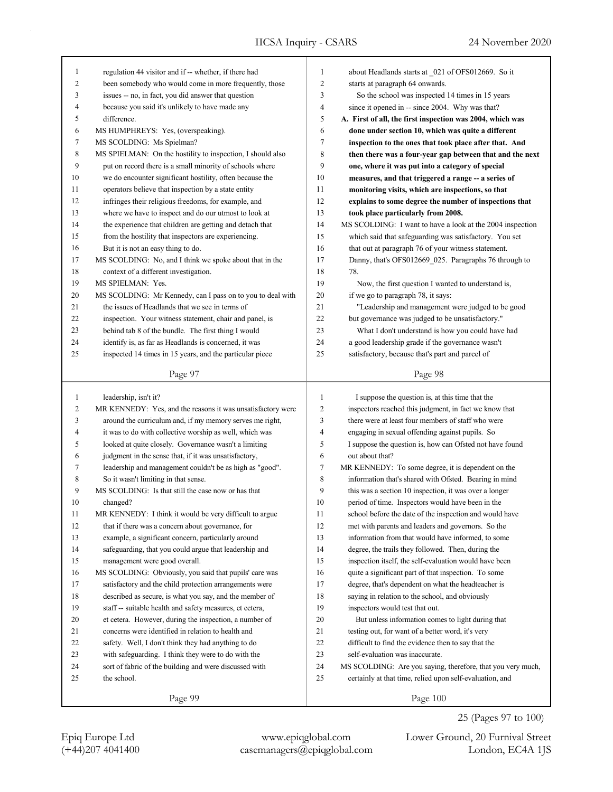| 1              | regulation 44 visitor and if -- whether, if there had       | 1              | about Headlands starts at 021 of OFS012669. So it           |
|----------------|-------------------------------------------------------------|----------------|-------------------------------------------------------------|
| $\overline{c}$ | been somebody who would come in more frequently, those      | $\overline{c}$ | starts at paragraph 64 onwards.                             |
| 3              | issues -- no, in fact, you did answer that question         | 3              | So the school was inspected 14 times in 15 years            |
| 4              | because you said it's unlikely to have made any             | 4              | since it opened in -- since 2004. Why was that?             |
| 5              | difference.                                                 | 5              | A. First of all, the first inspection was 2004, which was   |
| 6              | MS HUMPHREYS: Yes, (overspeaking).                          | 6              | done under section 10, which was quite a different          |
| 7              | MS SCOLDING: Ms Spielman?                                   | 7              | inspection to the ones that took place after that. And      |
| 8              | MS SPIELMAN: On the hostility to inspection, I should also  | 8              | then there was a four-year gap between that and the next    |
| 9              | put on record there is a small minority of schools where    | 9              | one, where it was put into a category of special            |
| 10             | we do encounter significant hostility, often because the    | 10             | measures, and that triggered a range -- a series of         |
| 11             | operators believe that inspection by a state entity         | 11             | monitoring visits, which are inspections, so that           |
| 12             | infringes their religious freedoms, for example, and        | 12             | explains to some degree the number of inspections that      |
| 13             | where we have to inspect and do our utmost to look at       | 13             | took place particularly from 2008.                          |
| 14             | the experience that children are getting and detach that    | 14             | MS SCOLDING: I want to have a look at the 2004 inspection   |
| 15             | from the hostility that inspectors are experiencing.        | 15             | which said that safeguarding was satisfactory. You set      |
| 16             | But it is not an easy thing to do.                          | 16             | that out at paragraph 76 of your witness statement.         |
| 17             | MS SCOLDING: No, and I think we spoke about that in the     | 17             | Danny, that's OFS012669 025. Paragraphs 76 through to       |
| 18             | context of a different investigation.                       | 18             | 78.                                                         |
| 19             | MS SPIELMAN: Yes.                                           | 19             | Now, the first question I wanted to understand is,          |
| 20             | MS SCOLDING: Mr Kennedy, can I pass on to you to deal with  | 20             | if we go to paragraph 78, it says:                          |
| 21             | the issues of Headlands that we see in terms of             | 21             | "Leadership and management were judged to be good           |
| 22             | inspection. Your witness statement, chair and panel, is     | 22             | but governance was judged to be unsatisfactory."            |
| 23             | behind tab 8 of the bundle. The first thing I would         | 23             | What I don't understand is how you could have had           |
| 24             | identify is, as far as Headlands is concerned, it was       | 24             | a good leadership grade if the governance wasn't            |
| 25             | inspected 14 times in 15 years, and the particular piece    | 25             | satisfactory, because that's part and parcel of             |
|                | Page 97                                                     |                | Page 98                                                     |
|                |                                                             |                |                                                             |
|                |                                                             |                |                                                             |
| $\mathbf{1}$   | leadership, isn't it?                                       | $\mathbf{1}$   | I suppose the question is, at this time that the            |
| $\overline{c}$ | MR KENNEDY: Yes, and the reasons it was unsatisfactory were | 2              | inspectors reached this judgment, in fact we know that      |
| 3              | around the curriculum and, if my memory serves me right,    | 3              | there were at least four members of staff who were          |
| 4              | it was to do with collective worship as well, which was     | 4              | engaging in sexual offending against pupils. So             |
| 5              | looked at quite closely. Governance wasn't a limiting       | 5              | I suppose the question is, how can Ofsted not have found    |
| 6              | judgment in the sense that, if it was unsatisfactory,       | 6              | out about that?                                             |
| 7              | leadership and management couldn't be as high as "good".    | 7              | MR KENNEDY: To some degree, it is dependent on the          |
| 8              | So it wasn't limiting in that sense.                        | 8              | information that's shared with Ofsted. Bearing in mind      |
| 9              | MS SCOLDING: Is that still the case now or has that         | 9              | this was a section 10 inspection, it was over a longer      |
| 10             | changed?                                                    | 10             | period of time. Inspectors would have been in the           |
| 11             | MR KENNEDY: I think it would be very difficult to argue     | 11             | school before the date of the inspection and would have     |
| 12             | that if there was a concern about governance, for           | 12             | met with parents and leaders and governors. So the          |
| 13             | example, a significant concern, particularly around         | 13             | information from that would have informed, to some          |
| 14             | safeguarding, that you could argue that leadership and      | 14             | degree, the trails they followed. Then, during the          |
| 15             | management were good overall.                               | 15             | inspection itself, the self-evaluation would have been      |
| 16             | MS SCOLDING: Obviously, you said that pupils' care was      | 16             | quite a significant part of that inspection. To some        |
| 17             | satisfactory and the child protection arrangements were     | 17             | degree, that's dependent on what the headteacher is         |
| $18\,$         | described as secure, is what you say, and the member of     | 18             | saying in relation to the school, and obviously             |
| 19             | staff -- suitable health and safety measures, et cetera,    | 19             | inspectors would test that out.                             |
| 20             | et cetera. However, during the inspection, a number of      | 20             | But unless information comes to light during that           |
| 21             | concerns were identified in relation to health and          | 21             | testing out, for want of a better word, it's very           |
| 22             | safety. Well, I don't think they had anything to do         | 22             | difficult to find the evidence then to say that the         |
| 23             | with safeguarding. I think they were to do with the         | 23             | self-evaluation was inaccurate.                             |
| 24             | sort of fabric of the building and were discussed with      | 24             | MS SCOLDING: Are you saying, therefore, that you very much, |
| 25             | the school.                                                 | 25             | certainly at that time, relied upon self-evaluation, and    |

(+44)207 4041400 casemanagers@epiqglobal.com London, EC4A 1JS Epiq Europe Ltd www.epiqglobal.com Lower Ground, 20 Furnival Street

25 (Pages 97 to 100)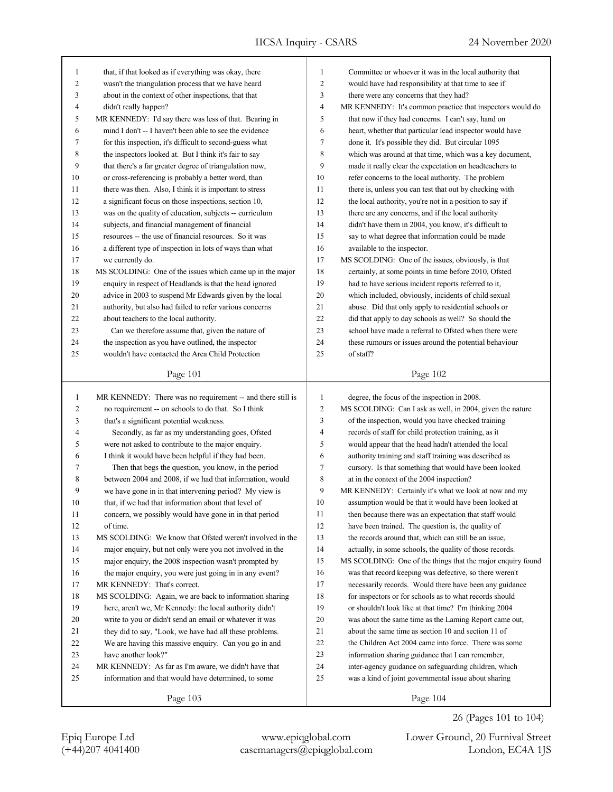| 1                        | that, if that looked as if everything was okay, there      | 1                        | Committee or whoever it was in the local authority that     |
|--------------------------|------------------------------------------------------------|--------------------------|-------------------------------------------------------------|
| $\overline{c}$           | wasn't the triangulation process that we have heard        | $\overline{c}$           | would have had responsibility at that time to see if        |
| 3                        | about in the context of other inspections, that that       | 3                        | there were any concerns that they had?                      |
| $\overline{\mathcal{A}}$ | didn't really happen?                                      | $\overline{\mathcal{L}}$ | MR KENNEDY: It's common practice that inspectors would do   |
| 5                        | MR KENNEDY: I'd say there was less of that. Bearing in     | 5                        | that now if they had concerns. I can't say, hand on         |
| 6                        | mind I don't -- I haven't been able to see the evidence    | 6                        | heart, whether that particular lead inspector would have    |
| 7                        | for this inspection, it's difficult to second-guess what   | 7                        | done it. It's possible they did. But circular 1095          |
| 8                        | the inspectors looked at. But I think it's fair to say     | 8                        | which was around at that time, which was a key document,    |
| 9                        | that there's a far greater degree of triangulation now,    | 9                        | made it really clear the expectation on headteachers to     |
| 10                       | or cross-referencing is probably a better word, than       | 10                       | refer concerns to the local authority. The problem          |
| 11                       | there was then. Also, I think it is important to stress    | 11                       | there is, unless you can test that out by checking with     |
| 12                       | a significant focus on those inspections, section 10,      | 12                       | the local authority, you're not in a position to say if     |
| 13                       | was on the quality of education, subjects -- curriculum    | 13                       | there are any concerns, and if the local authority          |
| 14                       | subjects, and financial management of financial            | 14                       | didn't have them in 2004, you know, it's difficult to       |
| 15                       | resources -- the use of financial resources. So it was     | 15                       | say to what degree that information could be made           |
| 16                       | a different type of inspection in lots of ways than what   | 16                       | available to the inspector.                                 |
| 17                       | we currently do.                                           | 17                       | MS SCOLDING: One of the issues, obviously, is that          |
| 18                       | MS SCOLDING: One of the issues which came up in the major  | 18                       | certainly, at some points in time before 2010, Ofsted       |
| 19                       | enquiry in respect of Headlands is that the head ignored   | 19                       | had to have serious incident reports referred to it,        |
| 20                       | advice in 2003 to suspend Mr Edwards given by the local    | 20                       | which included, obviously, incidents of child sexual        |
| 21                       | authority, but also had failed to refer various concerns   | 21                       | abuse. Did that only apply to residential schools or        |
| 22                       | about teachers to the local authority.                     | 22                       | did that apply to day schools as well? So should the        |
| 23                       | Can we therefore assume that, given the nature of          | 23                       | school have made a referral to Ofsted when there were       |
| 24                       | the inspection as you have outlined, the inspector         | 24                       | these rumours or issues around the potential behaviour      |
| 25                       | wouldn't have contacted the Area Child Protection          | 25                       | of staff?                                                   |
|                          |                                                            |                          |                                                             |
|                          | Page 101                                                   |                          | Page 102                                                    |
|                          |                                                            |                          |                                                             |
|                          |                                                            |                          |                                                             |
| $\mathbf{1}$             | MR KENNEDY: There was no requirement -- and there still is | $\mathbf{1}$             | degree, the focus of the inspection in 2008.                |
| $\overline{c}$           | no requirement -- on schools to do that. So I think        | $\overline{c}$           | MS SCOLDING: Can I ask as well, in 2004, given the nature   |
| 3                        | that's a significant potential weakness.                   | 3                        | of the inspection, would you have checked training          |
| $\overline{4}$           | Secondly, as far as my understanding goes, Ofsted          | $\overline{4}$           | records of staff for child protection training, as it       |
| 5                        | were not asked to contribute to the major enquiry.         | 5                        | would appear that the head hadn't attended the local        |
| 6                        | I think it would have been helpful if they had been.       | 6                        | authority training and staff training was described as      |
| 7                        | Then that begs the question, you know, in the period       | $\tau$                   | cursory. Is that something that would have been looked      |
| 8                        | between 2004 and 2008, if we had that information, would   | 8                        | at in the context of the 2004 inspection?                   |
| 9                        | we have gone in in that intervening period? My view is     | 9                        | MR KENNEDY: Certainly it's what we look at now and my       |
| 10                       | that, if we had that information about that level of       | 10                       | assumption would be that it would have been looked at       |
| 11                       | concern, we possibly would have gone in in that period     | 11                       | then because there was an expectation that staff would      |
| 12                       | of time.                                                   | 12                       | have been trained. The question is, the quality of          |
| 13                       | MS SCOLDING: We know that Ofsted weren't involved in the   | 13                       | the records around that, which can still be an issue,       |
| 14                       | major enquiry, but not only were you not involved in the   | 14                       | actually, in some schools, the quality of those records.    |
| 15                       | major enquiry, the 2008 inspection wasn't prompted by      | 15                       | MS SCOLDING: One of the things that the major enquiry found |
| 16                       | the major enquiry, you were just going in in any event?    | 16                       | was that record keeping was defective, so there weren't     |
| 17                       | MR KENNEDY: That's correct.                                | 17                       | necessarily records. Would there have been any guidance     |
| 18                       | MS SCOLDING: Again, we are back to information sharing     | 18                       | for inspectors or for schools as to what records should     |
| 19                       | here, aren't we, Mr Kennedy: the local authority didn't    | 19                       | or shouldn't look like at that time? I'm thinking 2004      |
| 20                       | write to you or didn't send an email or whatever it was    | $20\,$                   | was about the same time as the Laming Report came out,      |
| 21                       | they did to say, "Look, we have had all these problems.    | 21                       | about the same time as section 10 and section 11 of         |
| 22                       | We are having this massive enquiry. Can you go in and      | $22\,$                   | the Children Act 2004 came into force. There was some       |
| 23                       | have another look?"                                        | 23                       | information sharing guidance that I can remember,           |
| 24                       | MR KENNEDY: As far as I'm aware, we didn't have that       | $24\,$                   | inter-agency guidance on safeguarding children, which       |
| 25                       | information and that would have determined, to some        | $25\,$                   | was a kind of joint governmental issue about sharing        |
|                          | Page 103                                                   |                          | Page 104                                                    |

(+44)207 4041400 casemanagers@epiqglobal.com London, EC4A 1JS Epiq Europe Ltd www.epiqglobal.com Lower Ground, 20 Furnival Street

26 (Pages 101 to 104)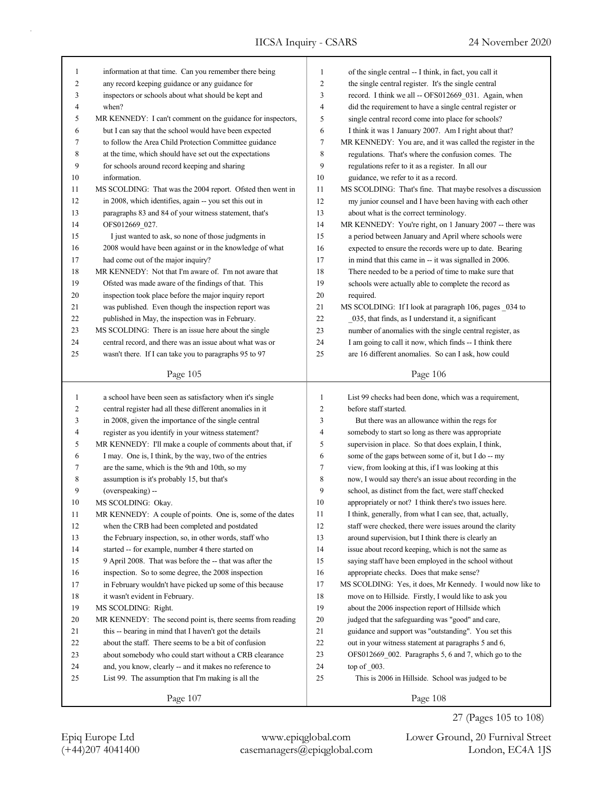| $\mathbf{1}$             | information at that time. Can you remember there being      | $\mathbf{1}$     | of the single central -- I think, in fact, you call it     |
|--------------------------|-------------------------------------------------------------|------------------|------------------------------------------------------------|
| $\overline{c}$           | any record keeping guidance or any guidance for             | $\overline{c}$   | the single central register. It's the single central       |
| 3                        | inspectors or schools about what should be kept and         | 3                | record. I think we all -- OFS012669_031. Again, when       |
| 4                        | when?                                                       | $\overline{4}$   | did the requirement to have a single central register or   |
| 5                        | MR KENNEDY: I can't comment on the guidance for inspectors, | 5                | single central record come into place for schools?         |
| 6                        | but I can say that the school would have been expected      | 6                | I think it was 1 January 2007. Am I right about that?      |
| 7                        | to follow the Area Child Protection Committee guidance      | 7                | MR KENNEDY: You are, and it was called the register in the |
| 8                        | at the time, which should have set out the expectations     | $\,$ 8 $\,$      | regulations. That's where the confusion comes. The         |
| 9                        | for schools around record keeping and sharing               | 9                | regulations refer to it as a register. In all our          |
| 10                       | information.                                                | 10               | guidance, we refer to it as a record.                      |
| 11                       | MS SCOLDING: That was the 2004 report. Ofsted then went in  | 11               | MS SCOLDING: That's fine. That maybe resolves a discussion |
| 12                       | in 2008, which identifies, again -- you set this out in     | 12               | my junior counsel and I have been having with each other   |
| 13                       | paragraphs 83 and 84 of your witness statement, that's      | 13               | about what is the correct terminology.                     |
| 14                       | OFS012669_027.                                              | 14               | MR KENNEDY: You're right, on 1 January 2007 -- there was   |
| 15                       | I just wanted to ask, so none of those judgments in         | 15               | a period between January and April where schools were      |
| 16                       | 2008 would have been against or in the knowledge of what    | 16               | expected to ensure the records were up to date. Bearing    |
| 17                       | had come out of the major inquiry?                          | 17               | in mind that this came in -- it was signalled in 2006.     |
| 18                       | MR KENNEDY: Not that I'm aware of. I'm not aware that       | 18               | There needed to be a period of time to make sure that      |
| 19                       | Ofsted was made aware of the findings of that. This         | 19               | schools were actually able to complete the record as       |
| 20                       | inspection took place before the major inquiry report       | 20               | required.                                                  |
| 21                       | was published. Even though the inspection report was        | 21               | MS SCOLDING: If I look at paragraph 106, pages _034 to     |
| 22                       | published in May, the inspection was in February.           | 22               | 035, that finds, as I understand it, a significant         |
| 23                       | MS SCOLDING: There is an issue here about the single        | 23               | number of anomalies with the single central register, as   |
| 24                       | central record, and there was an issue about what was or    | 24               | I am going to call it now, which finds -- I think there    |
| 25                       | wasn't there. If I can take you to paragraphs 95 to 97      | 25               | are 16 different anomalies. So can I ask, how could        |
|                          |                                                             |                  |                                                            |
|                          | Page 105                                                    |                  | Page 106                                                   |
|                          |                                                             |                  |                                                            |
|                          |                                                             |                  |                                                            |
| $\mathbf{1}$             | a school have been seen as satisfactory when it's single    | $\mathbf{1}$     | List 99 checks had been done, which was a requirement,     |
| 2                        | central register had all these different anomalies in it    | $\overline{2}$   | before staff started.                                      |
| 3                        | in 2008, given the importance of the single central         | $\mathfrak{Z}$   | But there was an allowance within the regs for             |
| $\overline{\mathcal{A}}$ | register as you identify in your witness statement?         | $\overline{4}$   | somebody to start so long as there was appropriate         |
| 5                        | MR KENNEDY: I'll make a couple of comments about that, if   | 5                | supervision in place. So that does explain, I think,       |
| 6                        | I may. One is, I think, by the way, two of the entries      | 6                | some of the gaps between some of it, but I do -- my        |
| 7                        | are the same, which is the 9th and 10th, so my              | $\boldsymbol{7}$ | view, from looking at this, if I was looking at this       |
| 8                        | assumption is it's probably 15, but that's                  | 8                | now, I would say there's an issue about recording in the   |
| 9                        | (overspeaking) --                                           | 9                | school, as distinct from the fact, were staff checked      |
| 10                       | MS SCOLDING: Okay.                                          | 10               | appropriately or not? I think there's two issues here.     |
| 11                       | MR KENNEDY: A couple of points. One is, some of the dates   | 11               | I think, generally, from what I can see, that, actually,   |
| 12                       | when the CRB had been completed and postdated               | 12               | staff were checked, there were issues around the clarity   |
| 13                       | the February inspection, so, in other words, staff who      | 13               | around supervision, but I think there is clearly an        |
| 14                       | started -- for example, number 4 there started on           | 14               | issue about record keeping, which is not the same as       |
| $15\,$                   | 9 April 2008. That was before the -- that was after the     | 15               | saying staff have been employed in the school without      |
| 16                       | inspection. So to some degree, the 2008 inspection          | 16               | appropriate checks. Does that make sense?                  |
| 17                       | in February wouldn't have picked up some of this because    | 17               | MS SCOLDING: Yes, it does, Mr Kennedy. I would now like to |
| 18                       | it wasn't evident in February.                              | 18               | move on to Hillside. Firstly, I would like to ask you      |
| 19                       | MS SCOLDING: Right.                                         | 19               | about the 2006 inspection report of Hillside which         |
| $20\,$                   | MR KENNEDY: The second point is, there seems from reading   | 20               | judged that the safeguarding was "good" and care,          |
| 21                       | this -- bearing in mind that I haven't got the details      | 21               | guidance and support was "outstanding". You set this       |
| 22                       | about the staff. There seems to be a bit of confusion       | 22               | out in your witness statement at paragraphs 5 and 6,       |
| 23                       | about somebody who could start without a CRB clearance      | 23               | OFS012669_002. Paragraphs 5, 6 and 7, which go to the      |
| 24                       | and, you know, clearly -- and it makes no reference to      | 24               | top of $003$ .                                             |
| 25                       | List 99. The assumption that I'm making is all the          | 25               | This is 2006 in Hillside. School was judged to be          |

27 (Pages 105 to 108)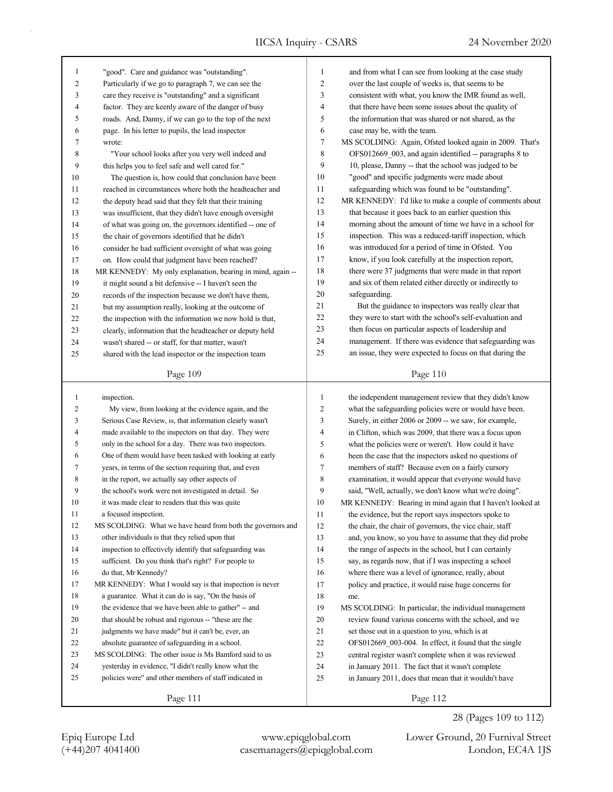| 1            | "good". Care and guidance was "outstanding".                | 1            | and from what I can see from looking at the case study     |
|--------------|-------------------------------------------------------------|--------------|------------------------------------------------------------|
| 2            | Particularly if we go to paragraph 7, we can see the        | 2            | over the last couple of weeks is, that seems to be         |
| 3            | care they receive is "outstanding" and a significant        | 3            | consistent with what, you know the IMR found as well,      |
| 4            | factor. They are keenly aware of the danger of busy         | 4            | that there have been some issues about the quality of      |
| 5            | roads. And, Danny, if we can go to the top of the next      | 5            | the information that was shared or not shared, as the      |
| 6            | page. In his letter to pupils, the lead inspector           | 6            | case may be, with the team.                                |
| 7            | wrote:                                                      | 7            | MS SCOLDING: Again, Ofsted looked again in 2009. That's    |
| 8            | "Your school looks after you very well indeed and           | 8            | OFS012669_003, and again identified -- paragraphs 8 to     |
| 9            | this helps you to feel safe and well cared for."            | 9            | 10, please, Danny -- that the school was judged to be      |
| 10           | The question is, how could that conclusion have been        | 10           | "good" and specific judgments were made about              |
| 11           | reached in circumstances where both the headteacher and     | 11           | safeguarding which was found to be "outstanding".          |
| 12           | the deputy head said that they felt that their training     | 12           | MR KENNEDY: I'd like to make a couple of comments about    |
| 13           | was insufficient, that they didn't have enough oversight    | 13           | that because it goes back to an earlier question this      |
| 14           | of what was going on, the governors identified -- one of    | 14           | morning about the amount of time we have in a school for   |
| 15           | the chair of governors identified that he didn't            | 15           | inspection. This was a reduced-tariff inspection, which    |
| 16           | consider he had sufficient oversight of what was going      | 16           | was introduced for a period of time in Ofsted. You         |
| 17           | on. How could that judgment have been reached?              | 17           | know, if you look carefully at the inspection report,      |
| $18\,$       | MR KENNEDY: My only explanation, bearing in mind, again --  | 18           | there were 37 judgments that were made in that report      |
| 19           | it might sound a bit defensive -- I haven't seen the        | 19           | and six of them related either directly or indirectly to   |
| 20           | records of the inspection because we don't have them,       | 20           | safeguarding.                                              |
| 21           | but my assumption really, looking at the outcome of         | 21           | But the guidance to inspectors was really clear that       |
| 22           | the inspection with the information we now hold is that,    | 22           | they were to start with the school's self-evaluation and   |
| 23           | clearly, information that the headteacher or deputy held    | 23           | then focus on particular aspects of leadership and         |
| 24           | wasn't shared -- or staff, for that matter, wasn't          | 24           | management. If there was evidence that safeguarding was    |
| 25           | shared with the lead inspector or the inspection team       | 25           | an issue, they were expected to focus on that during the   |
|              |                                                             |              |                                                            |
|              | Page 109                                                    |              | Page 110                                                   |
|              |                                                             |              |                                                            |
|              |                                                             |              |                                                            |
| $\mathbf{1}$ | inspection.                                                 | $\mathbf{1}$ | the independent management review that they didn't know    |
| 2            | My view, from looking at the evidence again, and the        | 2            | what the safeguarding policies were or would have been.    |
| 3            | Serious Case Review, is, that information clearly wasn't    | 3            | Surely, in either 2006 or 2009 -- we saw, for example,     |
| 4            | made available to the inspectors on that day. They were     | 4            | in Clifton, which was 2009, that there was a focus upon    |
| 5            | only in the school for a day. There was two inspectors.     | 5            | what the policies were or weren't. How could it have       |
| 6            | One of them would have been tasked with looking at early    | 6            | been the case that the inspectors asked no questions of    |
| 7            | years, in terms of the section requiring that, and even     | 7            | members of staff? Because even on a fairly cursory         |
| 8            | in the report, we actually say other aspects of             | 8            | examination, it would appear that everyone would have      |
| 9            | the school's work were not investigated in detail. So       | 9            | said, "Well, actually, we don't know what we're doing".    |
| 10           | it was made clear to readers that this was quite            | 10           | MR KENNEDY: Bearing in mind again that I haven't looked at |
| $11\,$       | a focused inspection.                                       | 11           | the evidence, but the report says inspectors spoke to      |
| 12           | MS SCOLDING: What we have heard from both the governors and | 12           | the chair, the chair of governors, the vice chair, staff   |
| 13           | other individuals is that they relied upon that             | 13           | and, you know, so you have to assume that they did probe   |
| 14           | inspection to effectively identify that safeguarding was    | 14           | the range of aspects in the school, but I can certainly    |
| 15           | sufficient. Do you think that's right? For people to        | 15           | say, as regards now, that if I was inspecting a school     |
| 16           | do that, Mr Kennedy?                                        | 16           | where there was a level of ignorance, really, about        |
| 17           | MR KENNEDY: What I would say is that inspection is never    | 17           | policy and practice, it would raise huge concerns for      |
| $18\,$       | a guarantee. What it can do is say, "On the basis of        | 18           | me.                                                        |
| 19           | the evidence that we have been able to gather" -- and       | 19           | MS SCOLDING: In particular, the individual management      |
| 20           | that should be robust and rigorous -- "these are the        | 20           | review found various concerns with the school, and we      |
| 21           | judgments we have made" but it can't be, ever, an           | 21           | set those out in a question to you, which is at            |
| 22           | absolute guarantee of safeguarding in a school.             | 22           | OFS012669 003-004. In effect, it found that the single     |
| 23           | MS SCOLDING: The other issue is Ms Bamford said to us       | 23           | central register wasn't complete when it was reviewed      |
| 24           | yesterday in evidence, "I didn't really know what the       | 24           | in January 2011. The fact that it wasn't complete          |
| 25           | policies were" and other members of staff indicated in      | 25           | in January 2011, does that mean that it wouldn't have      |
|              | Page 111                                                    |              | Page 112                                                   |

(+44)207 4041400 casemanagers@epiqglobal.com London, EC4A 1JS Epiq Europe Ltd www.epiqglobal.com Lower Ground, 20 Furnival Street

28 (Pages 109 to 112)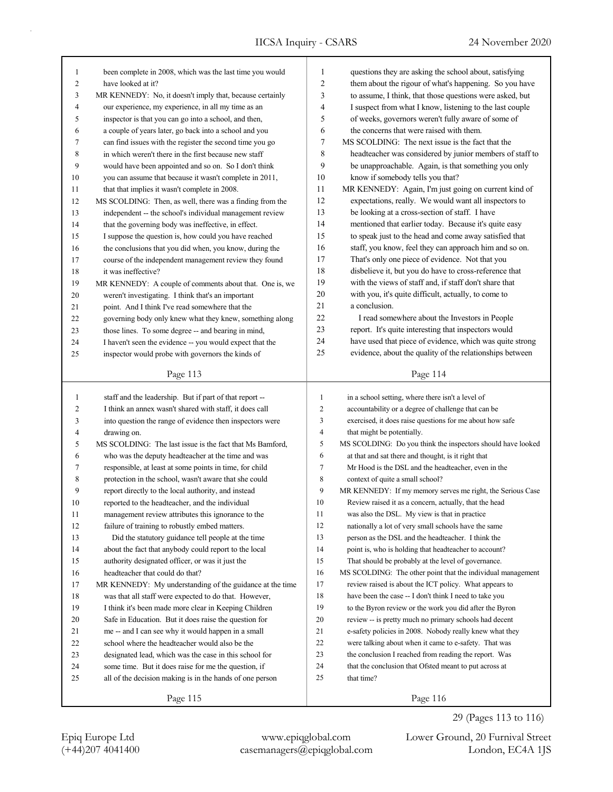| 1              | been complete in 2008, which was the last time you would                                               | $\mathbf{1}$   | questions they are asking the school about, satisfying                                                     |
|----------------|--------------------------------------------------------------------------------------------------------|----------------|------------------------------------------------------------------------------------------------------------|
| $\overline{c}$ | have looked at it?                                                                                     | $\overline{2}$ | them about the rigour of what's happening. So you have                                                     |
| 3              | MR KENNEDY: No, it doesn't imply that, because certainly                                               | 3              | to assume, I think, that those questions were asked, but                                                   |
| 4              | our experience, my experience, in all my time as an                                                    | 4              | I suspect from what I know, listening to the last couple                                                   |
| 5              | inspector is that you can go into a school, and then,                                                  | 5              | of weeks, governors weren't fully aware of some of                                                         |
| 6              | a couple of years later, go back into a school and you                                                 | 6              | the concerns that were raised with them.                                                                   |
| 7              | can find issues with the register the second time you go                                               | $\overline{7}$ | MS SCOLDING: The next issue is the fact that the                                                           |
| 8              | in which weren't there in the first because new staff                                                  | 8              | headteacher was considered by junior members of staff to                                                   |
| 9              | would have been appointed and so on. So I don't think                                                  | 9              | be unapproachable. Again, is that something you only                                                       |
| 10             | you can assume that because it wasn't complete in 2011,                                                | 10             | know if somebody tells you that?                                                                           |
| 11             | that that implies it wasn't complete in 2008.                                                          | 11             | MR KENNEDY: Again, I'm just going on current kind of                                                       |
| 12             | MS SCOLDING: Then, as well, there was a finding from the                                               | 12             | expectations, really. We would want all inspectors to                                                      |
| 13             | independent -- the school's individual management review                                               | 13             | be looking at a cross-section of staff. I have                                                             |
| 14             | that the governing body was ineffective, in effect.                                                    | 14             | mentioned that earlier today. Because it's quite easy                                                      |
| 15             | I suppose the question is, how could you have reached                                                  | 15             | to speak just to the head and come away satisfied that                                                     |
| 16             | the conclusions that you did when, you know, during the                                                | 16             | staff, you know, feel they can approach him and so on.                                                     |
| 17             | course of the independent management review they found                                                 | 17             | That's only one piece of evidence. Not that you                                                            |
| 18             | it was ineffective?                                                                                    | 18             | disbelieve it, but you do have to cross-reference that                                                     |
| 19             | MR KENNEDY: A couple of comments about that. One is, we                                                | 19             | with the views of staff and, if staff don't share that                                                     |
| 20             | weren't investigating. I think that's an important                                                     | 20             | with you, it's quite difficult, actually, to come to                                                       |
| 21             | point. And I think I've read somewhere that the                                                        | 21             | a conclusion.                                                                                              |
|                |                                                                                                        | 22             | I read somewhere about the Investors in People                                                             |
| 22             | governing body only knew what they knew, something along                                               | 23             | report. It's quite interesting that inspectors would                                                       |
| 23             | those lines. To some degree -- and bearing in mind,                                                    | 24             | have used that piece of evidence, which was quite strong                                                   |
| 24             | I haven't seen the evidence -- you would expect that the                                               | 25             | evidence, about the quality of the relationships between                                                   |
| 25             | inspector would probe with governors the kinds of                                                      |                |                                                                                                            |
|                | Page 113                                                                                               |                | Page 114                                                                                                   |
|                |                                                                                                        |                |                                                                                                            |
| $\mathbf{1}$   | staff and the leadership. But if part of that report --                                                | $\mathbf{1}$   | in a school setting, where there isn't a level of                                                          |
| $\overline{c}$ | I think an annex wasn't shared with staff, it does call                                                | $\overline{c}$ | accountability or a degree of challenge that can be                                                        |
| 3              | into question the range of evidence then inspectors were                                               | 3              | exercised, it does raise questions for me about how safe                                                   |
| 4              | drawing on.                                                                                            | 4              | that might be potentially.                                                                                 |
| 5              | MS SCOLDING: The last issue is the fact that Ms Bamford,                                               | 5              | MS SCOLDING: Do you think the inspectors should have looked                                                |
| 6              | who was the deputy headteacher at the time and was                                                     | 6              | at that and sat there and thought, is it right that                                                        |
| 7              | responsible, at least at some points in time, for child                                                | 7              | Mr Hood is the DSL and the headteacher, even in the                                                        |
| 8              | protection in the school, wasn't aware that she could                                                  | 8              | context of quite a small school?                                                                           |
| 9              |                                                                                                        | 9              | MR KENNEDY: If my memory serves me right, the Serious Case                                                 |
| 10             | report directly to the local authority, and instead<br>reported to the headteacher, and the individual | 10             | Review raised it as a concern, actually, that the head                                                     |
| 11             | management review attributes this ignorance to the                                                     | 11             | was also the DSL. My view is that in practice                                                              |
| 12             |                                                                                                        | 12             |                                                                                                            |
| 13             | failure of training to robustly embed matters.<br>Did the statutory guidance tell people at the time   | 13             | nationally a lot of very small schools have the same<br>person as the DSL and the headteacher. I think the |
|                |                                                                                                        | 14             |                                                                                                            |
| 14             | about the fact that anybody could report to the local                                                  | 15             | point is, who is holding that headteacher to account?                                                      |
| 15             | authority designated officer, or was it just the                                                       |                | That should be probably at the level of governance.                                                        |
| 16             | headteacher that could do that?                                                                        | 16             | MS SCOLDING: The other point that the individual management                                                |
| 17             | MR KENNEDY: My understanding of the guidance at the time                                               | 17             | review raised is about the ICT policy. What appears to                                                     |
| 18             | was that all staff were expected to do that. However,                                                  | 18             | have been the case -- I don't think I need to take you                                                     |
| 19             | I think it's been made more clear in Keeping Children                                                  | 19             | to the Byron review or the work you did after the Byron                                                    |
| 20             | Safe in Education. But it does raise the question for                                                  | 20             | review -- is pretty much no primary schools had decent                                                     |
| 21             | me -- and I can see why it would happen in a small                                                     | 21             | e-safety policies in 2008. Nobody really knew what they                                                    |
| 22             | school where the headteacher would also be the                                                         | 22             | were talking about when it came to e-safety. That was                                                      |
| 23             | designated lead, which was the case in this school for                                                 | 23             | the conclusion I reached from reading the report. Was                                                      |
| 24             | some time. But it does raise for me the question, if                                                   | 24             | that the conclusion that Ofsted meant to put across at                                                     |
| 25             | all of the decision making is in the hands of one person                                               | 25             | that time?                                                                                                 |

Page 116

29 (Pages 113 to 116)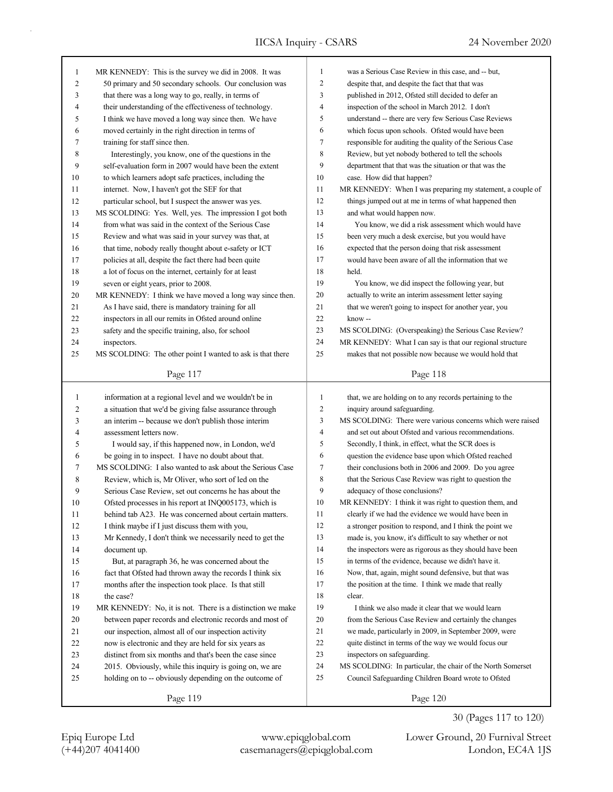| $\mathbf{1}$   | MR KENNEDY: This is the survey we did in 2008. It was      | $\mathbf{1}$        | was a Serious Case Review in this case, and -- but,         |
|----------------|------------------------------------------------------------|---------------------|-------------------------------------------------------------|
| $\overline{c}$ | 50 primary and 50 secondary schools. Our conclusion was    | 2                   | despite that, and despite the fact that that was            |
| 3              | that there was a long way to go, really, in terms of       | 3                   | published in 2012, Ofsted still decided to defer an         |
| $\overline{4}$ | their understanding of the effectiveness of technology.    | $\overline{4}$      | inspection of the school in March 2012. I don't             |
| 5              | I think we have moved a long way since then. We have       | 5                   | understand -- there are very few Serious Case Reviews       |
| 6              | moved certainly in the right direction in terms of         | 6                   | which focus upon schools. Ofsted would have been            |
| 7              | training for staff since then.                             | $\tau$              | responsible for auditing the quality of the Serious Case    |
| 8              | Interestingly, you know, one of the questions in the       | 8                   | Review, but yet nobody bothered to tell the schools         |
| 9              | self-evaluation form in 2007 would have been the extent    | 9                   | department that that was the situation or that was the      |
| 10             | to which learners adopt safe practices, including the      | 10                  | case. How did that happen?                                  |
| 11             | internet. Now, I haven't got the SEF for that              | 11                  | MR KENNEDY: When I was preparing my statement, a couple of  |
| 12             | particular school, but I suspect the answer was yes.       | 12                  | things jumped out at me in terms of what happened then      |
| 13             | MS SCOLDING: Yes. Well, yes. The impression I got both     | 13                  | and what would happen now.                                  |
| 14             | from what was said in the context of the Serious Case      | 14                  | You know, we did a risk assessment which would have         |
| 15             | Review and what was said in your survey was that, at       | 15                  | been very much a desk exercise, but you would have          |
| 16             | that time, nobody really thought about e-safety or ICT     | 16                  | expected that the person doing that risk assessment         |
| 17             | policies at all, despite the fact there had been quite     | 17                  | would have been aware of all the information that we        |
| 18             | a lot of focus on the internet, certainly for at least     | 18                  | held.                                                       |
| 19             | seven or eight years, prior to 2008.                       | 19                  | You know, we did inspect the following year, but            |
| 20             | MR KENNEDY: I think we have moved a long way since then.   | 20                  | actually to write an interim assessment letter saying       |
| 21             | As I have said, there is mandatory training for all        | 21                  | that we weren't going to inspect for another year, you      |
| 22             | inspectors in all our remits in Ofsted around online       | 22                  | know-                                                       |
| 23             | safety and the specific training, also, for school         | 23                  | MS SCOLDING: (Overspeaking) the Serious Case Review?        |
| 24             | inspectors.                                                | 24                  | MR KENNEDY: What I can say is that our regional structure   |
| 25             | MS SCOLDING: The other point I wanted to ask is that there | 25                  | makes that not possible now because we would hold that      |
|                |                                                            |                     |                                                             |
|                | Page 117                                                   |                     | Page 118                                                    |
|                |                                                            |                     |                                                             |
|                |                                                            |                     |                                                             |
| $\mathbf{1}$   | information at a regional level and we wouldn't be in      | $\mathbf{1}$<br>2   | that, we are holding on to any records pertaining to the    |
| 2              | a situation that we'd be giving false assurance through    |                     | inquiry around safeguarding.                                |
| 3              | an interim -- because we don't publish those interim       | 3                   | MS SCOLDING: There were various concerns which were raised  |
| 4              | assessment letters now.                                    | $\overline{4}$<br>5 | and set out about Ofsted and various recommendations.       |
| 5              | I would say, if this happened now, in London, we'd         |                     | Secondly, I think, in effect, what the SCR does is          |
| 6              | be going in to inspect. I have no doubt about that.        | 6                   | question the evidence base upon which Ofsted reached        |
| 7              | MS SCOLDING: I also wanted to ask about the Serious Case   | $\tau$              | their conclusions both in 2006 and 2009. Do you agree       |
| 8              | Review, which is, Mr Oliver, who sort of led on the        | 8                   | that the Serious Case Review was right to question the      |
| 9              | Serious Case Review, set out concerns he has about the     | 9                   | adequacy of those conclusions?                              |
| 10             | Ofsted processes in his report at INQ005173, which is      | 10                  | MR KENNEDY: I think it was right to question them, and      |
| 11             | behind tab A23. He was concerned about certain matters.    | $11\,$              | clearly if we had the evidence we would have been in        |
| 12             | I think maybe if I just discuss them with you,             | 12                  | a stronger position to respond, and I think the point we    |
| 13             | Mr Kennedy, I don't think we necessarily need to get the   | 13                  | made is, you know, it's difficult to say whether or not     |
| 14             | document up.                                               | 14                  | the inspectors were as rigorous as they should have been    |
| 15             | But, at paragraph 36, he was concerned about the           | 15                  | in terms of the evidence, because we didn't have it.        |
| $16\,$         | fact that Ofsted had thrown away the records I think six   | 16                  | Now, that, again, might sound defensive, but that was       |
| 17             | months after the inspection took place. Is that still      | 17                  | the position at the time. I think we made that really       |
| 18             | the case?                                                  | 18                  | clear.                                                      |
| 19             | MR KENNEDY: No, it is not. There is a distinction we make  | 19                  | I think we also made it clear that we would learn           |
| 20             | between paper records and electronic records and most of   | 20                  | from the Serious Case Review and certainly the changes      |
| 21             | our inspection, almost all of our inspection activity      | 21                  | we made, particularly in 2009, in September 2009, were      |
| 22             | now is electronic and they are held for six years as       | 22                  | quite distinct in terms of the way we would focus our       |
| 23             | distinct from six months and that's been the case since    | 23                  | inspectors on safeguarding.                                 |
| 24             | 2015. Obviously, while this inquiry is going on, we are    | 24                  | MS SCOLDING: In particular, the chair of the North Somerset |
| 25             | holding on to -- obviously depending on the outcome of     | 25                  | Council Safeguarding Children Board wrote to Ofsted         |

(+44)207 4041400 casemanagers@epiqglobal.com London, EC4A 1JS Epiq Europe Ltd www.epiqglobal.com Lower Ground, 20 Furnival Street

30 (Pages 117 to 120)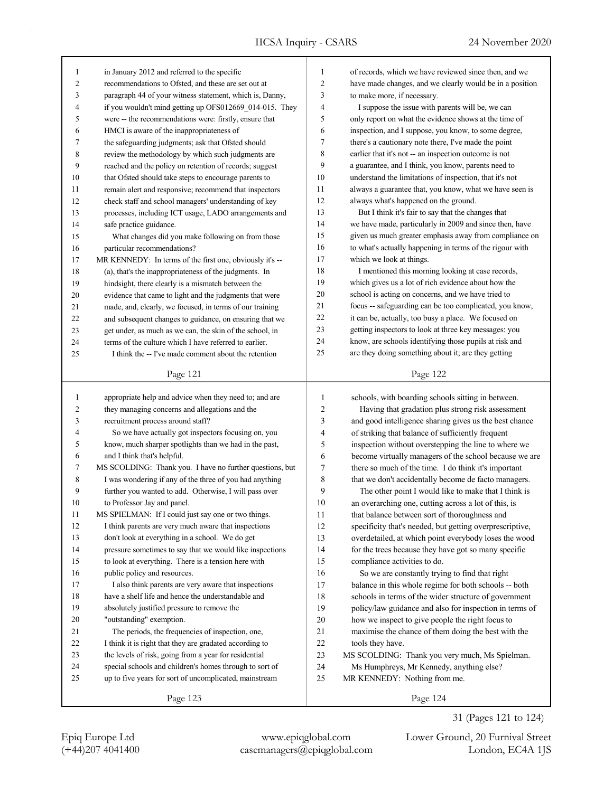| 1  | in January 2012 and referred to the specific             | 1              | of records, which we have reviewed since then, and we    |
|----|----------------------------------------------------------|----------------|----------------------------------------------------------|
| 2  | recommendations to Ofsted, and these are set out at      | $\overline{2}$ | have made changes, and we clearly would be in a position |
| 3  | paragraph 44 of your witness statement, which is, Danny, | 3              | to make more, if necessary.                              |
| 4  | if you wouldn't mind getting up OFS012669_014-015. They  | 4              | I suppose the issue with parents will be, we can         |
| 5  | were -- the recommendations were: firstly, ensure that   | 5              | only report on what the evidence shows at the time of    |
| 6  | HMCI is aware of the inappropriateness of                | 6              | inspection, and I suppose, you know, to some degree,     |
| 7  | the safeguarding judgments; ask that Ofsted should       | 7              | there's a cautionary note there, I've made the point     |
| 8  | review the methodology by which such judgments are       | 8              | earlier that it's not -- an inspection outcome is not    |
| 9  | reached and the policy on retention of records; suggest  | 9              | a guarantee, and I think, you know, parents need to      |
| 10 | that Ofsted should take steps to encourage parents to    | 10             | understand the limitations of inspection, that it's not  |
| 11 | remain alert and responsive; recommend that inspectors   | 11             | always a guarantee that, you know, what we have seen is  |
| 12 | check staff and school managers' understanding of key    | 12             | always what's happened on the ground.                    |
| 13 | processes, including ICT usage, LADO arrangements and    | 13             | But I think it's fair to say that the changes that       |
| 14 | safe practice guidance.                                  | 14             | we have made, particularly in 2009 and since then, have  |
| 15 | What changes did you make following on from those        | 15             | given us much greater emphasis away from compliance on   |
| 16 | particular recommendations?                              | 16             | to what's actually happening in terms of the rigour with |
| 17 | MR KENNEDY: In terms of the first one, obviously it's -- | 17             | which we look at things.                                 |
| 18 | (a), that's the inappropriateness of the judgments. In   | 18             | I mentioned this morning looking at case records,        |
| 19 | hindsight, there clearly is a mismatch between the       | 19             | which gives us a lot of rich evidence about how the      |
| 20 | evidence that came to light and the judgments that were  | 20             | school is acting on concerns, and we have tried to       |
| 21 | made, and, clearly, we focused, in terms of our training | 21             | focus -- safeguarding can be too complicated, you know,  |
| 22 | and subsequent changes to guidance, on ensuring that we  | 22             | it can be, actually, too busy a place. We focused on     |
| 23 | get under, as much as we can, the skin of the school, in | 23             | getting inspectors to look at three key messages: you    |
| 24 | terms of the culture which I have referred to earlier.   | 24             | know, are schools identifying those pupils at risk and   |
| 25 | I think the -- I've made comment about the retention     | 25             | are they doing something about it; are they getting      |
|    |                                                          |                |                                                          |
|    | Page 121                                                 |                | Page 122                                                 |
|    |                                                          |                |                                                          |
|    |                                                          |                |                                                          |
| 1  | appropriate help and advice when they need to; and are   | 1              | schools, with boarding schools sitting in between.       |
| 2  | they managing concerns and allegations and the           | $\mathfrak{2}$ | Having that gradation plus strong risk assessment        |
| 3  | recruitment process around staff?                        | 3              | and good intelligence sharing gives us the best chance   |
| 4  | So we have actually got inspectors focusing on, you      | 4              | of striking that balance of sufficiently frequent        |
| 5  | know, much sharper spotlights than we had in the past,   | 5              | inspection without overstepping the line to where we     |
| 6  | and I think that's helpful.                              | 6              | become virtually managers of the school because we are   |
| 7  | MS SCOLDING: Thank you. I have no further questions, but | $\tau$         | there so much of the time. I do think it's important     |
| 8  | I was wondering if any of the three of you had anything  | 8              | that we don't accidentally become de facto managers.     |
| 9  | further you wanted to add. Otherwise, I will pass over   | 9              | The other point I would like to make that I think is     |
| 10 | to Professor Jay and panel.                              | 10             | an overarching one, cutting across a lot of this, is     |
| 11 | MS SPIELMAN: If I could just say one or two things.      | 11             | that balance between sort of thoroughness and            |
| 12 | I think parents are very much aware that inspections     | 12             | specificity that's needed, but getting overprescriptive, |
| 13 | don't look at everything in a school. We do get          | 13             | overdetailed, at which point everybody loses the wood    |
| 14 | pressure sometimes to say that we would like inspections | 14             | for the trees because they have got so many specific     |
| 15 | to look at everything. There is a tension here with      | 15             | compliance activities to do.                             |
| 16 | public policy and resources.                             | 16             | So we are constantly trying to find that right           |
| 17 | I also think parents are very aware that inspections     | 17             | balance in this whole regime for both schools -- both    |
| 18 | have a shelf life and hence the understandable and       | 18             | schools in terms of the wider structure of government    |
| 19 | absolutely justified pressure to remove the              | 19             | policy/law guidance and also for inspection in terms of  |
| 20 | "outstanding" exemption.                                 | 20             | how we inspect to give people the right focus to         |
| 21 | The periods, the frequencies of inspection, one,         | 21             | maximise the chance of them doing the best with the      |
| 22 | I think it is right that they are gradated according to  | $22\,$         | tools they have.                                         |
| 23 | the levels of risk, going from a year for residential    | 23             | MS SCOLDING: Thank you very much, Ms Spielman.           |
| 24 | special schools and children's homes through to sort of  | 24             | Ms Humphreys, Mr Kennedy, anything else?                 |
| 25 | up to five years for sort of uncomplicated, mainstream   | 25             | MR KENNEDY: Nothing from me.                             |
|    | Page 123                                                 |                | Page 124                                                 |

(+44)207 4041400 casemanagers@epiqglobal.com London, EC4A 1JS Epiq Europe Ltd www.epiqglobal.com Lower Ground, 20 Furnival Street

31 (Pages 121 to 124)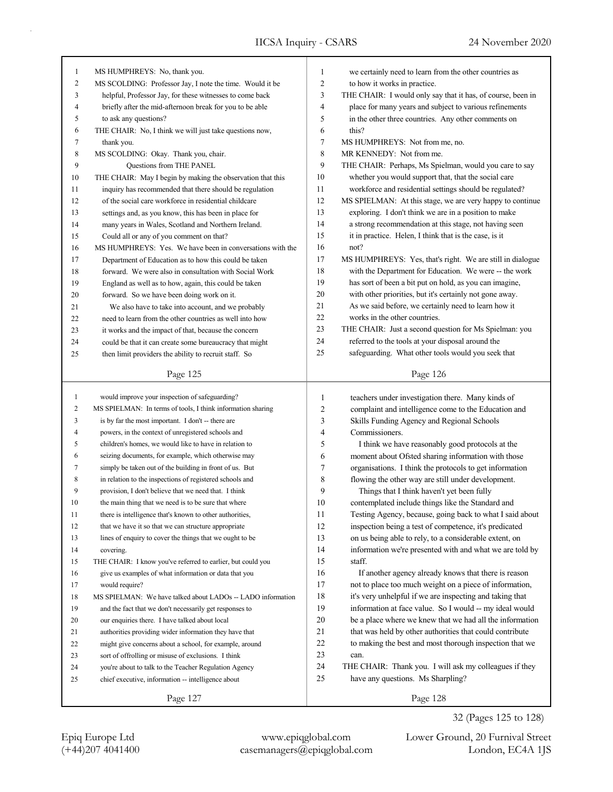| $\mathbf{1}$ | MS HUMPHREYS: No, thank you.                                             | $\mathbf{1}$ | we certainly need to learn from the other countries as         |
|--------------|--------------------------------------------------------------------------|--------------|----------------------------------------------------------------|
| 2            | MS SCOLDING: Professor Jay, I note the time. Would it be                 | 2            | to how it works in practice.                                   |
| 3            | helpful, Professor Jay, for these witnesses to come back                 | 3            | THE CHAIR: I would only say that it has, of course, been in    |
| 4            | briefly after the mid-afternoon break for you to be able                 | 4            | place for many years and subject to various refinements        |
| 5            | to ask any questions?                                                    | 5            | in the other three countries. Any other comments on            |
| 6            | THE CHAIR: No, I think we will just take questions now,                  | 6            | this?                                                          |
| 7            | thank you.                                                               | 7            | MS HUMPHREYS: Not from me, no.                                 |
| 8            | MS SCOLDING: Okay. Thank you, chair.                                     | 8            | MR KENNEDY: Not from me.                                       |
| 9            | Questions from THE PANEL                                                 | 9            | THE CHAIR: Perhaps, Ms Spielman, would you care to say         |
| 10           | THE CHAIR: May I begin by making the observation that this               | 10           | whether you would support that, that the social care           |
| 11           | inquiry has recommended that there should be regulation                  | 11           | workforce and residential settings should be regulated?        |
| 12           | of the social care workforce in residential childcare                    | 12           | MS SPIELMAN: At this stage, we are very happy to continue      |
| 13           | settings and, as you know, this has been in place for                    | 13           | exploring. I don't think we are in a position to make          |
| 14           | many years in Wales, Scotland and Northern Ireland.                      | 14           | a strong recommendation at this stage, not having seen         |
| 15           | Could all or any of you comment on that?                                 | 15           | it in practice. Helen, I think that is the case, is it         |
| 16           | MS HUMPHREYS: Yes. We have been in conversations with the                | 16           | not?                                                           |
| 17           | Department of Education as to how this could be taken                    | 17           | MS HUMPHREYS: Yes, that's right. We are still in dialogue      |
| 18           | forward. We were also in consultation with Social Work                   | 18           | with the Department for Education. We were -- the work         |
| 19           | England as well as to how, again, this could be taken                    | 19           | has sort of been a bit put on hold, as you can imagine,        |
| 20           | forward. So we have been doing work on it.                               | 20           | with other priorities, but it's certainly not gone away.       |
| 21           | We also have to take into account, and we probably                       | 21           | As we said before, we certainly need to learn how it           |
| 22           | need to learn from the other countries as well into how                  | 22           | works in the other countries.                                  |
| 23           | it works and the impact of that, because the concern                     | 23           | THE CHAIR: Just a second question for Ms Spielman: you         |
| 24           | could be that it can create some bureaucracy that might                  | 24           | referred to the tools at your disposal around the              |
| 25           | then limit providers the ability to recruit staff. So                    | 25           | safeguarding. What other tools would you seek that             |
|              | Page 125                                                                 |              | Page 126                                                       |
| $\mathbf{1}$ | would improve your inspection of safeguarding?                           | $\mathbf{1}$ | teachers under investigation there. Many kinds of              |
| 2            | MS SPIELMAN: In terms of tools, I think information sharing              | 2            | complaint and intelligence come to the Education and           |
| 3            | is by far the most important. I don't -- there are                       | 3            | Skills Funding Agency and Regional Schools                     |
| 4            | powers, in the context of unregistered schools and                       | 4            | Commissioners.                                                 |
| 5            | children's homes, we would like to have in relation to                   | 5            | I think we have reasonably good protocols at the               |
| 6            | seizing documents, for example, which otherwise may                      | 6            | moment about Ofsted sharing information with those             |
| 7            | simply be taken out of the building in front of us. But                  | 7            | organisations. I think the protocols to get information        |
| 8            | in relation to the inspections of registered schools and                 | 8            | flowing the other way are still under development.             |
| 9            | provision, I don't believe that we need that. I think                    | 9            | Things that I think haven't yet been fully                     |
| 10           | the main thing that we need is to be sure that where                     | 10           | contemplated include things like the Standard and              |
| 11           | there is intelligence that's known to other authorities,                 | 11           | Testing Agency, because, going back to what I said about       |
| 12           | that we have it so that we can structure appropriate                     | 12           | inspection being a test of competence, it's predicated         |
| 13           | lines of enquiry to cover the things that we ought to be                 | 13           | on us being able to rely, to a considerable extent, on         |
| 14           |                                                                          | 14           | information we're presented with and what we are told by       |
|              | covering.<br>THE CHAIR: I know you've referred to earlier, but could you | 15           | staff.                                                         |
| 15           | give us examples of what information or data that you                    | 16           | If another agency already knows that there is reason           |
| 16           |                                                                          | 17           | not to place too much weight on a piece of information,        |
| 17           | would require?                                                           | 18           | it's very unhelpful if we are inspecting and taking that       |
| 18           | MS SPIELMAN: We have talked about LADOs -- LADO information              | 19           |                                                                |
| 19           | and the fact that we don't necessarily get responses to                  |              | information at face value. So I would -- my ideal would        |
| 20           | our enquiries there. I have talked about local                           | 20           | be a place where we knew that we had all the information       |
| 21           | authorities providing wider information they have that                   | $21\,$       | that was held by other authorities that could contribute       |
| 22           | might give concerns about a school, for example, around                  | 22           | to making the best and most thorough inspection that we        |
| 23           | sort of offrolling or misuse of exclusions. I think                      | 23<br>24     | can.<br>THE CHAIR: Thank you. I will ask my colleagues if they |
| 24           |                                                                          |              |                                                                |
|              | you're about to talk to the Teacher Regulation Agency                    |              |                                                                |
| 25           | chief executive, information -- intelligence about<br>Page 127           | 25           | have any questions. Ms Sharpling?<br>Page 128                  |

(+44)207 4041400 casemanagers@epiqglobal.com London, EC4A 1JS

Epiq Europe Ltd www.epiqglobal.com Lower Ground, 20 Furnival Street

32 (Pages 125 to 128)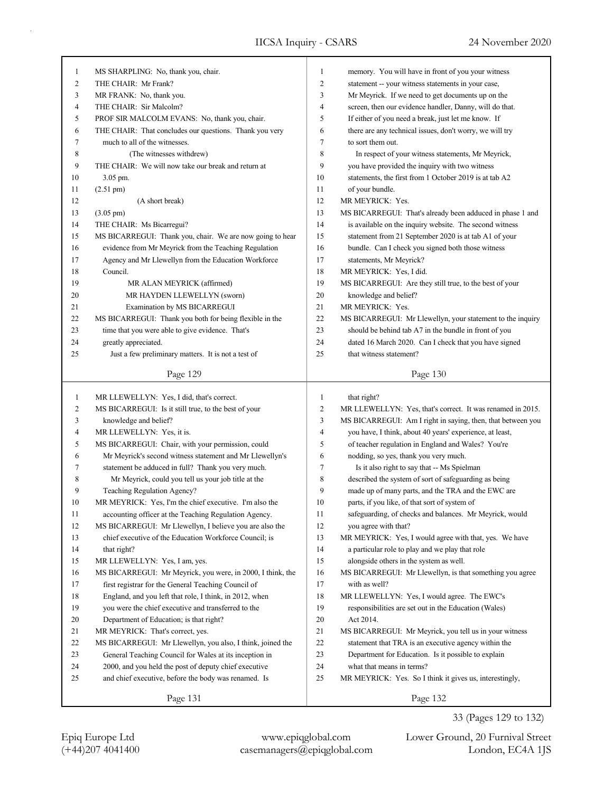| $\mathbf{1}$             | MS SHARPLING: No, thank you, chair.                        | 1              | memory. You will have in front of you your witness          |
|--------------------------|------------------------------------------------------------|----------------|-------------------------------------------------------------|
|                          |                                                            | $\overline{c}$ |                                                             |
| $\overline{c}$           | THE CHAIR: Mr Frank?                                       |                | statement -- your witness statements in your case,          |
| 3                        | MR FRANK: No, thank you.                                   | 3              | Mr Meyrick. If we need to get documents up on the           |
| 4                        | THE CHAIR: Sir Malcolm?                                    | 4              | screen, then our evidence handler, Danny, will do that.     |
| 5                        | PROF SIR MALCOLM EVANS: No, thank you, chair.              | 5              | If either of you need a break, just let me know. If         |
| 6                        | THE CHAIR: That concludes our questions. Thank you very    | 6              | there are any technical issues, don't worry, we will try    |
| 7                        | much to all of the witnesses.                              | 7              | to sort them out.                                           |
| 8                        | (The witnesses withdrew)                                   | 8              | In respect of your witness statements, Mr Meyrick,          |
| 9                        | THE CHAIR: We will now take our break and return at        | 9              | you have provided the inquiry with two witness              |
| 10                       | 3.05 pm.                                                   | 10             | statements, the first from 1 October 2019 is at tab A2      |
| 11                       | $(2.51 \text{ pm})$                                        | 11             | of your bundle.                                             |
| 12                       | (A short break)                                            | 12             | MR MEYRICK: Yes.                                            |
| 13                       | $(3.05 \text{ pm})$                                        | 13             | MS BICARREGUI: That's already been adduced in phase 1 and   |
| 14                       | THE CHAIR: Ms Bicarregui?                                  | 14             | is available on the inquiry website. The second witness     |
| 15                       | MS BICARREGUI: Thank you, chair. We are now going to hear  | 15             | statement from 21 September 2020 is at tab A1 of your       |
| 16                       | evidence from Mr Meyrick from the Teaching Regulation      | 16             | bundle. Can I check you signed both those witness           |
| 17                       | Agency and Mr Llewellyn from the Education Workforce       | 17             | statements, Mr Meyrick?                                     |
| 18                       | Council.                                                   | 18             | MR MEYRICK: Yes, I did.                                     |
| 19                       | MR ALAN MEYRICK (affirmed)                                 | 19             | MS BICARREGUI: Are they still true, to the best of your     |
| 20                       | MR HAYDEN LLEWELLYN (sworn)                                | 20             | knowledge and belief?                                       |
| 21                       | Examination by MS BICARREGUI                               | 21             | MR MEYRICK: Yes.                                            |
| 22                       | MS BICARREGUI: Thank you both for being flexible in the    | 22             | MS BICARREGUI: Mr Llewellyn, your statement to the inquiry  |
| 23                       | time that you were able to give evidence. That's           | 23             | should be behind tab A7 in the bundle in front of you       |
| 24                       | greatly appreciated.                                       | 24             | dated 16 March 2020. Can I check that you have signed       |
| 25                       | Just a few preliminary matters. It is not a test of        | 25             | that witness statement?                                     |
|                          |                                                            |                |                                                             |
|                          | Page 129                                                   |                | Page 130                                                    |
|                          |                                                            |                |                                                             |
|                          |                                                            | $\mathbf{1}$   |                                                             |
| $\mathbf{1}$             | MR LLEWELLYN: Yes, I did, that's correct.                  |                | that right?                                                 |
| $\overline{c}$           | MS BICARREGUI: Is it still true, to the best of your       | $\overline{c}$ | MR LLEWELLYN: Yes, that's correct. It was renamed in 2015.  |
| 3                        | knowledge and belief?                                      | 3              | MS BICARREGUI: Am I right in saying, then, that between you |
| $\overline{\mathcal{A}}$ | MR LLEWELLYN: Yes, it is.                                  | $\overline{4}$ | you have, I think, about 40 years' experience, at least,    |
| 5                        | MS BICARREGUI: Chair, with your permission, could          | 5              | of teacher regulation in England and Wales? You're          |
| 6                        | Mr Meyrick's second witness statement and Mr Llewellyn's   | 6              | nodding, so yes, thank you very much.                       |
| 7                        | statement be adduced in full? Thank you very much.         | 7              | Is it also right to say that -- Ms Spielman                 |
| 8                        | Mr Meyrick, could you tell us your job title at the        | 8              | described the system of sort of safeguarding as being       |
| 9                        | Teaching Regulation Agency?                                | 9              | made up of many parts, and the TRA and the EWC are          |
| 10                       | MR MEYRICK: Yes, I'm the chief executive. I'm also the     | 10             | parts, if you like, of that sort of system of               |
| 11                       | accounting officer at the Teaching Regulation Agency.      | 11             | safeguarding, of checks and balances. Mr Meyrick, would     |
| 12                       | MS BICARREGUI: Mr Llewellyn, I believe you are also the    | 12             | you agree with that?                                        |
| 13                       | chief executive of the Education Workforce Council; is     | 13             | MR MEYRICK: Yes, I would agree with that, yes. We have      |
| 14                       | that right?                                                | 14             | a particular role to play and we play that role             |
| 15                       | MR LLEWELLYN: Yes, I am, yes.                              | 15             | alongside others in the system as well.                     |
| 16                       | MS BICARREGUI: Mr Meyrick, you were, in 2000, I think, the | 16             | MS BICARREGUI: Mr Llewellyn, is that something you agree    |
| 17                       | first registrar for the General Teaching Council of        | 17             | with as well?                                               |
| $18\,$                   | England, and you left that role, I think, in 2012, when    | 18             | MR LLEWELLYN: Yes, I would agree. The EWC's                 |
| 19                       | you were the chief executive and transferred to the        | 19             | responsibilities are set out in the Education (Wales)       |
| $20\,$                   | Department of Education; is that right?                    | 20             | Act 2014.                                                   |
| 21                       | MR MEYRICK: That's correct, yes.                           | 21             | MS BICARREGUI: Mr Meyrick, you tell us in your witness      |
| 22                       | MS BICARREGUI: Mr Llewellyn, you also, I think, joined the | 22             | statement that TRA is an executive agency within the        |
| 23                       | General Teaching Council for Wales at its inception in     | 23             | Department for Education. Is it possible to explain         |
| 24                       | 2000, and you held the post of deputy chief executive      | 24             | what that means in terms?                                   |
| 25                       | and chief executive, before the body was renamed. Is       | 25             | MR MEYRICK: Yes. So I think it gives us, interestingly,     |

33 (Pages 129 to 132)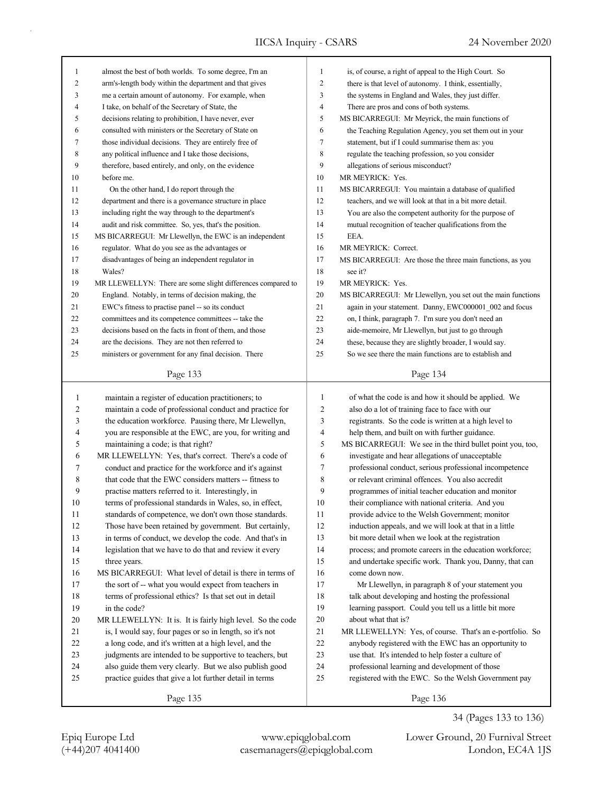| $\mathbf{1}$ | almost the best of both worlds. To some degree, I'm an      | $\mathbf{1}$ | is, of course, a right of appeal to the High Court. So      |
|--------------|-------------------------------------------------------------|--------------|-------------------------------------------------------------|
| 2            | arm's-length body within the department and that gives      | 2            | there is that level of autonomy. I think, essentially,      |
| 3            | me a certain amount of autonomy. For example, when          | 3            | the systems in England and Wales, they just differ.         |
| 4            | I take, on behalf of the Secretary of State, the            | 4            | There are pros and cons of both systems.                    |
| 5            | decisions relating to prohibition, I have never, ever       | 5            | MS BICARREGUI: Mr Meyrick, the main functions of            |
| 6            | consulted with ministers or the Secretary of State on       | 6            | the Teaching Regulation Agency, you set them out in your    |
| 7            | those individual decisions. They are entirely free of       | 7            | statement, but if I could summarise them as: you            |
| 8            | any political influence and I take those decisions,         | 8            | regulate the teaching profession, so you consider           |
| 9            | therefore, based entirely, and only, on the evidence        | 9            | allegations of serious misconduct?                          |
| 10           | before me.                                                  | 10           | MR MEYRICK: Yes.                                            |
| 11           | On the other hand, I do report through the                  | 11           | MS BICARREGUI: You maintain a database of qualified         |
| 12           | department and there is a governance structure in place     | 12           | teachers, and we will look at that in a bit more detail.    |
| 13           | including right the way through to the department's         | 13           | You are also the competent authority for the purpose of     |
| 14           | audit and risk committee. So, yes, that's the position.     | 14           | mutual recognition of teacher qualifications from the       |
| 15           | MS BICARREGUI: Mr Llewellyn, the EWC is an independent      | 15           | EEA.                                                        |
| 16           | regulator. What do you see as the advantages or             | 16           | MR MEYRICK: Correct.                                        |
| 17           | disadvantages of being an independent regulator in          | 17           | MS BICARREGUI: Are those the three main functions, as you   |
| 18           | Wales?                                                      | 18           | see it?                                                     |
| 19           | MR LLEWELLYN: There are some slight differences compared to | 19           | MR MEYRICK: Yes.                                            |
| 20           | England. Notably, in terms of decision making, the          | 20           | MS BICARREGUI: Mr Llewellyn, you set out the main functions |
| 21           | EWC's fitness to practise panel -- so its conduct           | 21           | again in your statement. Danny, EWC000001 002 and focus     |
| 22           | committees and its competence committees -- take the        | 22           | on, I think, paragraph 7. I'm sure you don't need an        |
| 23           | decisions based on the facts in front of them, and those    | 23           | aide-memoire, Mr Llewellyn, but just to go through          |
| 24           | are the decisions. They are not then referred to            | 24           | these, because they are slightly broader, I would say.      |
| 25           | ministers or government for any final decision. There       | 25           | So we see there the main functions are to establish and     |
|              |                                                             |              |                                                             |
|              | Page 133                                                    |              | Page 134                                                    |
|              |                                                             |              |                                                             |
|              |                                                             |              |                                                             |
| 1            | maintain a register of education practitioners; to          | $\mathbf{1}$ | of what the code is and how it should be applied. We        |
| 2            | maintain a code of professional conduct and practice for    | 2            | also do a lot of training face to face with our             |
| 3            | the education workforce. Pausing there, Mr Llewellyn,       | 3            | registrants. So the code is written at a high level to      |
| 4            | you are responsible at the EWC, are you, for writing and    | 4            | help them, and built on with further guidance.              |
| 5            | maintaining a code; is that right?                          | 5            | MS BICARREGUI: We see in the third bullet point you, too,   |
| 6            | MR LLEWELLYN: Yes, that's correct. There's a code of        | 6            | investigate and hear allegations of unacceptable            |
| 7            | conduct and practice for the workforce and it's against     | 7            | professional conduct, serious professional incompetence     |
| 8            | that code that the EWC considers matters -- fitness to      | $\,$ 8 $\,$  | or relevant criminal offences. You also accredit            |
| 9            | practise matters referred to it. Interestingly, in          | 9            | programmes of initial teacher education and monitor         |
| 10           | terms of professional standards in Wales, so, in effect,    | 10           | their compliance with national criteria. And you            |
| 11           | standards of competence, we don't own those standards.      | 11           | provide advice to the Welsh Government; monitor             |
| 12           | Those have been retained by government. But certainly,      | 12           | induction appeals, and we will look at that in a little     |
| 13           | in terms of conduct, we develop the code. And that's in     | 13           | bit more detail when we look at the registration            |
| 14           | legislation that we have to do that and review it every     | 14           | process; and promote careers in the education workforce;    |
| 15           | three years.                                                | 15           | and undertake specific work. Thank you, Danny, that can     |
| 16           | MS BICARREGUI: What level of detail is there in terms of    | 16           | come down now.                                              |
| 17           | the sort of -- what you would expect from teachers in       | 17           | Mr Llewellyn, in paragraph 8 of your statement you          |
| 18           | terms of professional ethics? Is that set out in detail     | 18           | talk about developing and hosting the professional          |
| 19           | in the code?                                                | 19           | learning passport. Could you tell us a little bit more      |
| 20           | MR LLEWELLYN: It is. It is fairly high level. So the code   | $20\,$       | about what that is?                                         |
| 21           | is, I would say, four pages or so in length, so it's not    | 21           | MR LLEWELLYN: Yes, of course. That's an e-portfolio. So     |
| 22           | a long code, and it's written at a high level, and the      | 22           | anybody registered with the EWC has an opportunity to       |
| 23           | judgments are intended to be supportive to teachers, but    | 23           | use that. It's intended to help foster a culture of         |
| 24           | also guide them very clearly. But we also publish good      | 24           | professional learning and development of those              |
| 25           | practice guides that give a lot further detail in terms     | 25           | registered with the EWC. So the Welsh Government pay        |

(+44)207 4041400 casemanagers@epiqglobal.com London, EC4A 1JS Epiq Europe Ltd www.epiqglobal.com Lower Ground, 20 Furnival Street

34 (Pages 133 to 136)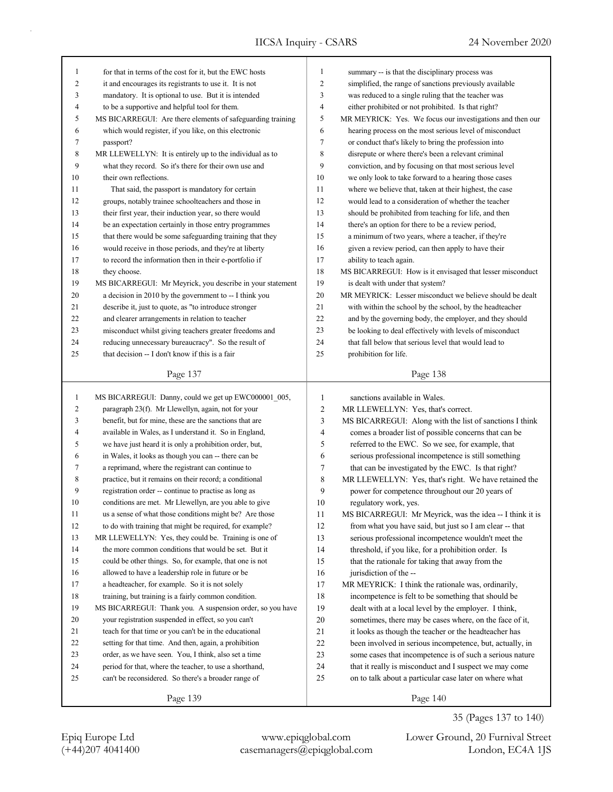| 1              | for that in terms of the cost for it, but the EWC hosts    | $\mathbf{1}$   | summary -- is that the disciplinary process was           |
|----------------|------------------------------------------------------------|----------------|-----------------------------------------------------------|
| $\overline{c}$ | it and encourages its registrants to use it. It is not     | $\overline{c}$ | simplified, the range of sanctions previously available   |
| 3              | mandatory. It is optional to use. But it is intended       | 3              | was reduced to a single ruling that the teacher was       |
| $\overline{4}$ | to be a supportive and helpful tool for them.              | $\overline{4}$ | either prohibited or not prohibited. Is that right?       |
| 5              | MS BICARREGUI: Are there elements of safeguarding training | 5              | MR MEYRICK: Yes. We focus our investigations and then our |
| 6              | which would register, if you like, on this electronic      | 6              | hearing process on the most serious level of misconduct   |
| 7              | passport?                                                  | 7              | or conduct that's likely to bring the profession into     |
| 8              | MR LLEWELLYN: It is entirely up to the individual as to    | 8              | disrepute or where there's been a relevant criminal       |
| 9              | what they record. So it's there for their own use and      | 9              | conviction, and by focusing on that most serious level    |
| 10             | their own reflections.                                     | 10             | we only look to take forward to a hearing those cases     |
| 11             | That said, the passport is mandatory for certain           | 11             | where we believe that, taken at their highest, the case   |
| 12             | groups, notably trainee schoolteachers and those in        | 12             | would lead to a consideration of whether the teacher      |
| 13             | their first year, their induction year, so there would     | 13             | should be prohibited from teaching for life, and then     |
| 14             | be an expectation certainly in those entry programmes      | 14             | there's an option for there to be a review period,        |
| 15             | that there would be some safeguarding training that they   | 15             | a minimum of two years, where a teacher, if they're       |
| 16             | would receive in those periods, and they're at liberty     | 16             | given a review period, can then apply to have their       |
| 17             | to record the information then in their e-portfolio if     | 17             | ability to teach again.                                   |
| 18             | they choose.                                               | 18             | MS BICARREGUI: How is it envisaged that lesser misconduct |
| 19             | MS BICARREGUI: Mr Meyrick, you describe in your statement  | 19             | is dealt with under that system?                          |
| 20             | a decision in 2010 by the government to -- I think you     | 20             | MR MEYRICK: Lesser misconduct we believe should be dealt  |
| 21             | describe it, just to quote, as "to introduce stronger      | 21             | with within the school by the school, by the headteacher  |
| 22             | and clearer arrangements in relation to teacher            | 22             | and by the governing body, the employer, and they should  |
| 23             | misconduct whilst giving teachers greater freedoms and     | 23             | be looking to deal effectively with levels of misconduct  |
| 24             | reducing unnecessary bureaucracy". So the result of        | 24             | that fall below that serious level that would lead to     |
| 25             | that decision -- I don't know if this is a fair            | 25             | prohibition for life.                                     |
|                |                                                            |                |                                                           |
|                | Page 137                                                   |                | Page 138                                                  |
|                |                                                            |                |                                                           |
|                |                                                            |                |                                                           |
| $\mathbf{1}$   | MS BICARREGUI: Danny, could we get up EWC000001_005,       | $\mathbf{1}$   | sanctions available in Wales.                             |
| $\overline{c}$ | paragraph 23(f). Mr Llewellyn, again, not for your         | $\overline{2}$ | MR LLEWELLYN: Yes, that's correct.                        |
| 3              | benefit, but for mine, these are the sanctions that are    | 3              | MS BICARREGUI: Along with the list of sanctions I think   |
| $\overline{4}$ | available in Wales, as I understand it. So in England,     | $\overline{4}$ | comes a broader list of possible concerns that can be     |
| 5              | we have just heard it is only a prohibition order, but,    | 5              | referred to the EWC. So we see, for example, that         |
| 6              | in Wales, it looks as though you can -- there can be       | 6              | serious professional incompetence is still something      |
| 7              | a reprimand, where the registrant can continue to          | $\tau$         | that can be investigated by the EWC. Is that right?       |
| 8              | practice, but it remains on their record; a conditional    | $\,$ 8 $\,$    | MR LLEWELLYN: Yes, that's right. We have retained the     |
| 9              | registration order -- continue to practise as long as      | 9              | power for competence throughout our 20 years of           |
| 10             | conditions are met. Mr Llewellyn, are you able to give     | 10             | regulatory work, yes.                                     |
| 11             | us a sense of what those conditions might be? Are those    | 11             | MS BICARREGUI: Mr Meyrick, was the idea -- I think it is  |
| 12             | to do with training that might be required, for example?   | 12             | from what you have said, but just so I am clear -- that   |
| 13             | MR LLEWELLYN: Yes, they could be. Training is one of       | 13             | serious professional incompetence wouldn't meet the       |
| 14             | the more common conditions that would be set. But it       | 14             | threshold, if you like, for a prohibition order. Is       |
| 15             | could be other things. So, for example, that one is not    | 15             | that the rationale for taking that away from the          |
| 16             | allowed to have a leadership role in future or be          | 16             | jurisdiction of the --                                    |
| 17             | a headteacher, for example. So it is not solely            | 17             | MR MEYRICK: I think the rationale was, ordinarily,        |
| 18             | training, but training is a fairly common condition.       | 18             | incompetence is felt to be something that should be       |
| 19             | MS BICARREGUI: Thank you. A suspension order, so you have  | 19             | dealt with at a local level by the employer. I think,     |
| $20\,$         | your registration suspended in effect, so you can't        | 20             | sometimes, there may be cases where, on the face of it,   |
| 21             | teach for that time or you can't be in the educational     | 21             | it looks as though the teacher or the headteacher has     |
| 22             | setting for that time. And then, again, a prohibition      | 22             | been involved in serious incompetence, but, actually, in  |
| 23             | order, as we have seen. You, I think, also set a time      | 23             | some cases that incompetence is of such a serious nature  |
| 24             | period for that, where the teacher, to use a shorthand,    | 24             | that it really is misconduct and I suspect we may come    |
| 25             | can't be reconsidered. So there's a broader range of       | 25             | on to talk about a particular case later on where what    |

Page 140

35 (Pages 137 to 140)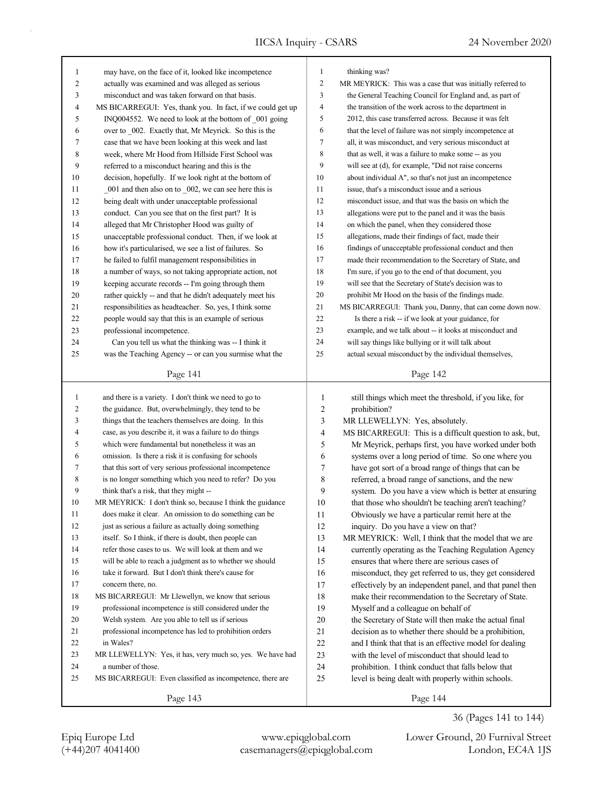| $\mathbf{1}$<br>2<br>3<br>4<br>5<br>6<br>7<br>8<br>9<br>10<br>11<br>12<br>13<br>14<br>15<br>16<br>17 | may have, on the face of it, looked like incompetence<br>actually was examined and was alleged as serious<br>misconduct and was taken forward on that basis.<br>MS BICARREGUI: Yes, thank you. In fact, if we could get up<br>INQ004552. We need to look at the bottom of _001 going<br>over to 002. Exactly that, Mr Meyrick. So this is the<br>case that we have been looking at this week and last<br>week, where Mr Hood from Hillside First School was<br>referred to a misconduct hearing and this is the<br>decision, hopefully. If we look right at the bottom of<br>001 and then also on to 002, we can see here this is<br>being dealt with under unacceptable professional<br>conduct. Can you see that on the first part? It is<br>alleged that Mr Christopher Hood was guilty of<br>unacceptable professional conduct. Then, if we look at<br>how it's particularised, we see a list of failures. So<br>he failed to fulfil management responsibilities in | $\mathbf{1}$<br>$\overline{c}$<br>3<br>4<br>5<br>6<br>$\tau$<br>8<br>9<br>10<br>11<br>12<br>13<br>14<br>15<br>16<br>17 | thinking was?<br>MR MEYRICK: This was a case that was initially referred to<br>the General Teaching Council for England and, as part of<br>the transition of the work across to the department in<br>2012, this case transferred across. Because it was felt<br>that the level of failure was not simply incompetence at<br>all, it was misconduct, and very serious misconduct at<br>that as well, it was a failure to make some -- as you<br>will see at (d), for example, "Did not raise concerns<br>about individual A", so that's not just an incompetence<br>issue, that's a misconduct issue and a serious<br>misconduct issue, and that was the basis on which the<br>allegations were put to the panel and it was the basis<br>on which the panel, when they considered those<br>allegations, made their findings of fact, made their<br>findings of unacceptable professional conduct and then<br>made their recommendation to the Secretary of State, and |
|------------------------------------------------------------------------------------------------------|-------------------------------------------------------------------------------------------------------------------------------------------------------------------------------------------------------------------------------------------------------------------------------------------------------------------------------------------------------------------------------------------------------------------------------------------------------------------------------------------------------------------------------------------------------------------------------------------------------------------------------------------------------------------------------------------------------------------------------------------------------------------------------------------------------------------------------------------------------------------------------------------------------------------------------------------------------------------------|------------------------------------------------------------------------------------------------------------------------|----------------------------------------------------------------------------------------------------------------------------------------------------------------------------------------------------------------------------------------------------------------------------------------------------------------------------------------------------------------------------------------------------------------------------------------------------------------------------------------------------------------------------------------------------------------------------------------------------------------------------------------------------------------------------------------------------------------------------------------------------------------------------------------------------------------------------------------------------------------------------------------------------------------------------------------------------------------------|
| 18                                                                                                   | a number of ways, so not taking appropriate action, not                                                                                                                                                                                                                                                                                                                                                                                                                                                                                                                                                                                                                                                                                                                                                                                                                                                                                                                 | 18                                                                                                                     | I'm sure, if you go to the end of that document, you                                                                                                                                                                                                                                                                                                                                                                                                                                                                                                                                                                                                                                                                                                                                                                                                                                                                                                                 |
| 19                                                                                                   | keeping accurate records -- I'm going through them                                                                                                                                                                                                                                                                                                                                                                                                                                                                                                                                                                                                                                                                                                                                                                                                                                                                                                                      | 19                                                                                                                     | will see that the Secretary of State's decision was to                                                                                                                                                                                                                                                                                                                                                                                                                                                                                                                                                                                                                                                                                                                                                                                                                                                                                                               |
| 20                                                                                                   | rather quickly -- and that he didn't adequately meet his                                                                                                                                                                                                                                                                                                                                                                                                                                                                                                                                                                                                                                                                                                                                                                                                                                                                                                                | 20                                                                                                                     | prohibit Mr Hood on the basis of the findings made.                                                                                                                                                                                                                                                                                                                                                                                                                                                                                                                                                                                                                                                                                                                                                                                                                                                                                                                  |
| 21                                                                                                   | responsibilities as headteacher. So, yes, I think some                                                                                                                                                                                                                                                                                                                                                                                                                                                                                                                                                                                                                                                                                                                                                                                                                                                                                                                  | 21                                                                                                                     | MS BICARREGUI: Thank you, Danny, that can come down now.                                                                                                                                                                                                                                                                                                                                                                                                                                                                                                                                                                                                                                                                                                                                                                                                                                                                                                             |
| 22                                                                                                   | people would say that this is an example of serious                                                                                                                                                                                                                                                                                                                                                                                                                                                                                                                                                                                                                                                                                                                                                                                                                                                                                                                     | 22                                                                                                                     | Is there a risk -- if we look at your guidance, for                                                                                                                                                                                                                                                                                                                                                                                                                                                                                                                                                                                                                                                                                                                                                                                                                                                                                                                  |
| 23                                                                                                   | professional incompetence.                                                                                                                                                                                                                                                                                                                                                                                                                                                                                                                                                                                                                                                                                                                                                                                                                                                                                                                                              | 23                                                                                                                     | example, and we talk about -- it looks at misconduct and                                                                                                                                                                                                                                                                                                                                                                                                                                                                                                                                                                                                                                                                                                                                                                                                                                                                                                             |
| 24                                                                                                   | Can you tell us what the thinking was -- I think it                                                                                                                                                                                                                                                                                                                                                                                                                                                                                                                                                                                                                                                                                                                                                                                                                                                                                                                     | 24                                                                                                                     | will say things like bullying or it will talk about                                                                                                                                                                                                                                                                                                                                                                                                                                                                                                                                                                                                                                                                                                                                                                                                                                                                                                                  |
| 25                                                                                                   | was the Teaching Agency -- or can you surmise what the                                                                                                                                                                                                                                                                                                                                                                                                                                                                                                                                                                                                                                                                                                                                                                                                                                                                                                                  | 25                                                                                                                     | actual sexual misconduct by the individual themselves,                                                                                                                                                                                                                                                                                                                                                                                                                                                                                                                                                                                                                                                                                                                                                                                                                                                                                                               |
|                                                                                                      | Page 141                                                                                                                                                                                                                                                                                                                                                                                                                                                                                                                                                                                                                                                                                                                                                                                                                                                                                                                                                                |                                                                                                                        | Page 142                                                                                                                                                                                                                                                                                                                                                                                                                                                                                                                                                                                                                                                                                                                                                                                                                                                                                                                                                             |
|                                                                                                      |                                                                                                                                                                                                                                                                                                                                                                                                                                                                                                                                                                                                                                                                                                                                                                                                                                                                                                                                                                         |                                                                                                                        |                                                                                                                                                                                                                                                                                                                                                                                                                                                                                                                                                                                                                                                                                                                                                                                                                                                                                                                                                                      |
|                                                                                                      |                                                                                                                                                                                                                                                                                                                                                                                                                                                                                                                                                                                                                                                                                                                                                                                                                                                                                                                                                                         |                                                                                                                        |                                                                                                                                                                                                                                                                                                                                                                                                                                                                                                                                                                                                                                                                                                                                                                                                                                                                                                                                                                      |
| $\mathbf{1}$                                                                                         | and there is a variety. I don't think we need to go to                                                                                                                                                                                                                                                                                                                                                                                                                                                                                                                                                                                                                                                                                                                                                                                                                                                                                                                  | $\mathbf{1}$                                                                                                           | still things which meet the threshold, if you like, for                                                                                                                                                                                                                                                                                                                                                                                                                                                                                                                                                                                                                                                                                                                                                                                                                                                                                                              |
| 2                                                                                                    | the guidance. But, overwhelmingly, they tend to be                                                                                                                                                                                                                                                                                                                                                                                                                                                                                                                                                                                                                                                                                                                                                                                                                                                                                                                      | $\overline{\mathbf{c}}$                                                                                                | prohibition?                                                                                                                                                                                                                                                                                                                                                                                                                                                                                                                                                                                                                                                                                                                                                                                                                                                                                                                                                         |
| 3<br>4                                                                                               | things that the teachers themselves are doing. In this                                                                                                                                                                                                                                                                                                                                                                                                                                                                                                                                                                                                                                                                                                                                                                                                                                                                                                                  | 3<br>4                                                                                                                 | MR LLEWELLYN: Yes, absolutely.                                                                                                                                                                                                                                                                                                                                                                                                                                                                                                                                                                                                                                                                                                                                                                                                                                                                                                                                       |
| 5                                                                                                    | case, as you describe it, it was a failure to do things<br>which were fundamental but nonetheless it was an                                                                                                                                                                                                                                                                                                                                                                                                                                                                                                                                                                                                                                                                                                                                                                                                                                                             | 5                                                                                                                      | MS BICARREGUI: This is a difficult question to ask, but,                                                                                                                                                                                                                                                                                                                                                                                                                                                                                                                                                                                                                                                                                                                                                                                                                                                                                                             |
| 6                                                                                                    | omission. Is there a risk it is confusing for schools                                                                                                                                                                                                                                                                                                                                                                                                                                                                                                                                                                                                                                                                                                                                                                                                                                                                                                                   | 6                                                                                                                      | Mr Meyrick, perhaps first, you have worked under both<br>systems over a long period of time. So one where you                                                                                                                                                                                                                                                                                                                                                                                                                                                                                                                                                                                                                                                                                                                                                                                                                                                        |
| 7                                                                                                    | that this sort of very serious professional incompetence                                                                                                                                                                                                                                                                                                                                                                                                                                                                                                                                                                                                                                                                                                                                                                                                                                                                                                                | 7                                                                                                                      | have got sort of a broad range of things that can be                                                                                                                                                                                                                                                                                                                                                                                                                                                                                                                                                                                                                                                                                                                                                                                                                                                                                                                 |
| 8                                                                                                    | is no longer something which you need to refer? Do you                                                                                                                                                                                                                                                                                                                                                                                                                                                                                                                                                                                                                                                                                                                                                                                                                                                                                                                  | 8                                                                                                                      | referred, a broad range of sanctions, and the new                                                                                                                                                                                                                                                                                                                                                                                                                                                                                                                                                                                                                                                                                                                                                                                                                                                                                                                    |
| 9                                                                                                    | think that's a risk, that they might --                                                                                                                                                                                                                                                                                                                                                                                                                                                                                                                                                                                                                                                                                                                                                                                                                                                                                                                                 | 9                                                                                                                      | system. Do you have a view which is better at ensuring                                                                                                                                                                                                                                                                                                                                                                                                                                                                                                                                                                                                                                                                                                                                                                                                                                                                                                               |
| 10                                                                                                   | MR MEYRICK: I don't think so, because I think the guidance                                                                                                                                                                                                                                                                                                                                                                                                                                                                                                                                                                                                                                                                                                                                                                                                                                                                                                              | 10                                                                                                                     | that those who shouldn't be teaching aren't teaching?                                                                                                                                                                                                                                                                                                                                                                                                                                                                                                                                                                                                                                                                                                                                                                                                                                                                                                                |
| 11                                                                                                   | does make it clear. An omission to do something can be                                                                                                                                                                                                                                                                                                                                                                                                                                                                                                                                                                                                                                                                                                                                                                                                                                                                                                                  | 11                                                                                                                     | Obviously we have a particular remit here at the                                                                                                                                                                                                                                                                                                                                                                                                                                                                                                                                                                                                                                                                                                                                                                                                                                                                                                                     |
| 12                                                                                                   | just as serious a failure as actually doing something                                                                                                                                                                                                                                                                                                                                                                                                                                                                                                                                                                                                                                                                                                                                                                                                                                                                                                                   | 12                                                                                                                     | inquiry. Do you have a view on that?                                                                                                                                                                                                                                                                                                                                                                                                                                                                                                                                                                                                                                                                                                                                                                                                                                                                                                                                 |
| 13                                                                                                   | itself. So I think, if there is doubt, then people can                                                                                                                                                                                                                                                                                                                                                                                                                                                                                                                                                                                                                                                                                                                                                                                                                                                                                                                  | 13                                                                                                                     | MR MEYRICK: Well, I think that the model that we are                                                                                                                                                                                                                                                                                                                                                                                                                                                                                                                                                                                                                                                                                                                                                                                                                                                                                                                 |
| 14                                                                                                   | refer those cases to us. We will look at them and we                                                                                                                                                                                                                                                                                                                                                                                                                                                                                                                                                                                                                                                                                                                                                                                                                                                                                                                    | 14                                                                                                                     | currently operating as the Teaching Regulation Agency                                                                                                                                                                                                                                                                                                                                                                                                                                                                                                                                                                                                                                                                                                                                                                                                                                                                                                                |
| 15                                                                                                   | will be able to reach a judgment as to whether we should                                                                                                                                                                                                                                                                                                                                                                                                                                                                                                                                                                                                                                                                                                                                                                                                                                                                                                                | 15                                                                                                                     | ensures that where there are serious cases of                                                                                                                                                                                                                                                                                                                                                                                                                                                                                                                                                                                                                                                                                                                                                                                                                                                                                                                        |
| 16                                                                                                   | take it forward. But I don't think there's cause for                                                                                                                                                                                                                                                                                                                                                                                                                                                                                                                                                                                                                                                                                                                                                                                                                                                                                                                    | 16                                                                                                                     | misconduct, they get referred to us, they get considered                                                                                                                                                                                                                                                                                                                                                                                                                                                                                                                                                                                                                                                                                                                                                                                                                                                                                                             |
| 17                                                                                                   | concern there, no.                                                                                                                                                                                                                                                                                                                                                                                                                                                                                                                                                                                                                                                                                                                                                                                                                                                                                                                                                      | 17                                                                                                                     | effectively by an independent panel, and that panel then                                                                                                                                                                                                                                                                                                                                                                                                                                                                                                                                                                                                                                                                                                                                                                                                                                                                                                             |
| 18                                                                                                   | MS BICARREGUI: Mr Llewellyn, we know that serious                                                                                                                                                                                                                                                                                                                                                                                                                                                                                                                                                                                                                                                                                                                                                                                                                                                                                                                       | 18                                                                                                                     | make their recommendation to the Secretary of State.                                                                                                                                                                                                                                                                                                                                                                                                                                                                                                                                                                                                                                                                                                                                                                                                                                                                                                                 |
| 19                                                                                                   | professional incompetence is still considered under the                                                                                                                                                                                                                                                                                                                                                                                                                                                                                                                                                                                                                                                                                                                                                                                                                                                                                                                 | 19                                                                                                                     | Myself and a colleague on behalf of                                                                                                                                                                                                                                                                                                                                                                                                                                                                                                                                                                                                                                                                                                                                                                                                                                                                                                                                  |
| 20                                                                                                   | Welsh system. Are you able to tell us if serious                                                                                                                                                                                                                                                                                                                                                                                                                                                                                                                                                                                                                                                                                                                                                                                                                                                                                                                        | 20                                                                                                                     | the Secretary of State will then make the actual final                                                                                                                                                                                                                                                                                                                                                                                                                                                                                                                                                                                                                                                                                                                                                                                                                                                                                                               |
| 21                                                                                                   | professional incompetence has led to prohibition orders                                                                                                                                                                                                                                                                                                                                                                                                                                                                                                                                                                                                                                                                                                                                                                                                                                                                                                                 | 21                                                                                                                     | decision as to whether there should be a prohibition,                                                                                                                                                                                                                                                                                                                                                                                                                                                                                                                                                                                                                                                                                                                                                                                                                                                                                                                |
| 22                                                                                                   | in Wales?                                                                                                                                                                                                                                                                                                                                                                                                                                                                                                                                                                                                                                                                                                                                                                                                                                                                                                                                                               | 22                                                                                                                     | and I think that that is an effective model for dealing                                                                                                                                                                                                                                                                                                                                                                                                                                                                                                                                                                                                                                                                                                                                                                                                                                                                                                              |
| 23                                                                                                   | MR LLEWELLYN: Yes, it has, very much so, yes. We have had                                                                                                                                                                                                                                                                                                                                                                                                                                                                                                                                                                                                                                                                                                                                                                                                                                                                                                               | 23                                                                                                                     | with the level of misconduct that should lead to                                                                                                                                                                                                                                                                                                                                                                                                                                                                                                                                                                                                                                                                                                                                                                                                                                                                                                                     |
| 24                                                                                                   | a number of those.                                                                                                                                                                                                                                                                                                                                                                                                                                                                                                                                                                                                                                                                                                                                                                                                                                                                                                                                                      | 24                                                                                                                     | prohibition. I think conduct that falls below that                                                                                                                                                                                                                                                                                                                                                                                                                                                                                                                                                                                                                                                                                                                                                                                                                                                                                                                   |
| 25                                                                                                   | MS BICARREGUI: Even classified as incompetence, there are                                                                                                                                                                                                                                                                                                                                                                                                                                                                                                                                                                                                                                                                                                                                                                                                                                                                                                               | 25                                                                                                                     | level is being dealt with properly within schools.                                                                                                                                                                                                                                                                                                                                                                                                                                                                                                                                                                                                                                                                                                                                                                                                                                                                                                                   |

(+44)207 4041400 casemanagers@epiqglobal.com London, EC4A 1JS Epiq Europe Ltd www.epiqglobal.com Lower Ground, 20 Furnival Street

36 (Pages 141 to 144)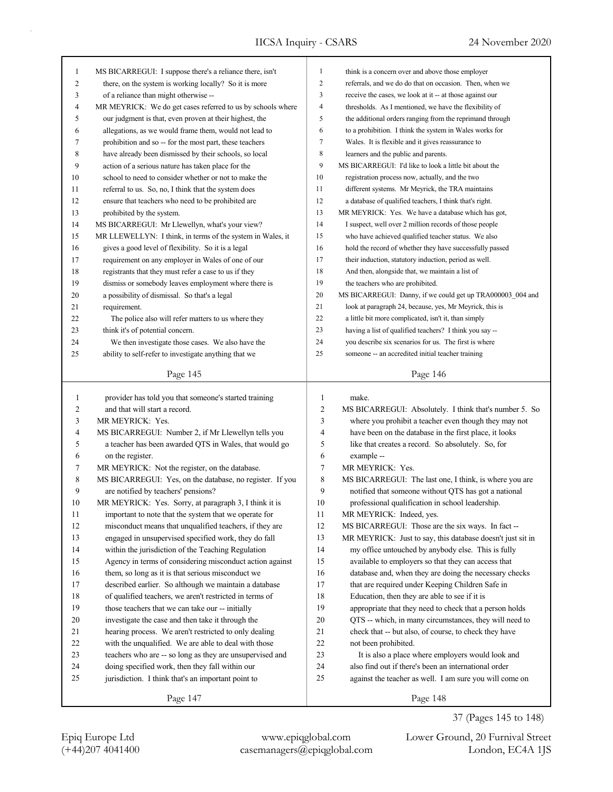| 1  | MS BICARREGUI: I suppose there's a reliance there, isn't    | $\mathbf{1}$                                                                | think is a concern over and above those employer           |  |
|----|-------------------------------------------------------------|-----------------------------------------------------------------------------|------------------------------------------------------------|--|
| 2  | there, on the system is working locally? So it is more      | $\boldsymbol{2}$<br>referrals, and we do do that on occasion. Then, when we |                                                            |  |
| 3  | of a reliance than might otherwise --                       | 3                                                                           | receive the cases, we look at it -- at those against our   |  |
| 4  | MR MEYRICK: We do get cases referred to us by schools where | $\overline{4}$                                                              | thresholds. As I mentioned, we have the flexibility of     |  |
| 5  | our judgment is that, even proven at their highest, the     | 5                                                                           | the additional orders ranging from the reprimand through   |  |
| 6  | allegations, as we would frame them, would not lead to      | 6                                                                           | to a prohibition. I think the system in Wales works for    |  |
| 7  | prohibition and so -- for the most part, these teachers     | 7                                                                           | Wales. It is flexible and it gives reassurance to          |  |
| 8  | have already been dismissed by their schools, so local      | $\,$ 8 $\,$                                                                 | learners and the public and parents.                       |  |
| 9  | action of a serious nature has taken place for the          | 9                                                                           | MS BICARREGUI: I'd like to look a little bit about the     |  |
| 10 | school to need to consider whether or not to make the       | 10                                                                          | registration process now, actually, and the two            |  |
| 11 | referral to us. So, no, I think that the system does        | 11                                                                          | different systems. Mr Meyrick, the TRA maintains           |  |
| 12 | ensure that teachers who need to be prohibited are          | 12                                                                          | a database of qualified teachers, I think that's right.    |  |
| 13 | prohibited by the system.                                   | 13                                                                          | MR MEYRICK: Yes. We have a database which has got,         |  |
| 14 | MS BICARREGUI: Mr Llewellyn, what's your view?              | 14                                                                          | I suspect, well over 2 million records of those people     |  |
| 15 | MR LLEWELLYN: I think, in terms of the system in Wales, it  | 15                                                                          | who have achieved qualified teacher status. We also        |  |
| 16 | gives a good level of flexibility. So it is a legal         | 16                                                                          | hold the record of whether they have successfully passed   |  |
| 17 | requirement on any employer in Wales of one of our          | 17                                                                          | their induction, statutory induction, period as well.      |  |
| 18 | registrants that they must refer a case to us if they       | 18                                                                          | And then, alongside that, we maintain a list of            |  |
| 19 | dismiss or somebody leaves employment where there is        | 19                                                                          | the teachers who are prohibited.                           |  |
| 20 | a possibility of dismissal. So that's a legal               | 20                                                                          | MS BICARREGUI: Danny, if we could get up TRA000003_004 and |  |
| 21 | requirement.                                                | 21                                                                          | look at paragraph 24, because, yes, Mr Meyrick, this is    |  |
|    |                                                             | 22                                                                          |                                                            |  |
| 22 | The police also will refer matters to us where they         | 23                                                                          | a little bit more complicated, isn't it, than simply       |  |
| 23 | think it's of potential concern.                            |                                                                             | having a list of qualified teachers? I think you say --    |  |
| 24 | We then investigate those cases. We also have the           | 24                                                                          | you describe six scenarios for us. The first is where      |  |
| 25 | ability to self-refer to investigate anything that we       | 25                                                                          | someone -- an accredited initial teacher training          |  |
|    | Page 145                                                    |                                                                             | Page 146                                                   |  |
|    |                                                             |                                                                             |                                                            |  |
|    |                                                             |                                                                             |                                                            |  |
| 1  | provider has told you that someone's started training       | 1                                                                           | make.                                                      |  |
| 2  | and that will start a record.                               | 2                                                                           | MS BICARREGUI: Absolutely. I think that's number 5. So     |  |
| 3  | MR MEYRICK: Yes.                                            | 3                                                                           | where you prohibit a teacher even though they may not      |  |
| 4  | MS BICARREGUI: Number 2, if Mr Llewellyn tells you          | 4                                                                           | have been on the database in the first place, it looks     |  |
| 5  | a teacher has been awarded QTS in Wales, that would go      | 5                                                                           | like that creates a record. So absolutely. So, for         |  |
| 6  | on the register.                                            | 6                                                                           | example --                                                 |  |
| 7  | MR MEYRICK: Not the register, on the database.              | 7                                                                           | MR MEYRICK: Yes.                                           |  |
| 8  | MS BICARREGUI: Yes, on the database, no register. If you    | 8                                                                           | MS BICARREGUI: The last one, I think, is where you are     |  |
| 9  | are notified by teachers' pensions?                         | 9                                                                           | notified that someone without QTS has got a national       |  |
| 10 | MR MEYRICK: Yes. Sorry, at paragraph 3, I think it is       | 10                                                                          | professional qualification in school leadership.           |  |
| 11 | important to note that the system that we operate for       | 11                                                                          | MR MEYRICK: Indeed, yes.                                   |  |
| 12 | misconduct means that unqualified teachers, if they are     | 12                                                                          | MS BICARREGUI: Those are the six ways. In fact --          |  |
| 13 | engaged in unsupervised specified work, they do fall        | 13                                                                          | MR MEYRICK: Just to say, this database doesn't just sit in |  |
| 14 | within the jurisdiction of the Teaching Regulation          | 14                                                                          | my office untouched by anybody else. This is fully         |  |
| 15 | Agency in terms of considering misconduct action against    | 15                                                                          | available to employers so that they can access that        |  |
| 16 | them, so long as it is that serious misconduct we           | 16                                                                          | database and, when they are doing the necessary checks     |  |
| 17 | described earlier. So although we maintain a database       | 17                                                                          | that are required under Keeping Children Safe in           |  |
| 18 | of qualified teachers, we aren't restricted in terms of     | 18                                                                          | Education, then they are able to see if it is              |  |
| 19 | those teachers that we can take our -- initially            | 19                                                                          | appropriate that they need to check that a person holds    |  |
| 20 | investigate the case and then take it through the           | 20                                                                          | QTS -- which, in many circumstances, they will need to     |  |
| 21 | hearing process. We aren't restricted to only dealing       | 21                                                                          | check that -- but also, of course, to check they have      |  |
| 22 | with the unqualified. We are able to deal with those        | $22\,$                                                                      | not been prohibited.                                       |  |
| 23 | teachers who are -- so long as they are unsupervised and    | 23                                                                          | It is also a place where employers would look and          |  |
| 24 | doing specified work, then they fall within our             | 24                                                                          | also find out if there's been an international order       |  |
| 25 | jurisdiction. I think that's an important point to          | 25                                                                          | against the teacher as well. I am sure you will come on    |  |
|    | Page 147                                                    |                                                                             | Page 148                                                   |  |

(+44)207 4041400 casemanagers@epiqglobal.com London, EC4A 1JS Epiq Europe Ltd www.epiqglobal.com Lower Ground, 20 Furnival Street

37 (Pages 145 to 148)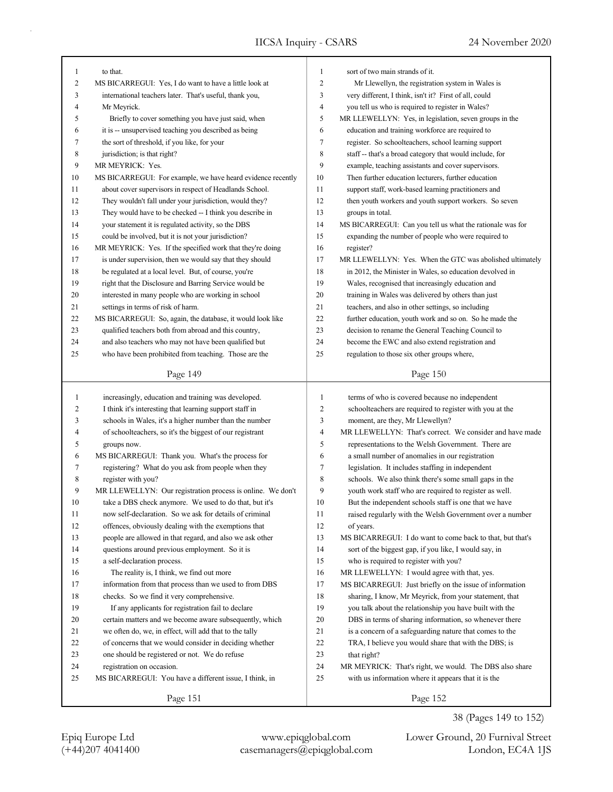| $\mathbf{1}$   | to that.                                                           | 1              | sort of two main strands of it.                           |  |
|----------------|--------------------------------------------------------------------|----------------|-----------------------------------------------------------|--|
| 2              | MS BICARREGUI: Yes, I do want to have a little look at             | $\overline{c}$ | Mr Llewellyn, the registration system in Wales is         |  |
| 3              | international teachers later. That's useful, thank you,            | 3              | very different, I think, isn't it? First of all, could    |  |
| 4              |                                                                    | 4              | you tell us who is required to register in Wales?         |  |
| 5              | Mr Meyrick.<br>Briefly to cover something you have just said, when | 5              |                                                           |  |
|                |                                                                    |                | MR LLEWELLYN: Yes, in legislation, seven groups in the    |  |
| 6              | it is -- unsupervised teaching you described as being              | 6              | education and training workforce are required to          |  |
| 7              | the sort of threshold, if you like, for your                       | $\tau$         | register. So schoolteachers, school learning support      |  |
| 8              | jurisdiction; is that right?                                       | 8              | staff -- that's a broad category that would include, for  |  |
| 9              | MR MEYRICK: Yes.                                                   | 9              | example, teaching assistants and cover supervisors.       |  |
| 10             | MS BICARREGUI: For example, we have heard evidence recently        | 10             | Then further education lecturers, further education       |  |
| 11             | about cover supervisors in respect of Headlands School.            | 11             | support staff, work-based learning practitioners and      |  |
| 12             | They wouldn't fall under your jurisdiction, would they?            | 12             | then youth workers and youth support workers. So seven    |  |
| 13             | They would have to be checked -- I think you describe in           | 13             | groups in total.                                          |  |
| 14             | your statement it is regulated activity, so the DBS                | 14             | MS BICARREGUI: Can you tell us what the rationale was for |  |
| 15             | could be involved, but it is not your jurisdiction?                | 15             | expanding the number of people who were required to       |  |
| 16             | MR MEYRICK: Yes. If the specified work that they're doing          | 16             | register?                                                 |  |
| 17             | is under supervision, then we would say that they should           | 17             | MR LLEWELLYN: Yes. When the GTC was abolished ultimately  |  |
| 18             | be regulated at a local level. But, of course, you're              | 18             | in 2012, the Minister in Wales, so education devolved in  |  |
| 19             | right that the Disclosure and Barring Service would be             | 19             | Wales, recognised that increasingly education and         |  |
| 20             | interested in many people who are working in school                | 20             | training in Wales was delivered by others than just       |  |
| 21             | settings in terms of risk of harm.                                 | 21             | teachers, and also in other settings, so including        |  |
| 22             | MS BICARREGUI: So, again, the database, it would look like         | 22             | further education, youth work and so on. So he made the   |  |
| 23             | qualified teachers both from abroad and this country,              | 23             | decision to rename the General Teaching Council to        |  |
| 24             | and also teachers who may not have been qualified but              | 24             | become the EWC and also extend registration and           |  |
| 25             | who have been prohibited from teaching. Those are the              | 25             | regulation to those six other groups where,               |  |
|                | Page 149                                                           |                | Page 150                                                  |  |
|                |                                                                    |                |                                                           |  |
|                |                                                                    |                |                                                           |  |
| $\mathbf{1}$   | increasingly, education and training was developed.                | $\mathbf{1}$   | terms of who is covered because no independent            |  |
| $\overline{c}$ | I think it's interesting that learning support staff in            | 2              | schoolteachers are required to register with you at the   |  |
| 3              | schools in Wales, it's a higher number than the number             | 3              | moment, are they, Mr Llewellyn?                           |  |
| 4              | of schoolteachers, so it's the biggest of our registrant           | 4              | MR LLEWELLYN: That's correct. We consider and have made   |  |
| 5              | groups now.                                                        | 5              | representations to the Welsh Government. There are        |  |
| 6              | MS BICARREGUI: Thank you. What's the process for                   | 6              | a small number of anomalies in our registration           |  |
| 7              | registering? What do you ask from people when they                 | 7              | legislation. It includes staffing in independent          |  |
| 8              | register with you?                                                 | 8              | schools. We also think there's some small gaps in the     |  |
| 9              | MR LLEWELLYN: Our registration process is online. We don't         | 9              | youth work staff who are required to register as well.    |  |
| 10             | take a DBS check anymore. We used to do that, but it's             | 10             | But the independent schools staff is one that we have     |  |
| 11             | now self-declaration. So we ask for details of criminal            | 11             | raised regularly with the Welsh Government over a number  |  |
| 12             | offences, obviously dealing with the exemptions that               | 12             | of years.                                                 |  |
| 13             | people are allowed in that regard, and also we ask other           | 13             | MS BICARREGUI: I do want to come back to that, but that's |  |
| 14             | questions around previous employment. So it is                     | 14             | sort of the biggest gap, if you like, I would say, in     |  |
| 15             | a self-declaration process.                                        | 15             | who is required to register with you?                     |  |
| 16             | The reality is, I think, we find out more                          | 16             | MR LLEWELLYN: I would agree with that, yes.               |  |
| 17             | information from that process than we used to from DBS             | 17             | MS BICARREGUI: Just briefly on the issue of information   |  |
| 18             | checks. So we find it very comprehensive.                          | 18             | sharing, I know, Mr Meyrick, from your statement, that    |  |
| 19             | If any applicants for registration fail to declare                 | 19             | you talk about the relationship you have built with the   |  |
| 20             | certain matters and we become aware subsequently, which            | 20             | DBS in terms of sharing information, so whenever there    |  |
| 21             | we often do, we, in effect, will add that to the tally             | 21             | is a concern of a safeguarding nature that comes to the   |  |
| 22             | of concerns that we would consider in deciding whether             | 22             | TRA, I believe you would share that with the DBS; is      |  |
| 23             | one should be registered or not. We do refuse                      | 23             | that right?                                               |  |
| 24             | registration on occasion.                                          | 24             | MR MEYRICK: That's right, we would. The DBS also share    |  |
| 25             | MS BICARREGUI: You have a different issue, I think, in             | 25             | with us information where it appears that it is the       |  |

(+44)207 4041400 casemanagers@epiqglobal.com London, EC4A 1JS Epiq Europe Ltd www.epiqglobal.com Lower Ground, 20 Furnival Street

38 (Pages 149 to 152)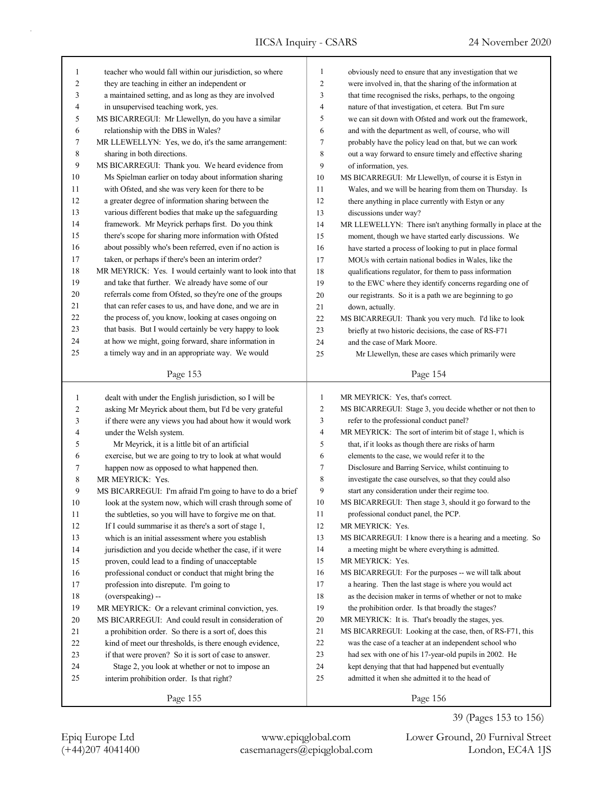٦

| $\mathbf{1}$ | teacher who would fall within our jurisdiction, so where  | $\mathbf{1}$<br>obviously need to ensure that any investigation that we    |                                                             |  |  |  |
|--------------|-----------------------------------------------------------|----------------------------------------------------------------------------|-------------------------------------------------------------|--|--|--|
| 2            | they are teaching in either an independent or             | $\overline{c}$<br>were involved in, that the sharing of the information at |                                                             |  |  |  |
| 3            | a maintained setting, and as long as they are involved    | 3                                                                          | that time recognised the risks, perhaps, to the ongoing     |  |  |  |
| 4            | in unsupervised teaching work, yes.                       | 4                                                                          | nature of that investigation, et cetera. But I'm sure       |  |  |  |
| 5            | MS BICARREGUI: Mr Llewellyn, do you have a similar        | 5                                                                          | we can sit down with Ofsted and work out the framework,     |  |  |  |
| 6            | relationship with the DBS in Wales?                       | 6                                                                          | and with the department as well, of course, who will        |  |  |  |
| 7            | MR LLEWELLYN: Yes, we do, it's the same arrangement:      | 7                                                                          | probably have the policy lead on that, but we can work      |  |  |  |
| 8            | sharing in both directions.                               | 8                                                                          | out a way forward to ensure timely and effective sharing    |  |  |  |
| 9            | MS BICARREGUI: Thank you. We heard evidence from          | 9                                                                          | of information, yes.                                        |  |  |  |
| 10           | Ms Spielman earlier on today about information sharing    | 10                                                                         | MS BICARREGUI: Mr Llewellyn, of course it is Estyn in       |  |  |  |
| 11           | with Ofsted, and she was very keen for there to be        | 11                                                                         | Wales, and we will be hearing from them on Thursday. Is     |  |  |  |
| 12           | a greater degree of information sharing between the       | 12                                                                         | there anything in place currently with Estyn or any         |  |  |  |
| 13           | various different bodies that make up the safeguarding    | 13                                                                         | discussions under way?                                      |  |  |  |
| 14           | framework. Mr Meyrick perhaps first. Do you think         | 14                                                                         | MR LLEWELLYN: There isn't anything formally in place at the |  |  |  |
| 15           | there's scope for sharing more information with Ofsted    | 15                                                                         | moment, though we have started early discussions. We        |  |  |  |
| 16           | about possibly who's been referred, even if no action is  | 16                                                                         | have started a process of looking to put in place formal    |  |  |  |
| 17           | taken, or perhaps if there's been an interim order?       | 17                                                                         | MOUs with certain national bodies in Wales, like the        |  |  |  |
| 18           | MR MEYRICK: Yes. I would certainly want to look into that | 18                                                                         | qualifications regulator, for them to pass information      |  |  |  |
| 19           | and take that further. We already have some of our        | 19                                                                         | to the EWC where they identify concerns regarding one of    |  |  |  |
| 20           | referrals come from Ofsted, so they're one of the groups  | 20                                                                         | our registrants. So it is a path we are beginning to go     |  |  |  |
| 21           | that can refer cases to us, and have done, and we are in  | 21                                                                         |                                                             |  |  |  |
| 22           | the process of, you know, looking at cases ongoing on     | 22                                                                         | down, actually.                                             |  |  |  |
| 23           | that basis. But I would certainly be very happy to look   | 23                                                                         | MS BICARREGUI: Thank you very much. I'd like to look        |  |  |  |
| 24           | at how we might, going forward, share information in      |                                                                            | briefly at two historic decisions, the case of RS-F71       |  |  |  |
| 25           | a timely way and in an appropriate way. We would          | 24                                                                         | and the case of Mark Moore.                                 |  |  |  |
|              |                                                           | 25                                                                         | Mr Llewellyn, these are cases which primarily were          |  |  |  |
|              | Page 153                                                  |                                                                            | Page 154                                                    |  |  |  |
|              |                                                           |                                                                            |                                                             |  |  |  |
|              |                                                           |                                                                            |                                                             |  |  |  |
| $\mathbf{1}$ | dealt with under the English jurisdiction, so I will be   | $\mathbf{1}$                                                               | MR MEYRICK: Yes, that's correct.                            |  |  |  |
| 2            | asking Mr Meyrick about them, but I'd be very grateful    | $\overline{c}$                                                             | MS BICARREGUI: Stage 3, you decide whether or not then to   |  |  |  |
| 3            | if there were any views you had about how it would work   | 3                                                                          | refer to the professional conduct panel?                    |  |  |  |
| 4            | under the Welsh system.                                   | 4                                                                          | MR MEYRICK: The sort of interim bit of stage 1, which is    |  |  |  |
| 5            | Mr Meyrick, it is a little bit of an artificial           | 5                                                                          | that, if it looks as though there are risks of harm         |  |  |  |
| 6            | exercise, but we are going to try to look at what would   | 6                                                                          | elements to the case, we would refer it to the              |  |  |  |
| 7            | happen now as opposed to what happened then.              | 7                                                                          | Disclosure and Barring Service, whilst continuing to        |  |  |  |
| 8            | MR MEYRICK: Yes.                                          | 8                                                                          | investigate the case ourselves, so that they could also     |  |  |  |
| 9            | MS BICARREGUI: I'm afraid I'm going to have to do a brief | 9                                                                          | start any consideration under their regime too.             |  |  |  |
| 10           | look at the system now, which will crash through some of  | 10                                                                         | MS BICARREGUI: Then stage 3, should it go forward to the    |  |  |  |
| 11           | the subtleties, so you will have to forgive me on that.   | 11                                                                         | professional conduct panel, the PCP.                        |  |  |  |
| 12           | If I could summarise it as there's a sort of stage 1,     | 12                                                                         | MR MEYRICK: Yes.                                            |  |  |  |
| 13           | which is an initial assessment where you establish        | 13                                                                         | MS BICARREGUI: I know there is a hearing and a meeting. So  |  |  |  |
| 14           | jurisdiction and you decide whether the case, if it were  | 14                                                                         | a meeting might be where everything is admitted.            |  |  |  |
| 15           | proven, could lead to a finding of unacceptable           | 15                                                                         | MR MEYRICK: Yes.                                            |  |  |  |
| 16           | professional conduct or conduct that might bring the      | 16                                                                         | MS BICARREGUI: For the purposes -- we will talk about       |  |  |  |
| 17           | profession into disrepute. I'm going to                   | 17                                                                         | a hearing. Then the last stage is where you would act       |  |  |  |
| 18           | (overspeaking) --                                         | 18                                                                         | as the decision maker in terms of whether or not to make    |  |  |  |
| 19           | MR MEYRICK: Or a relevant criminal conviction, yes.       | 19                                                                         | the prohibition order. Is that broadly the stages?          |  |  |  |
| 20           | MS BICARREGUI: And could result in consideration of       | 20                                                                         | MR MEYRICK: It is. That's broadly the stages, yes.          |  |  |  |
| 21           | a prohibition order. So there is a sort of, does this     | 21                                                                         | MS BICARREGUI: Looking at the case, then, of RS-F71, this   |  |  |  |
| 22           | kind of meet our thresholds, is there enough evidence,    | 22                                                                         | was the case of a teacher at an independent school who      |  |  |  |
| 23           | if that were proven? So it is sort of case to answer.     | 23                                                                         | had sex with one of his 17-year-old pupils in 2002. He      |  |  |  |
| 24           | Stage 2, you look at whether or not to impose an          | 24                                                                         | kept denying that that had happened but eventually          |  |  |  |
| 25           | interim prohibition order. Is that right?                 | 25                                                                         | admitted it when she admitted it to the head of             |  |  |  |
|              | Page 155                                                  |                                                                            | Page 156                                                    |  |  |  |

39 (Pages 153 to 156)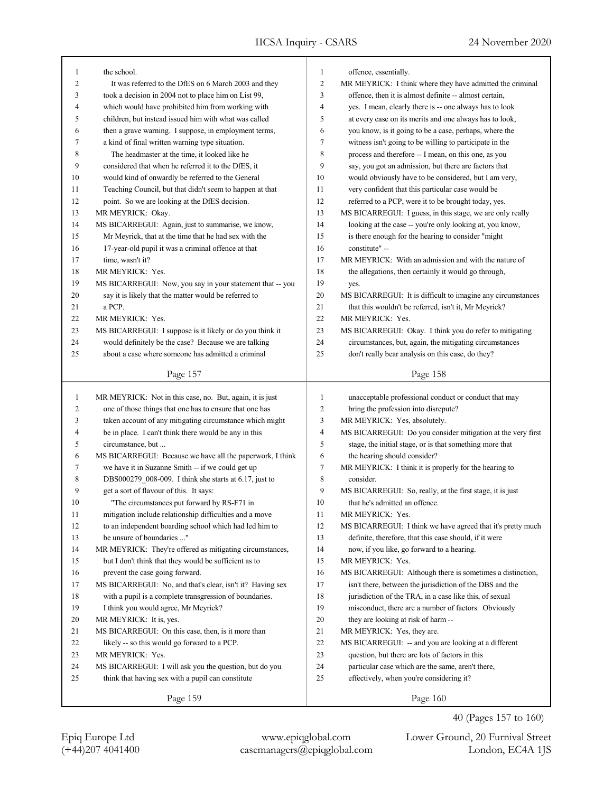٦

|                | the school.                                               | 1              | offence, essentially.                                       |
|----------------|-----------------------------------------------------------|----------------|-------------------------------------------------------------|
| $\overline{c}$ | It was referred to the DfES on 6 March 2003 and they      | $\overline{c}$ | MR MEYRICK: I think where they have admitted the criminal   |
| 3              | took a decision in 2004 not to place him on List 99,      | 3              | offence, then it is almost definite -- almost certain,      |
| 4              | which would have prohibited him from working with         | $\overline{4}$ | yes. I mean, clearly there is -- one always has to look     |
| 5              | children, but instead issued him with what was called     | 5              | at every case on its merits and one always has to look,     |
| 6              | then a grave warning. I suppose, in employment terms,     | 6              | you know, is it going to be a case, perhaps, where the      |
| 7              | a kind of final written warning type situation.           | 7              | witness isn't going to be willing to participate in the     |
| 8              | The headmaster at the time, it looked like he             | 8              | process and therefore -- I mean, on this one, as you        |
| 9              | considered that when he referred it to the DfES, it       | 9              | say, you got an admission, but there are factors that       |
| 10             | would kind of onwardly be referred to the General         | 10             | would obviously have to be considered, but I am very,       |
| 11             | Teaching Council, but that didn't seem to happen at that  | 11             | very confident that this particular case would be           |
| 12             | point. So we are looking at the DfES decision.            | 12             | referred to a PCP, were it to be brought today, yes.        |
| 13             | MR MEYRICK: Okay.                                         | 13             | MS BICARREGUI: I guess, in this stage, we are only really   |
| 14             | MS BICARREGUI: Again, just to summarise, we know,         | 14             | looking at the case -- you're only looking at, you know,    |
| 15             | Mr Meyrick, that at the time that he had sex with the     | 15             | is there enough for the hearing to consider "might          |
| 16             | 17-year-old pupil it was a criminal offence at that       | 16             | constitute" --                                              |
| 17             | time, wasn't it?                                          | 17             | MR MEYRICK: With an admission and with the nature of        |
| 18             | MR MEYRICK: Yes.                                          | 18             | the allegations, then certainly it would go through,        |
| 19             | MS BICARREGUI: Now, you say in your statement that -- you | 19             | yes.                                                        |
| 20             | say it is likely that the matter would be referred to     | 20             | MS BICARREGUI: It is difficult to imagine any circumstances |
| 21             | a PCP.                                                    | 21             | that this wouldn't be referred, isn't it, Mr Meyrick?       |
| 22             | MR MEYRICK: Yes.                                          | 22             | MR MEYRICK: Yes.                                            |
| 23             | MS BICARREGUI: I suppose is it likely or do you think it  | 23             | MS BICARREGUI: Okay. I think you do refer to mitigating     |
| 24             | would definitely be the case? Because we are talking      | 24             | circumstances, but, again, the mitigating circumstances     |
| 25             | about a case where someone has admitted a criminal        | 25             | don't really bear analysis on this case, do they?           |
|                |                                                           |                |                                                             |
|                | Page 157                                                  |                | Page 158                                                    |
| 1              | MR MEYRICK: Not in this case, no. But, again, it is just  | $\mathbf{1}$   | unacceptable professional conduct or conduct that may       |
| $\overline{c}$ | one of those things that one has to ensure that one has   | 2              | bring the profession into disrepute?                        |
| 3              | taken account of any mitigating circumstance which might  | 3              | MR MEYRICK: Yes, absolutely.                                |
| 4              | be in place. I can't think there would be any in this     | 4              | MS BICARREGUI: Do you consider mitigation at the very first |
| 5              | circumstance, but                                         | 5              | stage, the initial stage, or is that something more that    |
| 6              |                                                           |                |                                                             |
|                | MS BICARREGUI: Because we have all the paperwork, I think | 6              | the hearing should consider?                                |
| 7              | we have it in Suzanne Smith -- if we could get up         | 7              | MR MEYRICK: I think it is properly for the hearing to       |
| 8              | DBS000279_008-009. I think she starts at 6.17, just to    | 8              | consider.                                                   |
| 9              | get a sort of flavour of this. It says:                   | 9              | MS BICARREGUI: So, really, at the first stage, it is just   |
| 10             | "The circumstances put forward by RS-F71 in               | 10             | that he's admitted an offence.                              |
| 11             | mitigation include relationship difficulties and a move   | 11             | MR MEYRICK: Yes.                                            |
| 12             | to an independent boarding school which had led him to    | 12             | MS BICARREGUI: I think we have agreed that it's pretty much |
| 13             | be unsure of boundaries "                                 | 13             | definite, therefore, that this case should, if it were      |
| 14             | MR MEYRICK: They're offered as mitigating circumstances,  | 14             | now, if you like, go forward to a hearing.                  |
| 15             | but I don't think that they would be sufficient as to     | 15             | MR MEYRICK: Yes.                                            |
| 16             | prevent the case going forward.                           | 16             | MS BICARREGUI: Although there is sometimes a distinction,   |
| 17             | MS BICARREGUI: No, and that's clear, isn't it? Having sex | 17             | isn't there, between the jurisdiction of the DBS and the    |
| 18             | with a pupil is a complete transgression of boundaries.   | 18             | jurisdiction of the TRA, in a case like this, of sexual     |
| 19             | I think you would agree, Mr Meyrick?                      | 19             | misconduct, there are a number of factors. Obviously        |
| 20             | MR MEYRICK: It is, yes.                                   | 20             | they are looking at risk of harm --                         |
| 21             | MS BICARREGUI: On this case, then, is it more than        | 21             | MR MEYRICK: Yes, they are.                                  |
| 22             | likely -- so this would go forward to a PCP.              | 22             | MS BICARREGUI: -- and you are looking at a different        |
| 23             | MR MEYRICK: Yes.                                          | 23             | question, but there are lots of factors in this             |
| 24             | MS BICARREGUI: I will ask you the question, but do you    | 24             | particular case which are the same, aren't there,           |
| 25             | think that having sex with a pupil can constitute         | 25             | effectively, when you're considering it?                    |

40 (Pages 157 to 160)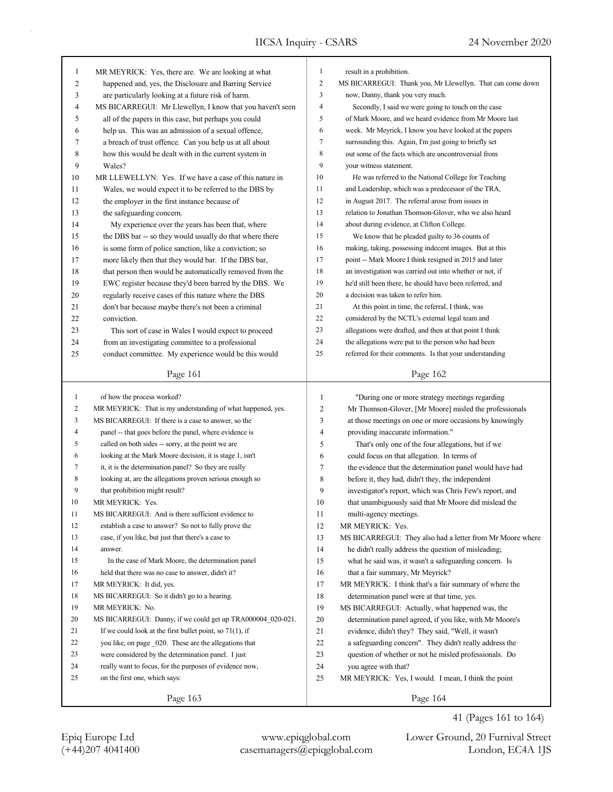| $\mathbf{1}$   | MR MEYRICK: Yes, there are. We are looking at what                                       | 1              | result in a prohibition.                                        |
|----------------|------------------------------------------------------------------------------------------|----------------|-----------------------------------------------------------------|
| $\overline{c}$ | happened and, yes, the Disclosure and Barring Service                                    | 2              | MS BICARREGUI: Thank you, Mr Llewellyn. That can come down      |
| 3              | are particularly looking at a future risk of harm.                                       | 3              | now, Danny, thank you very much.                                |
| 4              | MS BICARREGUI: Mr Llewellyn, I know that you haven't seen                                | 4              | Secondly, I said we were going to touch on the case             |
| 5              | all of the papers in this case, but perhaps you could                                    | 5              | of Mark Moore, and we heard evidence from Mr Moore last         |
| 6              | help us. This was an admission of a sexual offence,                                      | 6              | week. Mr Meyrick, I know you have looked at the papers          |
| 7              | a breach of trust offence. Can you help us at all about                                  | 7              | surrounding this. Again, I'm just going to briefly set          |
| 8              | how this would be dealt with in the current system in                                    | 8              | out some of the facts which are uncontroversial from            |
| 9              | Wales?                                                                                   | 9              | your witness statement.                                         |
| 10             | MR LLEWELLYN: Yes. If we have a case of this nature in                                   | 10             | He was referred to the National College for Teaching            |
| 11             | Wales, we would expect it to be referred to the DBS by                                   | 11             | and Leadership, which was a predecessor of the TRA,             |
| 12             | the employer in the first instance because of                                            | 12             | in August 2017. The referral arose from issues in               |
| 13             | the safeguarding concern.                                                                | 13             | relation to Jonathan Thomson-Glover, who we also heard          |
| 14             | My experience over the years has been that, where                                        | 14             | about during evidence, at Clifton College.                      |
| 15             | the DBS bar -- so they would usually do that where there                                 | 15             | We know that he pleaded guilty to 36 counts of                  |
| 16             | is some form of police sanction, like a conviction; so                                   | 16             | making, taking, possessing indecent images. But at this         |
| 17             | more likely then that they would bar. If the DBS bar,                                    | 17             | point -- Mark Moore I think resigned in 2015 and later          |
| 18             | that person then would be automatically removed from the                                 | 18             | an investigation was carried out into whether or not, if        |
| 19             | EWC register because they'd been barred by the DBS. We                                   | 19             | he'd still been there, he should have been referred, and        |
| 20             | regularly receive cases of this nature where the DBS                                     | 20             | a decision was taken to refer him.                              |
| 21             | don't bar because maybe there's not been a criminal                                      | 21             | At this point in time, the referral, I think, was               |
| 22             | conviction.                                                                              | 22             | considered by the NCTL's external legal team and                |
| 23             | This sort of case in Wales I would expect to proceed                                     | 23             | allegations were drafted, and then at that point I think        |
| 24             | from an investigating committee to a professional                                        | 24             | the allegations were put to the person who had been             |
| 25             | conduct committee. My experience would be this would                                     | 25             | referred for their comments. Is that your understanding         |
|                | Page 161                                                                                 |                | Page 162                                                        |
|                |                                                                                          |                |                                                                 |
| $\mathbf{1}$   | of how the process worked?                                                               |                |                                                                 |
|                |                                                                                          | $\mathbf{1}$   | "During one or more strategy meetings regarding                 |
| 2              | MR MEYRICK: That is my understanding of what happened, yes.                              | $\mathfrak{2}$ | Mr Thomson-Glover, [Mr Moore] misled the professionals          |
| 3              | MS BICARREGUI: If there is a case to answer, so the                                      | 3              | at those meetings on one or more occasions by knowingly         |
| 4              | panel -- that goes before the panel, where evidence is                                   | $\overline{4}$ | providing inaccurate information."                              |
| 5              | called on both sides -- sorry, at the point we are                                       | 5              | That's only one of the four allegations, but if we              |
| 6              | looking at the Mark Moore decision, it is stage 1, isn't                                 | 6              | could focus on that allegation. In terms of                     |
| 7              | it, it is the determination panel? So they are really                                    | 7              | the evidence that the determination panel would have had        |
| 8              | looking at, are the allegations proven serious enough so                                 | 8              | before it, they had, didn't they, the independent               |
| 9              | that prohibition might result?                                                           | 9              | investigator's report, which was Chris Few's report, and        |
| 10             | MR MEYRICK: Yes.                                                                         | 10             | that unambiguously said that Mr Moore did mislead the           |
| 11             | MS BICARREGUI: And is there sufficient evidence to                                       | 11             | multi-agency meetings.                                          |
| 12             | establish a case to answer? So not to fully prove the                                    | 12             | MR MEYRICK: Yes.                                                |
| 13             | case, if you like, but just that there's a case to                                       | 13             | MS BICARREGUI: They also had a letter from Mr Moore where       |
| 14             | answer.                                                                                  | 14             | he didn't really address the question of misleading;            |
| 15             | In the case of Mark Moore, the determination panel                                       | 15             | what he said was, it wasn't a safeguarding concern. Is          |
| 16             | held that there was no case to answer, didn't it?                                        | 16             | that a fair summary, Mr Meyrick?                                |
| 17             | MR MEYRICK: It did, yes.                                                                 | 17             | MR MEYRICK: I think that's a fair summary of where the          |
| 18             | MS BICARREGUI: So it didn't go to a hearing.                                             | 18             | determination panel were at that time, yes.                     |
| 19             | MR MEYRICK: No.                                                                          | 19             | MS BICARREGUI: Actually, what happened was, the                 |
| 20             | MS BICARREGUI: Danny, if we could get up TRA000004 020-021.                              | 20             | determination panel agreed, if you like, with Mr Moore's        |
| 21             | If we could look at the first bullet point, so $71(1)$ , if                              | 21             | evidence, didn't they? They said, "Well, it wasn't              |
| 22             | you like, on page 020. These are the allegations that                                    | 22             | a safeguarding concern". They didn't really address the         |
| 23             | were considered by the determination panel. I just                                       | 23             | question of whether or not he misled professionals. Do          |
| 24<br>25       | really want to focus, for the purposes of evidence now,<br>on the first one, which says: | 24<br>25       | you agree with that?                                            |
|                | Page 163                                                                                 |                | MR MEYRICK: Yes, I would. I mean, I think the point<br>Page 164 |

(+44)207 4041400 casemanagers@epiqglobal.com London, EC4A 1JS Epiq Europe Ltd www.epiqglobal.com Lower Ground, 20 Furnival Street

41 (Pages 161 to 164)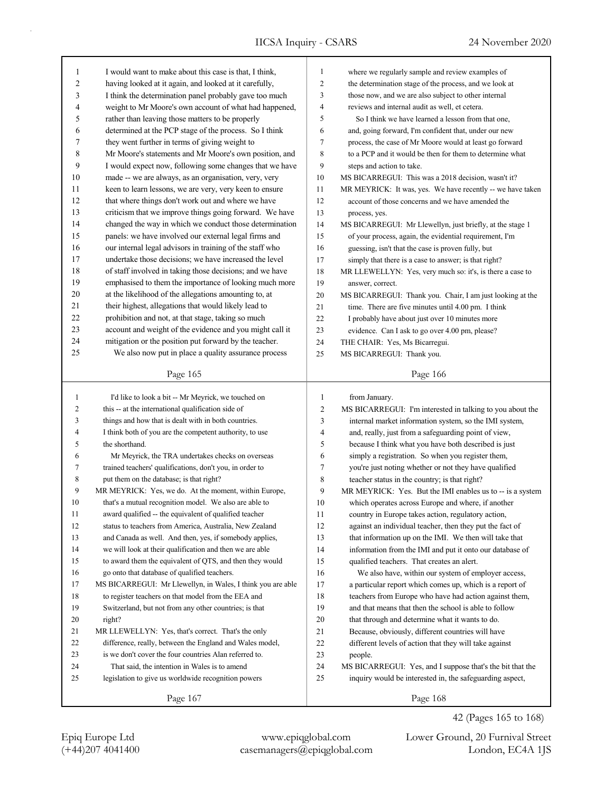| 1      | I would want to make about this case is that, I think,      | $\mathbf{1}$             | where we regularly sample and review examples of           |
|--------|-------------------------------------------------------------|--------------------------|------------------------------------------------------------|
| 2      | having looked at it again, and looked at it carefully,      | $\overline{c}$           | the determination stage of the process, and we look at     |
| 3      | I think the determination panel probably gave too much      | 3                        | those now, and we are also subject to other internal       |
| 4      | weight to Mr Moore's own account of what had happened,      | $\overline{4}$           | reviews and internal audit as well, et cetera.             |
| 5      | rather than leaving those matters to be properly            | 5                        | So I think we have learned a lesson from that one,         |
| 6      | determined at the PCP stage of the process. So I think      | 6                        | and, going forward, I'm confident that, under our new      |
| 7      | they went further in terms of giving weight to              | 7                        | process, the case of Mr Moore would at least go forward    |
| 8      | Mr Moore's statements and Mr Moore's own position, and      | 8                        | to a PCP and it would be then for them to determine what   |
| 9      | I would expect now, following some changes that we have     | 9                        | steps and action to take.                                  |
| 10     | made -- we are always, as an organisation, very, very       | 10                       | MS BICARREGUI: This was a 2018 decision, wasn't it?        |
| 11     | keen to learn lessons, we are very, very keen to ensure     | 11                       | MR MEYRICK: It was, yes. We have recently -- we have taken |
| 12     | that where things don't work out and where we have          | 12                       | account of those concerns and we have amended the          |
| 13     | criticism that we improve things going forward. We have     | 13                       | process, yes.                                              |
| 14     | changed the way in which we conduct those determination     | 14                       | MS BICARREGUI: Mr Llewellyn, just briefly, at the stage 1  |
| 15     | panels: we have involved our external legal firms and       | 15                       | of your process, again, the evidential requirement, I'm    |
| 16     | our internal legal advisors in training of the staff who    | 16                       | guessing, isn't that the case is proven fully, but         |
| 17     | undertake those decisions; we have increased the level      | 17                       | simply that there is a case to answer; is that right?      |
| 18     | of staff involved in taking those decisions; and we have    | 18                       | MR LLEWELLYN: Yes, very much so: it's, is there a case to  |
| 19     | emphasised to them the importance of looking much more      | 19                       | answer, correct.                                           |
| 20     | at the likelihood of the allegations amounting to, at       | 20                       | MS BICARREGUI: Thank you. Chair, I am just looking at the  |
| 21     | their highest, allegations that would likely lead to        | 21                       | time. There are five minutes until 4.00 pm. I think        |
| 22     | prohibition and not, at that stage, taking so much          | 22                       | I probably have about just over 10 minutes more            |
| 23     | account and weight of the evidence and you might call it    | 23                       | evidence. Can I ask to go over 4.00 pm, please?            |
| 24     | mitigation or the position put forward by the teacher.      | 24                       | THE CHAIR: Yes, Ms Bicarregui.                             |
| 25     | We also now put in place a quality assurance process        | 25                       | MS BICARREGUI: Thank you.                                  |
|        |                                                             |                          |                                                            |
|        | Page 165                                                    |                          | Page 166                                                   |
|        |                                                             |                          |                                                            |
|        |                                                             |                          |                                                            |
| 1      | I'd like to look a bit -- Mr Meyrick, we touched on         | 1                        | from January.                                              |
| 2      | this -- at the international qualification side of          | $\overline{c}$           | MS BICARREGUI: I'm interested in talking to you about the  |
| 3      | things and how that is dealt with in both countries.        | 3                        | internal market information system, so the IMI system,     |
| 4      | I think both of you are the competent authority, to use     | $\overline{\mathcal{L}}$ | and, really, just from a safeguarding point of view,       |
| 5      | the shorthand.                                              | 5                        | because I think what you have both described is just       |
| 6      | Mr Meyrick, the TRA undertakes checks on overseas           | 6                        | simply a registration. So when you register them,          |
| 7      | trained teachers' qualifications, don't you, in order to    | 7                        | you're just noting whether or not they have qualified      |
| 8      | put them on the database; is that right?                    | $\,8$                    | teacher status in the country; is that right?              |
| 9      | MR MEYRICK: Yes, we do. At the moment, within Europe,       | 9                        | MR MEYRICK: Yes. But the IMI enables us to -- is a system  |
| 10     | that's a mutual recognition model. We also are able to      | 10                       | which operates across Europe and where, if another         |
| 11     | award qualified -- the equivalent of qualified teacher      | 11                       | country in Europe takes action, regulatory action,         |
| 12     | status to teachers from America, Australia, New Zealand     | 12                       | against an individual teacher, then they put the fact of   |
| 13     | and Canada as well. And then, yes, if somebody applies,     | 13                       | that information up on the IMI. We then will take that     |
| 14     | we will look at their qualification and then we are able    | 14                       | information from the IMI and put it onto our database of   |
| 15     | to award them the equivalent of QTS, and then they would    | 15                       | qualified teachers. That creates an alert.                 |
| 16     | go onto that database of qualified teachers.                | 16                       | We also have, within our system of employer access,        |
| 17     | MS BICARREGUI: Mr Llewellyn, in Wales, I think you are able | 17                       | a particular report which comes up, which is a report of   |
| $18\,$ | to register teachers on that model from the EEA and         | 18                       | teachers from Europe who have had action against them,     |
| 19     | Switzerland, but not from any other countries; is that      | 19                       | and that means that then the school is able to follow      |
| $20\,$ | right?                                                      | $20\,$                   | that through and determine what it wants to do.            |
| 21     | MR LLEWELLYN: Yes, that's correct. That's the only          | 21                       | Because, obviously, different countries will have          |
| 22     | difference, really, between the England and Wales model,    | 22                       | different levels of action that they will take against     |
| 23     | is we don't cover the four countries Alan referred to.      | 23                       | people.                                                    |
| 24     | That said, the intention in Wales is to amend               | 24                       | MS BICARREGUI: Yes, and I suppose that's the bit that the  |
| 25     | legislation to give us worldwide recognition powers         | 25                       | inquiry would be interested in, the safeguarding aspect,   |

42 (Pages 165 to 168)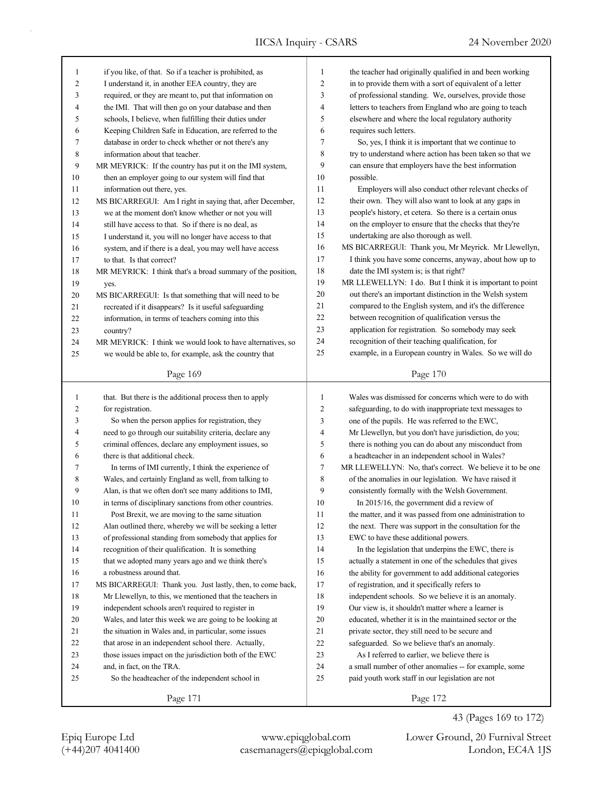| 1            | if you like, of that. So if a teacher is prohibited, as     | $\mathbf{1}$   | the teacher had originally qualified in and been working  |
|--------------|-------------------------------------------------------------|----------------|-----------------------------------------------------------|
| 2            | I understand it, in another EEA country, they are           | $\overline{c}$ | in to provide them with a sort of equivalent of a letter  |
| 3            | required, or they are meant to, put that information on     | 3              | of professional standing. We, ourselves, provide those    |
| 4            | the IMI. That will then go on your database and then        | 4              | letters to teachers from England who are going to teach   |
| 5            | schools, I believe, when fulfilling their duties under      | 5              | elsewhere and where the local regulatory authority        |
| 6            | Keeping Children Safe in Education, are referred to the     | 6              | requires such letters.                                    |
| 7            | database in order to check whether or not there's any       | 7              | So, yes, I think it is important that we continue to      |
| 8            | information about that teacher.                             | 8              | try to understand where action has been taken so that we  |
| 9            | MR MEYRICK: If the country has put it on the IMI system,    | 9              | can ensure that employers have the best information       |
| 10           | then an employer going to our system will find that         | 10             | possible.                                                 |
| 11           | information out there, yes.                                 | 11             | Employers will also conduct other relevant checks of      |
| 12           | MS BICARREGUI: Am I right in saying that, after December,   | 12             | their own. They will also want to look at any gaps in     |
| 13           | we at the moment don't know whether or not you will         | 13             | people's history, et cetera. So there is a certain onus   |
| 14           | still have access to that. So if there is no deal, as       | 14             | on the employer to ensure that the checks that they're    |
| 15           | I understand it, you will no longer have access to that     | 15             | undertaking are also thorough as well.                    |
| 16           | system, and if there is a deal, you may well have access    | 16             | MS BICARREGUI: Thank you, Mr Meyrick. Mr Llewellyn,       |
| 17           | to that. Is that correct?                                   | 17             | I think you have some concerns, anyway, about how up to   |
| 18           | MR MEYRICK: I think that's a broad summary of the position, | 18             | date the IMI system is; is that right?                    |
| 19           | yes.                                                        | 19             | MR LLEWELLYN: I do. But I think it is important to point  |
| 20           | MS BICARREGUI: Is that something that will need to be       | 20             | out there's an important distinction in the Welsh system  |
| 21           | recreated if it disappears? Is it useful safeguarding       | 21             | compared to the English system, and it's the difference   |
| 22           | information, in terms of teachers coming into this          | 22             | between recognition of qualification versus the           |
| 23           | country?                                                    | 23             | application for registration. So somebody may seek        |
| 24           | MR MEYRICK: I think we would look to have alternatives, so  | 24             | recognition of their teaching qualification, for          |
| 25           | we would be able to, for example, ask the country that      | 25             | example, in a European country in Wales. So we will do    |
|              |                                                             |                |                                                           |
|              | Page 169                                                    |                | Page 170                                                  |
|              |                                                             |                |                                                           |
|              |                                                             |                |                                                           |
| $\mathbf{1}$ | that. But there is the additional process then to apply     | 1              | Wales was dismissed for concerns which were to do with    |
| 2            | for registration.                                           | $\overline{c}$ | safeguarding, to do with inappropriate text messages to   |
| 3            | So when the person applies for registration, they           | 3              | one of the pupils. He was referred to the EWC,            |
| 4            | need to go through our suitability criteria, declare any    | 4              | Mr Llewellyn, but you don't have jurisdiction, do you;    |
| 5            | criminal offences, declare any employment issues, so        | 5              | there is nothing you can do about any misconduct from     |
| 6            | there is that additional check.                             | 6              | a headteacher in an independent school in Wales?          |
| 7            | In terms of IMI currently, I think the experience of        | 7              | MR LLEWELLYN: No, that's correct. We believe it to be one |
| 8            | Wales, and certainly England as well, from talking to       | 8              | of the anomalies in our legislation. We have raised it    |
| 9            | Alan, is that we often don't see many additions to IMI,     | 9              | consistently formally with the Welsh Government.          |
| 10           | in terms of disciplinary sanctions from other countries.    | 10             | In 2015/16, the government did a review of                |
| 11           | Post Brexit, we are moving to the same situation            | 11             | the matter, and it was passed from one administration to  |
| 12           | Alan outlined there, whereby we will be seeking a letter    | 12             | the next. There was support in the consultation for the   |
| 13           | of professional standing from somebody that applies for     | 13             | EWC to have these additional powers.                      |
| 14           | recognition of their qualification. It is something         | 14             | In the legislation that underpins the EWC, there is       |
| 15           | that we adopted many years ago and we think there's         | 15             | actually a statement in one of the schedules that gives   |
| 16           | a robustness around that.                                   | 16             | the ability for government to add additional categories   |
| 17           | MS BICARREGUI: Thank you. Just lastly, then, to come back,  | 17             | of registration, and it specifically refers to            |
| 18           | Mr Llewellyn, to this, we mentioned that the teachers in    | 18             | independent schools. So we believe it is an anomaly.      |
| 19           | independent schools aren't required to register in          | 19             | Our view is, it shouldn't matter where a learner is       |
| $20\,$       | Wales, and later this week we are going to be looking at    | 20             | educated, whether it is in the maintained sector or the   |
| 21           | the situation in Wales and, in particular, some issues      | 21             | private sector, they still need to be secure and          |
| 22           | that arose in an independent school there. Actually,        | 22             | safeguarded. So we believe that's an anomaly.             |
| 23           | those issues impact on the jurisdiction both of the EWC     | 23             | As I referred to earlier, we believe there is             |
| 24           | and, in fact, on the TRA.                                   | 24             | a small number of other anomalies -- for example, some    |
| 25           | So the headteacher of the independent school in             | 25             | paid youth work staff in our legislation are not          |
|              | Page 171                                                    |                | Page 172                                                  |

(+44)207 4041400 casemanagers@epiqglobal.com London, EC4A 1JS Epiq Europe Ltd www.epiqglobal.com Lower Ground, 20 Furnival Street

43 (Pages 169 to 172)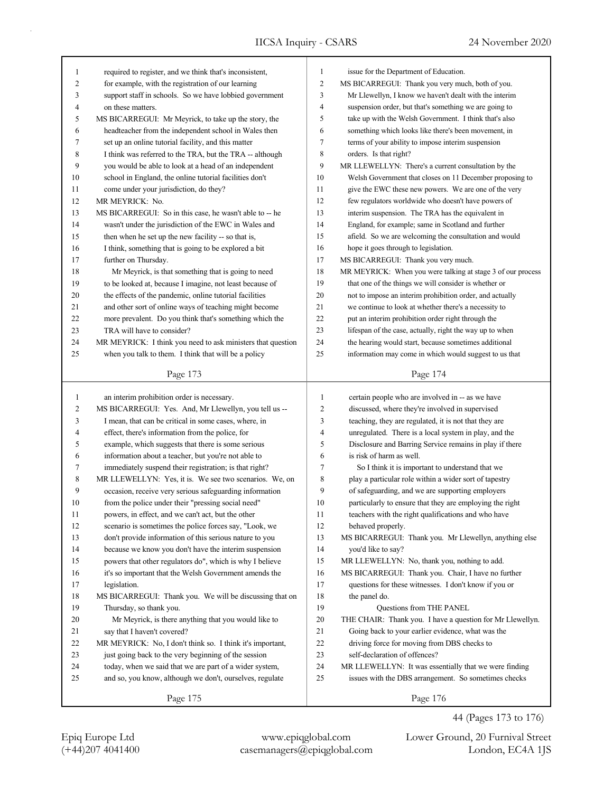| 1        | required to register, and we think that's inconsistent,     | 1                | issue for the Department of Education.                                              |
|----------|-------------------------------------------------------------|------------------|-------------------------------------------------------------------------------------|
| 2        | for example, with the registration of our learning          | $\mathbf{2}$     | MS BICARREGUI: Thank you very much, both of you.                                    |
| 3        | support staff in schools. So we have lobbied government     | 3                | Mr Llewellyn, I know we haven't dealt with the interim                              |
| 4        | on these matters.                                           | $\overline{4}$   | suspension order, but that's something we are going to                              |
| 5        | MS BICARREGUI: Mr Meyrick, to take up the story, the        | 5                | take up with the Welsh Government. I think that's also                              |
| 6        | headteacher from the independent school in Wales then       | 6                | something which looks like there's been movement, in                                |
| 7        | set up an online tutorial facility, and this matter         | $\tau$           | terms of your ability to impose interim suspension                                  |
| 8        | I think was referred to the TRA, but the TRA -- although    | $\,$ 8 $\,$      | orders. Is that right?                                                              |
| 9        | you would be able to look at a head of an independent       | 9                | MR LLEWELLYN: There's a current consultation by the                                 |
| 10       | school in England, the online tutorial facilities don't     | 10               | Welsh Government that closes on 11 December proposing to                            |
| 11       | come under your jurisdiction, do they?                      | 11               | give the EWC these new powers. We are one of the very                               |
| 12       | MR MEYRICK: No.                                             | 12               | few regulators worldwide who doesn't have powers of                                 |
| 13       | MS BICARREGUI: So in this case, he wasn't able to -- he     | 13               | interim suspension. The TRA has the equivalent in                                   |
| 14       | wasn't under the jurisdiction of the EWC in Wales and       | 14               | England, for example; same in Scotland and further                                  |
| 15       | then when he set up the new facility -- so that is,         | 15               | afield. So we are welcoming the consultation and would                              |
| 16       | I think, something that is going to be explored a bit       | 16               | hope it goes through to legislation.                                                |
| 17       | further on Thursday.                                        | 17               | MS BICARREGUI: Thank you very much.                                                 |
| 18       | Mr Meyrick, is that something that is going to need         | 18               | MR MEYRICK: When you were talking at stage 3 of our process                         |
| 19       | to be looked at, because I imagine, not least because of    | 19               | that one of the things we will consider is whether or                               |
| 20       | the effects of the pandemic, online tutorial facilities     | 20               | not to impose an interim prohibition order, and actually                            |
| 21       | and other sort of online ways of teaching might become      | 21               | we continue to look at whether there's a necessity to                               |
| 22       | more prevalent. Do you think that's something which the     | 22               | put an interim prohibition order right through the                                  |
| 23       | TRA will have to consider?                                  | 23               | lifespan of the case, actually, right the way up to when                            |
| 24       | MR MEYRICK: I think you need to ask ministers that question | 24               | the hearing would start, because sometimes additional                               |
| 25       | when you talk to them. I think that will be a policy        | 25               | information may come in which would suggest to us that                              |
|          |                                                             |                  |                                                                                     |
|          | Page 173                                                    |                  | Page 174                                                                            |
|          |                                                             |                  |                                                                                     |
|          |                                                             |                  |                                                                                     |
| 1        | an interim prohibition order is necessary.                  | 1                | certain people who are involved in -- as we have                                    |
| 2        | MS BICARREGUI: Yes. And, Mr Llewellyn, you tell us --       | 2                | discussed, where they're involved in supervised                                     |
| 3        | I mean, that can be critical in some cases, where, in       | 3<br>4           | teaching, they are regulated, it is not that they are                               |
| 4        | effect, there's information from the police, for            | 5                | unregulated. There is a local system in play, and the                               |
| 5        | example, which suggests that there is some serious          | 6                | Disclosure and Barring Service remains in play if there<br>is risk of harm as well. |
| 6        | information about a teacher, but you're not able to         |                  |                                                                                     |
| 7        | immediately suspend their registration; is that right?      | $\boldsymbol{7}$ | So I think it is important to understand that we                                    |
| 8        | MR LLEWELLYN: Yes, it is. We see two scenarios. We, on      | 8                | play a particular role within a wider sort of tapestry                              |
| 9        | occasion, receive very serious safeguarding information     | 9<br>10          | of safeguarding, and we are supporting employers                                    |
| 10       | from the police under their "pressing social need"          |                  | particularly to ensure that they are employing the right                            |
| 11       | powers, in effect, and we can't act, but the other          | 11               | teachers with the right qualifications and who have                                 |
| 12       | scenario is sometimes the police forces say, "Look, we      | 12               | behaved properly.                                                                   |
| 13       | don't provide information of this serious nature to you     | 13               | MS BICARREGUI: Thank you. Mr Llewellyn, anything else                               |
| 14       | because we know you don't have the interim suspension       | 14               | you'd like to say?                                                                  |
| 15       | powers that other regulators do", which is why I believe    | 15               | MR LLEWELLYN: No, thank you, nothing to add.                                        |
| 16       | it's so important that the Welsh Government amends the      | 16               | MS BICARREGUI: Thank you. Chair, I have no further                                  |
| 17       | legislation.                                                | 17               | questions for these witnesses. I don't know if you or                               |
| 18<br>19 | MS BICARREGUI: Thank you. We will be discussing that on     | 18<br>19         | the panel do.                                                                       |
|          | Thursday, so thank you.                                     |                  | Questions from THE PANEL                                                            |
| 20       | Mr Meyrick, is there anything that you would like to        | 20<br>21         | THE CHAIR: Thank you. I have a question for Mr Llewellyn.                           |
| 21       | say that I haven't covered?                                 |                  | Going back to your earlier evidence, what was the                                   |
| 22       | MR MEYRICK: No, I don't think so. I think it's important,   | 22               | driving force for moving from DBS checks to                                         |
| 23       | just going back to the very beginning of the session        | 23<br>24         | self-declaration of offences?                                                       |
| 24<br>25 | today, when we said that we are part of a wider system,     | 25               | MR LLEWELLYN: It was essentially that we were finding                               |
|          | and so, you know, although we don't, ourselves, regulate    |                  | issues with the DBS arrangement. So sometimes checks                                |

(+44)207 4041400 casemanagers@epiqglobal.com London, EC4A 1JS Epiq Europe Ltd www.epiqglobal.com Lower Ground, 20 Furnival Street

44 (Pages 173 to 176)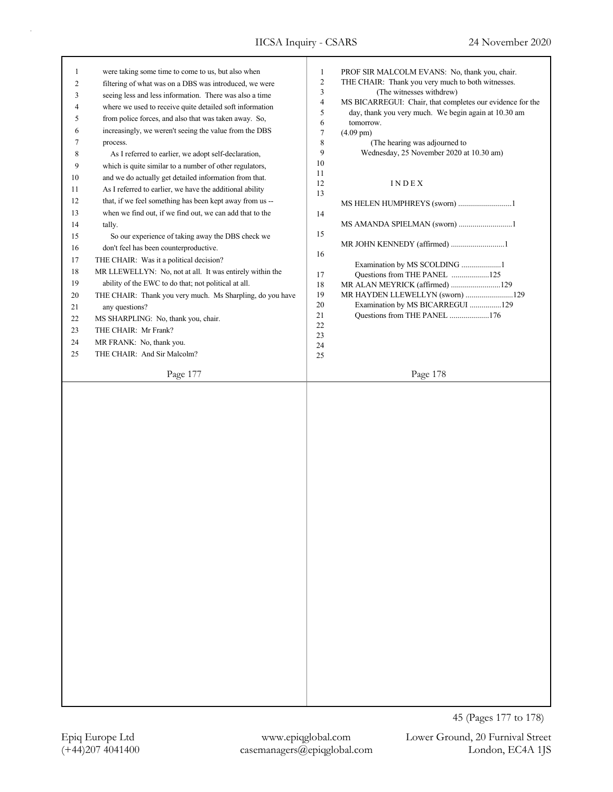| 1  | were taking some time to come to us, but also when        | 1          | PROF SIR MALCOLM EVANS: No, thank you, chair.                                                                     |
|----|-----------------------------------------------------------|------------|-------------------------------------------------------------------------------------------------------------------|
| 2  | filtering of what was on a DBS was introduced, we were    | $\sqrt{2}$ | THE CHAIR: Thank you very much to both witnesses.                                                                 |
| 3  | seeing less and less information. There was also a time   | 3<br>4     | (The witnesses withdrew)                                                                                          |
| 4  | where we used to receive quite detailed soft information  | 5          | MS BICARREGUI: Chair, that completes our evidence for the<br>day, thank you very much. We begin again at 10.30 am |
| 5  | from police forces, and also that was taken away. So,     | 6          | tomorrow.                                                                                                         |
| 6  | increasingly, we weren't seeing the value from the DBS    | $\tau$     | $(4.09 \text{ pm})$                                                                                               |
| 7  | process.                                                  | 8          | (The hearing was adjourned to                                                                                     |
| 8  | As I referred to earlier, we adopt self-declaration,      | 9          | Wednesday, 25 November 2020 at 10.30 am)                                                                          |
| 9  | which is quite similar to a number of other regulators,   | 10         |                                                                                                                   |
| 10 | and we do actually get detailed information from that.    | 11         |                                                                                                                   |
| 11 | As I referred to earlier, we have the additional ability  | 12<br>13   | INDEX                                                                                                             |
| 12 | that, if we feel something has been kept away from us --  |            | MS HELEN HUMPHREYS (sworn) 1                                                                                      |
| 13 | when we find out, if we find out, we can add that to the  | 14         |                                                                                                                   |
| 14 | tally.                                                    |            | MS AMANDA SPIELMAN (sworn) 1                                                                                      |
| 15 | So our experience of taking away the DBS check we         | 15         |                                                                                                                   |
| 16 | don't feel has been counterproductive.                    |            | MR JOHN KENNEDY (affirmed) 1                                                                                      |
| 17 | THE CHAIR: Was it a political decision?                   | 16         |                                                                                                                   |
| 18 | MR LLEWELLYN: No, not at all. It was entirely within the  |            | Examination by MS SCOLDING 1                                                                                      |
| 19 | ability of the EWC to do that; not political at all.      | 17         | Questions from THE PANEL 125                                                                                      |
| 20 | THE CHAIR: Thank you very much. Ms Sharpling, do you have | 18<br>19   | MR ALAN MEYRICK (affirmed) 129<br>MR HAYDEN LLEWELLYN (sworn) 129                                                 |
| 21 | any questions?                                            | 20         | Examination by MS BICARREGUI 129                                                                                  |
| 22 | MS SHARPLING: No, thank you, chair.                       | 21         | Questions from THE PANEL 176                                                                                      |
| 23 | THE CHAIR: Mr Frank?                                      | $22\,$     |                                                                                                                   |
|    |                                                           | 23         |                                                                                                                   |
| 24 | MR FRANK: No, thank you.                                  | 24         |                                                                                                                   |
| 25 | THE CHAIR: And Sir Malcolm?                               | 25         |                                                                                                                   |
|    | Page 177                                                  |            | Page 178                                                                                                          |
|    |                                                           |            |                                                                                                                   |
|    |                                                           |            |                                                                                                                   |
|    |                                                           |            |                                                                                                                   |
|    |                                                           |            | 45 (Pages 177 to 178)                                                                                             |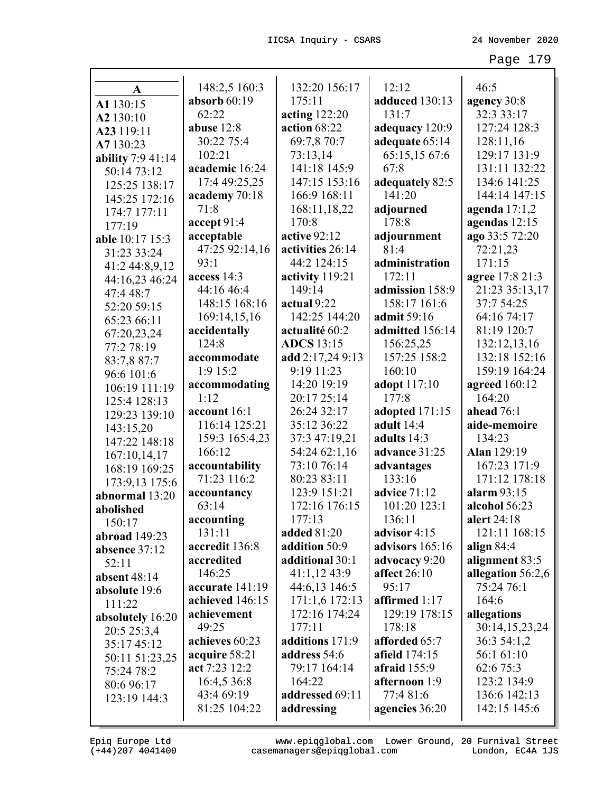| A                 | 148:2,5 160:3   | 132:20 156:17      | 12:12               | 46:5               |
|-------------------|-----------------|--------------------|---------------------|--------------------|
| A1 130:15         | absorb $60:19$  | 175:11             | adduced 130:13      | agency 30:8        |
| A2 130:10         | 62:22           | acting $122:20$    | 131:7               | 32:3 33:17         |
| A23 119:11        | abuse 12:8      | action 68:22       | adequacy 120:9      | 127:24 128:3       |
| A7 130:23         | 30:22 75:4      | 69:7,8 70:7        | adequate 65:14      | 128:11,16          |
| ability 7:9 41:14 | 102:21          | 73:13,14           | 65:15,15 67:6       | 129:17 131:9       |
| 50:14 73:12       | academic 16:24  | 141:18 145:9       | 67:8                | 131:11 132:22      |
| 125:25 138:17     | 17:4 49:25,25   | 147:15 153:16      | adequately 82:5     | 134:6 141:25       |
| 145:25 172:16     | academy 70:18   | 166:9 168:11       | 141:20              | 144:14 147:15      |
| 174:7 177:11      | 71:8            | 168:11,18,22       | adjourned           | agenda $17:1,2$    |
| 177:19            | accept 91:4     | 170:8              | 178:8               | agendas 12:15      |
| able 10:17 15:3   | acceptable      | active 92:12       | adjournment         | ago 33:5 72:20     |
| 31:23 33:24       | 47:25 92:14,16  | activities 26:14   | 81:4                | 72:21,23           |
| 41:2 44:8,9,12    | 93:1            | 44:2 124:15        | administration      | 171:15             |
| 44:16,23 46:24    | access 14:3     | activity 119:21    | 172:11              | agree 17:8 21:3    |
| 47:4 48:7         | 44:16 46:4      | 149:14             | admission 158:9     | 21:23 35:13,17     |
| 52:20 59:15       | 148:15 168:16   | actual 9:22        | 158:17 161:6        | 37:7 54:25         |
| 65:23 66:11       | 169:14,15,16    | 142:25 144:20      | admit 59:16         | 64:16 74:17        |
| 67:20,23,24       | accidentally    | actualité 60:2     | admitted 156:14     | 81:19 120:7        |
| 77:2 78:19        | 124:8           | <b>ADCS</b> 13:15  | 156:25,25           | 132:12,13,16       |
| 83:7,8 87:7       | accommodate     | add 2:17,24 9:13   | 157:25 158:2        | 132:18 152:16      |
| 96:6 101:6        | 1:9 15:2        | 9:19 11:23         | 160:10              | 159:19 164:24      |
| 106:19 111:19     | accommodating   | 14:20 19:19        | <b>adopt</b> 117:10 | agreed 160:12      |
| 125:4 128:13      | 1:12            | 20:17 25:14        | 177:8               | 164:20             |
| 129:23 139:10     | account 16:1    | 26:24 32:17        | adopted 171:15      | ahead 76:1         |
| 143:15,20         | 116:14 125:21   | 35:12 36:22        | adult 14:4          | aide-memoire       |
| 147:22 148:18     | 159:3 165:4,23  | 37:3 47:19,21      | adults 14:3         | 134:23             |
| 167:10,14,17      | 166:12          | 54:24 62:1,16      | advance 31:25       | <b>Alan</b> 129:19 |
| 168:19 169:25     | accountability  | 73:10 76:14        | advantages          | 167:23 171:9       |
| 173:9,13 175:6    | 71:23 116:2     | 80:23 83:11        | 133:16              | 171:12 178:18      |
| abnormal 13:20    | accountancy     | 123:9 151:21       | advice 71:12        | alarm 93:15        |
| abolished         | 63:14           | 172:16 176:15      | 101:20 123:1        | alcohol 56:23      |
| 150:17            | accounting      | 177:13             | 136:11              | alert 24:18        |
| abroad 149:23     | 131:11          | <b>added</b> 81:20 | advisor 4:15        | 121:11 168:15      |
| absence 37:12     | accredit 136:8  | addition 50:9      | advisors 165:16     | align $84:4$       |
| 52:11             | accredited      | additional 30:1    | advocacy 9:20       | alignment 83:5     |
| absent 48:14      | 146:25          | 41:1,1243:9        | affect $26:10$      | allegation 56:2,6  |
| absolute 19:6     | accurate 141:19 | 44:6,13 146:5      | 95:17               | 75:24 76:1         |
| 111:22            | achieved 146:15 | 171:1,6 172:13     | affirmed 1:17       | 164:6              |
| absolutely 16:20  | achievement     | 172:16 174:24      | 129:19 178:15       | allegations        |
| 20:5 25:3,4       | 49:25           | 177:11             | 178:18              | 30:14,15,23,24     |
| 35:17 45:12       | achieves 60:23  | additions 171:9    | afforded 65:7       | 36:3 54:1,2        |
| 50:11 51:23,25    | acquire 58:21   | address 54:6       | afield 174:15       | 56:1 61:10         |
| 75:24 78:2        | act 7:23 12:2   | 79:17 164:14       | afraid $155:9$      | 62:6 75:3          |
| 80:6 96:17        | 16:4,5 36:8     | 164:22             | afternoon 1:9       | 123:2 134:9        |
| 123:19 144:3      | 43:4 69:19      | addressed 69:11    | 77:4 81:6           | 136:6 142:13       |
|                   | 81:25 104:22    | addressing         | agencies 36:20      | 142:15 145:6       |
|                   |                 |                    |                     |                    |

Epiq Europe Ltd www.epiqglobal.com Lower Ground, 20 Furnival Street<br>(+44)207 4041400 casemanagers@epiqglobal.com London, EC4A 1JS www.epiqglobal.com Lower Ground, 20 Furnival Street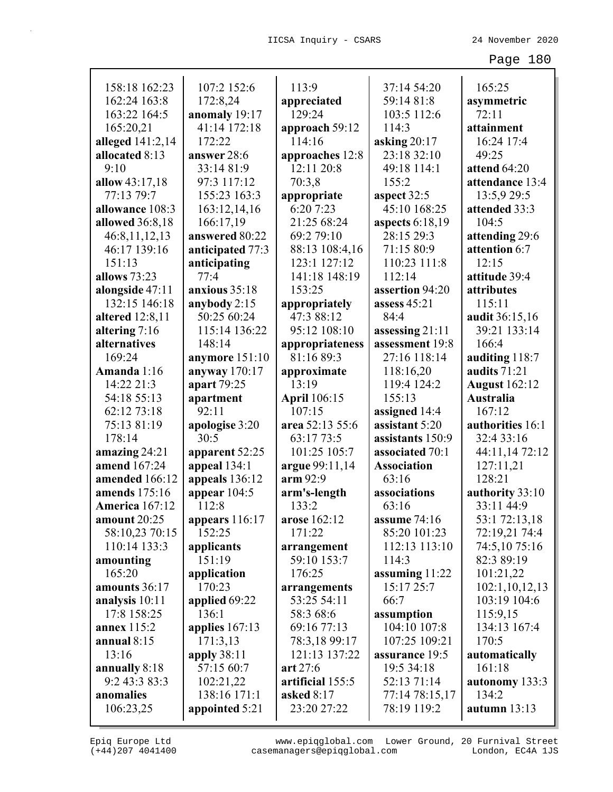| 158:18 162:23          | 107:2 152:6      | 113:9               | 37:14 54:20        | 165:25               |
|------------------------|------------------|---------------------|--------------------|----------------------|
| 162:24 163:8           | 172:8,24         | appreciated         | 59:14 81:8         | asymmetric           |
| 163:22 164:5           | anomaly 19:17    | 129:24              | 103:5 112:6        | 72:11                |
| 165:20,21              | 41:14 172:18     | approach 59:12      | 114:3              | attainment           |
| alleged 141:2,14       | 172:22           | 114:16              | asking $20:17$     | 16:24 17:4           |
| allocated 8:13         | answer 28:6      | approaches 12:8     | 23:18 32:10        | 49:25                |
| 9:10                   | 33:14 81:9       | 12:11 20:8          | 49:18 114:1        | attend 64:20         |
| allow 43:17,18         | 97:3 117:12      | 70:3,8              | 155:2              | attendance 13:4      |
| 77:13 79:7             | 155:23 163:3     | appropriate         | aspect 32:5        | 13:5,9 29:5          |
| allowance 108:3        | 163:12,14,16     | 6:20 7:23           | 45:10 168:25       | attended 33:3        |
| allowed 36:8,18        | 166:17,19        | 21:25 68:24         | aspects 6:18,19    | 104:5                |
| 46:8,11,12,13          | answered 80:22   | 69:2 79:10          | 28:15 29:3         | attending 29:6       |
| 46:17 139:16           | anticipated 77:3 | 88:13 108:4,16      | 71:15 80:9         | attention 6:7        |
| 151:13                 | anticipating     | 123:1 127:12        | 110:23 111:8       | 12:15                |
| allows 73:23           | 77:4             | 141:18 148:19       | 112:14             | attitude 39:4        |
| alongside 47:11        | anxious 35:18    | 153:25              | assertion 94:20    | attributes           |
| 132:15 146:18          | anybody 2:15     | appropriately       | assess 45:21       | 115:11               |
| <b>altered</b> 12:8,11 | 50:25 60:24      | 47:3 88:12          | 84:4               | audit 36:15,16       |
| altering $7:16$        | 115:14 136:22    | 95:12 108:10        | assessing 21:11    | 39:21 133:14         |
| alternatives           | 148:14           | appropriateness     | assessment 19:8    | 166:4                |
| 169:24                 | anymore 151:10   | 81:16 89:3          | 27:16 118:14       | auditing 118:7       |
| Amanda 1:16            | anyway $170:17$  | approximate         | 118:16,20          | audits 71:21         |
| 14:22 21:3             | apart 79:25      | 13:19               | 119:4 124:2        | <b>August</b> 162:12 |
| 54:18 55:13            | apartment        | <b>April</b> 106:15 | 155:13             | Australia            |
| 62:12 73:18            | 92:11            | 107:15              | assigned 14:4      | 167:12               |
| 75:13 81:19            | apologise 3:20   | area 52:13 55:6     | assistant 5:20     | authorities 16:1     |
| 178:14                 | 30:5             | 63:17 73:5          | assistants 150:9   | 32:4 33:16           |
| amazing $24:21$        | apparent 52:25   | 101:25 105:7        | associated 70:1    | 44:11,14 72:12       |
| amend 167:24           | appeal 134:1     | argue 99:11,14      | <b>Association</b> | 127:11,21            |
| amended 166:12         | appeals 136:12   | arm 92:9            | 63:16              | 128:21               |
| <b>amends</b> 175:16   | appear $104:5$   | arm's-length        | associations       | authority 33:10      |
| <b>America</b> 167:12  | 112:8            | 133:2               | 63:16              | 33:11 44:9           |
| amount 20:25           | appears 116:17   | arose 162:12        | assume 74:16       | 53:1 72:13,18        |
| 58:10,23 70:15         | 152:25           | 171:22              | 85:20 101:23       | 72:19,21 74:4        |
| 110:14 133:3           | applicants       | arrangement         | 112:13 113:10      | 74:5,10 75:16        |
| amounting              | 151:19           | 59:10 153:7         | 114:3              | 82:3 89:19           |
| 165:20                 | application      | 176:25              | assuming $11:22$   | 101:21,22            |
| amounts 36:17          | 170:23           | arrangements        | 15:17 25:7         | 102:1,10,12,13       |
| analysis 10:11         | applied 69:22    | 53:25 54:11         | 66:7               | 103:19 104:6         |
| 17:8 158:25            | 136:1            | 58:3 68:6           | assumption         | 115:9,15             |
| annex 115:2            | applies $167:13$ | 69:16 77:13         | 104:10 107:8       | 134:13 167:4         |
| annual $8:15$          | 171:3,13         | 78:3,18 99:17       | 107:25 109:21      | 170:5                |
| 13:16                  | apply 38:11      | 121:13 137:22       | assurance 19:5     | automatically        |
| annually 8:18          | 57:15 60:7       | art 27:6            | 19:5 34:18         | 161:18               |
| 9:2 43:3 83:3          | 102:21,22        | artificial 155:5    | 52:13 71:14        | autonomy 133:3       |
| anomalies              | 138:16 171:1     | asked 8:17          | 77:14 78:15,17     | 134:2                |
| 106:23,25              | appointed 5:21   | 23:20 27:22         | 78:19 119:2        | autumn 13:13         |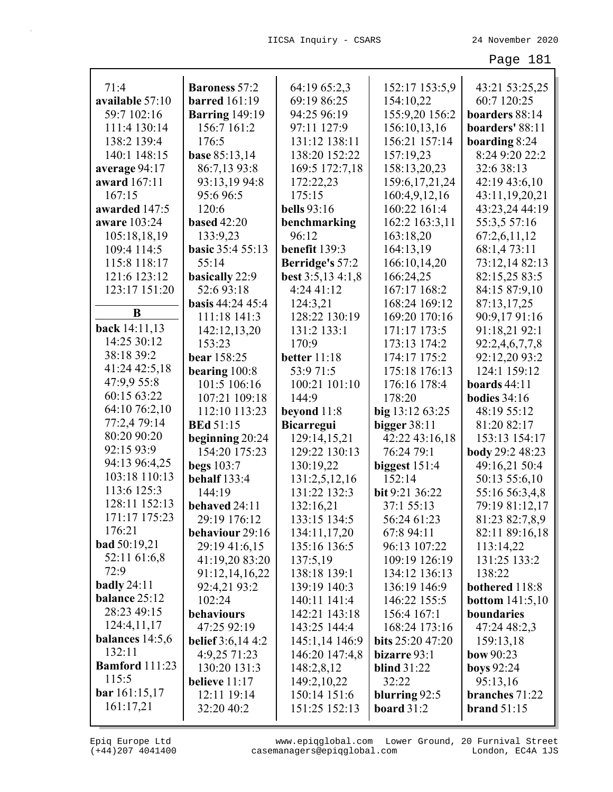| 71:4                  | <b>Baroness</b> 57:2     | 64:19 65:2,3           | 152:17 153:5,9           | 43:21 53:25,25           |
|-----------------------|--------------------------|------------------------|--------------------------|--------------------------|
| available 57:10       | <b>barred</b> 161:19     | 69:19 86:25            | 154:10,22                | 60:7 120:25              |
| 59:7 102:16           | <b>Barring</b> 149:19    | 94:25 96:19            | 155:9,20 156:2           | boarders 88:14           |
| 111:4 130:14          | 156:7 161:2              | 97:11 127:9            | 156:10,13,16             | boarders' 88:11          |
| 138:2 139:4           | 176:5                    | 131:12 138:11          | 156:21 157:14            | boarding 8:24            |
| 140:1 148:15          | <b>base 85:13,14</b>     | 138:20 152:22          | 157:19,23                | 8:24 9:20 22:2           |
| average 94:17         | 86:7,13 93:8             | 169:5 172:7,18         | 158:13,20,23             | 32:6 38:13               |
| award 167:11          | 93:13,19 94:8            | 172:22,23              | 159:6, 17, 21, 24        | 42:19 43:6,10            |
| 167:15                | 95:6 96:5                | 175:15                 | 160:4,9,12,16            | 43:11,19,20,21           |
| awarded 147:5         | 120:6                    | <b>bells</b> 93:16     | 160:22 161:4             | 43:23,24 44:19           |
| aware 103:24          | <b>based</b> 42:20       | benchmarking           | 162:2 163:3,11           | 55:3,5 57:16             |
| 105:18,18,19          | 133:9,23                 | 96:12                  | 163:18,20                | 67:2,6,11,12             |
| 109:4 114:5           | <b>basic</b> 35:4 55:13  | benefit 139:3          | 164:13,19                | 68:1,473:11              |
| 115:8 118:17          | 55:14                    | <b>Berridge's</b> 57:2 | 166:10,14,20             | 73:12,14 82:13           |
| 121:6 123:12          | basically 22:9           | best 3:5,13 4:1,8      | 166:24,25                | 82:15,25 83:5            |
| 123:17 151:20         | 52:693:18                | 4:24 41:12             | 167:17 168:2             | 84:15 87:9,10            |
|                       | <b>basis</b> 44:24 45:4  | 124:3,21               | 168:24 169:12            | 87:13,17,25              |
| B                     | 111:18 141:3             | 128:22 130:19          | 169:20 170:16            | 90:9,1791:16             |
| back 14:11,13         | 142:12,13,20             | 131:2 133:1            | 171:17 173:5             | 91:18,21 92:1            |
| 14:25 30:12           | 153:23                   | 170:9                  | 173:13 174:2             | 92:2,4,6,7,7,8           |
| 38:18 39:2            | bear 158:25              | better 11:18           | 174:17 175:2             | 92:12,20 93:2            |
| 41:24 42:5,18         | bearing $100:8$          | 53:9 71:5              | 175:18 176:13            | 124:1 159:12             |
| 47:9,9 55:8           | 101:5 106:16             | 100:21 101:10          | 176:16 178:4             | boards $44:11$           |
| 60:15 63:22           | 107:21 109:18            | 144:9                  | 178:20                   | bodies $34:16$           |
| 64:10 76:2,10         | 112:10 113:23            | beyond 11:8            | big 13:12 63:25          | 48:19 55:12              |
| 77:2,4 79:14          | <b>BEd 51:15</b>         | <b>Bicarregui</b>      | bigger $38:11$           | 81:20 82:17              |
| 80:20 90:20           | beginning 20:24          | 129:14,15,21           | 42:22 43:16,18           | 153:13 154:17            |
| 92:15 93:9            | 154:20 175:23            | 129:22 130:13          | 76:24 79:1               | body 29:2 48:23          |
| 94:13 96:4,25         | <b>begs</b> 103:7        | 130:19,22              | biggest $151:4$          | 49:16,21 50:4            |
| 103:18 110:13         | behalf 133:4             | 131:2,5,12,16          | 152:14                   | 50:13 55:6,10            |
| 113:6 125:3           | 144:19                   | 131:22 132:3           | bit 9:21 36:22           | 55:16 56:3,4,8           |
| 128:11 152:13         | behaved 24:11            | 132:16,21              | 37:1 55:13               | 79:19 81:12,17           |
| 171:17 175:23         | 29:19 176:12             | 133:15 134:5           | 56:24 61:23              | 81:23 82:7,8,9           |
| 176:21                | behaviour 29:16          | 134:11,17,20           | 67:8 94:11               | 82:11 89:16,18           |
| <b>bad</b> 50:19,21   | 29:19 41:6,15            | 135:16 136:5           | 96:13 107:22             | 113:14,22                |
| 52:11 61:6,8          | 41:19,20 83:20           | 137:5,19               | 109:19 126:19            | 131:25 133:2             |
| 72:9                  | 91:12,14,16,22           | 138:18 139:1           | 134:12 136:13            | 138:22                   |
| badly $24:11$         | 92:4,21 93:2             | 139:19 140:3           | 136:19 146:9             | bothered 118:8           |
| balance 25:12         | 102:24                   | 140:11 141:4           | 146:22 155:5             | <b>bottom</b> $141:5,10$ |
| 28:23 49:15           | behaviours               | 142:21 143:18          | 156:4 167:1              | boundaries               |
| 124:4,11,17           | 47:25 92:19              | 143:25 144:4           | 168:24 173:16            | 47:24 48:2,3             |
| balances $14:5,6$     | <b>belief</b> 3:6,14 4:2 | 145:1,14 146:9         | <b>bits</b> $25:2047:20$ | 159:13,18                |
| 132:11                | 4:9,25 71:23             | 146:20 147:4,8         | bizarre 93:1             | bow $90:23$              |
| <b>Bamford</b> 111:23 | 130:20 131:3             | 148:2,8,12             | <b>blind</b> 31:22       | <b>boys</b> 92:24        |
| 115:5                 | believe $11:17$          | 149:2,10,22            | 32:22                    | 95:13,16                 |
| bar 161:15,17         | 12:11 19:14              | 150:14 151:6           | blurring 92:5            | branches 71:22           |
| 161:17,21             | 32:20 40:2               | 151:25 152:13          | board $31:2$             | <b>brand</b> 51:15       |
|                       |                          |                        |                          |                          |

(+44)207 4041400 casemanagers@epiqglobal.com London, EC4A 1JS www.epiqglobal.com Lower Ground, 20 Furnival Street

л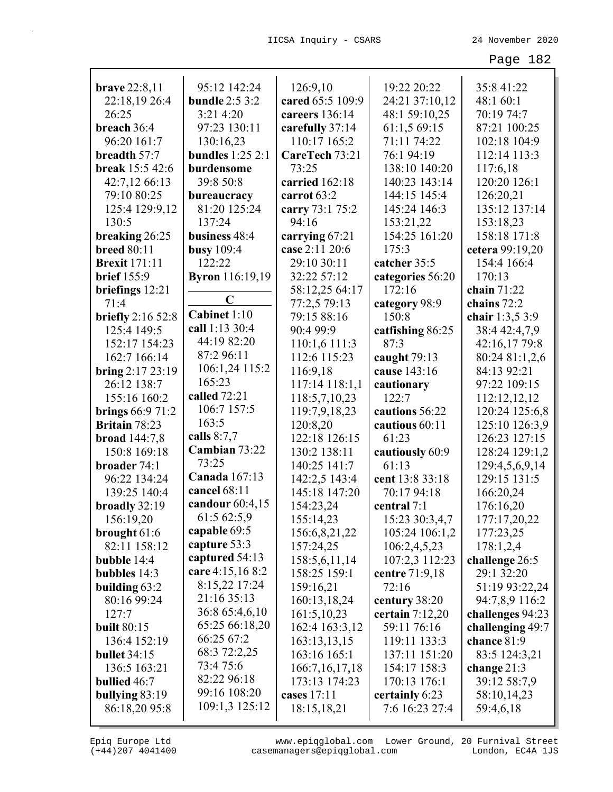| <b>brave</b> 22:8,11     | 95:12 142:24           | 126:9,10          | 19:22 20:22       | 35:8 41:22       |
|--------------------------|------------------------|-------------------|-------------------|------------------|
| 22:18,19 26:4            | <b>bundle</b> 2:5 3:2  | cared 65:5 109:9  | 24:21 37:10,12    | 48:1 60:1        |
| 26:25                    | 3:21 4:20              | careers 136:14    | 48:1 59:10,25     | 70:19 74:7       |
| breach 36:4              | 97:23 130:11           | carefully 37:14   | 61:1,5 69:15      | 87:21 100:25     |
| 96:20 161:7              | 130:16,23              | 110:17 165:2      | 71:11 74:22       | 102:18 104:9     |
| breadth 57:7             | bundles $1:252:1$      | CareTech 73:21    | 76:1 94:19        | 112:14 113:3     |
| break 15:5 42:6          | burdensome             | 73:25             | 138:10 140:20     | 117:6,18         |
| 42:7,12 66:13            | 39:8 50:8              | carried 162:18    | 140:23 143:14     | 120:20 126:1     |
| 79:10 80:25              | bureaucracy            | carrot $63:2$     | 144:15 145:4      | 126:20,21        |
| 125:4 129:9,12           | 81:20 125:24           | carry 73:1 75:2   | 145:24 146:3      | 135:12 137:14    |
| 130:5                    | 137:24                 | 94:16             | 153:21,22         | 153:18,23        |
| breaking 26:25           | business 48:4          | carrying 67:21    | 154:25 161:20     | 158:18 171:8     |
| <b>breed 80:11</b>       | busy $109:4$           | case 2:11 20:6    | 175:3             | cetera 99:19,20  |
| <b>Brexit 171:11</b>     | 122:22                 | 29:10 30:11       | catcher 35:5      | 154:4 166:4      |
| <b>brief</b> 155:9       | <b>Byron</b> 116:19,19 | 32:22 57:12       | categories 56:20  | 170:13           |
| briefings $12:21$        |                        | 58:12,25 64:17    | 172:16            | chain 71:22      |
| 71:4                     | $\mathbf C$            | 77:2,5 79:13      | category 98:9     | chains 72:2      |
| <b>briefly</b> 2:16 52:8 | Cabinet 1:10           | 79:15 88:16       | 150:8             | chair 1:3,5 3:9  |
| 125:4 149:5              | call 1:13 30:4         | 90:4 99:9         | catfishing 86:25  | 38:4 42:4,7,9    |
| 152:17 154:23            | 44:19 82:20            | 110:1,6 111:3     | 87:3              | 42:16,17 79:8    |
| 162:7 166:14             | 87:2 96:11             | 112:6 115:23      | caught $79:13$    | 80:24 81:1,2,6   |
| bring $2:17\,23:19$      | 106:1,24 115:2         | 116:9,18          | cause 143:16      | 84:13 92:21      |
| 26:12 138:7              | 165:23                 | 117:14 118:1,1    | cautionary        | 97:22 109:15     |
| 155:16 160:2             | called 72:21           | 118:5,7,10,23     | 122:7             | 112:12,12,12     |
| <b>brings</b> 66:9 71:2  | 106:7 157:5            | 119:7,9,18,23     | cautions 56:22    | 120:24 125:6,8   |
| <b>Britain 78:23</b>     | 163:5                  | 120:8,20          | cautious 60:11    | 125:10 126:3,9   |
| <b>broad</b> 144:7,8     | calls $8:7,7$          | 122:18 126:15     | 61:23             | 126:23 127:15    |
| 150:8 169:18             | Cambian 73:22          | 130:2 138:11      | cautiously 60:9   | 128:24 129:1,2   |
| broader 74:1             | 73:25                  | 140:25 141:7      | 61:13             | 129:4,5,6,9,14   |
| 96:22 134:24             | Canada 167:13          | 142:2,5 143:4     | cent 13:8 33:18   | 129:15 131:5     |
| 139:25 140:4             | cancel 68:11           | 145:18 147:20     | 70:17 94:18       | 166:20,24        |
| broadly 32:19            | candour 60:4,15        | 154:23,24         | central 7:1       | 176:16,20        |
| 156:19,20                | 61:5 62:5,9            | 155:14,23         | 15:23 30:3,4,7    | 177:17,20,22     |
| brought $61:6$           | capable 69:5           | 156:6,8,21,22     | 105:24 106:1,2    | 177:23,25        |
| 82:11 158:12             | capture 53:3           | 157:24,25         | 106:2,4,5,23      | 178:1,2,4        |
| <b>bubble</b> 14:4       | captured 54:13         | 158:5,6,11,14     | 107:2,3 112:23    | challenge 26:5   |
| <b>bubbles</b> 14:3      | care 4:15,16 8:2       | 158:25 159:1      | centre 71:9,18    | 29:1 32:20       |
| building $63:2$          | 8:15,22 17:24          | 159:16,21         | 72:16             | 51:19 93:22,24   |
| 80:16 99:24              | 21:16 35:13            | 160:13,18,24      | century 38:20     | 94:7,8,9 116:2   |
| 127:7                    | 36:8 65:4,6,10         | 161:5,10,23       | certain $7:12,20$ | challenges 94:23 |
| <b>built 80:15</b>       | 65:25 66:18,20         | 162:4 163:3,12    | 59:11 76:16       | challenging 49:7 |
| 136:4 152:19             | 66:25 67:2             | 163:13,13,15      | 119:11 133:3      | chance 81:9      |
| <b>bullet</b> 34:15      | 68:3 72:2,25           | 163:16 165:1      | 137:11 151:20     | 83:5 124:3,21    |
| 136:5 163:21             | 73:4 75:6              | 166:7, 16, 17, 18 | 154:17 158:3      | change $21:3$    |
| <b>bullied</b> 46:7      | 82:22 96:18            | 173:13 174:23     | 170:13 176:1      | 39:12 58:7,9     |
| bullying $83:19$         | 99:16 108:20           | cases $17:11$     | certainly 6:23    | 58:10,14,23      |
| 86:18,20 95:8            | 109:1,3 125:12         | 18:15,18,21       | 7:6 16:23 27:4    | 59:4,6,18        |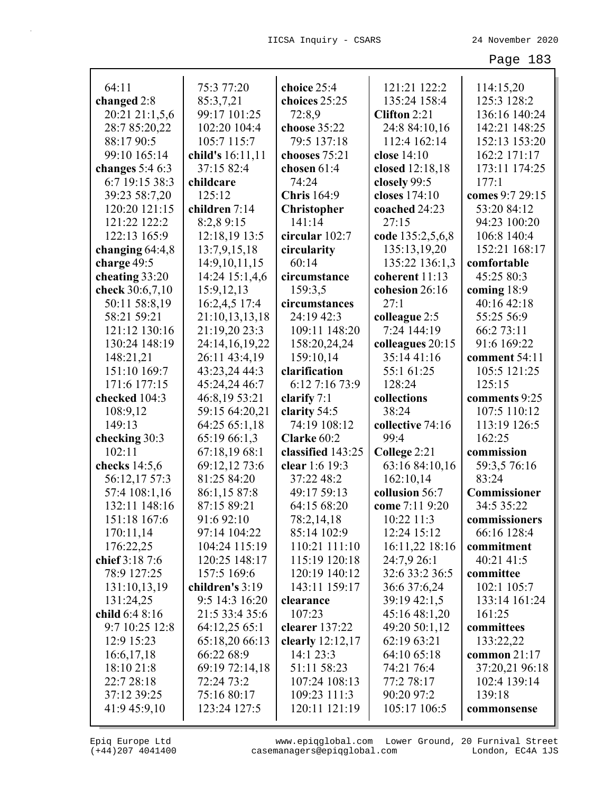| 64:11             | 75:3 77:20       | choice 25:4        | 121:21 122:2        | 114:15,20       |
|-------------------|------------------|--------------------|---------------------|-----------------|
| changed 2:8       | 85:3,7,21        | choices 25:25      | 135:24 158:4        | 125:3 128:2     |
| 20:21 21:1,5,6    | 99:17 101:25     | 72:8,9             | <b>Clifton 2:21</b> | 136:16 140:24   |
| 28:7 85:20,22     | 102:20 104:4     | choose 35:22       | 24:8 84:10,16       | 142:21 148:25   |
| 88:17 90:5        | 105:7 115:7      | 79:5 137:18        | 112:4 162:14        | 152:13 153:20   |
| 99:10 165:14      | child's 16:11,11 | chooses 75:21      | close 14:10         | 162:2 171:17    |
| changes $5:46:3$  | 37:15 82:4       | chosen 61:4        | closed 12:18,18     | 173:11 174:25   |
| 6:7 19:15 38:3    | childcare        | 74:24              | closely 99:5        | 177:1           |
| 39:23 58:7,20     | 125:12           | <b>Chris</b> 164:9 | closes 174:10       | comes 9:7 29:15 |
| 120:20 121:15     | children 7:14    | <b>Christopher</b> | coached 24:23       | 53:20 84:12     |
| 121:22 122:2      | 8:2,8 9:15       | 141:14             | 27:15               | 94:23 100:20    |
| 122:13 165:9      | 12:18,19 13:5    | circular 102:7     | code 135:2,5,6,8    | 106:8 140:4     |
| changing $64:4,8$ | 13:7,9,15,18     | circularity        | 135:13,19,20        | 152:21 168:17   |
| charge 49:5       | 14:9,10,11,15    | 60:14              | 135:22 136:1,3      | comfortable     |
| cheating 33:20    | 14:24 15:1,4,6   | circumstance       | coherent 11:13      | 45:25 80:3      |
| check 30:6,7,10   | 15:9,12,13       | 159:3,5            | cohesion 26:16      | coming 18:9     |
| 50:11 58:8,19     | 16:2,4,5 17:4    | circumstances      | 27:1                | 40:16 42:18     |
| 58:21 59:21       | 21:10,13,13,18   | 24:19 42:3         | colleague 2:5       | 55:25 56:9      |
| 121:12 130:16     | 21:19,20 23:3    | 109:11 148:20      | 7:24 144:19         | 66:2 73:11      |
| 130:24 148:19     | 24:14,16,19,22   | 158:20,24,24       | colleagues 20:15    | 91:6 169:22     |
| 148:21,21         | 26:11 43:4,19    | 159:10,14          | 35:14 41:16         | comment 54:11   |
| 151:10 169:7      | 43:23,24 44:3    | clarification      | 55:1 61:25          | 105:5 121:25    |
| 171:6 177:15      | 45:24,24 46:7    | 6:12 7:16 73:9     | 128:24              | 125:15          |
| checked 104:3     | 46:8,19 53:21    | clarify $7:1$      | collections         | comments 9:25   |
|                   |                  |                    |                     |                 |
|                   |                  |                    |                     |                 |
| 108:9,12          | 59:15 64:20,21   | clarity 54:5       | 38:24               | 107:5 110:12    |
| 149:13            | 64:25 65:1,18    | 74:19 108:12       | collective 74:16    | 113:19 126:5    |
| checking 30:3     | 65:19 66:1,3     | Clarke 60:2        | 99:4                | 162:25          |
| 102:11            | 67:18,19 68:1    | classified 143:25  | College 2:21        | commission      |
| checks $14:5,6$   | 69:12,12 73:6    | clear 1:6 19:3     | 63:16 84:10,16      | 59:3,5 76:16    |
| 56:12,17 57:3     | 81:25 84:20      | 37:22 48:2         | 162:10,14           | 83:24           |
| 57:4 108:1,16     | 86:1,15 87:8     | 49:17 59:13        | collusion 56:7      | Commissioner    |
| 132:11 148:16     | 87:15 89:21      | 64:15 68:20        | come 7:11 9:20      | 34:5 35:22      |
| 151:18 167:6      | 91:6 92:10       | 78:2,14,18         | 10:22 11:3          | commissioners   |
| 170:11,14         | 97:14 104:22     | 85:14 102:9        | 12:24 15:12         | 66:16 128:4     |
| 176:22,25         | 104:24 115:19    | 110:21 111:10      | 16:11,22 18:16      | commitment      |
| chief 3:18 7:6    | 120:25 148:17    | 115:19 120:18      | 24:7,9 26:1         | 40:21 41:5      |
| 78:9 127:25       | 157:5 169:6      | 120:19 140:12      | 32:6 33:2 36:5      | committee       |
| 131:10,13,19      | children's 3:19  | 143:11 159:17      | 36:6 37:6,24        | 102:1 105:7     |
| 131:24,25         | 9:5 14:3 16:20   | clearance          | 39:19 42:1,5        | 133:14 161:24   |
| child 6:4 8:16    | 21:5 33:4 35:6   | 107:23             | 45:16 48:1,20       | 161:25          |
| 9:7 10:25 12:8    | 64:12,25 65:1    | clearer 137:22     | 49:20 50:1,12       | committees      |
| 12:9 15:23        | 65:18,20 66:13   | clearly $12:12,17$ | 62:19 63:21         | 133:22,22       |
| 16:6,17,18        | 66:22 68:9       | 14:1 23:3          | 64:10 65:18         | common 21:17    |
| 18:10 21:8        | 69:19 72:14,18   | 51:11 58:23        | 74:21 76:4          | 37:20,21 96:18  |
| 22:7 28:18        | 72:24 73:2       | 107:24 108:13      | 77:2 78:17          | 102:4 139:14    |
| 37:12 39:25       | 75:16 80:17      | 109:23 111:3       | 90:20 97:2          | 139:18          |
| 41:9 45:9,10      | 123:24 127:5     | 120:11 121:19      | 105:17 106:5        | commonsense     |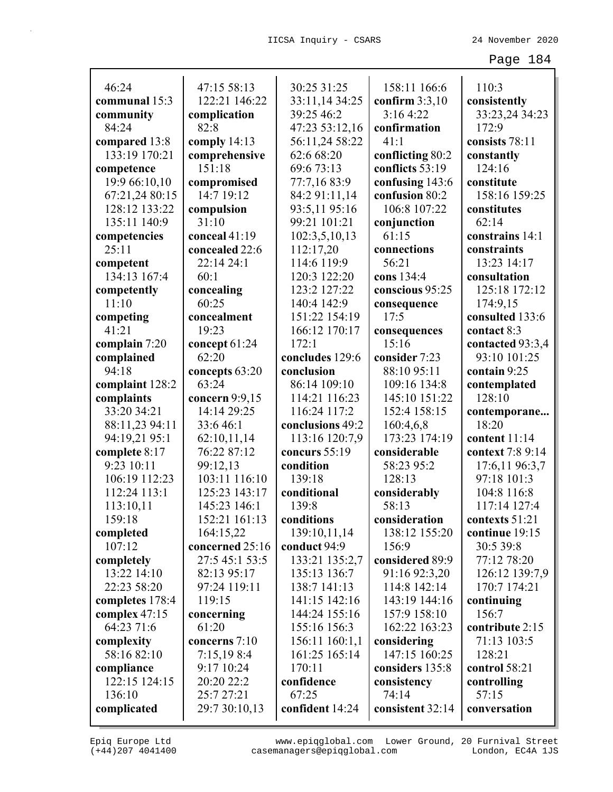| 46:24           | 47:15 58:13     | 30:25 31:25      | 158:11 166:6     | 110:3            |
|-----------------|-----------------|------------------|------------------|------------------|
| communal 15:3   | 122:21 146:22   | 33:11,14 34:25   | confirm $3:3,10$ | consistently     |
| community       | complication    | 39:25 46:2       | 3:164:22         | 33:23,24 34:23   |
| 84:24           | 82:8            | 47:23 53:12,16   | confirmation     | 172:9            |
| compared 13:8   | comply $14:13$  | 56:11,24 58:22   | 41:1             | consists 78:11   |
| 133:19 170:21   | comprehensive   | 62:6 68:20       | conflicting 80:2 | constantly       |
| competence      | 151:18          | 69:6 73:13       | conflicts 53:19  | 124:16           |
| 19:9 66:10,10   | compromised     | 77:7,16 83:9     | confusing 143:6  | constitute       |
| 67:21,24 80:15  | 14:7 19:12      | 84:2 91:11,14    | confusion 80:2   | 158:16 159:25    |
| 128:12 133:22   | compulsion      | 93:5,11 95:16    | 106:8 107:22     | constitutes      |
| 135:11 140:9    | 31:10           | 99:21 101:21     | conjunction      | 62:14            |
| competencies    | conceal 41:19   | 102:3,5,10,13    | 61:15            | constrains 14:1  |
| 25:11           | concealed 22:6  | 112:17,20        | connections      | constraints      |
| competent       | 22:14 24:1      | 114:6 119:9      | 56:21            | 13:23 14:17      |
| 134:13 167:4    | 60:1            | 120:3 122:20     | cons 134:4       | consultation     |
| competently     | concealing      | 123:2 127:22     | conscious 95:25  | 125:18 172:12    |
| 11:10           | 60:25           | 140:4 142:9      | consequence      | 174:9,15         |
| competing       | concealment     | 151:22 154:19    | 17:5             | consulted 133:6  |
| 41:21           | 19:23           | 166:12 170:17    | consequences     | contact 8:3      |
| complain 7:20   | concept 61:24   | 172:1            | 15:16            | contacted 93:3,4 |
| complained      | 62:20           | concludes 129:6  | consider 7:23    | 93:10 101:25     |
| 94:18           | concepts 63:20  | conclusion       | 88:10 95:11      | contain 9:25     |
| complaint 128:2 | 63:24           | 86:14 109:10     | 109:16 134:8     | contemplated     |
| complaints      | concern 9:9,15  | 114:21 116:23    | 145:10 151:22    | 128:10           |
| 33:20 34:21     | 14:14 29:25     | 116:24 117:2     | 152:4 158:15     | contemporane     |
| 88:11,23 94:11  | 33:646:1        | conclusions 49:2 | 160:4,6,8        | 18:20            |
| 94:19,21 95:1   | 62:10,11,14     | 113:16 120:7,9   | 173:23 174:19    | content 11:14    |
| complete 8:17   | 76:22 87:12     | concurs 55:19    | considerable     | context 7:8 9:14 |
| 9:23 10:11      | 99:12,13        | condition        | 58:23 95:2       | 17:6,11 96:3,7   |
| 106:19 112:23   | 103:11 116:10   | 139:18           | 128:13           | 97:18 101:3      |
| 112:24 113:1    | 125:23 143:17   | conditional      | considerably     | 104:8 116:8      |
| 113:10,11       | 145:23 146:1    | 139:8            | 58:13            | 117:14 127:4     |
| 159:18          | 152:21 161:13   | conditions       | consideration    | contexts 51:21   |
| completed       | 164:15,22       | 139:10,11,14     | 138:12 155:20    | continue 19:15   |
| 107:12          | concerned 25:16 | conduct 94:9     | 156:9            | 30:5 39:8        |
| completely      | 27:5 45:1 53:5  | 133:21 135:2,7   | considered 89:9  | 77:12 78:20      |
| 13:22 14:10     | 82:13 95:17     | 135:13 136:7     | 91:16 92:3,20    | 126:12 139:7,9   |
| 22:23 58:20     | 97:24 119:11    | 138:7 141:13     | 114:8 142:14     | 170:7 174:21     |
| completes 178:4 | 119:15          | 141:15 142:16    | 143:19 144:16    | continuing       |
| complex $47:15$ | concerning      | 144:24 155:16    | 157:9 158:10     | 156:7            |
| 64:23 71:6      | 61:20           | 155:16 156:3     | 162:22 163:23    | contribute 2:15  |
| complexity      | concerns 7:10   | 156:11 160:1,1   | considering      | 71:13 103:5      |
| 58:16 82:10     | 7:15,198:4      | 161:25 165:14    | 147:15 160:25    | 128:21           |
| compliance      | 9:17 10:24      | 170:11           | considers 135:8  | control 58:21    |
| 122:15 124:15   | 20:20 22:2      | confidence       | consistency      | controlling      |
| 136:10          | 25:7 27:21      | 67:25            | 74:14            | 57:15            |
| complicated     | 29:7 30:10,13   | confident 14:24  | consistent 32:14 | conversation     |
|                 |                 |                  |                  |                  |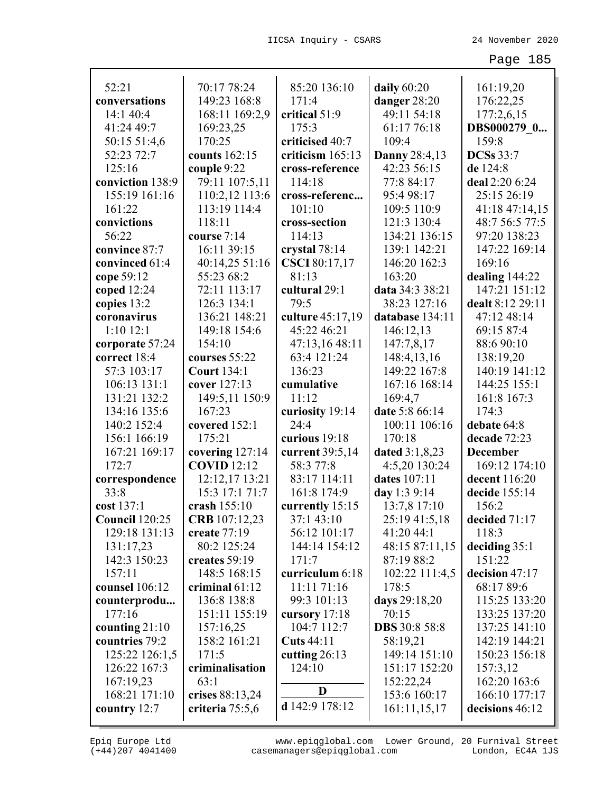| 52:21                  | 70:17 78:24        | 85:20 136:10      | daily 60:20          | 161:19,20        |
|------------------------|--------------------|-------------------|----------------------|------------------|
| conversations          | 149:23 168:8       | 171:4             | danger 28:20         | 176:22,25        |
| 14:1 40:4              | 168:11 169:2,9     | critical 51:9     | 49:11 54:18          | 177:2,6,15       |
| 41:24 49:7             | 169:23,25          | 175:3             | 61:17 76:18          | DBS000279 0      |
| 50:15 51:4,6           | 170:25             | criticised 40:7   | 109:4                | 159:8            |
| 52:23 72:7             | counts 162:15      | criticism 165:13  | <b>Danny 28:4,13</b> | <b>DCSs</b> 33:7 |
| 125:16                 | couple 9:22        | cross-reference   | 42:23 56:15          | de 124:8         |
| conviction 138:9       | 79:11 107:5,11     | 114:18            | 77:8 84:17           | deal 2:20 6:24   |
| 155:19 161:16          | 110:2,12 113:6     | cross-referenc    | 95:4 98:17           | 25:15 26:19      |
| 161:22                 | 113:19 114:4       | 101:10            | 109:5 110:9          | 41:18 47:14,15   |
| convictions            | 118:11             | cross-section     | 121:3 130:4          | 48:7 56:5 77:5   |
| 56:22                  | course 7:14        | 114:13            | 134:21 136:15        | 97:20 138:23     |
| convince 87:7          | 16:11 39:15        | crystal 78:14     | 139:1 142:21         | 147:22 169:14    |
| convinced 61:4         | 40:14,25 51:16     | CSCI 80:17,17     | 146:20 162:3         | 169:16           |
| cope 59:12             | 55:23 68:2         | 81:13             | 163:20               | dealing 144:22   |
| coped 12:24            | 72:11 113:17       | cultural 29:1     | data 34:3 38:21      | 147:21 151:12    |
| copies 13:2            | 126:3 134:1        | 79:5              | 38:23 127:16         | dealt 8:12 29:11 |
| coronavirus            | 136:21 148:21      | culture 45:17,19  | database 134:11      | 47:12 48:14      |
| $1:10$ $12:1$          | 149:18 154:6       | 45:22 46:21       | 146:12,13            | 69:15 87:4       |
| corporate 57:24        | 154:10             | 47:13,16 48:11    | 147:7,8,17           | 88:6 90:10       |
| correct 18:4           | courses 55:22      | 63:4 121:24       | 148:4,13,16          | 138:19,20        |
| 57:3 103:17            | <b>Court 134:1</b> | 136:23            | 149:22 167:8         | 140:19 141:12    |
| 106:13 131:1           | cover 127:13       | cumulative        | 167:16 168:14        | 144:25 155:1     |
| 131:21 132:2           | 149:5,11 150:9     | 11:12             | 169:4,7              | 161:8 167:3      |
| 134:16 135:6           | 167:23             | curiosity 19:14   | date 5:8 66:14       | 174:3            |
| 140:2 152:4            | covered 152:1      | 24:4              | 100:11 106:16        | debate 64:8      |
| 156:1 166:19           | 175:21             | curious 19:18     | 170:18               | decade 72:23     |
| 167:21 169:17          | covering 127:14    | current 39:5,14   | dated 3:1,8,23       | <b>December</b>  |
| 172:7                  | <b>COVID</b> 12:12 | 58:3 77:8         | 4:5,20 130:24        | 169:12 174:10    |
| correspondence         | 12:12,17 13:21     | 83:17 114:11      | dates 107:11         | decent 116:20    |
| 33:8                   | 15:3 17:1 71:7     | 161:8 174:9       | day 1:3 9:14         | decide 155:14    |
| cost 137:1             | crash 155:10       | currently 15:15   | 13:7,8 17:10         | 156:2            |
| <b>Council</b> 120:25  | CRB 107:12,23      | 37:1 43:10        | 25:19 41:5,18        | decided 71:17    |
| 129:18 131:13          | create 77:19       | 56:12 101:17      | 41:20 44:1           | 118:3            |
| 131:17,23              | 80:2 125:24        | 144:14 154:12     | 48:15 87:11,15       | deciding $35:1$  |
| 142:3 150:23           | creates 59:19      | 171:7             | 87:19 88:2           | 151:22           |
| 157:11                 | 148:5 168:15       | curriculum 6:18   | 102:22 111:4,5       | decision 47:17   |
| counsel 106:12         | criminal $61:12$   | 11:11 71:16       | 178:5                | 68:17 89:6       |
|                        |                    | 99:3 101:13       |                      |                  |
| counterprodu<br>177:16 | 136:8 138:8        |                   | days 29:18,20        | 115:25 133:20    |
|                        | 151:11 155:19      | cursory 17:18     | 70:15                | 133:25 137:20    |
| counting $21:10$       | 157:16,25          | 104:7 112:7       | <b>DBS</b> 30:8 58:8 | 137:25 141:10    |
| countries 79:2         | 158:2 161:21       | <b>Cuts</b> 44:11 | 58:19,21             | 142:19 144:21    |
| 125:22 126:1,5         | 171:5              | cutting $26:13$   | 149:14 151:10        | 150:23 156:18    |
| 126:22 167:3           | criminalisation    | 124:10            | 151:17 152:20        | 157:3,12         |
| 167:19,23              | 63:1               | D                 | 152:22,24            | 162:20 163:6     |
| 168:21 171:10          | crises 88:13,24    |                   | 153:6 160:17         | 166:10 177:17    |
| country $12:7$         | criteria 75:5,6    | d 142:9 178:12    | 161:11,15,17         | decisions 46:12  |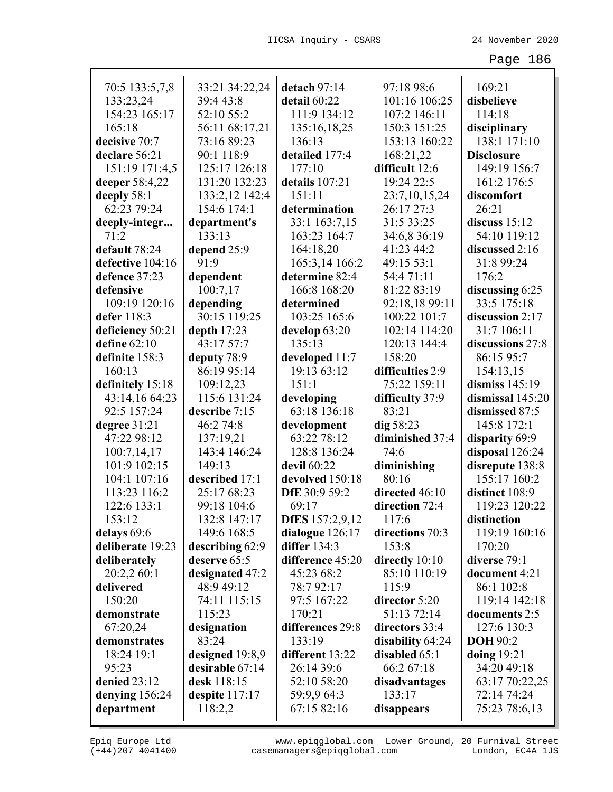| 70:5 133:5,7,8   | 33:21 34:22,24  | detach $97:14$         | 97:18 98:6       | 169:21            |
|------------------|-----------------|------------------------|------------------|-------------------|
| 133:23,24        | 39:4 43:8       | detail 60:22           | 101:16 106:25    | disbelieve        |
| 154:23 165:17    | 52:10 55:2      | 111:9 134:12           | 107:2 146:11     | 114:18            |
| 165:18           | 56:11 68:17,21  | 135:16,18,25           | 150:3 151:25     | disciplinary      |
| decisive 70:7    | 73:16 89:23     | 136:13                 | 153:13 160:22    | 138:1 171:10      |
| declare 56:21    | 90:1 118:9      | detailed 177:4         | 168:21,22        | <b>Disclosure</b> |
| 151:19 171:4,5   | 125:17 126:18   | 177:10                 | difficult 12:6   | 149:19 156:7      |
| deeper 58:4,22   | 131:20 132:23   | details 107:21         | 19:24 22:5       | 161:2 176:5       |
| deeply 58:1      | 133:2,12 142:4  | 151:11                 | 23:7,10,15,24    | discomfort        |
| 62:23 79:24      | 154:6 174:1     | determination          | 26:17 27:3       | 26:21             |
| deeply-integr    | department's    | 33:1 163:7,15          | 31:5 33:25       | discuss $15:12$   |
| 71:2             | 133:13          | 163:23 164:7           | 34:6,8 36:19     | 54:10 119:12      |
| default 78:24    | depend 25:9     | 164:18,20              | 41:23 44:2       | discussed 2:16    |
| defective 104:16 | 91:9            | 165:3,14 166:2         | 49:15 53:1       | 31:8 99:24        |
| defence 37:23    | dependent       | determine 82:4         | 54:4 71:11       | 176:2             |
| defensive        | 100:7,17        | 166:8 168:20           | 81:22 83:19      | discussing 6:25   |
| 109:19 120:16    | depending       | determined             | 92:18,18 99:11   | 33:5 175:18       |
| defer 118:3      | 30:15 119:25    | 103:25 165:6           | 100:22 101:7     | discussion 2:17   |
| deficiency 50:21 | depth $17:23$   | develop 63:20          | 102:14 114:20    | 31:7 106:11       |
| define $62:10$   | 43:17 57:7      | 135:13                 | 120:13 144:4     | discussions 27:8  |
| definite 158:3   | deputy 78:9     | developed 11:7         | 158:20           | 86:15 95:7        |
| 160:13           | 86:19 95:14     | 19:13 63:12            | difficulties 2:9 | 154:13,15         |
| definitely 15:18 | 109:12,23       | 151:1                  | 75:22 159:11     | dismiss $145:19$  |
| 43:14,16 64:23   | 115:6 131:24    | developing             | difficulty 37:9  | dismissal 145:20  |
| 92:5 157:24      | describe 7:15   | 63:18 136:18           | 83:21            | dismissed 87:5    |
| degree 31:21     | 46:2 74:8       | development            | dig~58:23        | 145:8 172:1       |
| 47:22 98:12      | 137:19,21       | 63:22 78:12            | diminished 37:4  | disparity 69:9    |
| 100:7,14,17      | 143:4 146:24    | 128:8 136:24           | 74:6             | disposal 126:24   |
| 101:9 102:15     | 149:13          | devil 60:22            | diminishing      | disrepute 138:8   |
| 104:1 107:16     | described 17:1  | devolved 150:18        | 80:16            | 155:17 160:2      |
| 113:23 116:2     | 25:17 68:23     | DfE 30:9 59:2          | directed 46:10   | distinct 108:9    |
| 122:6 133:1      | 99:18 104:6     | 69:17                  | direction 72:4   | 119:23 120:22     |
| 153:12           | 132:8 147:17    | <b>DfES</b> 157:2,9,12 | 117:6            | distinction       |
| delays 69:6      | 149:6 168:5     | dialogue 126:17        | directions 70:3  | 119:19 160:16     |
| deliberate 19:23 | describing 62:9 | <b>differ</b> 134:3    | 153:8            | 170:20            |
| deliberately     | deserve 65:5    | difference 45:20       | directly 10:10   | diverse 79:1      |
| 20:2,2 60:1      | designated 47:2 | 45:23 68:2             | 85:10 110:19     | document 4:21     |
| delivered        | 48:9 49:12      | 78:792:17              | 115:9            | 86:1 102:8        |
| 150:20           | 74:11 115:15    | 97:5 167:22            | director 5:20    | 119:14 142:18     |
| demonstrate      | 115:23          | 170:21                 | 51:13 72:14      | documents 2:5     |
| 67:20,24         | designation     | differences 29:8       | directors 33:4   | 127:6 130:3       |
| demonstrates     | 83:24           | 133:19                 | disability 64:24 | <b>DOH</b> 90:2   |
| 18:24 19:1       | designed 19:8,9 | different 13:22        | disabled 65:1    | doing $19:21$     |
| 95:23            | desirable 67:14 | 26:14 39:6             | 66:2 67:18       | 34:20 49:18       |
| denied $23:12$   | desk 118:15     | 52:10 58:20            | disadvantages    | 63:17 70:22,25    |
| denying $156:24$ | despite 117:17  | 59:9,9 64:3            | 133:17           | 72:14 74:24       |
| department       | 118:2,2         | 67:15 82:16            | disappears       | 75:23 78:6,13     |

(+44)207 4041400 casemanagers@epiqglobal.com London, EC4A 1JS www.epiqglobal.com Lower Ground, 20 Furnival Street

Л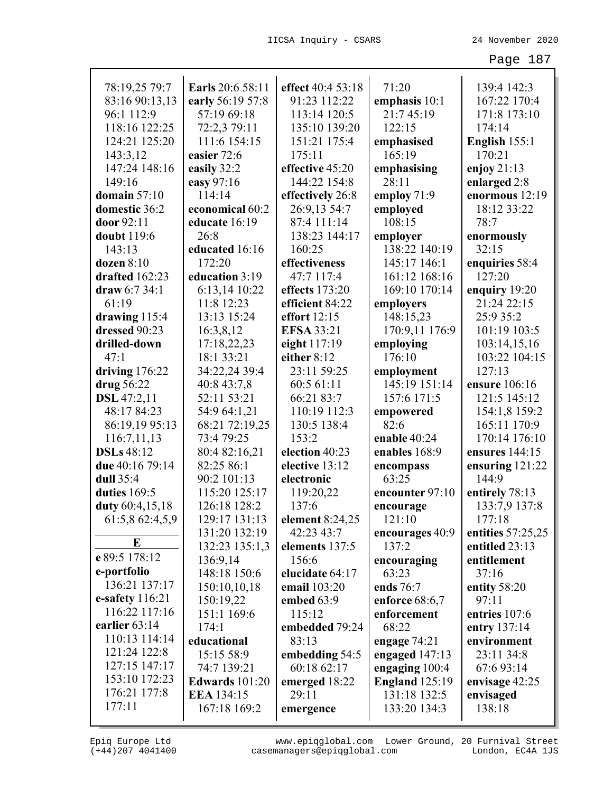| 78:19,25 79:7      | Earls 20:6 58:11      | effect 40:4 53:18 | 71:20                 | 139:4 142:3       |
|--------------------|-----------------------|-------------------|-----------------------|-------------------|
| 83:16 90:13,13     | early 56:19 57:8      | 91:23 112:22      | emphasis 10:1         | 167:22 170:4      |
| 96:1 112:9         | 57:19 69:18           | 113:14 120:5      | 21:7 45:19            | 171:8 173:10      |
| 118:16 122:25      | 72:2,3 79:11          | 135:10 139:20     | 122:15                | 174:14            |
| 124:21 125:20      | 111:6 154:15          | 151:21 175:4      | emphasised            | English 155:1     |
| 143:3,12           | easier 72:6           | 175:11            | 165:19                | 170:21            |
| 147:24 148:16      | easily 32:2           | effective 45:20   | emphasising           | enjoy $21:13$     |
| 149:16             | easy 97:16            | 144:22 154:8      | 28:11                 | enlarged 2:8      |
| domain $57:10$     | 114:14                | effectively 26:8  | employ 71:9           | enormous 12:19    |
| domestic 36:2      | economical 60:2       | 26:9,13 54:7      | employed              | 18:12 33:22       |
| door 92:11         | educate 16:19         | 87:4 111:14       | 108:15                | 78:7              |
| doubt 119:6        | 26:8                  | 138:23 144:17     | employer              | enormously        |
| 143:13             | educated 16:16        | 160:25            | 138:22 140:19         | 32:15             |
| $dozen$ 8:10       | 172:20                | effectiveness     | 145:17 146:1          | enquiries 58:4    |
| drafted 162:23     | education 3:19        | 47:7 117:4        | 161:12 168:16         | 127:20            |
| draw 6:7 34:1      | 6:13,14 10:22         | effects 173:20    | 169:10 170:14         | enquiry 19:20     |
| 61:19              | 11:8 12:23            | efficient 84:22   | employers             | 21:24 22:15       |
| drawing 115:4      | 13:13 15:24           | effort 12:15      | 148:15,23             | 25:9 35:2         |
| dressed 90:23      | 16:3,8,12             | <b>EFSA 33:21</b> | 170:9,11 176:9        | 101:19 103:5      |
| drilled-down       | 17:18,22,23           | eight 117:19      | employing             | 103:14,15,16      |
| 47:1               | 18:1 33:21            | either 8:12       | 176:10                | 103:22 104:15     |
| driving 176:22     | 34:22,24 39:4         | 23:11 59:25       | employment            | 127:13            |
| drug 56:22         | 40:8 43:7,8           | 60:5 61:11        | 145:19 151:14         | ensure 106:16     |
| <b>DSL</b> 47:2,11 | 52:11 53:21           | 66:21 83:7        | 157:6 171:5           | 121:5 145:12      |
| 48:17 84:23        | 54:9 64:1,21          | 110:19 112:3      | empowered             | 154:1,8 159:2     |
| 86:19,19 95:13     | 68:21 72:19,25        | 130:5 138:4       | 82:6                  | 165:11 170:9      |
| 116:7,11,13        | 73:4 79:25            | 153:2             | enable 40:24          | 170:14 176:10     |
| <b>DSLs</b> 48:12  | 80:4 82:16,21         | election 40:23    | enables 168:9         | ensures 144:15    |
| due 40:16 79:14    | 82:25 86:1            | elective 13:12    | encompass             | ensuring $121:22$ |
| dull 35:4          | 90:2 101:13           | electronic        | 63:25                 | 144:9             |
| duties 169:5       | 115:20 125:17         | 119:20,22         | encounter 97:10       | entirely 78:13    |
| duty 60:4,15,18    | 126:18 128:2          | 137:6             | encourage             | 133:7,9 137:8     |
| 61:5,8 62:4,5,9    | 129:17 131:13         | element 8:24,25   | 121:10                | 177:18            |
|                    | 131:20 132:19         | 42:23 43:7        | encourages 40:9       | entities 57:25,25 |
| E                  | 132:23 135:1,3        | elements 137:5    | 137:2                 | entitled 23:13    |
| e 89:5 178:12      | 136:9,14              | 156:6             | encouraging           | entitlement       |
| e-portfolio        | 148:18 150:6          | elucidate 64:17   | 63:23                 | 37:16             |
| 136:21 137:17      | 150:10,10,18          | email 103:20      | ends 76:7             | entity 58:20      |
| e-safety $116:21$  | 150:19,22             | embed $63:9$      | enforce $68:6,7$      | 97:11             |
| 116:22 117:16      | 151:1 169:6           | 115:12            | enforcement           | entries 107:6     |
| earlier 63:14      | 174:1                 | embedded 79:24    | 68:22                 | entry 137:14      |
| 110:13 114:14      | educational           | 83:13             | engage 74:21          | environment       |
| 121:24 122:8       | 15:15 58:9            | embedding 54:5    | engaged 147:13        | 23:11 34:8        |
| 127:15 147:17      | 74:7 139:21           | 60:18 62:17       | engaging 100:4        | 67:6 93:14        |
| 153:10 172:23      | <b>Edwards</b> 101:20 | emerged 18:22     | <b>England</b> 125:19 | envisage 42:25    |
| 176:21 177:8       | <b>EEA</b> 134:15     | 29:11             | 131:18 132:5          | envisaged         |
| 177:11             | 167:18 169:2          | emergence         | 133:20 134:3          | 138:18            |
|                    |                       |                   |                       |                   |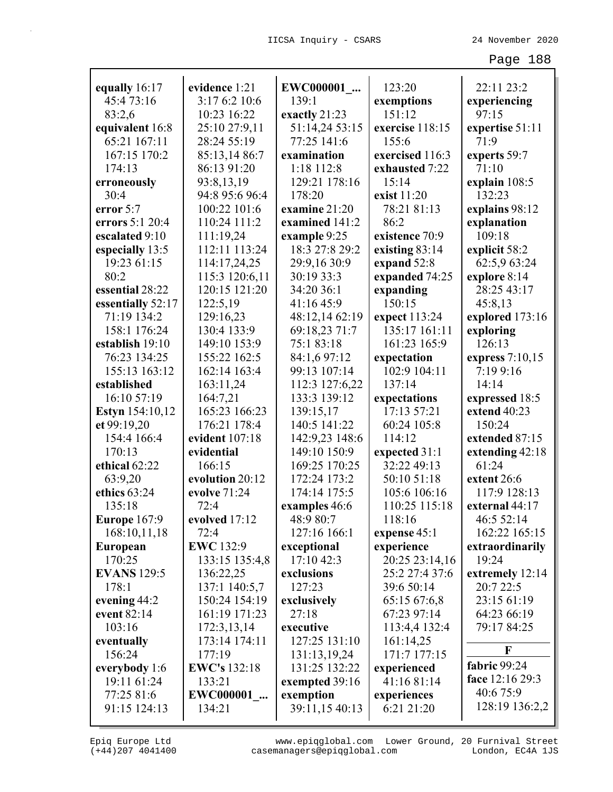| equally 16:17          | evidence 1:21       | EWC000001                 | 123:20                       | 22:11 23:2                  |
|------------------------|---------------------|---------------------------|------------------------------|-----------------------------|
| 45:473:16              | 3:17 6:2 10:6       | 139:1                     | exemptions                   | experiencing                |
| 83:2,6                 | 10:23 16:22         | exactly 21:23             | 151:12                       | 97:15                       |
| equivalent 16:8        | 25:10 27:9,11       | 51:14,24 53:15            | exercise 118:15              | expertise 51:11             |
| 65:21 167:11           | 28:24 55:19         | 77:25 141:6               | 155:6                        | 71:9                        |
| 167:15 170:2           | 85:13,14 86:7       | examination               | exercised 116:3              | experts 59:7                |
| 174:13                 | 86:13 91:20         | 1:18 112:8                | exhausted 7:22               | 71:10                       |
| erroneously            | 93:8,13,19          | 129:21 178:16             | 15:14                        | explain $108:5$             |
| 30:4                   | 94:8 95:6 96:4      | 178:20                    | exist 11:20                  | 132:23                      |
| error 5:7              | 100:22 101:6        | examine 21:20             | 78:21 81:13                  | explains 98:12              |
| errors 5:1 20:4        | 110:24 111:2        | examined 141:2            | 86:2                         | explanation                 |
| escalated 9:10         | 111:19,24           | example 9:25              | existence 70:9               | 109:18                      |
| especially 13:5        | 112:11 113:24       | 18:3 27:8 29:2            | existing 83:14               | explicit 58:2               |
| 19:23 61:15            | 114:17,24,25        | 29:9,16 30:9              | expand 52:8                  | 62:5,9 63:24                |
| 80:2                   | 115:3 120:6,11      | 30:19 33:3                | expanded 74:25               | explore 8:14                |
| essential 28:22        | 120:15 121:20       | 34:20 36:1                | expanding                    | 28:25 43:17                 |
| essentially 52:17      | 122:5,19            | 41:16 45:9                | 150:15                       | 45:8,13                     |
| 71:19 134:2            | 129:16,23           | 48:12,14 62:19            | expect 113:24                | explored 173:16             |
| 158:1 176:24           | 130:4 133:9         | 69:18,23 71:7             | 135:17 161:11                | exploring                   |
| establish 19:10        | 149:10 153:9        | 75:183:18                 | 161:23 165:9                 | 126:13                      |
| 76:23 134:25           | 155:22 162:5        | 84:1,6 97:12              | expectation                  | express $7:10,15$           |
| 155:13 163:12          | 162:14 163:4        | 99:13 107:14              | 102:9 104:11                 | 7:19 9:16                   |
| established            | 163:11,24           | 112:3 127:6,22            | 137:14                       | 14:14                       |
| 16:10 57:19            | 164:7,21            | 133:3 139:12              | expectations                 | expressed 18:5              |
| <b>Estyn</b> 154:10,12 | 165:23 166:23       | 139:15,17                 | 17:13 57:21                  | extend 40:23                |
| et 99:19,20            | 176:21 178:4        | 140:5 141:22              | 60:24 105:8                  | 150:24                      |
| 154:4 166:4            | evident 107:18      | 142:9,23 148:6            | 114:12                       | extended 87:15              |
| 170:13                 | evidential          | 149:10 150:9              | expected 31:1                | extending 42:18             |
| ethical 62:22          | 166:15              | 169:25 170:25             | 32:22 49:13                  | 61:24                       |
| 63:9,20                | evolution 20:12     | 172:24 173:2              | 50:10 51:18                  | extent 26:6                 |
| ethics 63:24           | evolve 71:24        | 174:14 175:5              | 105:6 106:16                 | 117:9 128:13                |
| 135:18                 | 72:4                | examples 46:6             | 110:25 115:18                | external 44:17              |
| Europe 167:9           | evolved 17:12       | 48:9 80:7                 | 118:16                       | 46:5 52:14                  |
| 168:10,11,18           | 72:4                | 127:16 166:1              | expense 45:1                 | 162:22 165:15               |
|                        | <b>EWC</b> 132:9    |                           |                              | extraordinarily             |
| European<br>170:25     | 133:15 135:4,8      | exceptional<br>17:10 42:3 | experience<br>20:25 23:14,16 | 19:24                       |
| <b>EVANS</b> 129:5     |                     |                           | 25:2 27:4 37:6               |                             |
|                        | 136:22,25           | exclusions                |                              | extremely 12:14<br>20:722:5 |
| 178:1                  | 137:1 140:5,7       | 127:23                    | 39:6 50:14                   |                             |
| evening 44:2           | 150:24 154:19       | exclusively               | 65:15 67:6,8                 | 23:15 61:19                 |
| event 82:14            | 161:19 171:23       | 27:18                     | 67:23 97:14                  | 64:23 66:19                 |
| 103:16                 | 172:3,13,14         | executive                 | 113:4,4 132:4                | 79:17 84:25                 |
| eventually             | 173:14 174:11       | 127:25 131:10             | 161:14,25                    | F                           |
| 156:24                 | 177:19              | 131:13,19,24              | 171:7 177:15                 | fabric 99:24                |
| everybody 1:6          | <b>EWC's</b> 132:18 | 131:25 132:22             | experienced                  | face 12:16 29:3             |
| 19:11 61:24            | 133:21              | exempted 39:16            | 41:16 81:14                  |                             |
| 77:25 81:6             | EWC000001           | exemption                 | experiences                  | 40:6 75:9                   |
| 91:15 124:13           | 134:21              | 39:11,15 40:13            | 6:21 21:20                   | 128:19 136:2,2              |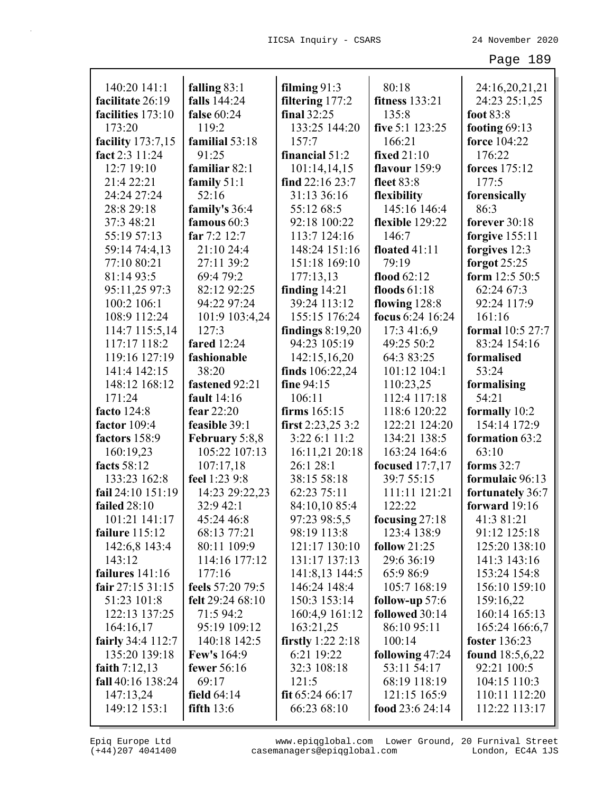| 140:20 141:1             | falling 83:1       | filming $91:3$      | 80:18                 | 24:16,20,21,21         |
|--------------------------|--------------------|---------------------|-----------------------|------------------------|
| facilitate 26:19         | falls 144:24       | filtering 177:2     | <b>fitness</b> 133:21 | 24:23 25:1,25          |
| facilities 173:10        | false 60:24        | final 32:25         | 135:8                 | foot 83:8              |
| 173:20                   | 119:2              | 133:25 144:20       | five 5:1 123:25       | footing $69:13$        |
| facility 173:7,15        | familial 53:18     | 157:7               | 166:21                | force 104:22           |
| fact 2:3 11:24           | 91:25              | financial 51:2      | fixed 21:10           | 176:22                 |
| 12:7 19:10               | familiar 82:1      | 101:14,14,15        | flavour $159:9$       | forces 175:12          |
| 21:4 22:21               | family $51:1$      | find $22:1623:7$    | fleet 83:8            | 177:5                  |
| 24:24 27:24              | 52:16              | 31:13 36:16         | flexibility           | forensically           |
| 28:8 29:18               | family's 36:4      | 55:12 68:5          | 145:16 146:4          | 86:3                   |
| 37:3 48:21               | famous 60:3        | 92:18 100:22        | flexible 129:22       | forever 30:18          |
| 55:19 57:13              | far 7:2 12:7       | 113:7 124:16        | 146:7                 | forgive $155:11$       |
| 59:14 74:4,13            | 21:10 24:4         | 148:24 151:16       | floated 41:11         | forgives 12:3          |
| 77:10 80:21              | 27:11 39:2         | 151:18 169:10       | 79:19                 | forgot $25:25$         |
| 81:14 93:5               | 69:4 79:2          | 177:13,13           | flood 62:12           | form $12:550:5$        |
| 95:11,25 97:3            | 82:12 92:25        | finding $14:21$     | floods $61:18$        | 62:24 67:3             |
| 100:2 106:1              | 94:22 97:24        | 39:24 113:12        | flowing $128:8$       | 92:24 117:9            |
| 108:9 112:24             | 101:9 103:4,24     | 155:15 176:24       | focus 6:24 16:24      | 161:16                 |
| 114:7 115:5,14           | 127:3              | findings $8:19,20$  | 17:3 41:6,9           | formal 10:5 27:7       |
| 117:17 118:2             | <b>fared</b> 12:24 | 94:23 105:19        | 49:25 50:2            | 83:24 154:16           |
| 119:16 127:19            | fashionable        | 142:15,16,20        | 64:3 83:25            | formalised             |
| 141:4 142:15             | 38:20              | finds $106:22,24$   | 101:12 104:1          | 53:24                  |
| 148:12 168:12            | fastened 92:21     | fine 94:15          | 110:23,25             | formalising            |
| 171:24                   | fault 14:16        | 106:11              | 112:4 117:18          | 54:21                  |
| facto 124:8              | fear 22:20         | firms $165:15$      | 118:6 120:22          | formally 10:2          |
| factor 109:4             | feasible 39:1      | first $2:23,253:2$  | 122:21 124:20         | 154:14 172:9           |
| factors 158:9            | February 5:8,8     | 3:22 6:1 11:2       | 134:21 138:5          | formation 63:2         |
| 160:19,23                | 105:22 107:13      | 16:11,21 20:18      | 163:24 164:6          | 63:10                  |
| facts 58:12              | 107:17,18          | 26:1 28:1           | focused 17:7,17       | forms 32:7             |
| 133:23 162:8             | feel 1:23 9:8      | 38:15 58:18         | 39:7 55:15            | formulaic 96:13        |
| fail 24:10 151:19        | 14:23 29:22,23     | 62:23 75:11         | 111:11 121:21         | fortunately 36:7       |
| failed 28:10             | 32:9 42:1          | 84:10,10 85:4       | 122:22                | forward 19:16          |
| 101:21 141:17            | 45:24 46:8         | 97:23 98:5,5        | focusing $27:18$      | 41:3 81:21             |
| failure 115:12           | 68:13 77:21        | 98:19 113:8         | 123:4 138:9           | 91:12 125:18           |
| 142:6,8 143:4            | 80:11 109:9        | 121:17 130:10       | follow $21:25$        | 125:20 138:10          |
| 143:12                   | 114:16 177:12      | 131:17 137:13       | 29:6 36:19            | 141:3 143:16           |
| failures 141:16          | 177:16             | 141:8,13 144:5      | 65:9 86:9             | 153:24 154:8           |
| fair 27:15 31:15         | feels 57:20 79:5   | 146:24 148:4        | 105:7 168:19          | 156:10 159:10          |
| 51:23 101:8              | felt 29:24 68:10   | 150:3 153:14        | follow-up $57:6$      | 159:16,22              |
| 122:13 137:25            | 71:5 94:2          | 160:4,9 161:12      | followed 30:14        | 160:14 165:13          |
| 164:16,17                | 95:19 109:12       | 163:21,25           | 86:10 95:11           | 165:24 166:6,7         |
| <b>fairly</b> 34:4 112:7 | 140:18 142:5       | firstly $1:22$ 2:18 | 100:14                | foster 136:23          |
| 135:20 139:18            | <b>Few's</b> 164:9 | 6:21 19:22          | following 47:24       | <b>found</b> 18:5,6,22 |
| faith $7:12,13$          | fewer 56:16        | 32:3 108:18         | 53:11 54:17           | 92:21 100:5            |
| fall 40:16 138:24        | 69:17              | 121:5               | 68:19 118:19          | 104:15 110:3           |
| 147:13,24                | field $64:14$      | fit $65:2466:17$    | 121:15 165:9          | 110:11 112:20          |
| 149:12 153:1             | fifth $13:6$       | 66:23 68:10         | food 23:6 24:14       | 112:22 113:17          |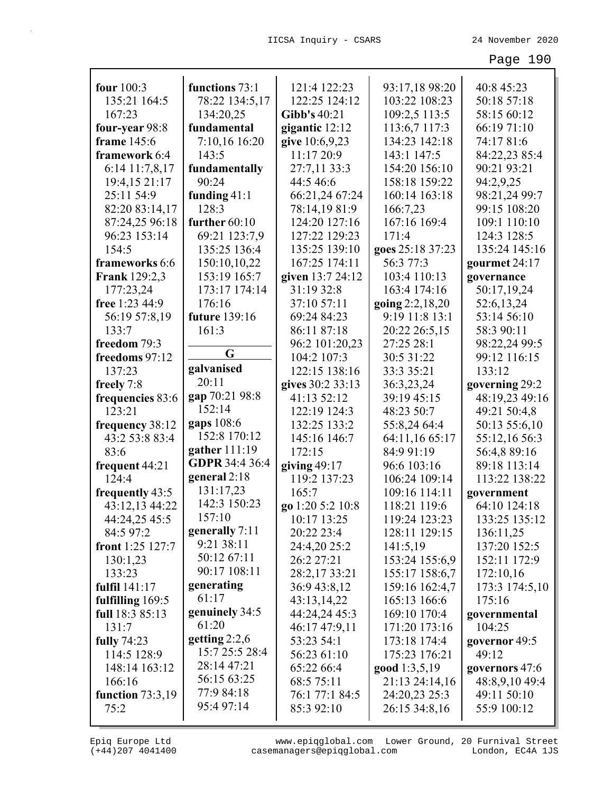| four 100:3           |                             | 121:4 122:23     |                                 | 40:8 45:23     |
|----------------------|-----------------------------|------------------|---------------------------------|----------------|
| 135:21 164:5         | functions 73:1              |                  | 93:17,18 98:20<br>103:22 108:23 |                |
|                      | 78:22 134:5,17              | 122:25 124:12    |                                 | 50:18 57:18    |
| 167:23               | 134:20,25                   | Gibb's 40:21     | 109:2,5 113:5                   | 58:15 60:12    |
| four-year 98:8       | fundamental                 | gigantic 12:12   | 113:6,7 117:3                   | 66:19 71:10    |
| frame 145:6          | 7:10,16 16:20               | give 10:6,9,23   | 134:23 142:18                   | 74:17 81:6     |
| framework 6:4        | 143:5                       | 11:17 20:9       | 143:1 147:5                     | 84:22,23 85:4  |
| 6:14 11:7,8,17       | fundamentally               | 27:7,11 33:3     | 154:20 156:10                   | 90:21 93:21    |
| 19:4,15 21:17        | 90:24                       | 44:5 46:6        | 158:18 159:22                   | 94:2,9,25      |
| 25:11 54:9           | funding $41:1$              | 66:21,24 67:24   | 160:14 163:18                   | 98:21,24 99:7  |
| 82:20 83:14,17       | 128:3                       | 78:14,19 81:9    | 166:7,23                        | 99:15 108:20   |
| 87:24,25 96:18       | further 60:10               | 124:20 127:16    | 167:16 169:4                    | 109:1 110:10   |
| 96:23 153:14         | 69:21 123:7,9               | 127:22 129:23    | 171:4                           | 124:3 128:5    |
| 154:5                | 135:25 136:4                | 135:25 139:10    | goes 25:18 37:23                | 135:24 145:16  |
| frameworks 6:6       | 150:10,10,22                | 167:25 174:11    | 56:3 77:3                       | gourmet 24:17  |
| <b>Frank</b> 129:2,3 | 153:19 165:7                | given 13:7 24:12 | 103:4 110:13                    | governance     |
| 177:23,24            | 173:17 174:14               | 31:19 32:8       | 163:4 174:16                    | 50:17,19,24    |
| free 1:23 44:9       | 176:16                      | 37:10 57:11      | going 2:2,18,20                 | 52:6,13,24     |
| 56:19 57:8,19        | future 139:16               | 69:24 84:23      | 9:19 11:8 13:1                  | 53:14 56:10    |
| 133:7                | 161:3                       | 86:11 87:18      | 20:22 26:5,15                   | 58:3 90:11     |
| freedom 79:3         | G                           | 96:2 101:20,23   | 27:25 28:1                      | 98:22,24 99:5  |
| freedoms 97:12       |                             | 104:2 107:3      | 30:5 31:22                      | 99:12 116:15   |
| 137:23               | galvanised                  | 122:15 138:16    | 33:3 35:21                      | 133:12         |
| freely 7:8           | 20:11                       | gives 30:2 33:13 | 36:3,23,24                      | governing 29:2 |
| frequencies 83:6     | gap 70:21 98:8              | 41:13 52:12      | 39:19 45:15                     | 48:19,23 49:16 |
| 123:21               | 152:14                      | 122:19 124:3     | 48:23 50:7                      | 49:21 50:4,8   |
| frequency 38:12      | gaps 108:6<br>152:8 170:12  | 132:25 133:2     | 55:8,24 64:4                    | 50:13 55:6,10  |
| 43:2 53:8 83:4       | gather 111:19               | 145:16 146:7     | 64:11,16 65:17                  | 55:12,16 56:3  |
| 83:6                 | GDPR 34:4 36:4              | 172:15           | 84:9 91:19                      | 56:4,8 89:16   |
| frequent 44:21       |                             | giving $49:17$   | 96:6 103:16                     | 89:18 113:14   |
| 124:4                | general $2:18$<br>131:17,23 | 119:2 137:23     | 106:24 109:14                   | 113:22 138:22  |
| frequently 43:5      | 142:3 150:23                | 165:7            | 109:16 114:11                   | government     |
| 43:12,13 44:22       | 157:10                      | go 1:20 5:2 10:8 | 118:21 119:6                    | 64:10 124:18   |
| 44:24,25 45:5        | generally 7:11              | 10:17 13:25      | 119:24 123:23                   | 133:25 135:12  |
| 84:5 97:2            | 9:21 38:11                  | 20:22 23:4       | 128:11 129:15                   | 136:11,25      |
| front 1:25 127:7     | 50:12 67:11                 | 24:4,20 25:2     | 141:5,19                        | 137:20 152:5   |
| 130:1,23             | 90:17 108:11                | 26:2 27:21       | 153:24 155:6,9                  | 152:11 172:9   |
| 133:23               | generating                  | 28:2,17 33:21    | 155:17 158:6,7                  | 172:10,16      |
| fulfil 141:17        | 61:17                       | 36:9 43:8,12     | 159:16 162:4,7                  | 173:3 174:5,10 |
| fulfilling 169:5     | genuinely 34:5              | 43:13,14,22      | 165:13 166:6                    | 175:16         |
| full 18:3 85:13      | 61:20                       | 44:24,24 45:3    | 169:10 170:4                    | governmental   |
| 131:7                | getting $2:2,6$             | 46:17 47:9,11    | 171:20 173:16                   | 104:25         |
| fully 74:23          | 15:7 25:5 28:4              | 53:23 54:1       | 173:18 174:4                    | governor 49:5  |
| 114:5 128:9          | 28:14 47:21                 | 56:23 61:10      | 175:23 176:21                   | 49:12          |
| 148:14 163:12        | 56:15 63:25                 | 65:22 66:4       | good 1:3,5,19                   | governors 47:6 |
| 166:16               | 77:9 84:18                  | 68:5 75:11       | 21:13 24:14,16                  | 48:8,9,10 49:4 |
| function $73:3,19$   | 95:4 97:14                  | 76:1 77:1 84:5   | 24:20,23 25:3                   | 49:11 50:10    |
| 75:2                 |                             | 85:3 92:10       | 26:15 34:8,16                   | 55:9 100:12    |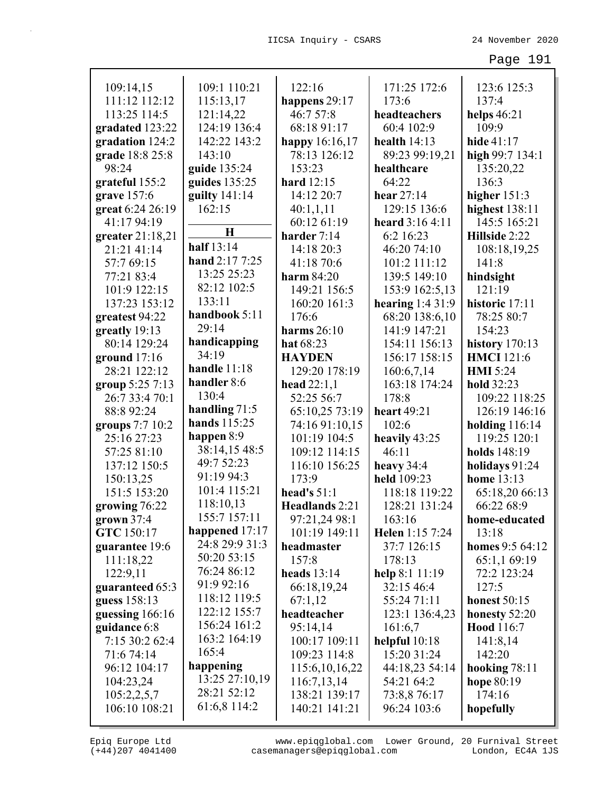| 109:14,15                      | 109:1 110:21    | 122:16                         | 171:25 172:6           | 123:6 125:3                      |
|--------------------------------|-----------------|--------------------------------|------------------------|----------------------------------|
| 111:12 112:12                  | 115:13,17       | happens 29:17                  | 173:6                  | 137:4                            |
| 113:25 114:5                   | 121:14,22       | 46:7 57:8                      | headteachers           | helps $46:21$                    |
| gradated 123:22                | 124:19 136:4    | 68:18 91:17                    | 60:4 102:9             | 109:9                            |
| gradation 124:2                | 142:22 143:2    | happy 16:16,17                 | health $14:13$         | hide 41:17                       |
| grade 18:8 25:8                | 143:10          | 78:13 126:12                   | 89:23 99:19,21         | high 99:7 134:1                  |
| 98:24                          | guide 135:24    | 153:23                         | healthcare             | 135:20,22                        |
| grateful 155:2                 | guides $135:25$ | hard $12:15$                   | 64:22                  | 136:3                            |
| grave 157:6                    | guilty $141:14$ | 14:12 20:7                     | hear $27:14$           | higher $151:3$                   |
| great 6:24 26:19               | 162:15          | 40:1,1,11                      | 129:15 136:6           | highest $138:11$                 |
| 41:17 94:19                    | H               | 60:12 61:19                    | heard 3:16 4:11        | 145:5 165:21                     |
| greater $21:18,21$             | half 13:14      | harder 7:14                    | 6:2 16:23              | Hillside 2:22                    |
| 21:21 41:14                    | hand 2:17 7:25  | 14:18 20:3                     | 46:20 74:10            | 108:18,19,25                     |
| 57:7 69:15                     | 13:25 25:23     | 41:18 70:6                     | 101:2 111:12           | 141:8                            |
| 77:21 83:4                     | 82:12 102:5     | harm $84:20$                   | 139:5 149:10           | hindsight                        |
| 101:9 122:15                   | 133:11          | 149:21 156:5                   | 153:9 162:5,13         | 121:19                           |
| 137:23 153:12                  | handbook 5:11   | 160:20 161:3                   | hearing $1:431:9$      | historic 17:11                   |
| greatest 94:22                 | 29:14           | 176:6                          | 68:20 138:6,10         | 78:25 80:7                       |
| greatly 19:13                  | handicapping    | harms $26:10$                  | 141:9 147:21           | 154:23                           |
| 80:14 129:24                   | 34:19           | hat 68:23                      | 154:11 156:13          | history $170:13$                 |
| ground $17:16$                 | handle 11:18    | <b>HAYDEN</b>                  | 156:17 158:15          | <b>HMCI</b> 121:6                |
| 28:21 122:12                   | handler 8:6     | 129:20 178:19                  | 160:6,7,14             | <b>HMI</b> 5:24                  |
| group 5:25 7:13                | 130:4           | head $22:1,1$                  | 163:18 174:24          | hold 32:23                       |
| 26:7 33:4 70:1<br>88:8 92:24   | handling $71:5$ | 52:25 56:7                     | 178:8<br>heart 49:21   | 109:22 118:25                    |
|                                | hands 115:25    | 65:10,25 73:19                 | 102:6                  | 126:19 146:16                    |
| groups 7:7 10:2<br>25:16 27:23 | happen 8:9      | 74:16 91:10,15<br>101:19 104:5 |                        | holding $116:14$<br>119:25 120:1 |
| 57:25 81:10                    | 38:14,15 48:5   | 109:12 114:15                  | heavily 43:25<br>46:11 | holds 148:19                     |
| 137:12 150:5                   | 49:7 52:23      | 116:10 156:25                  | heavy $34:4$           | holidays 91:24                   |
| 150:13,25                      | 91:19 94:3      | 173:9                          | held 109:23            | home 13:13                       |
| 151:5 153:20                   | 101:4 115:21    | head's $51:1$                  | 118:18 119:22          | 65:18,20 66:13                   |
| growing 76:22                  | 118:10,13       | Headlands 2:21                 | 128:21 131:24          | 66:22 68:9                       |
| grown 37:4                     | 155:7 157:11    | 97:21,24 98:1                  | 163:16                 | home-educated                    |
| GTC 150:17                     | happened 17:17  | 101:19 149:11                  | Helen 1:15 7:24        | 13:18                            |
| guarantee 19:6                 | 24:8 29:9 31:3  | headmaster                     | 37:7 126:15            | homes 9:5 64:12                  |
| 111:18,22                      | 50:20 53:15     | 157:8                          | 178:13                 | 65:1,1 69:19                     |
| 122:9,11                       | 76:24 86:12     | heads $13:14$                  | help 8:1 11:19         | 72:2 123:24                      |
| guaranteed 65:3                | 91:9 92:16      | 66:18,19,24                    | 32:15 46:4             | 127:5                            |
| guess 158:13                   | 118:12 119:5    | 67:1,12                        | 55:24 71:11            | <b>honest</b> 50:15              |
| guessing 166:16                | 122:12 155:7    | headteacher                    | 123:1 136:4,23         | honesty 52:20                    |
| guidance 6:8                   | 156:24 161:2    | 95:14,14                       | 161:6,7                | <b>Hood</b> 116:7                |
| 7:15 30:2 62:4                 | 163:2 164:19    | 100:17 109:11                  | helpful $10:18$        | 141:8,14                         |
| 71:6 74:14                     | 165:4           | 109:23 114:8                   | 15:20 31:24            | 142:20                           |
| 96:12 104:17                   | happening       | 115:6, 10, 16, 22              | 44:18,23 54:14         | hooking $78:11$                  |
| 104:23,24                      | 13:25 27:10,19  | 116:7,13,14                    | 54:21 64:2             | hope 80:19                       |
| 105:2,2,5,7                    | 28:21 52:12     | 138:21 139:17                  | 73:8,8 76:17           | 174:16                           |
| 106:10 108:21                  | 61:6,8 114:2    | 140:21 141:21                  | 96:24 103:6            | hopefully                        |
|                                |                 |                                |                        |                                  |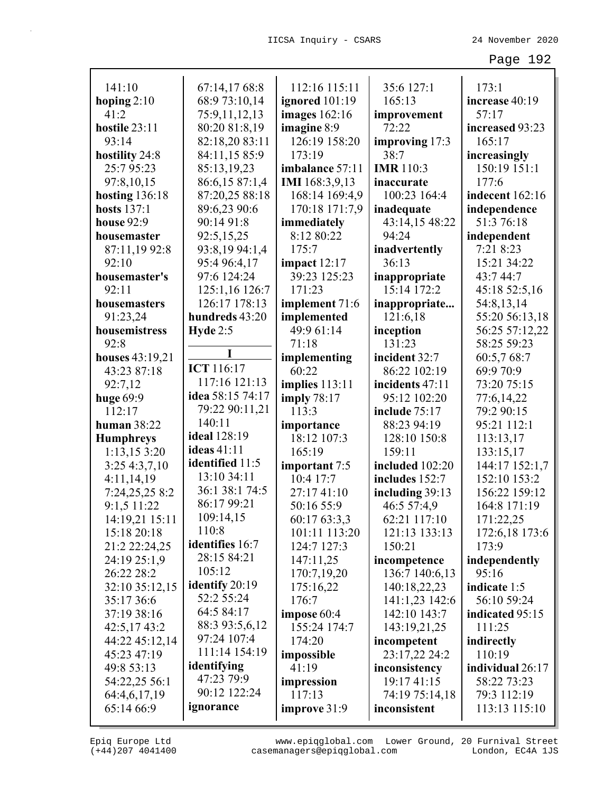| 141:10             | 67:14,17 68:8      | 112:16 115:11         | 35:6 127:1       | 173:1            |
|--------------------|--------------------|-----------------------|------------------|------------------|
| hoping $2:10$      | 68:9 73:10,14      | ignored 101:19        | 165:13           | increase 40:19   |
| 41:2               | 75:9,11,12,13      | images 162:16         | improvement      | 57:17            |
| hostile 23:11      | 80:20 81:8,19      | imagine 8:9           | 72:22            | increased 93:23  |
| 93:14              | 82:18,20 83:11     | 126:19 158:20         | improving 17:3   | 165:17           |
| hostility 24:8     | 84:11,15 85:9      | 173:19                | 38:7             | increasingly     |
| 25:795:23          | 85:13,19,23        | imbalance 57:11       | <b>IMR</b> 110:3 | 150:19 151:1     |
| 97:8,10,15         | 86:6,15 87:1,4     | <b>IMI</b> 168:3,9,13 | inaccurate       | 177:6            |
| hosting $136:18$   | 87:20,25 88:18     | 168:14 169:4,9        | 100:23 164:4     | indecent 162:16  |
| <b>hosts</b> 137:1 | 89:6,23 90:6       | 170:18 171:7,9        | inadequate       | independence     |
| house 92:9         | 90:14 91:8         | immediately           | 43:14,15 48:22   | 51:3 76:18       |
| housemaster        | 92:5,15,25         | 8:12 80:22            | 94:24            | independent      |
| 87:11,19 92:8      | 93:8,19 94:1,4     | 175:7                 | inadvertently    | 7:21 8:23        |
| 92:10              | 95:4 96:4,17       | impact $12:17$        | 36:13            | 15:21 34:22      |
| housemaster's      | 97:6 124:24        | 39:23 125:23          | inappropriate    | 43:7 44:7        |
| 92:11              | 125:1,16 126:7     | 171:23                | 15:14 172:2      | 45:18 52:5,16    |
| housemasters       | 126:17 178:13      | implement 71:6        | inappropriate    | 54:8,13,14       |
| 91:23,24           | hundreds 43:20     | implemented           | 121:6,18         | 55:20 56:13,18   |
| housemistress      | Hyde $2:5$         | 49:9 61:14            | inception        | 56:25 57:12,22   |
| 92:8               |                    | 71:18                 | 131:23           | 58:25 59:23      |
| houses 43:19,21    | I                  | implementing          | incident 32:7    | 60:5,7 68:7      |
| 43:23 87:18        | ICT 116:17         | 60:22                 | 86:22 102:19     | 69:9 70:9        |
| 92:7,12            | 117:16 121:13      | implies 113:11        | incidents 47:11  | 73:20 75:15      |
| huge 69:9          | idea 58:15 74:17   | imply $78:17$         | 95:12 102:20     | 77:6,14,22       |
| 112:17             | 79:22 90:11,21     | 113:3                 | include 75:17    | 79:2 90:15       |
| human $38:22$      | 140:11             | importance            | 88:23 94:19      | 95:21 112:1      |
| <b>Humphreys</b>   | ideal 128:19       | 18:12 107:3           | 128:10 150:8     | 113:13,17        |
| 1:13,153:20        | <b>ideas</b> 41:11 | 165:19                | 159:11           | 133:15,17        |
| 3:254:3,7,10       | identified 11:5    | important 7:5         | included 102:20  | 144:17 152:1,7   |
| 4:11,14,19         | 13:10 34:11        | 10:4 17:7             | includes 152:7   | 152:10 153:2     |
| 7:24,25,25 8:2     | 36:1 38:1 74:5     | 27:17 41:10           | including 39:13  | 156:22 159:12    |
| 9:1,5 11:22        | 86:17 99:21        | 50:16 55:9            | 46:5 57:4,9      | 164:8 171:19     |
| 14:19,21 15:11     | 109:14,15          | 60:17 63:3,3          | 62:21 117:10     | 171:22,25        |
| 15:18 20:18        | 110:8              | 101:11 113:20         | 121:13 133:13    | 172:6,18 173:6   |
| 21:2 22:24,25      | identifies 16:7    | 124:7 127:3           | 150:21           | 173:9            |
| 24:19 25:1,9       | 28:15 84:21        | 147:11,25             | incompetence     | independently    |
| 26:22 28:2         | 105:12             | 170:7,19,20           | 136:7 140:6,13   | 95:16            |
| 32:10 35:12,15     | identify 20:19     | 175:16,22             | 140:18,22,23     | indicate 1:5     |
| 35:17 36:6         | 52:2 55:24         | 176:7                 | 141:1,23 142:6   | 56:10 59:24      |
| 37:19 38:16        | 64:5 84:17         | impose 60:4           | 142:10 143:7     | indicated 95:15  |
| 42:5,1743:2        | 88:3 93:5,6,12     | 155:24 174:7          | 143:19,21,25     | 111:25           |
| 44:22 45:12,14     | 97:24 107:4        | 174:20                | incompetent      | indirectly       |
| 45:23 47:19        | 111:14 154:19      | impossible            | 23:17,22 24:2    | 110:19           |
| 49:8 53:13         | identifying        | 41:19                 | inconsistency    | individual 26:17 |
| 54:22,25 56:1      | 47:23 79:9         | impression            | 19:17 41:15      | 58:22 73:23      |
| 64:4,6,17,19       | 90:12 122:24       | 117:13                | 74:19 75:14,18   | 79:3 112:19      |
| 65:14 66:9         | ignorance          | improve 31:9          | inconsistent     | 113:13 115:10    |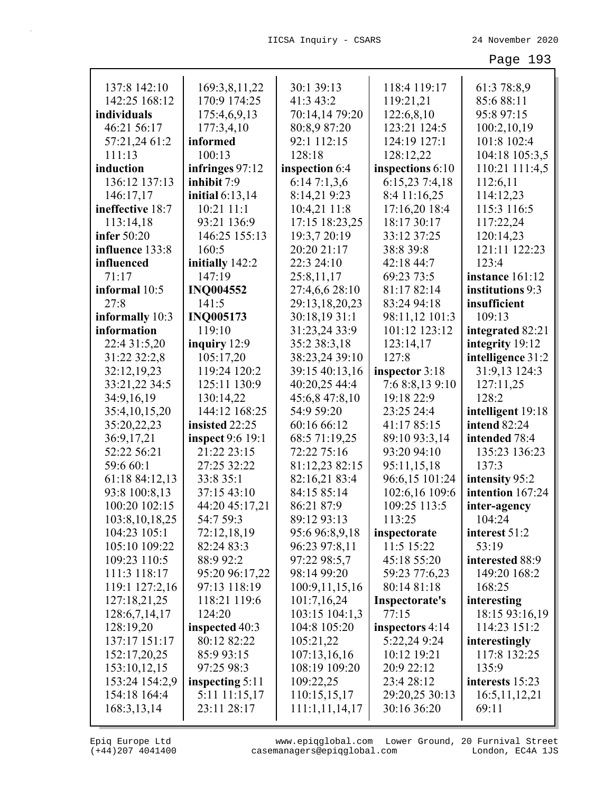| 137:8 142:10     | 169:3,8,11,22           | 30:1 39:13     | 118:4 119:17     | 61:3 78:8,9       |
|------------------|-------------------------|----------------|------------------|-------------------|
| 142:25 168:12    | 170:9 174:25            | 41:3 43:2      | 119:21,21        | 85:688:11         |
| individuals      | 175:4,6,9,13            | 70:14,14 79:20 | 122:6,8,10       | 95:8 97:15        |
| 46:21 56:17      | 177:3,4,10              | 80:8,9 87:20   | 123:21 124:5     | 100:2,10,19       |
| 57:21,24 61:2    | informed                | 92:1 112:15    | 124:19 127:1     | 101:8 102:4       |
| 111:13           | 100:13                  | 128:18         | 128:12,22        | 104:18 105:3,5    |
| induction        | infringes 97:12         | inspection 6:4 | inspections 6:10 | 110:21 111:4,5    |
| 136:12 137:13    | inhibit 7:9             | 6:147:1,3,6    | 6:15,23 7:4,18   | 112:6,11          |
| 146:17,17        | initial $6:13,14$       | 8:14,21 9:23   | 8:4 11:16,25     | 114:12,23         |
| ineffective 18:7 | 10:21 11:1              | 10:4,21 11:8   | 17:16,20 18:4    | 115:3 116:5       |
| 113:14,18        | 93:21 136:9             | 17:15 18:23,25 | 18:17 30:17      | 117:22,24         |
| infer $50:20$    | 146:25 155:13           | 19:3,7 20:19   | 33:12 37:25      | 120:14,23         |
| influence 133:8  | 160:5                   | 20:20 21:17    | 38:8 39:8        | 121:11 122:23     |
| influenced       | initially 142:2         | 22:3 24:10     | 42:18 44:7       | 123:4             |
| 71:17            | 147:19                  | 25:8,11,17     | 69:23 73:5       | instance 161:12   |
| informal 10:5    | <b>INQ004552</b>        | 27:4,6,6 28:10 | 81:17 82:14      | institutions 9:3  |
| 27:8             | 141:5                   | 29:13,18,20,23 | 83:24 94:18      | insufficient      |
| informally 10:3  | <b>INQ005173</b>        | 30:18,19 31:1  | 98:11,12 101:3   | 109:13            |
| information      | 119:10                  | 31:23,24 33:9  | 101:12 123:12    | integrated 82:21  |
| 22:4 31:5,20     | inquiry 12:9            | 35:2 38:3,18   | 123:14,17        | integrity 19:12   |
| 31:22 32:2,8     | 105:17,20               | 38:23,24 39:10 | 127:8            | intelligence 31:2 |
| 32:12,19,23      | 119:24 120:2            | 39:15 40:13,16 | inspector 3:18   | 31:9,13 124:3     |
| 33:21,22 34:5    | 125:11 130:9            | 40:20,25 44:4  | 7:6 8:8,13 9:10  | 127:11,25         |
| 34:9,16,19       | 130:14,22               | 45:6,8 47:8,10 | 19:18 22:9       | 128:2             |
| 35:4,10,15,20    | 144:12 168:25           | 54:9 59:20     | 23:25 24:4       | intelligent 19:18 |
| 35:20,22,23      | insisted 22:25          | 60:16 66:12    | 41:17 85:15      | intend 82:24      |
| 36:9,17,21       | <b>inspect</b> 9:6 19:1 | 68:5 71:19,25  | 89:10 93:3,14    | intended 78:4     |
| 52:22 56:21      | 21:22 23:15             | 72:22 75:16    | 93:20 94:10      | 135:23 136:23     |
| 59:6 60:1        | 27:25 32:22             | 81:12,23 82:15 | 95:11,15,18      | 137:3             |
| 61:18 84:12,13   | 33:8 35:1               | 82:16,21 83:4  | 96:6,15 101:24   | intensity 95:2    |
| 93:8 100:8,13    | 37:15 43:10             | 84:15 85:14    | 102:6,16 109:6   | intention 167:24  |
| 100:20 102:15    | 44:20 45:17,21          | 86:21 87:9     | 109:25 113:5     | inter-agency      |
| 103:8,10,18,25   | 54:7 59:3               | 89:12 93:13    | 113:25           | 104:24            |
| 104:23 105:1     | 72:12,18,19             | 95:6 96:8,9,18 | inspectorate     | interest 51:2     |
| 105:10 109:22    | 82:24 83:3              | 96:23 97:8,11  | $11:5$ 15:22     | 53:19             |
| 109:23 110:5     | 88:9 92:2               | 97:22 98:5,7   | 45:18 55:20      | interested 88:9   |
| 111:3 118:17     | 95:20 96:17,22          | 98:14 99:20    | 59:23 77:6,23    | 149:20 168:2      |
| 119:1 127:2,16   | 97:13 118:19            | 100:9,11,15,16 | 80:14 81:18      | 168:25            |
| 127:18,21,25     | 118:21 119:6            | 101:7,16,24    | Inspectorate's   | interesting       |
| 128:6,7,14,17    | 124:20                  | 103:15 104:1,3 | 77:15            | 18:15 93:16,19    |
| 128:19,20        | inspected 40:3          | 104:8 105:20   | inspectors 4:14  | 114:23 151:2      |
| 137:17 151:17    | 80:12 82:22             | 105:21,22      | 5:22,24 9:24     | interestingly     |
| 152:17,20,25     | 85:9 93:15              | 107:13,16,16   | 10:12 19:21      | 117:8 132:25      |
| 153:10,12,15     | 97:25 98:3              | 108:19 109:20  | 20:9 22:12       | 135:9             |
| 153:24 154:2,9   | inspecting 5:11         | 109:22,25      | 23:4 28:12       | interests 15:23   |
| 154:18 164:4     | 5:11 11:15,17           | 110:15,15,17   | 29:20,25 30:13   | 16:5, 11, 12, 21  |
| 168:3,13,14      | 23:11 28:17             | 111:1,11,14,17 | 30:16 36:20      | 69:11             |
|                  |                         |                |                  |                   |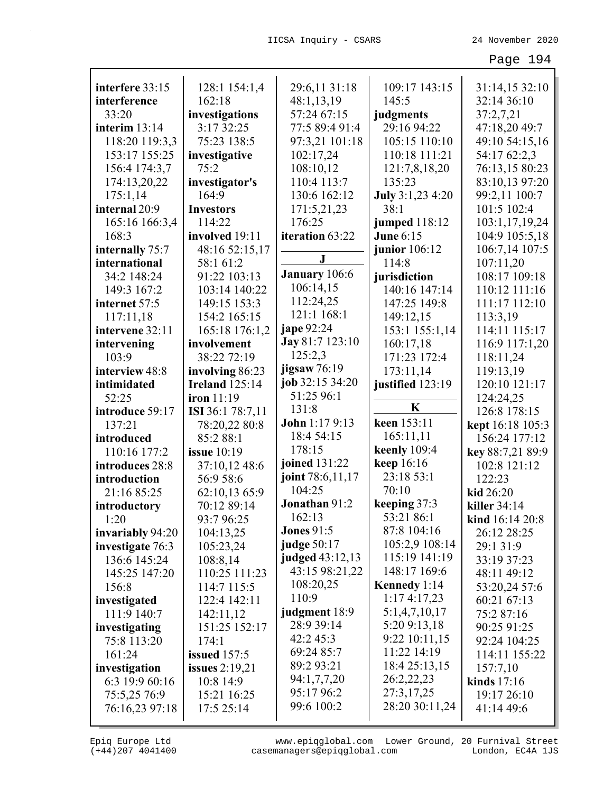| interfere 33:15  | 128:1 154:1,4         | 29:6,11 31:18        | 109:17 143:15    | 31:14,15 32:10             |
|------------------|-----------------------|----------------------|------------------|----------------------------|
| interference     | 162:18                | 48:1,13,19           | 145:5            | 32:14 36:10                |
| 33:20            | investigations        | 57:24 67:15          | judgments        | 37:2,7,21                  |
| interim $13:14$  | 3:17 32:25            | 77:5 89:4 91:4       | 29:16 94:22      | 47:18,20 49:7              |
| 118:20 119:3,3   | 75:23 138:5           | 97:3,21 101:18       | 105:15 110:10    | 49:10 54:15,16             |
| 153:17 155:25    | investigative         | 102:17,24            | 110:18 111:21    | 54:17 62:2,3               |
| 156:4 174:3,7    | 75:2                  | 108:10,12            | 121:7,8,18,20    | 76:13,15 80:23             |
| 174:13,20,22     | investigator's        | 110:4 113:7          | 135:23           | 83:10,13 97:20             |
| 175:1,14         | 164:9                 | 130:6 162:12         | July 3:1,23 4:20 | 99:2,11 100:7              |
| internal 20:9    | <b>Investors</b>      | 171:5,21,23          | 38:1             | 101:5 102:4                |
| 165:16 166:3,4   | 114:22                | 176:25               | jumped 118:12    | 103:1,17,19,24             |
| 168:3            | involved 19:11        | iteration 63:22      | <b>June 6:15</b> | 104:9 105:5,18             |
| internally 75:7  | 48:16 52:15,17        |                      | junior 106:12    | 106:7,14 107:5             |
| international    | 58:1 61:2             | ${\bf J}$            | 114:8            | 107:11,20                  |
| 34:2 148:24      | 91:22 103:13          | <b>January</b> 106:6 | jurisdiction     | 108:17 109:18              |
| 149:3 167:2      | 103:14 140:22         | 106:14,15            | 140:16 147:14    | 110:12 111:16              |
| internet 57:5    | 149:15 153:3          | 112:24,25            | 147:25 149:8     | 111:17 112:10              |
| 117:11,18        | 154:2 165:15          | 121:1 168:1          | 149:12,15        | 113:3,19                   |
| intervene 32:11  | 165:18 176:1,2        | <b>jape</b> 92:24    | 153:1 155:1,14   | 114:11 115:17              |
| intervening      | involvement           | Jay 81:7 123:10      | 160:17,18        | 116:9 117:1,20             |
| 103:9            | 38:22 72:19           | 125:2,3              | 171:23 172:4     | 118:11,24                  |
| interview 48:8   | involving 86:23       | jigsaw 76:19         | 173:11,14        | 119:13,19                  |
| intimidated      | <b>Ireland</b> 125:14 | job 32:15 34:20      | justified 123:19 | 120:10 121:17              |
| 52:25            | iron 11:19            | 51:25 96:1           |                  | 124:24,25                  |
| introduce 59:17  | ISI 36:1 78:7,11      | 131:8                | K                | 126:8 178:15               |
| 137:21           | 78:20,22 80:8         | John 1:17 9:13       | keen 153:11      | kept 16:18 105:3           |
| introduced       | 85:2 88:1             | 18:4 54:15           | 165:11,11        | 156:24 177:12              |
| 110:16 177:2     | <b>issue</b> 10:19    | 178:15               | keenly 109:4     | key 88:7,21 89:9           |
| introduces 28:8  | 37:10,12 48:6         | joined 131:22        | keep 16:16       | 102:8 121:12               |
| introduction     | 56:9 58:6             | joint 78:6,11,17     | 23:18 53:1       | 122:23                     |
| 21:16 85:25      | 62:10,13 65:9         | 104:25               | 70:10            | kid 26:20                  |
| introductory     | 70:12 89:14           | Jonathan 91:2        | keeping 37:3     | killer 34:14               |
| 1:20             | 93:7 96:25            | 162:13               | 53:21 86:1       | <b>kind</b> $16:14$ $20:8$ |
| invariably 94:20 | 104:13,25             | <b>Jones 91:5</b>    | 87:8 104:16      | 26:12 28:25                |
| investigate 76:3 | 105:23,24             | judge 50:17          | 105:2,9 108:14   | 29:1 31:9                  |
| 136:6 145:24     | 108:8,14              | judged 43:12,13      | 115:19 141:19    | 33:19 37:23                |
| 145:25 147:20    | 110:25 111:23         | 43:15 98:21,22       | 148:17 169:6     | 48:11 49:12                |
| 156:8            | 114:7 115:5           | 108:20,25            | Kennedy 1:14     | 53:20,24 57:6              |
| investigated     | 122:4 142:11          | 110:9                | 1:174:17,23      | 60:21 67:13                |
| 111:9 140:7      | 142:11,12             | judgment 18:9        | 5:1,4,7,10,17    | 75:2 87:16                 |
| investigating    | 151:25 152:17         | 28:9 39:14           | 5:20 9:13,18     | 90:25 91:25                |
| 75:8 113:20      | 174:1                 | 42:245:3             | 9:22 10:11,15    | 92:24 104:25               |
| 161:24           | <b>issued</b> 157:5   | 69:24 85:7           | 11:22 14:19      | 114:11 155:22              |
| investigation    | issues $2:19,21$      | 89:2 93:21           | 18:4 25:13,15    | 157:7,10                   |
| 6:3 19:9 60:16   | 10:8 14:9             | 94:1,7,7,20          | 26:2,22,23       | kinds $17:16$              |
| 75:5,25 76:9     | 15:21 16:25           | 95:17 96:2           | 27:3,17,25       | 19:17 26:10                |
| 76:16,23 97:18   | 17:5 25:14            | 99:6 100:2           | 28:20 30:11,24   | 41:14 49:6                 |
|                  |                       |                      |                  |                            |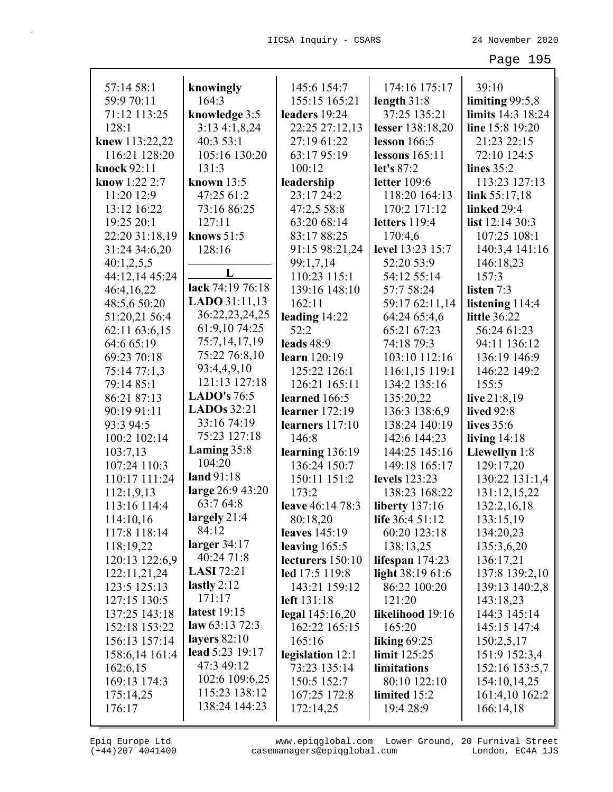| 57:14 58:1           | knowingly              | 145:6 154:7          | 174:16 175:17         | 39:10               |
|----------------------|------------------------|----------------------|-----------------------|---------------------|
| 59:9 70:11           | 164:3                  | 155:15 165:21        | length $31:8$         | limiting $99:5,8$   |
| 71:12 113:25         | knowledge 3:5          | leaders 19:24        | 37:25 135:21          | limits 14:3 18:24   |
| 128:1                | 3:134:1,8,24           | 22:25 27:12,13       | lesser 138:18,20      | line 15:8 19:20     |
| knew 113:22,22       | 40:353:1               | 27:19 61:22          | lesson $166:5$        | 21:23 22:15         |
| 116:21 128:20        | 105:16 130:20          | 63:17 95:19          | lessons $165:11$      | 72:10 124:5         |
| knock 92:11          | 131:3                  | 100:12               | let's 87:2            | lines $35:2$        |
| <b>know</b> 1:22 2:7 | known 13:5             | leadership           | letter $109:6$        | 113:23 127:13       |
| 11:20 12:9           | 47:25 61:2             | 23:17 24:2           | 118:20 164:13         | link $55:17,18$     |
| 13:12 16:22          | 73:16 86:25            | 47:2,5 58:8          | 170:2 171:12          | linked 29:4         |
| 19:25 20:1           | 127:11                 | 63:20 68:14          | letters $119:4$       | list $12:1430:3$    |
| 22:20 31:18,19       | knows $51:5$           | 83:17 88:25          | 170:4,6               | 107:25 108:1        |
| 31:24 34:6,20        | 128:16                 | 91:15 98:21,24       | level 13:23 15:7      | 140:3,4 141:16      |
| 40:1,2,5,5           |                        | 99:1,7,14            | 52:20 53:9            | 146:18,23           |
| 44:12,14 45:24       | L                      | 110:23 115:1         | 54:12 55:14           | 157:3               |
| 46:4,16,22           | lack 74:19 76:18       | 139:16 148:10        | 57:7 58:24            | listen 7:3          |
| 48:5,6 50:20         | <b>LADO</b> $31:11,13$ | 162:11               | 59:17 62:11,14        | listening 114:4     |
| 51:20,21 56:4        | 36:22,23,24,25         | leading $14:22$      | 64:24 65:4,6          | <b>little</b> 36:22 |
| 62:11 63:6,15        | 61:9,10 74:25          | 52:2                 | 65:21 67:23           | 56:24 61:23         |
| 64:6 65:19           | 75:7,14,17,19          | leads $48:9$         | 74:18 79:3            | 94:11 136:12        |
| 69:23 70:18          | 75:22 76:8,10          | learn 120:19         | 103:10 112:16         | 136:19 146:9        |
| 75:14 77:1,3         | 93:4,4,9,10            | 125:22 126:1         | 116:1,15 119:1        | 146:22 149:2        |
| 79:14 85:1           | 121:13 127:18          | 126:21 165:11        | 134:2 135:16          | 155:5               |
| 86:21 87:13          | LADO's $76:5$          | learned 166:5        | 135:20,22             | live $21:8,19$      |
| 90:19 91:11          | LADOs $32:21$          | learner $172:19$     | 136:3 138:6,9         | <b>lived</b> 92:8   |
| 93:3 94:5            | 33:16 74:19            | learners $117:10$    | 138:24 140:19         | lives 35:6          |
| 100:2 102:14         | 75:23 127:18           | 146:8                | 142:6 144:23          | living $14:18$      |
| 103:7,13             | Laming 35:8            | learning 136:19      | 144:25 145:16         | Llewellyn 1:8       |
| 107:24 110:3         | 104:20                 | 136:24 150:7         | 149:18 165:17         | 129:17,20           |
| 110:17 111:24        | land 91:18             | 150:11 151:2         | levels 123:23         | 130:22 131:1,4      |
| 112:1,9,13           | large 26:9 43:20       | 173:2                | 138:23 168:22         | 131:12,15,22        |
| 113:16 114:4         | 63:7 64:8              | leave 46:14 78:3     | <b>liberty</b> 137:16 | 132:2,16,18         |
| 114:10,16            | largely 21:4           | 80:18,20             | life 36:4 51:12       | 133:15,19           |
| 117:8 118:14         | 84:12                  | <b>leaves</b> 145:19 | 60:20 123:18          | 134:20,23           |
| 118:19,22            | larger $34:17$         | leaving $165:5$      | 138:13,25             | 135:3,6,20          |
| 120:13 122:6,9       | 40:24 71:8             | lecturers 150:10     | lifespan $174:23$     | 136:17,21           |
| 122:11,21,24         | <b>LASI</b> 72:21      | led 17:5 119:8       | light 38:19 61:6      | 137:8 139:2,10      |
| 123:5 125:13         | lastly $2:12$          | 143:21 159:12        | 86:22 100:20          | 139:13 140:2,8      |
| 127:15 130:5         | 171:17                 | left 131:18          | 121:20                | 143:18,23           |
| 137:25 143:18        | latest 19:15           | legal $145:16,20$    | likelihood 19:16      | 144:3 145:14        |
| 152:18 153:22        | law $63:13\,72:3$      | 162:22 165:15        | 165:20                | 145:15 147:4        |
| 156:13 157:14        | layers $82:10$         | 165:16               | liking $69:25$        | 150:2,5,17          |
| 158:6,14 161:4       | lead 5:23 19:17        | legislation 12:1     | limit $125:25$        | 151:9 152:3,4       |
| 162:6,15             | 47:3 49:12             | 73:23 135:14         | limitations           | 152:16 153:5,7      |
| 169:13 174:3         | 102:6 109:6,25         | 150:5 152:7          | 80:10 122:10          | 154:10,14,25        |
| 175:14,25            | 115:23 138:12          | 167:25 172:8         | limited 15:2          | 161:4,10 162:2      |
| 176:17               | 138:24 144:23          | 172:14,25            | 19:4 28:9             | 166:14,18           |
|                      |                        |                      |                       |                     |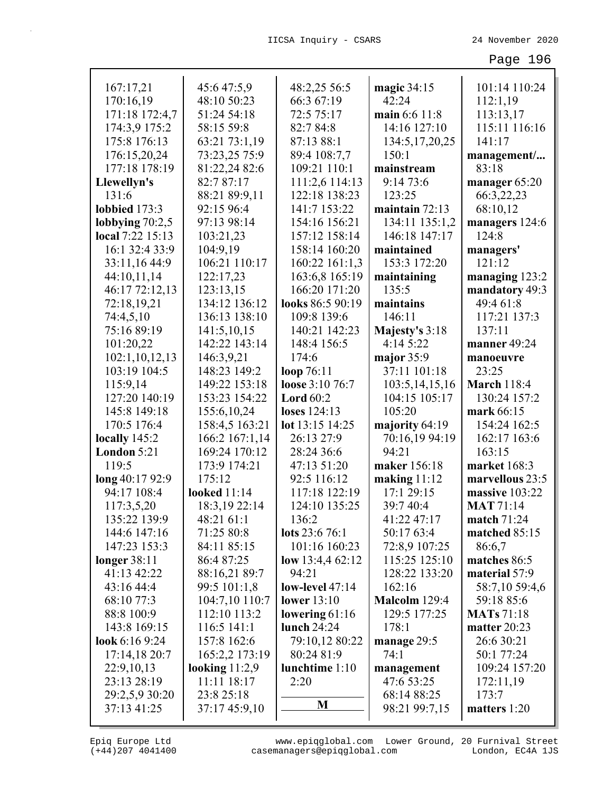| 167:17,21                             | 45:6 47:5,9         | 48:2,25 56:5       | magic 34:15       | 101:14 110:24           |
|---------------------------------------|---------------------|--------------------|-------------------|-------------------------|
| 170:16,19                             | 48:10 50:23         | 66:3 67:19         | 42:24             | 112:1,19                |
| 171:18 172:4,7                        | 51:24 54:18         | 72:5 75:17         | main 6:6 11:8     | 113:13,17               |
| 174:3,9 175:2                         | 58:15 59:8          | 82:7 84:8          | 14:16 127:10      | 115:11 116:16           |
| 175:8 176:13                          | 63:21 73:1,19       | 87:13 88:1         | 134:5, 17, 20, 25 | 141:17                  |
| 176:15,20,24                          | 73:23,25 75:9       | 89:4 108:7,7       | 150:1             | management              |
| 177:18 178:19                         | 81:22,24 82:6       | 109:21 110:1       | mainstream        | 83:18                   |
| Llewellyn's                           | 82:7 87:17          | 111:2,6 114:13     | 9:1473:6          | manager 65:20           |
| 131:6                                 | 88:21 89:9,11       | 122:18 138:23      | 123:25            | 66:3,22,23              |
| lobbied 173:3                         | 92:15 96:4          | 141:7 153:22       | maintain $72:13$  | 68:10,12                |
|                                       | 97:13 98:14         | 154:16 156:21      |                   |                         |
| lobbying $70:2,5$<br>local 7:22 15:13 |                     |                    | 134:11 135:1,2    | managers 124:6<br>124:8 |
|                                       | 103:21,23           | 157:12 158:14      | 146:18 147:17     |                         |
| 16:1 32:4 33:9                        | 104:9,19            | 158:14 160:20      | maintained        | managers'               |
| 33:11,16 44:9                         | 106:21 110:17       | 160:22 161:1,3     | 153:3 172:20      | 121:12                  |
| 44:10,11,14                           | 122:17,23           | 163:6,8 165:19     | maintaining       | managing 123:2          |
| 46:17 72:12,13                        | 123:13,15           | 166:20 171:20      | 135:5             | mandatory 49:3          |
| 72:18,19,21                           | 134:12 136:12       | looks 86:5 90:19   | maintains         | 49:4 61:8               |
| 74:4,5,10                             | 136:13 138:10       | 109:8 139:6        | 146:11            | 117:21 137:3            |
| 75:16 89:19                           | 141:5,10,15         | 140:21 142:23      | Majesty's 3:18    | 137:11                  |
| 101:20,22                             | 142:22 143:14       | 148:4 156:5        | 4:14 5:22         | manner 49:24            |
| 102:1,10,12,13                        | 146:3,9,21          | 174:6              | major 35:9        | manoeuvre               |
| 103:19 104:5                          | 148:23 149:2        | loop $76:11$       | 37:11 101:18      | 23:25                   |
| 115:9,14                              | 149:22 153:18       | loose 3:10 76:7    | 103:5, 14, 15, 16 | <b>March 118:4</b>      |
| 127:20 140:19                         | 153:23 154:22       | Lord $60:2$        | 104:15 105:17     | 130:24 157:2            |
| 145:8 149:18                          | 155:6, 10, 24       | loses 124:13       | 105:20            | mark 66:15              |
| 170:5 176:4                           | 158:4,5 163:21      | lot 13:15 14:25    | majority 64:19    | 154:24 162:5            |
| locally 145:2                         | 166:2 167:1,14      | 26:13 27:9         | 70:16,19 94:19    | 162:17 163:6            |
| London 5:21                           | 169:24 170:12       | 28:24 36:6         | 94:21             | 163:15                  |
| 119:5                                 | 173:9 174:21        | 47:13 51:20        | maker 156:18      | market 168:3            |
| long 40:17 92:9                       | 175:12              | 92:5 116:12        | making $11:12$    | marvellous 23:5         |
| 94:17 108:4                           | <b>looked</b> 11:14 | 117:18 122:19      | 17:1 29:15        | massive 103:22          |
| 117:3,5,20                            | 18:3, 19 22:14      | 124:10 135:25      | 39:7 40:4         | <b>MAT</b> 71:14        |
| 135:22 139:9                          | 48:21 61:1          | 136:2              | 41:22 47:17       | match 71:24             |
| 144:6 147:16                          | 71:25 80:8          | lots 23:6 76:1     | 50:17 63:4        | matched 85:15           |
| 147:23 153:3                          | 84:11 85:15         | 101:16 160:23      | 72:8,9 107:25     | 86:6,7                  |
| longer 38:11                          | 86:4 87:25          | low 13:4,4 $62:12$ | 115:25 125:10     | matches 86:5            |
| 41:13 42:22                           | 88:16,21 89:7       | 94:21              | 128:22 133:20     | material 57:9           |
| 43:16 44:4                            | 99:5 101:1,8        | low-level 47:14    | 162:16            | 58:7,10 59:4,6          |
| 68:10 77:3                            | 104:7,10 110:7      | <b>lower</b> 13:10 | Malcolm 129:4     | 59:18 85:6              |
| 88:8 100:9                            | 112:10 113:2        | lowering $61:16$   | 129:5 177:25      | <b>MATs</b> 71:18       |
| 143:8 169:15                          | $116:5$ 141:1       | lunch $24:24$      | 178:1             | matter $20:23$          |
| look $6:169:24$                       | 157:8 162:6         | 79:10,12 80:22     | manage $29:5$     | 26:6 30:21              |
| 17:14,18 20:7                         | 165:2,2 173:19      | 80:24 81:9         | 74:1              | 50:1 77:24              |
| 22:9,10,13                            | looking $11:2,9$    | lunchtime 1:10     | management        | 109:24 157:20           |
| 23:13 28:19                           | 11:11 18:17         | 2:20               | 47:6 53:25        | 172:11,19               |
| 29:2,5,9 30:20                        | 23:8 25:18          |                    | 68:14 88:25       | 173:7                   |
| 37:13 41:25                           | 37:17 45:9,10       | M                  | 98:21 99:7,15     | matters 1:20            |
|                                       |                     |                    |                   |                         |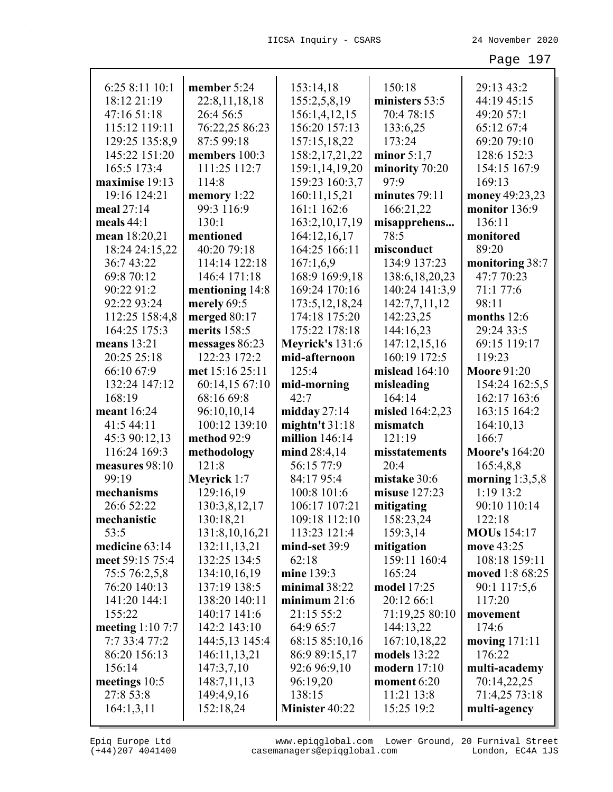| 6:25 8:11 10:1    | member 5:24       | 153:14,18             | 150:18            | 29:13 43:2            |
|-------------------|-------------------|-----------------------|-------------------|-----------------------|
| 18:12 21:19       | 22:8,11,18,18     | 155:2,5,8,19          | ministers 53:5    | 44:19 45:15           |
| 47:16 51:18       | 26:4 56:5         | 156:1,4,12,15         | 70:4 78:15        | 49:20 57:1            |
| 115:12 119:11     | 76:22,25 86:23    | 156:20 157:13         | 133:6,25          | 65:12 67:4            |
| 129:25 135:8,9    | 87:5 99:18        | 157:15,18,22          | 173:24            | 69:20 79:10           |
| 145:22 151:20     | members 100:3     | 158:2, 17, 21, 22     | minor $5:1,7$     | 128:6 152:3           |
| 165:5 173:4       | 111:25 112:7      | 159:1,14,19,20        | minority 70:20    | 154:15 167:9          |
| maximise 19:13    | 114:8             | 159:23 160:3,7        | 97:9              | 169:13                |
| 19:16 124:21      | memory 1:22       | 160:11,15,21          | minutes 79:11     | money 49:23,23        |
| meal 27:14        | 99:3 116:9        | 161:1 162:6           | 166:21,22         | monitor 136:9         |
| meals $44:1$      | 130:1             | 163:2, 10, 17, 19     | misapprehens      | 136:11                |
| mean 18:20,21     | mentioned         | 164:12,16,17          | 78:5              | monitored             |
| 18:24 24:15,22    | 40:20 79:18       | 164:25 166:11         | misconduct        | 89:20                 |
| 36:7 43:22        | 114:14 122:18     | 167:1,6,9             | 134:9 137:23      | monitoring 38:7       |
| 69:8 70:12        | 146:4 171:18      | 168:9 169:9,18        | 138:6, 18, 20, 23 | 47:7 70:23            |
| 90:22 91:2        | mentioning 14:8   | 169:24 170:16         | 140:24 141:3,9    | 71:1 77:6             |
| 92:22 93:24       | merely 69:5       | 173:5, 12, 18, 24     | 142:7,7,11,12     | 98:11                 |
| 112:25 158:4,8    | merged 80:17      | 174:18 175:20         | 142:23,25         | months 12:6           |
| 164:25 175:3      | merits 158:5      | 175:22 178:18         | 144:16,23         | 29:24 33:5            |
| means 13:21       | messages 86:23    | Meyrick's 131:6       | 147:12,15,16      | 69:15 119:17          |
| 20:25 25:18       | 122:23 172:2      | mid-afternoon         | 160:19 172:5      | 119:23                |
| 66:10 67:9        | met 15:16 25:11   | 125:4                 | mislead $164:10$  | <b>Moore 91:20</b>    |
| 132:24 147:12     | 60:14,15 67:10    | mid-morning           | misleading        | 154:24 162:5,5        |
| 168:19            | 68:16 69:8        | 42:7                  | 164:14            | 162:17 163:6          |
| meant 16:24       | 96:10,10,14       | midday $27:14$        | misled 164:2,23   | 163:15 164:2          |
| 41:5 44:11        | 100:12 139:10     | mightn't $31:18$      | mismatch          | 164:10,13             |
| 45:3 90:12,13     | method 92:9       | million 146:14        | 121:19            | 166:7                 |
| 116:24 169:3      | methodology       | mind 28:4,14          | misstatements     | <b>Moore's 164:20</b> |
| measures 98:10    | 121:8             | 56:15 77:9            | 20:4              | 165:4,8,8             |
| 99:19             | Meyrick 1:7       | 84:17 95:4            | mistake 30:6      | morning $1:3,5,8$     |
| mechanisms        | 129:16,19         | 100:8 101:6           | misuse 127:23     | 1:19 13:2             |
| 26:6 52:22        | 130:3,8,12,17     | 106:17 107:21         | mitigating        | 90:10 110:14          |
| mechanistic       | 130:18,21         | 109:18 112:10         | 158:23,24         | 122:18                |
| 53:5              | 131:8, 10, 16, 21 | 113:23 121:4          | 159:3,14          | <b>MOUs</b> 154:17    |
| medicine 63:14    | 132:11,13,21      | mind-set 39:9         | mitigation        | move 43:25            |
| meet 59:15 75:4   | 132:25 134:5      | 62:18                 | 159:11 160:4      | 108:18 159:11         |
| 75:5 76:2,5,8     | 134:10,16,19      | mine 139:3            | 165:24            | moved 1:8 68:25       |
| 76:20 140:13      | 137:19 138:5      | minimal $38:22$       | model 17:25       | 90:1 117:5,6          |
| 141:20 144:1      | 138:20 140:11     | minimum $21:6$        | 20:12 66:1        | 117:20                |
| 155:22            | 140:17 141:6      | 21:15 55:2            | 71:19,25 80:10    | movement              |
| meeting $1:107:7$ | 142:2 143:10      | 64:9 65:7             | 144:13,22         | 174:6                 |
| 7:7 33:4 77:2     | 144:5,13 145:4    | 68:15 85:10,16        | 167:10,18,22      | moving $171:11$       |
| 86:20 156:13      | 146:11,13,21      | 86:9 89:15,17         | models 13:22      | 176:22                |
| 156:14            | 147:3,7,10        | 92:6 96:9,10          | modern $17:10$    | multi-academy         |
| meetings 10:5     | 148:7,11,13       | 96:19,20              | moment 6:20       | 70:14,22,25           |
| 27:8 53:8         | 149:4,9,16        | 138:15                | 11:21 13:8        | 71:4,25 73:18         |
| 164:1,3,11        | 152:18,24         | <b>Minister 40:22</b> | 15:25 19:2        | multi-agency          |
|                   |                   |                       |                   |                       |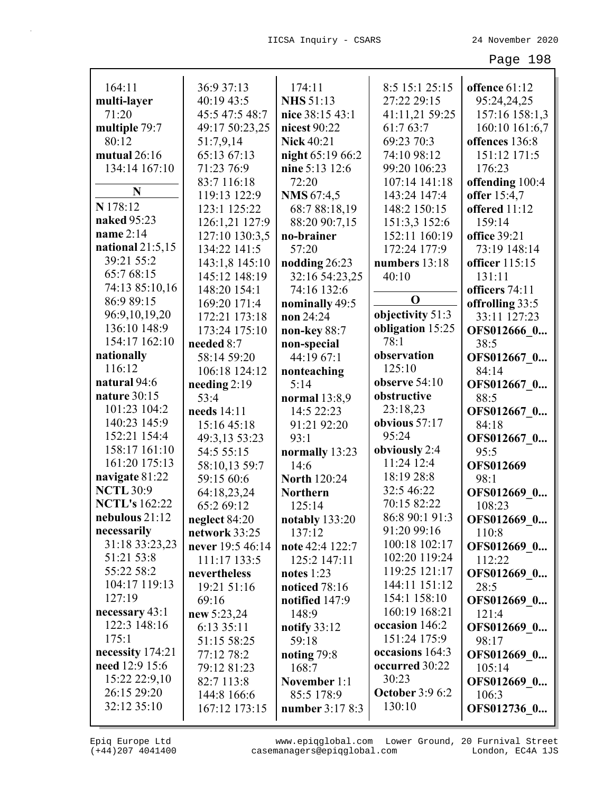| 164:11               | 36:9 37:13       | 174:11              | 8:5 15:1 25:15         | offence 61:12    |
|----------------------|------------------|---------------------|------------------------|------------------|
| multi-layer          | 40:19 43:5       | <b>NHS 51:13</b>    | 27:22 29:15            | 95:24,24,25      |
| 71:20                | 45:5 47:5 48:7   | nice 38:15 43:1     | 41:11,21 59:25         | 157:16 158:1,3   |
| multiple 79:7        | 49:17 50:23,25   | nicest 90:22        | 61:7 63:7              | 160:10 161:6,7   |
| 80:12                | 51:7,9,14        | <b>Nick 40:21</b>   | 69:23 70:3             | offences 136:8   |
| mutual 26:16         | 65:13 67:13      | night 65:19 66:2    | 74:10 98:12            | 151:12 171:5     |
| 134:14 167:10        | 71:23 76:9       | nine 5:13 12:6      | 99:20 106:23           | 176:23           |
|                      | 83:7 116:18      | 72:20               | 107:14 141:18          | offending 100:4  |
| N                    | 119:13 122:9     | <b>NMS</b> 67:4,5   | 143:24 147:4           | offer 15:4,7     |
| N 178:12             | 123:1 125:22     | 68:7 88:18,19       | 148:2 150:15           | offered 11:12    |
| naked 95:23          | 126:1,21 127:9   | 88:20 90:7,15       | 151:3,3 152:6          | 159:14           |
| name 2:14            | 127:10 130:3,5   | no-brainer          | 152:11 160:19          | office 39:21     |
| national $21:5,15$   | 134:22 141:5     | 57:20               | 172:24 177:9           | 73:19 148:14     |
| 39:21 55:2           | 143:1,8 145:10   | nodding 26:23       | numbers 13:18          | officer 115:15   |
| 65:7 68:15           | 145:12 148:19    | 32:16 54:23,25      | 40:10                  | 131:11           |
| 74:13 85:10,16       | 148:20 154:1     | 74:16 132:6         |                        | officers 74:11   |
| 86:9 89:15           | 169:20 171:4     | nominally 49:5      | $\mathbf 0$            | offrolling 33:5  |
| 96:9,10,19,20        | 172:21 173:18    | non 24:24           | objectivity 51:3       | 33:11 127:23     |
| 136:10 148:9         | 173:24 175:10    | non-key 88:7        | obligation 15:25       | OFS012666 0      |
| 154:17 162:10        | needed 8:7       | non-special         | 78:1                   | 38:5             |
| nationally           | 58:14 59:20      | 44:19 67:1          | observation            | OFS012667 0      |
| 116:12               | 106:18 124:12    | nonteaching         | 125:10                 | 84:14            |
| natural 94:6         | needing $2:19$   | 5:14                | observe $54:10$        | OFS012667 0      |
| nature 30:15         | 53:4             | normal 13:8,9       | obstructive            | 88:5             |
| 101:23 104:2         | needs 14:11      | 14:5 22:23          | 23:18,23               | OFS012667 0      |
| 140:23 145:9         | 15:16 45:18      | 91:21 92:20         | obvious 57:17          | 84:18            |
| 152:21 154:4         | 49:3,13 53:23    | 93:1                | 95:24                  | OFS012667 0      |
| 158:17 161:10        | 54:5 55:15       | normally 13:23      | obviously 2:4          | 95:5             |
| 161:20 175:13        | 58:10,13 59:7    | 14:6                | 11:24 12:4             | <b>OFS012669</b> |
| navigate 81:22       | 59:15 60:6       | <b>North 120:24</b> | 18:19 28:8             | 98:1             |
| <b>NCTL 30:9</b>     | 64:18,23,24      | <b>Northern</b>     | 32:5 46:22             | OFS012669 0      |
| <b>NCTL's</b> 162:22 | 65:2 69:12       | 125:14              | 70:15 82:22            | 108:23           |
| nebulous 21:12       | neglect 84:20    | notably $133:20$    | 86:8 90:1 91:3         | OFS012669 0      |
| necessarily          | network 33:25    | 137:12              | 91:20 99:16            | 110:8            |
| 31:18 33:23,23       | never 19:5 46:14 | note 42:4 122:7     | 100:18 102:17          | OFS012669 0      |
| 51:21 53:8           | 111:17 133:5     | 125:2 147:11        | 102:20 119:24          | 112:22           |
| 55:22 58:2           | nevertheless     | notes $1:23$        | 119:25 121:17          | OFS012669 0      |
| 104:17 119:13        | 19:21 51:16      | noticed 78:16       | 144:11 151:12          | 28:5             |
| 127:19               | 69:16            | notified 147:9      | 154:1 158:10           | OFS012669 0      |
| necessary 43:1       | new 5:23,24      | 148:9               | 160:19 168:21          | 121:4            |
| 122:3 148:16         | 6:13 35:11       | notify 33:12        | occasion 146:2         | OFS012669 0      |
| 175:1                | 51:15 58:25      | 59:18               | 151:24 175:9           | 98:17            |
| necessity 174:21     | 77:12 78:2       | noting $79:8$       | occasions 164:3        | OFS012669 0      |
| need 12:9 15:6       | 79:12 81:23      | 168:7               | occurred 30:22         | 105:14           |
| 15:22 22:9,10        | 82:7 113:8       | November 1:1        | 30:23                  | OFS012669 0      |
| 26:15 29:20          | 144:8 166:6      | 85:5 178:9          | <b>October 3:9 6:2</b> | 106:3            |
| 32:12 35:10          | 167:12 173:15    | number 3:17 8:3     | 130:10                 | OFS012736 0      |
|                      |                  |                     |                        |                  |

L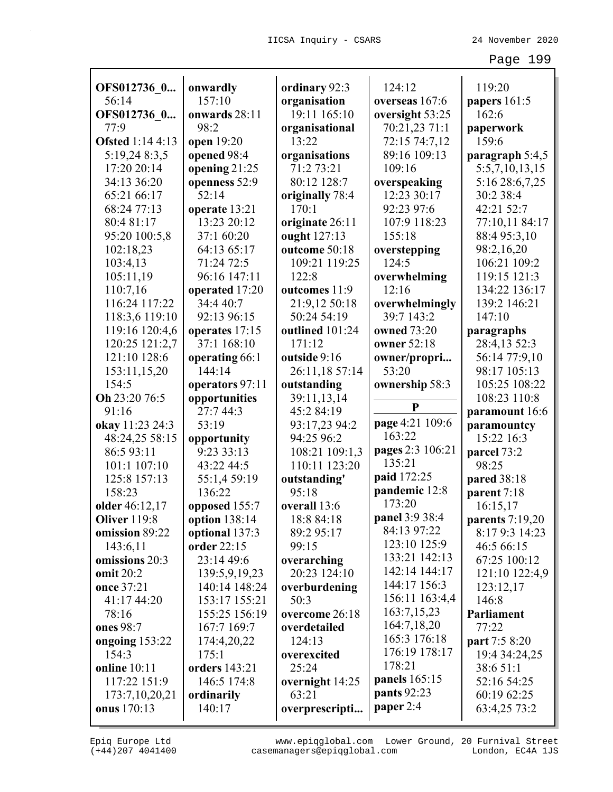| OFS012736 0                           | onwardly<br>157:10             | ordinary 92:3                | 124:12                           | 119:20                      |
|---------------------------------------|--------------------------------|------------------------------|----------------------------------|-----------------------------|
| 56:14                                 |                                | organisation<br>19:11 165:10 | overseas 167:6                   | papers 161:5<br>162:6       |
| OFS012736 0<br>77:9                   | onwards 28:11<br>98:2          |                              | oversight 53:25<br>70:21,23 71:1 |                             |
| <b>Ofsted</b> 1:14 4:13               | open 19:20                     | organisational<br>13:22      | 72:15 74:7,12                    | paperwork<br>159:6          |
| 5:19,24 8:3,5                         | opened 98:4                    | organisations                | 89:16 109:13                     | paragraph 5:4,5             |
| 17:20 20:14                           | opening 21:25                  | 71:2 73:21                   | 109:16                           | 5:5,7,10,13,15              |
| 34:13 36:20                           | openness 52:9                  | 80:12 128:7                  | overspeaking                     | 5:16 28:6,7,25              |
| 65:21 66:17                           | 52:14                          | originally 78:4              | 12:23 30:17                      | 30:2 38:4                   |
| 68:24 77:13                           | operate 13:21                  | 170:1                        | 92:23 97:6                       | 42:21 52:7                  |
| 80:4 81:17                            | 13:23 20:12                    | originate 26:11              | 107:9 118:23                     | 77:10,11 84:17              |
| 95:20 100:5,8                         | 37:1 60:20                     | ought 127:13                 | 155:18                           | 88:4 95:3,10                |
| 102:18,23                             | 64:13 65:17                    | outcome 50:18                | overstepping                     | 98:2,16,20                  |
| 103:4,13                              | 71:24 72:5                     | 109:21 119:25                | 124:5                            | 106:21 109:2                |
| 105:11,19                             | 96:16 147:11                   | 122:8                        | overwhelming                     | 119:15 121:3                |
| 110:7,16                              | operated 17:20                 | outcomes 11:9                | 12:16                            | 134:22 136:17               |
| 116:24 117:22                         | 34:4 40:7                      | 21:9,12 50:18                | overwhelmingly                   | 139:2 146:21                |
| 118:3,6 119:10                        | 92:13 96:15                    | 50:24 54:19                  | 39:7 143:2                       | 147:10                      |
| 119:16 120:4,6                        | operates 17:15                 | outlined 101:24              | owned 73:20                      | paragraphs                  |
| 120:25 121:2,7                        | 37:1 168:10                    | 171:12                       | owner 52:18                      | 28:4,13 52:3                |
| 121:10 128:6                          | operating 66:1                 | outside 9:16                 | owner/propri                     | 56:14 77:9,10               |
| 153:11,15,20                          | 144:14                         | 26:11,18 57:14               | 53:20                            | 98:17 105:13                |
| 154:5                                 | operators 97:11                | outstanding                  | ownership 58:3                   | 105:25 108:22               |
| Oh 23:20 76:5                         | opportunities                  | 39:11,13,14                  | $\mathbf{P}$                     | 108:23 110:8                |
| 91:16                                 | 27:7 44:3                      | 45:2 84:19                   |                                  | paramount 16:6              |
| okay 11:23 24:3                       | 53:19                          | 93:17,23 94:2                | page 4:21 109:6                  | paramountcy                 |
| 48:24,25 58:15                        | opportunity                    | 94:25 96:2                   | 163:22                           | 15:22 16:3                  |
| 86:5 93:11                            | 9:23 33:13                     | 108:21 109:1,3               | pages 2:3 106:21<br>135:21       | parcel 73:2                 |
| 101:1 107:10                          | 43:22 44:5                     | 110:11 123:20                | paid 172:25                      | 98:25                       |
| 125:8 157:13<br>158:23                | 55:1,4 59:19                   | outstanding'                 | pandemic 12:8                    | pared 38:18                 |
|                                       | 136:22                         | 95:18<br>overall 13:6        | 173:20                           | parent 7:18                 |
| older 46:12,17<br><b>Oliver</b> 119:8 | opposed 155:7<br>option 138:14 | 18:8 84:18                   | panel 3:9 38:4                   | 16:15,17<br>parents 7:19,20 |
| omission 89:22                        | optional 137:3                 | 89:2 95:17                   | 84:13 97:22                      | 8:17 9:3 14:23              |
| 143:6,11                              | order 22:15                    | 99:15                        | 123:10 125:9                     | 46:5 66:15                  |
| omissions 20:3                        | 23:14 49:6                     | overarching                  | 133:21 142:13                    | 67:25 100:12                |
| omit 20:2                             | 139:5,9,19,23                  | 20:23 124:10                 | 142:14 144:17                    | 121:10 122:4,9              |
| once 37:21                            | 140:14 148:24                  | overburdening                | 144:17 156:3                     | 123:12,17                   |
| 41:17 44:20                           | 153:17 155:21                  | 50:3                         | 156:11 163:4,4                   | 146:8                       |
| 78:16                                 | 155:25 156:19                  | overcome 26:18               | 163:7,15,23                      | <b>Parliament</b>           |
| ones 98:7                             | 167:7 169:7                    | overdetailed                 | 164:7,18,20                      | 77:22                       |
| ongoing 153:22                        | 174:4,20,22                    | 124:13                       | 165:3 176:18                     | part 7:5 8:20               |
| 154:3                                 | 175:1                          | overexcited                  | 176:19 178:17                    | 19:4 34:24,25               |
| <b>online</b> 10:11                   | orders 143:21                  | 25:24                        | 178:21                           | 38:6 51:1                   |
| 117:22 151:9                          | 146:5 174:8                    | overnight 14:25              | panels 165:15                    | 52:16 54:25                 |
| 173:7,10,20,21                        | ordinarily                     | 63:21                        | pants 92:23                      | 60:19 62:25                 |
| <b>onus</b> 170:13                    | 140:17                         | overprescripti               | paper 2:4                        | 63:4,25 73:2                |

(+44)207 4041400 casemanagers@epiqglobal.com London, EC4A 1JS www.epiqglobal.com Lower Ground, 20 Furnival Street

┚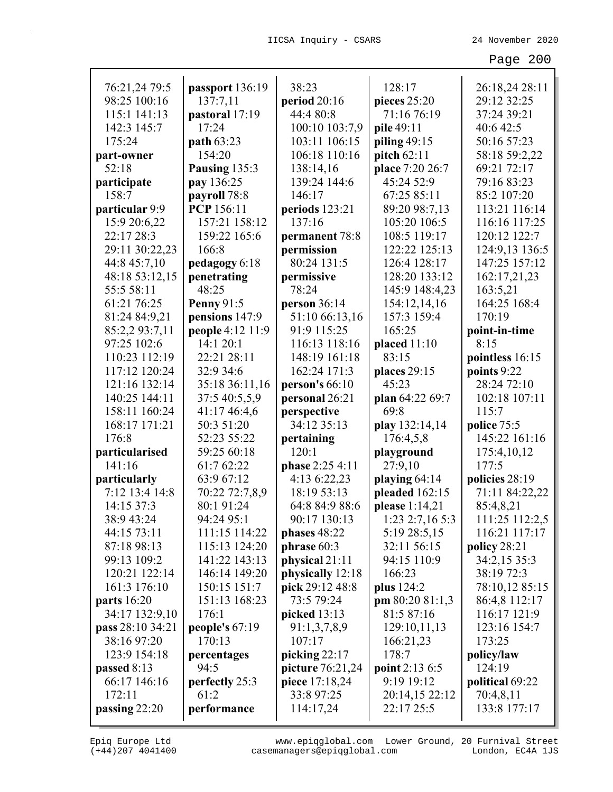| 76:21,24 79:5      | passport 136:19   | 38:23            | 128:17            | 26:18,24 28:11  |
|--------------------|-------------------|------------------|-------------------|-----------------|
| 98:25 100:16       | 137:7,11          | period 20:16     | pieces 25:20      | 29:12 32:25     |
| 115:1 141:13       | pastoral 17:19    | 44:4 80:8        | 71:16 76:19       | 37:24 39:21     |
| 142:3 145:7        | 17:24             | 100:10 103:7,9   | pile 49:11        | 40:6 42:5       |
| 175:24             | path 63:23        | 103:11 106:15    | piling $49:15$    | 50:16 57:23     |
| part-owner         | 154:20            | 106:18 110:16    | pitch 62:11       | 58:18 59:2,22   |
| 52:18              | Pausing 135:3     | 138:14,16        | place 7:20 26:7   | 69:21 72:17     |
| participate        | pay 136:25        | 139:24 144:6     | 45:24 52:9        | 79:16 83:23     |
| 158:7              | payroll 78:8      | 146:17           | 67:25 85:11       | 85:2 107:20     |
| particular 9:9     | <b>PCP</b> 156:11 | periods 123:21   | 89:20 98:7,13     | 113:21 116:14   |
| 15:9 20:6,22       | 157:21 158:12     | 137:16           | 105:20 106:5      | 116:16 117:25   |
| 22:17 28:3         | 159:22 165:6      | permanent 78:8   | 108:5 119:17      | 120:12 122:7    |
| 29:11 30:22,23     | 166:8             | permission       | 122:22 125:13     | 124:9,13 136:5  |
| 44:8 45:7,10       | pedagogy 6:18     | 80:24 131:5      | 126:4 128:17      | 147:25 157:12   |
| 48:18 53:12,15     | penetrating       | permissive       | 128:20 133:12     | 162:17,21,23    |
| 55:5 58:11         | 48:25             | 78:24            | 145:9 148:4,23    | 163:5,21        |
| 61:21 76:25        | <b>Penny 91:5</b> | person 36:14     | 154:12,14,16      | 164:25 168:4    |
| 81:24 84:9,21      | pensions 147:9    | 51:10 66:13,16   | 157:3 159:4       | 170:19          |
| 85:2,2 93:7,11     | people 4:12 11:9  | 91:9 115:25      | 165:25            | point-in-time   |
| 97:25 102:6        | 14:1 20:1         | 116:13 118:16    | placed $11:10$    | 8:15            |
| 110:23 112:19      | 22:21 28:11       | 148:19 161:18    | 83:15             | pointless 16:15 |
| 117:12 120:24      | 32:9 34:6         | 162:24 171:3     | places 29:15      | points 9:22     |
| 121:16 132:14      | 35:18 36:11,16    | person's $66:10$ | 45:23             | 28:24 72:10     |
| 140:25 144:11      | 37:5 40:5,5,9     | personal 26:21   | plan 64:22 69:7   | 102:18 107:11   |
| 158:11 160:24      | 41:17 46:4,6      | perspective      | 69:8              | 115:7           |
| 168:17 171:21      | 50:3 51:20        | 34:12 35:13      | play 132:14,14    | police 75:5     |
| 176:8              | 52:23 55:22       | pertaining       | 176:4,5,8         | 145:22 161:16   |
| particularised     | 59:25 60:18       | 120:1            | playground        | 175:4,10,12     |
| 141:16             | 61:7 62:22        | phase 2:25 4:11  | 27:9,10           | 177:5           |
| particularly       | 63:9 67:12        | 4:13 6:22,23     | playing 64:14     | policies 28:19  |
| 7:12 13:4 14:8     | 70:22 72:7,8,9    | 18:19 53:13      | pleaded 162:15    | 71:11 84:22,22  |
| 14:15 37:3         | 80:1 91:24        | 64:8 84:9 88:6   | please 1:14,21    | 85:4,8,21       |
| 38:9 43:24         | 94:24 95:1        | 90:17 130:13     | $1:23$ 2:7,16 5:3 | 111:25 112:2,5  |
| 44:15 73:11        | 111:15 114:22     | phases 48:22     | 5:19 28:5,15      | 116:21 117:17   |
| 87:18 98:13        | 115:13 124:20     | phrase $60:3$    | 32:11 56:15       | policy 28:21    |
| 99:13 109:2        | 141:22 143:13     | physical 21:11   | 94:15 110:9       | 34:2,15 35:3    |
| 120:21 122:14      | 146:14 149:20     | physically 12:18 | 166:23            | 38:19 72:3      |
| 161:3 176:10       | 150:15 151:7      | pick 29:12 48:8  | plus 124:2        | 78:10,12 85:15  |
| <b>parts</b> 16:20 | 151:13 168:23     | 73:5 79:24       | pm 80:20 81:1,3   | 86:4,8 112:17   |
| 34:17 132:9,10     | 176:1             | picked $13:13$   | 81:5 87:16        | 116:17 121:9    |
| pass 28:10 34:21   | people's $67:19$  | 91:1,3,7,8,9     | 129:10,11,13      | 123:16 154:7    |
| 38:16 97:20        | 170:13            | 107:17           | 166:21,23         | 173:25          |
| 123:9 154:18       | percentages       | picking $22:17$  | 178:7             | policy/law      |
| passed 8:13        | 94:5              | picture 76:21,24 | point 2:13 6:5    | 124:19          |
| 66:17 146:16       | perfectly 25:3    | piece 17:18,24   | 9:19 19:12        | political 69:22 |
| 172:11             | 61:2              | 33:8 97:25       | 20:14,15 22:12    | 70:4,8,11       |
| passing $22:20$    | performance       | 114:17,24        | 22:17 25:5        | 133:8 177:17    |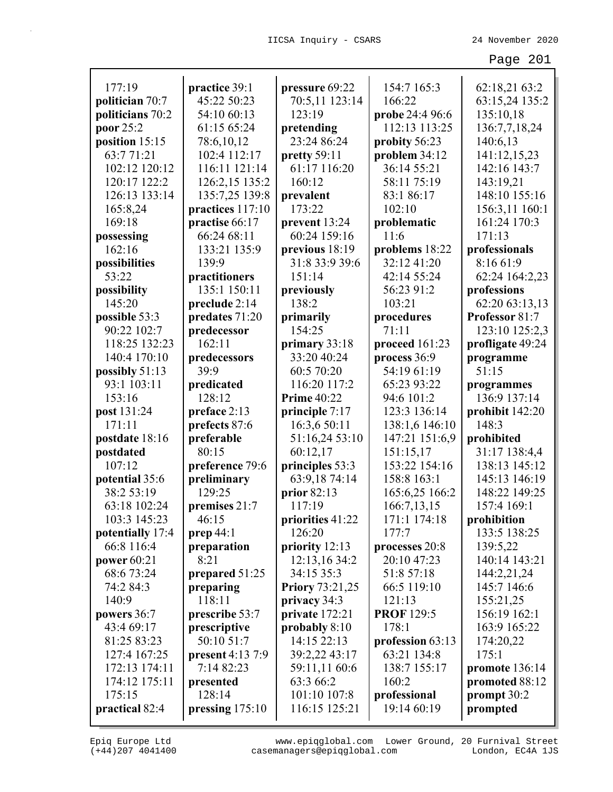| 177:19                  | practice 39:1                  | pressure 69:22             | 154:7 165:3           | 62:18,21 63:2           |
|-------------------------|--------------------------------|----------------------------|-----------------------|-------------------------|
| politician 70:7         | 45:22 50:23                    | 70:5,11 123:14             | 166:22                | 63:15,24 135:2          |
| politicians 70:2        | 54:10 60:13                    | 123:19                     | probe 24:4 96:6       | 135:10,18               |
| poor 25:2               | 61:15 65:24                    | pretending                 | 112:13 113:25         | 136:7,7,18,24           |
| position 15:15          | 78:6,10,12                     | 23:24 86:24                | probity 56:23         | 140:6,13                |
| 63:771:21               | 102:4 112:17                   | pretty 59:11               | problem 34:12         | 141:12,15,23            |
| 102:12 120:12           | 116:11 121:14                  | 61:17 116:20               | 36:14 55:21           | 142:16 143:7            |
| 120:17 122:2            | 126:2,15 135:2                 | 160:12                     | 58:11 75:19           | 143:19,21               |
| 126:13 133:14           | 135:7,25 139:8                 | prevalent                  | 83:1 86:17            | 148:10 155:16           |
| 165:8,24                | practices 117:10               | 173:22                     | 102:10                | 156:3,11 160:1          |
| 169:18                  | practise 66:17                 | prevent 13:24              | problematic           | 161:24 170:3            |
| possessing              | 66:24 68:11                    | 60:24 159:16               | 11:6                  | 171:13                  |
| 162:16                  | 133:21 135:9                   | previous 18:19             | problems 18:22        | professionals           |
| possibilities           | 139:9                          | 31:8 33:9 39:6             | 32:12 41:20           | 8:16 61:9               |
| 53:22                   | practitioners                  | 151:14                     | 42:14 55:24           | 62:24 164:2,23          |
| possibility             | 135:1 150:11                   | previously                 | 56:23 91:2            | professions             |
| 145:20                  | preclude 2:14                  | 138:2                      | 103:21                | 62:20 63:13,13          |
| possible 53:3           | predates 71:20                 | primarily                  | procedures            | Professor 81:7          |
| 90:22 102:7             | predecessor                    | 154:25                     | 71:11                 | 123:10 125:2,3          |
| 118:25 132:23           | 162:11                         | primary 33:18              | proceed 161:23        | profligate 49:24        |
| 140:4 170:10            | predecessors                   | 33:20 40:24                | process 36:9          | programme               |
| possibly 51:13          | 39:9                           | 60:5 70:20                 | 54:19 61:19           | 51:15                   |
| 93:1 103:11             | predicated                     | 116:20 117:2               | 65:23 93:22           | programmes              |
| 153:16                  | 128:12                         | <b>Prime 40:22</b>         | 94:6 101:2            | 136:9 137:14            |
| post 131:24             | preface 2:13                   | principle 7:17             | 123:3 136:14          | prohibit 142:20         |
| 171:11                  | prefects 87:6                  | 16:3,6 50:11               | 138:1,6 146:10        | 148:3                   |
| postdate 18:16          | preferable                     | 51:16,24 53:10             | 147:21 151:6,9        | prohibited              |
| postdated               | 80:15                          | 60:12,17                   | 151:15,17             | 31:17 138:4,4           |
| 107:12                  | preference 79:6                | principles 53:3            | 153:22 154:16         | 138:13 145:12           |
| potential 35:6          | preliminary                    | 63:9,18 74:14              | 158:8 163:1           | 145:13 146:19           |
| 38:2 53:19              | 129:25                         | prior 82:13                | 165:6,25 166:2        | 148:22 149:25           |
| 63:18 102:24            | premises 21:7                  | 117:19                     | 166:7,13,15           | 157:4 169:1             |
| 103:3 145:23            | 46:15                          | priorities 41:22           | 171:1 174:18          | prohibition             |
| potentially 17:4        | prep $44:1$                    | 126:20                     | 177:7                 | 133:5 138:25            |
| 66:8 116:4              | preparation                    | priority 12:13             | processes 20:8        | 139:5,22                |
| power 60:21             | 8:21                           | 12:13,16 34:2              | 20:10 47:23           | 140:14 143:21           |
| 68:6 73:24              | prepared 51:25                 | 34:15 35:3                 | 51:8 57:18            | 144:2,21,24             |
| 74:2 84:3               | preparing                      | <b>Priory 73:21,25</b>     | 66:5 119:10           | 145:7 146:6             |
| 140:9                   | 118:11                         | privacy 34:3               | 121:13                | 155:21,25               |
| powers 36:7             | prescribe 53:7                 | private 172:21             | <b>PROF</b> 129:5     | 156:19 162:1            |
| 43:4 69:17              | prescriptive                   | probably 8:10              | 178:1                 | 163:9 165:22            |
| 81:25 83:23             | 50:10 51:7                     | 14:15 22:13                | profession 63:13      | 174:20,22               |
| 127:4 167:25            | present 4:13 7:9<br>7:14 82:23 | 39:2,22 43:17              | 63:21 134:8           | 175:1                   |
| 172:13 174:11           |                                | 59:11,11 60:6<br>63:3 66:2 | 138:7 155:17          | promote 136:14          |
| 174:12 175:11<br>175:15 | presented<br>128:14            | 101:10 107:8               | 160:2<br>professional | promoted 88:12          |
| practical 82:4          | pressing $175:10$              | 116:15 125:21              | 19:14 60:19           | prompt 30:2<br>prompted |
|                         |                                |                            |                       |                         |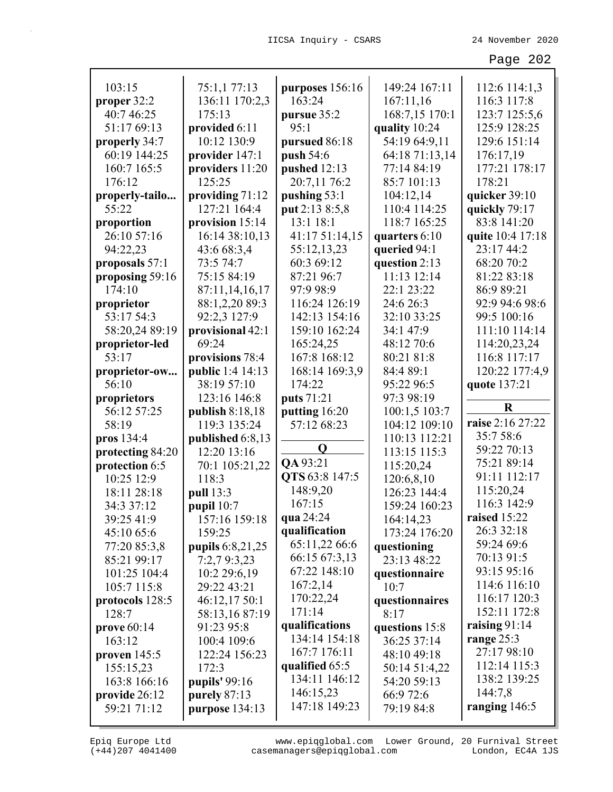| 103:15           | 75:1,1 77:13      | purposes 156:16 | 149:24 167:11  | 112:6 114:1,3    |
|------------------|-------------------|-----------------|----------------|------------------|
| proper 32:2      | 136:11 170:2,3    | 163:24          | 167:11,16      | 116:3 117:8      |
| 40:7 46:25       | 175:13            | pursue 35:2     | 168:7,15 170:1 | 123:7 125:5,6    |
| 51:17 69:13      | provided 6:11     | 95:1            | quality 10:24  | 125:9 128:25     |
| properly 34:7    | 10:12 130:9       | pursued 86:18   | 54:19 64:9,11  | 129:6 151:14     |
| 60:19 144:25     | provider 147:1    | push 54:6       | 64:18 71:13,14 | 176:17,19        |
| 160:7 165:5      | providers 11:20   | pushed 12:13    | 77:14 84:19    | 177:21 178:17    |
| 176:12           | 125:25            | 20:7,11 76:2    | 85:7 101:13    | 178:21           |
| properly-tailo   | providing 71:12   | pushing 53:1    | 104:12,14      | quicker 39:10    |
| 55:22            | 127:21 164:4      | put 2:13 8:5,8  | 110:4 114:25   | quickly 79:17    |
| proportion       | provision 15:14   | 13:1 18:1       | 118:7 165:25   | 83:8 141:20      |
| 26:10 57:16      | 16:14 38:10,13    | 41:17 51:14,15  | quarters 6:10  | quite 10:4 17:18 |
| 94:22,23         | 43:6 68:3,4       | 55:12,13,23     | queried 94:1   | 23:17 44:2       |
| proposals 57:1   | 73:5 74:7         | 60:3 69:12      | question 2:13  | 68:20 70:2       |
| proposing 59:16  | 75:15 84:19       | 87:21 96:7      | 11:13 12:14    | 81:22 83:18      |
| 174:10           | 87:11,14,16,17    | 97:9 98:9       | 22:1 23:22     | 86:9 89:21       |
| proprietor       | 88:1,2,20 89:3    | 116:24 126:19   | 24:6 26:3      | 92:9 94:6 98:6   |
| 53:17 54:3       | 92:2,3 127:9      | 142:13 154:16   | 32:10 33:25    | 99:5 100:16      |
| 58:20,24 89:19   | provisional 42:1  | 159:10 162:24   | 34:1 47:9      | 111:10 114:14    |
| proprietor-led   | 69:24             | 165:24,25       | 48:12 70:6     | 114:20,23,24     |
| 53:17            | provisions 78:4   | 167:8 168:12    | 80:21 81:8     | 116:8 117:17     |
| proprietor-ow    | public 1:4 14:13  | 168:14 169:3,9  | 84:4 89:1      | 120:22 177:4,9   |
| 56:10            | 38:19 57:10       | 174:22          | 95:22 96:5     | quote 137:21     |
| proprietors      | 123:16 146:8      | puts 71:21      | 97:3 98:19     |                  |
| 56:12 57:25      | publish $8:18,18$ | putting 16:20   | 100:1,5 103:7  | $\bf R$          |
| 58:19            | 119:3 135:24      | 57:12 68:23     | 104:12 109:10  | raise 2:16 27:22 |
| pros 134:4       | published 6:8,13  |                 | 110:13 112:21  | 35:7 58:6        |
| protecting 84:20 | 12:20 13:16       | Q               | 113:15 115:3   | 59:22 70:13      |
| protection 6:5   | 70:1 105:21,22    | QA 93:21        | 115:20,24      | 75:21 89:14      |
| 10:25 12:9       | 118:3             | QTS 63:8 147:5  | 120:6,8,10     | 91:11 112:17     |
| 18:11 28:18      | pull 13:3         | 148:9,20        | 126:23 144:4   | 115:20,24        |
| 34:3 37:12       | pupil 10:7        | 167:15          | 159:24 160:23  | 116:3 142:9      |
| 39:25 41:9       | 157:16 159:18     | qua 24:24       | 164:14,23      | raised 15:22     |
| 45:10 65:6       | 159:25            | qualification   | 173:24 176:20  | 26:3 32:18       |
| 77:20 85:3,8     | pupils 6:8,21,25  | 65:11,22 66:6   | questioning    | 59:24 69:6       |
| 85:21 99:17      | 7:2,79:3,23       | 66:15 67:3,13   | 23:13 48:22    | 70:13 91:5       |
| 101:25 104:4     | 10:2 29:6,19      | 67:22 148:10    | questionnaire  | 93:15 95:16      |
| 105:7 115:8      | 29:22 43:21       | 167:2,14        | 10:7           | 114:6 116:10     |
| protocols 128:5  | 46:12,17 50:1     | 170:22,24       | questionnaires | 116:17 120:3     |
| 128:7            | 58:13,1687:19     | 171:14          | 8:17           | 152:11 172:8     |
| prove $60:14$    | 91:23 95:8        | qualifications  | questions 15:8 | raising $91:14$  |
| 163:12           | 100:4 109:6       | 134:14 154:18   | 36:25 37:14    | range $25:3$     |
| proven $145:5$   | 122:24 156:23     | 167:7 176:11    | 48:10 49:18    | 27:17 98:10      |
| 155:15,23        | 172:3             | qualified 65:5  | 50:14 51:4,22  | 112:14 115:3     |
| 163:8 166:16     | pupils' 99:16     | 134:11 146:12   | 54:20 59:13    | 138:2 139:25     |
| provide 26:12    | purely $87:13$    | 146:15,23       | 66:9 72:6      | 144:7,8          |
| 59:21 71:12      | purpose 134:13    | 147:18 149:23   | 79:19 84:8     | ranging $146:5$  |
|                  |                   |                 |                |                  |

(+44)207 4041400 casemanagers@epiqglobal.com London, EC4A 1JS www.epiqglobal.com Lower Ground, 20 Furnival Street

┚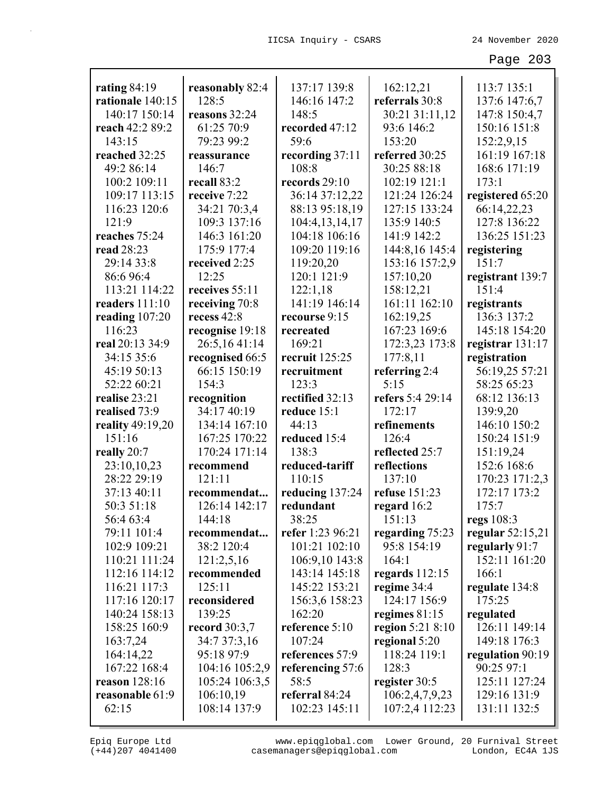| rating $84:19$   | reasonably 82:4           | 137:17 139:8                      | 162:12,21                      | 113:7 135:1        |
|------------------|---------------------------|-----------------------------------|--------------------------------|--------------------|
| rationale 140:15 | 128:5                     | 146:16 147:2                      | referrals 30:8                 | 137:6 147:6,7      |
| 140:17 150:14    | reasons 32:24             | 148:5                             | 30:21 31:11,12                 | 147:8 150:4,7      |
| reach 42:2 89:2  | 61:25 70:9                | recorded 47:12                    | 93:6 146:2                     | 150:16 151:8       |
| 143:15           | 79:23 99:2                | 59:6                              | 153:20                         | 152:2,9,15         |
| reached 32:25    | reassurance               | recording 37:11                   | referred 30:25                 | 161:19 167:18      |
| 49:2 86:14       | 146:7                     | 108:8                             | 30:25 88:18                    | 168:6 171:19       |
| 100:2 109:11     | recall 83:2               | records 29:10                     | 102:19 121:1                   | 173:1              |
| 109:17 113:15    | receive 7:22              | 36:14 37:12,22                    | 121:24 126:24                  | registered 65:20   |
| 116:23 120:6     | 34:21 70:3,4              | 88:13 95:18,19                    | 127:15 133:24                  | 66:14,22,23        |
| 121:9            | 109:3 137:16              | 104:4,13,14,17                    | 135:9 140:5                    | 127:8 136:22       |
| reaches 75:24    | 146:3 161:20              | 104:18 106:16                     | 141:9 142:2                    | 136:25 151:23      |
| read 28:23       | 175:9 177:4               | 109:20 119:16                     | 144:8,16 145:4                 | registering        |
| 29:14 33:8       | received 2:25             | 119:20,20                         | 153:16 157:2,9                 | 151:7              |
| 86:6 96:4        | 12:25                     | 120:1 121:9                       | 157:10,20                      | registrant 139:7   |
| 113:21 114:22    | receives 55:11            | 122:1,18                          | 158:12,21                      | 151:4              |
| readers 111:10   | receiving 70:8            | 141:19 146:14                     | 161:11 162:10                  | registrants        |
| reading $107:20$ | recess 42:8               | recourse 9:15                     | 162:19,25                      | 136:3 137:2        |
| 116:23           | recognise 19:18           | recreated                         | 167:23 169:6                   | 145:18 154:20      |
| real 20:13 34:9  | 26:5,1641:14              | 169:21                            | 172:3,23 173:8                 | registrar 131:17   |
| 34:15 35:6       | recognised 66:5           | recruit 125:25                    | 177:8,11                       | registration       |
| 45:19 50:13      | 66:15 150:19              | recruitment                       | referring $2:4$                | 56:19,25 57:21     |
| 52:22 60:21      | 154:3                     | 123:3                             | 5:15                           | 58:25 65:23        |
| realise 23:21    | recognition               | rectified 32:13                   | refers 5:4 29:14               | 68:12 136:13       |
| realised 73:9    | 34:17 40:19               | reduce 15:1                       | 172:17                         | 139:9,20           |
| reality 49:19,20 | 134:14 167:10             | 44:13                             | refinements                    | 146:10 150:2       |
| 151:16           | 167:25 170:22             | reduced 15:4                      | 126:4                          | 150:24 151:9       |
| really 20:7      | 170:24 171:14             | 138:3                             | reflected 25:7                 | 151:19,24          |
| 23:10,10,23      | recommend                 | reduced-tariff                    | reflections                    | 152:6 168:6        |
| 28:22 29:19      | 121:11                    | 110:15                            | 137:10                         | 170:23 171:2,3     |
| 37:13 40:11      | recommendat               | reducing 137:24                   | refuse 151:23                  | 172:17 173:2       |
| 50:3 51:18       | 126:14 142:17             | redundant                         | regard 16:2                    | 175:7              |
| 56:4 63:4        | 144:18                    | 38:25                             | 151:13                         | regs 108:3         |
| 79:11 101:4      |                           |                                   |                                | regular $52:15,21$ |
|                  | recommendat<br>38:2 120:4 | refer 1:23 96:21<br>101:21 102:10 | regarding 75:23<br>95:8 154:19 | regularly 91:7     |
| 102:9 109:21     |                           | 106:9,10 143:8                    | 164:1                          | 152:11 161:20      |
| 110:21 111:24    | 121:2,5,16                |                                   |                                |                    |
| 112:16 114:12    | recommended               | 143:14 145:18                     | regards $112:15$               | 166:1              |
| 116:21 117:3     | 125:11                    | 145:22 153:21                     | regime 34:4                    | regulate 134:8     |
| 117:16 120:17    | reconsidered              | 156:3,6 158:23                    | 124:17 156:9                   | 175:25             |
| 140:24 158:13    | 139:25                    | 162:20                            | regimes $81:15$                | regulated          |
| 158:25 160:9     | record $30:3,7$           | reference 5:10                    | region $5:21$ $8:10$           | 126:11 149:14      |
| 163:7,24         | 34:7 37:3,16              | 107:24                            | regional 5:20                  | 149:18 176:3       |
| 164:14,22        | 95:18 97:9                | references 57:9                   | 118:24 119:1                   | regulation 90:19   |
| 167:22 168:4     | 104:16 105:2,9            | referencing 57:6                  | 128:3                          | 90:25 97:1         |
| reason 128:16    | 105:24 106:3,5            | 58:5                              | register 30:5                  | 125:11 127:24      |
| reasonable 61:9  | 106:10,19                 | referral 84:24                    | 106:2,4,7,9,23                 | 129:16 131:9       |
| 62:15            | 108:14 137:9              | 102:23 145:11                     | 107:2,4 112:23                 | 131:11 132:5       |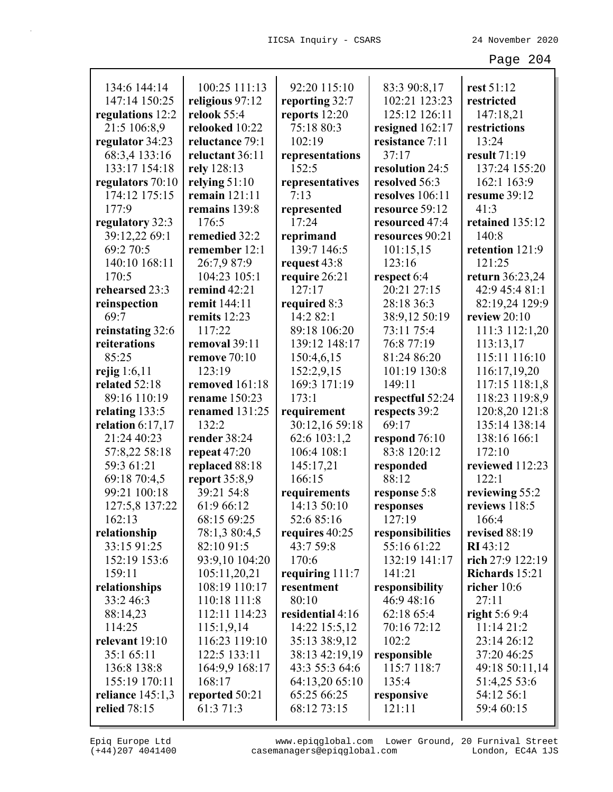| 134:6 144:14       | 100:25 111:13       | 92:20 115:10     | 83:3 90:8,17     | rest 51:12       |
|--------------------|---------------------|------------------|------------------|------------------|
| 147:14 150:25      | religious 97:12     | reporting 32:7   | 102:21 123:23    | restricted       |
| regulations 12:2   | relook 55:4         | reports 12:20    | 125:12 126:11    | 147:18,21        |
| 21:5 106:8,9       | relooked 10:22      | 75:18 80:3       | resigned 162:17  | restrictions     |
| regulator 34:23    | reluctance 79:1     | 102:19           | resistance 7:11  | 13:24            |
| 68:3,4 133:16      | reluctant 36:11     | representations  | 37:17            | result 71:19     |
| 133:17 154:18      | rely 128:13         | 152:5            | resolution 24:5  | 137:24 155:20    |
| regulators 70:10   | relying $51:10$     | representatives  | resolved 56:3    | 162:1 163:9      |
| 174:12 175:15      | remain 121:11       | 7:13             | resolves 106:11  | resume 39:12     |
| 177:9              | remains 139:8       | represented      | resource 59:12   | 41:3             |
| regulatory 32:3    | 176:5               | 17:24            | resourced 47:4   | retained 135:12  |
| 39:12,22 69:1      | remedied 32:2       | reprimand        | resources 90:21  | 140:8            |
| 69:2 70:5          | remember 12:1       | 139:7 146:5      | 101:15,15        | retention 121:9  |
| 140:10 168:11      | 26:7,9 87:9         | request 43:8     | 123:16           | 121:25           |
| 170:5              | 104:23 105:1        | require 26:21    | respect 6:4      | return 36:23,24  |
| rehearsed 23:3     | remind $42:21$      | 127:17           | 20:21 27:15      | 42:9 45:4 81:1   |
| reinspection       | remit 144:11        | required 8:3     | 28:18 36:3       | 82:19,24 129:9   |
| 69:7               | remits 12:23        | 14:2 82:1        | 38:9,12 50:19    | review 20:10     |
| reinstating 32:6   | 117:22              | 89:18 106:20     | 73:11 75:4       | 111:3 112:1,20   |
| reiterations       | removal 39:11       | 139:12 148:17    | 76:8 77:19       | 113:13,17        |
| 85:25              | <b>remove</b> 70:10 | 150:4,6,15       | 81:24 86:20      | 115:11 116:10    |
| rejig $1:6,11$     | 123:19              | 152:2,9,15       | 101:19 130:8     | 116:17,19,20     |
| related 52:18      | removed 161:18      | 169:3 171:19     | 149:11           | 117:15 118:1,8   |
| 89:16 110:19       | rename 150:23       | 173:1            | respectful 52:24 | 118:23 119:8,9   |
| relating $133:5$   | renamed 131:25      | requirement      | respects 39:2    | 120:8,20 121:8   |
| relation $6:17,17$ | 132:2               | 30:12,16 59:18   | 69:17            | 135:14 138:14    |
| 21:24 40:23        | render 38:24        | 62:6 103:1,2     | respond 76:10    | 138:16 166:1     |
| 57:8,22 58:18      | repeat $47:20$      | 106:4 108:1      | 83:8 120:12      | 172:10           |
| 59:3 61:21         | replaced 88:18      | 145:17,21        | responded        | reviewed 112:23  |
| 69:18 70:4,5       | report 35:8,9       | 166:15           | 88:12            | 122:1            |
| 99:21 100:18       | 39:21 54:8          | requirements     | response 5:8     | reviewing 55:2   |
| 127:5,8 137:22     | 61:9 66:12          | 14:13 50:10      | responses        | reviews 118:5    |
| 162:13             | 68:15 69:25         | 52:685:16        | 127:19           | 166:4            |
| relationship       | 78:1,3 80:4,5       | requires 40:25   | responsibilities | revised 88:19    |
| 33:15 91:25        | 82:10 91:5          | 43:7 59:8        | 55:16 61:22      | <b>RI</b> 43:12  |
| 152:19 153:6       | 93:9,10 104:20      | 170:6            | 132:19 141:17    | rich 27:9 122:19 |
| 159:11             | 105:11,20,21        | requiring 111:7  | 141:21           | Richards 15:21   |
| relationships      | 108:19 110:17       | resentment       | responsibility   | richer $10:6$    |
| 33:2 46:3          | 110:18 111:8        | 80:10            | 46:9 48:16       | 27:11            |
| 88:14,23           | 112:11 114:23       | residential 4:16 | 62:18 65:4       | right $5:69:4$   |
| 114:25             | 115:1,9,14          | 14:22 15:5,12    | 70:16 72:12      | 11:1421:2        |
| relevant 19:10     | 116:23 119:10       | 35:13 38:9,12    | 102:2            | 23:14 26:12      |
| 35:1 65:11         | 122:5 133:11        | 38:13 42:19,19   | responsible      | 37:20 46:25      |
| 136:8 138:8        | 164:9,9 168:17      | 43:3 55:3 64:6   | 115:7 118:7      | 49:18 50:11,14   |
| 155:19 170:11      | 168:17              | 64:13,20 65:10   | 135:4            | 51:4,25 53:6     |
| reliance $145:1,3$ | reported 50:21      | 65:25 66:25      | responsive       | 54:12 56:1       |
| relied $78:15$     | 61:3 71:3           | 68:12 73:15      | 121:11           | 59:4 60:15       |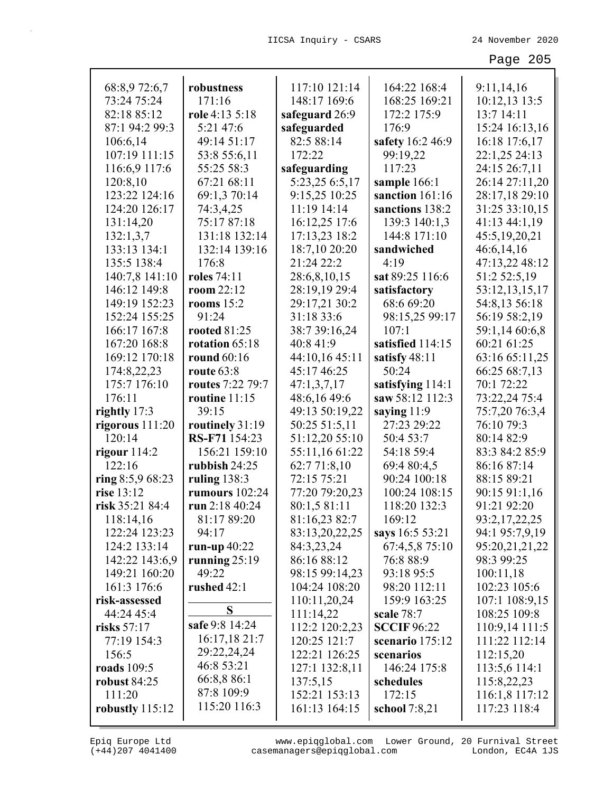| 68:8,9 72:6,7       | robustness              | 117:10 121:14  | 164:22 168:4       | 9:11,14,16     |
|---------------------|-------------------------|----------------|--------------------|----------------|
| 73:24 75:24         | 171:16                  | 148:17 169:6   | 168:25 169:21      | 10:12,13 13:5  |
| 82:18 85:12         | role $4:13\,5:18$       | safeguard 26:9 | 172:2 175:9        | 13:7 14:11     |
| 87:1 94:2 99:3      | 5:21 47:6               | safeguarded    | 176:9              | 15:24 16:13,16 |
| 106:6,14            | 49:14 51:17             | 82:5 88:14     | safety 16:2 46:9   | 16:18 17:6,17  |
| 107:19 111:15       | 53:8 55:6,11            | 172:22         | 99:19,22           | 22:1,25 24:13  |
| 116:6,9 117:6       | 55:25 58:3              | safeguarding   | 117:23             | 24:15 26:7,11  |
| 120:8,10            | 67:21 68:11             | 5:23,25 6:5,17 | sample 166:1       | 26:14 27:11,20 |
| 123:22 124:16       | 69:1,3 70:14            | 9:15,25 10:25  | sanction 161:16    | 28:17,18 29:10 |
| 124:20 126:17       | 74:3,4,25               | 11:19 14:14    | sanctions 138:2    | 31:25 33:10,15 |
| 131:14,20           | 75:17 87:18             | 16:12,25 17:6  | 139:3 140:1,3      | 41:13 44:1,19  |
| 132:1,3,7           | 131:18 132:14           | 17:13,23 18:2  | 144:8 171:10       | 45:5,19,20,21  |
| 133:13 134:1        | 132:14 139:16           | 18:7,10 20:20  | sandwiched         | 46:6,14,16     |
| 135:5 138:4         | 176:8                   | 21:24 22:2     | 4:19               | 47:13,22 48:12 |
| 140:7,8 141:10      | <b>roles</b> 74:11      | 28:6,8,10,15   | sat 89:25 116:6    | 51:2 52:5,19   |
| 146:12 149:8        | room $22:12$            | 28:19,19 29:4  | satisfactory       | 53:12,13,15,17 |
| 149:19 152:23       | rooms $15:2$            | 29:17,21 30:2  | 68:6 69:20         | 54:8,13 56:18  |
| 152:24 155:25       | 91:24                   | 31:18 33:6     | 98:15,25 99:17     | 56:19 58:2,19  |
| 166:17 167:8        | <b>rooted 81:25</b>     | 38:7 39:16,24  | 107:1              | 59:1,14 60:6,8 |
| 167:20 168:8        | rotation 65:18          | 40:8 41:9      | satisfied 114:15   | 60:21 61:25    |
| 169:12 170:18       | round 60:16             | 44:10,16 45:11 | satisfy 48:11      | 63:16 65:11,25 |
| 174:8,22,23         | route $63:8$            | 45:17 46:25    | 50:24              | 66:25 68:7,13  |
| 175:7 176:10        | <b>routes</b> 7:22 79:7 | 47:1,3,7,17    | satisfying 114:1   | 70:1 72:22     |
| 176:11              | routine $11:15$         | 48:6,16 49:6   | saw 58:12 112:3    | 73:22,24 75:4  |
| rightly $17:3$      | 39:15                   | 49:13 50:19,22 | saying $11:9$      | 75:7,20 76:3,4 |
| rigorous $111:20$   | routinely 31:19         | 50:25 51:5,11  | 27:23 29:22        | 76:10 79:3     |
| 120:14              | <b>RS-F71</b> 154:23    | 51:12,20 55:10 | 50:4 53:7          | 80:14 82:9     |
| rigour $114:2$      | 156:21 159:10           | 55:11,16 61:22 | 54:18 59:4         | 83:3 84:2 85:9 |
| 122:16              | rubbish $24:25$         | 62:771:8,10    | 69:4 80:4,5        | 86:16 87:14    |
| ring $8:5,968:23$   | ruling $138:3$          | 72:15 75:21    | 90:24 100:18       | 88:15 89:21    |
| rise 13:12          | rumours 102:24          | 77:20 79:20,23 | 100:24 108:15      | 90:15 91:1,16  |
| risk 35:21 84:4     | run 2:18 40:24          | 80:1,5 81:11   | 118:20 132:3       | 91:21 92:20    |
| 118:14,16           | 81:17 89:20             | 81:16,23 82:7  | 169:12             | 93:2,17,22,25  |
| 122:24 123:23       | 94:17                   | 83:13,20,22,25 | says 16:5 53:21    | 94:1 95:7,9,19 |
| 124:2 133:14        | run-up $40:22$          | 84:3,23,24     | 67:4,5,8 75:10     | 95:20,21,21,22 |
| 142:22 143:6,9      | running $25:19$         | 86:16 88:12    | 76:8 88:9          | 98:3 99:25     |
| 149:21 160:20       | 49:22                   | 98:15 99:14,23 | 93:18 95:5         | 100:11,18      |
| 161:3 176:6         | rushed 42:1             | 104:24 108:20  | 98:20 112:11       | 102:23 105:6   |
| risk-assessed       |                         | 110:11,20,24   | 159:9 163:25       | 107:1 108:9,15 |
| 44:24 45:4          | S                       | 111:14,22      | scale 78:7         | 108:25 109:8   |
| risks $57:17$       | safe 9:8 14:24          | 112:2 120:2,23 | <b>SCCIF 96:22</b> | 110:9,14 111:5 |
| 77:19 154:3         | 16:17,18 21:7           | 120:25 121:7   | scenario 175:12    | 111:22 112:14  |
| 156:5               | 29:22,24,24             | 122:21 126:25  | scenarios          | 112:15,20      |
| roads 109:5         | 46:8 53:21              | 127:1 132:8,11 | 146:24 175:8       | 113:5,6 114:1  |
| <b>robust 84:25</b> | 66:8,8 86:1             | 137:5,15       | schedules          | 115:8,22,23    |
| 111:20              | 87:8 109:9              | 152:21 153:13  | 172:15             | 116:1,8 117:12 |
| robustly 115:12     | 115:20 116:3            | 161:13 164:15  | school $7:8,21$    | 117:23 118:4   |
|                     |                         |                |                    |                |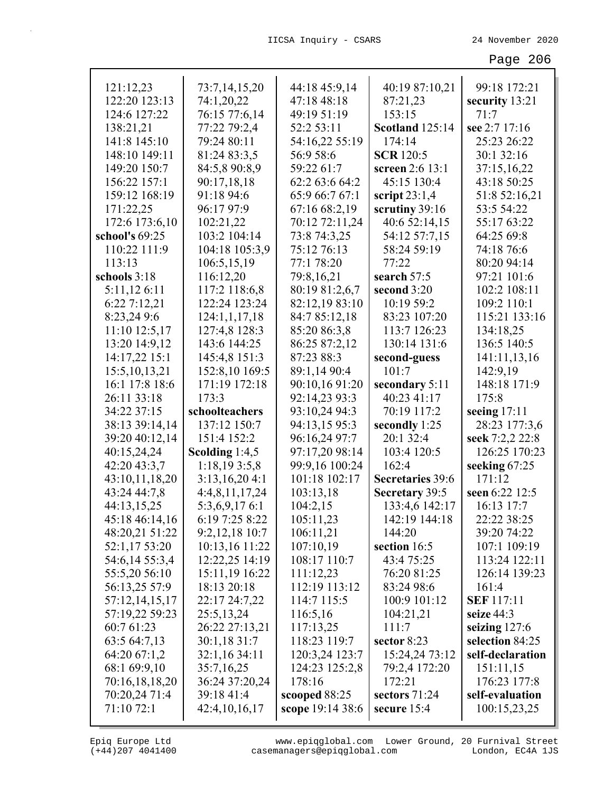| 121:12,23                   | 73:7,14,15,20               | 44:18 45:9,14    | 40:19 87:10,21               | 99:18 172:21      |
|-----------------------------|-----------------------------|------------------|------------------------------|-------------------|
| 122:20 123:13               | 74:1,20,22                  | 47:18 48:18      | 87:21,23                     | security 13:21    |
| 124:6 127:22                | 76:15 77:6,14               | 49:19 51:19      | 153:15                       | 71:7              |
| 138:21,21                   | 77:22 79:2,4                | 52:2 53:11       | <b>Scotland</b> 125:14       | see 2:7 17:16     |
| 141:8 145:10                | 79:24 80:11                 | 54:16,22 55:19   | 174:14                       | 25:23 26:22       |
| 148:10 149:11               | 81:24 83:3,5                | 56:9 58:6        | <b>SCR</b> 120:5             | 30:1 32:16        |
| 149:20 150:7                | 84:5,8 90:8,9               | 59:22 61:7       | screen 2:6 13:1              | 37:15,16,22       |
| 156:22 157:1                | 90:17,18,18                 | 62:2 63:6 64:2   | 45:15 130:4                  | 43:18 50:25       |
| 159:12 168:19               | 91:18 94:6                  | 65:9 66:7 67:1   | script $23:1,4$              | 51:8 52:16,21     |
| 171:22,25                   | 96:17 97:9                  | 67:16 68:2,19    | scrutiny 39:16               | 53:5 54:22        |
| 172:6 173:6,10              | 102:21,22                   | 70:12 72:11,24   | 40:6 52:14,15                | 55:17 63:22       |
| school's 69:25              | 103:2 104:14                | 73:8 74:3,25     | 54:12 57:7,15                | 64:25 69:8        |
| 110:22 111:9                | 104:18 105:3,9              | 75:12 76:13      | 58:24 59:19                  | 74:18 76:6        |
| 113:13                      | 106:5,15,19                 | 77:1 78:20       | 77:22                        | 80:20 94:14       |
| schools 3:18                | 116:12,20                   | 79:8,16,21       | search 57:5                  | 97:21 101:6       |
| 5:11,12 6:11                | 117:2 118:6,8               | 80:19 81:2,6,7   | second 3:20                  | 102:2 108:11      |
| 6:22 7:12,21                | 122:24 123:24               | 82:12,19 83:10   | 10:19 59:2                   | 109:2 110:1       |
| 8:23,24 9:6                 | 124:1,1,17,18               | 84:7 85:12,18    | 83:23 107:20                 | 115:21 133:16     |
| 11:10 12:5,17               | 127:4,8 128:3               | 85:20 86:3,8     | 113:7 126:23                 | 134:18,25         |
| 13:20 14:9,12               | 143:6 144:25                | 86:25 87:2,12    | 130:14 131:6                 | 136:5 140:5       |
| 14:17,22 15:1               | 145:4,8 151:3               | 87:23 88:3       | second-guess                 | 141:11,13,16      |
| 15:5, 10, 13, 21            | 152:8,10 169:5              | 89:1,14 90:4     | 101:7                        | 142:9,19          |
| 16:1 17:8 18:6              | 171:19 172:18               | 90:10,16 91:20   | secondary 5:11               | 148:18 171:9      |
| 26:11 33:18                 | 173:3                       | 92:14,23 93:3    | 40:23 41:17                  | 175:8             |
| 34:22 37:15                 | schoolteachers              | 93:10,24 94:3    | 70:19 117:2                  | seeing $17:11$    |
| 38:13 39:14,14              | 137:12 150:7                | 94:13,15 95:3    | secondly 1:25                | 28:23 177:3,6     |
| 39:20 40:12,14              | 151:4 152:2                 | 96:16,24 97:7    | 20:1 32:4                    | seek 7:2,2 22:8   |
| 40:15,24,24                 | Scolding 1:4,5              | 97:17,20 98:14   | 103:4 120:5                  | 126:25 170:23     |
| 42:20 43:3,7                | 1:18,193:5,8                | 99:9,16 100:24   | 162:4                        | seeking 67:25     |
| 43:10,11,18,20              | 3:13,16,204:1               | 101:18 102:17    | <b>Secretaries</b> 39:6      | 171:12            |
| 43:24 44:7,8                | 4:4,8,11,17,24              | 103:13,18        | Secretary 39:5               | seen 6:22 12:5    |
| 44:13,15,25                 | 5:3,6,9,176:1               | 104:2,15         | 133:4,6 142:17               | 16:13 17:7        |
| 45:18 46:14,16              | 6:19 7:25 8:22              | 105:11,23        | 142:19 144:18                | 22:22 38:25       |
| 48:20,21 51:22              | 9:2,12,18 10:7              | 106:11,21        | 144:20                       | 39:20 74:22       |
| 52:1,17 53:20               | 10:13,16 11:22              | 107:10,19        | section 16:5                 | 107:1 109:19      |
| 54:6,14 55:3,4              | 12:22,25 14:19              | 108:17 110:7     | 43:4 75:25                   | 113:24 122:11     |
| 55:5,20 56:10               | 15:11,19 16:22              | 111:12,23        | 76:20 81:25                  | 126:14 139:23     |
| 56:13,25 57:9               | 18:13 20:18                 | 112:19 113:12    | 83:24 98:6                   | 161:4             |
| 57:12,14,15,17              | 22:17 24:7,22               | 114:7 115:5      | 100:9 101:12                 | <b>SEF</b> 117:11 |
| 57:19,22 59:23              | 25:5,13,24                  | 116:5,16         | 104:21,21                    | seize 44:3        |
| 60:7 61:23                  | 26:22 27:13,21              | 117:13,25        | 111:7                        | seizing $127:6$   |
| 63:5 64:7,13                | 30:1,1831:7                 | 118:23 119:7     | sector 8:23                  | selection 84:25   |
| 64:20 67:1,2                | 32:1,16 34:11               | 120:3,24 123:7   | 15:24,24 73:12               | self-declaration  |
| 68:1 69:9,10                | 35:7,16,25                  | 124:23 125:2,8   | 79:2,4 172:20                | 151:11,15         |
| 70:16,18,18,20              | 36:24 37:20,24              | 178:16           | 172:21                       | 176:23 177:8      |
| 70:20,24 71:4<br>71:10 72:1 | 39:18 41:4<br>42:4,10,16,17 | scooped 88:25    | sectors 71:24<br>secure 15:4 | self-evaluation   |
|                             |                             | scope 19:14 38:6 |                              | 100:15,23,25      |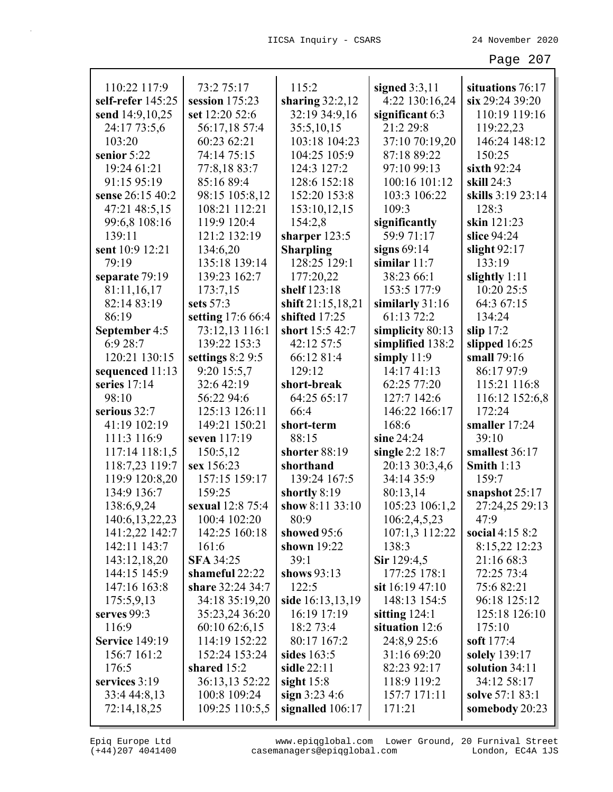|                                   |                              | 115:2             |                                   |                                     |
|-----------------------------------|------------------------------|-------------------|-----------------------------------|-------------------------------------|
| 110:22 117:9<br>self-refer 145:25 | 73:2 75:17<br>session 175:23 | sharing $32:2,12$ | signed $3:3,11$<br>4:22 130:16,24 | situations 76:17<br>six 29:24 39:20 |
| send 14:9,10,25                   | set 12:20 52:6               | 32:19 34:9,16     | significant 6:3                   | 110:19 119:16                       |
|                                   |                              |                   | 21:2 29:8                         |                                     |
| 24:17 73:5,6<br>103:20            | 56:17,18 57:4                | 35:5,10,15        |                                   | 119:22,23                           |
|                                   | 60:23 62:21                  | 103:18 104:23     | 37:10 70:19,20                    | 146:24 148:12                       |
| senior 5:22                       | 74:14 75:15                  | 104:25 105:9      | 87:18 89:22                       | 150:25                              |
| 19:24 61:21                       | 77:8,18 83:7                 | 124:3 127:2       | 97:10 99:13                       | sixth $92:24$                       |
| 91:15 95:19                       | 85:16 89:4                   | 128:6 152:18      | 100:16 101:12                     | skill 24:3                          |
| sense 26:15 40:2                  | 98:15 105:8,12               | 152:20 153:8      | 103:3 106:22                      | skills 3:19 23:14                   |
| 47:21 48:5,15                     | 108:21 112:21                | 153:10,12,15      | 109:3                             | 128:3                               |
| 99:6,8 108:16                     | 119:9 120:4                  | 154:2,8           | significantly                     | skin 121:23                         |
| 139:11                            | 121:2 132:19                 | sharper 123:5     | 59:9 71:17                        | slice 94:24                         |
| sent 10:9 12:21                   | 134:6,20                     | <b>Sharpling</b>  | signs $69:14$                     | slight $92:17$                      |
| 79:19                             | 135:18 139:14                | 128:25 129:1      | similar $11:7$                    | 133:19                              |
| separate 79:19                    | 139:23 162:7                 | 177:20,22         | 38:23 66:1                        | slightly 1:11                       |
| 81:11,16,17                       | 173:7,15                     | shelf 123:18      | 153:5 177:9                       | 10:20 25:5                          |
| 82:14 83:19                       | sets 57:3                    | shift 21:15,18,21 | similarly $31:16$                 | 64:3 67:15                          |
| 86:19                             | setting 17:6 66:4            | shifted 17:25     | 61:13 72:2                        | 134:24                              |
| September 4:5                     | 73:12,13 116:1               | short 15:5 42:7   | simplicity 80:13                  | slip $17:2$                         |
| 6:9 28:7                          | 139:22 153:3                 | 42:12 57:5        | simplified 138:2                  | slipped 16:25                       |
| 120:21 130:15                     | settings $8:29:5$            | 66:12 81:4        | simply $11:9$                     | small 79:16                         |
| sequenced 11:13                   | 9:20 15:5,7                  | 129:12            | 14:17 41:13                       | 86:17 97:9                          |
| series $17:14$                    | 32:6 42:19                   | short-break       | 62:25 77:20                       | 115:21 116:8                        |
| 98:10                             | 56:22 94:6                   | 64:25 65:17       | 127:7 142:6                       | 116:12 152:6,8                      |
| serious 32:7                      | 125:13 126:11                | 66:4              | 146:22 166:17                     | 172:24                              |
| 41:19 102:19                      | 149:21 150:21                | short-term        | 168:6                             | smaller 17:24                       |
| 111:3 116:9                       | seven 117:19                 | 88:15             | sine $24:24$                      | 39:10                               |
| 117:14 118:1,5                    | 150:5,12                     | shorter 88:19     | single $2:2$ 18:7                 | smallest 36:17                      |
| 118:7,23 119:7                    | sex 156:23                   | shorthand         | 20:13 30:3,4,6                    | <b>Smith 1:13</b>                   |
| 119:9 120:8,20                    | 157:15 159:17                | 139:24 167:5      | 34:14 35:9                        | 159:7                               |
| 134:9 136:7                       | 159:25                       | shortly 8:19      | 80:13,14                          | snapshot 25:17                      |
| 138:6,9,24                        | sexual 12:8 75:4             | show 8:11 33:10   | 105:23 106:1,2                    | 27:24,25 29:13                      |
| 140:6, 13, 22, 23                 | 100:4 102:20                 | 80:9              | 106:2,4,5,23                      | 47:9                                |
| 141:2,22 142:7                    | 142:25 160:18                | showed 95:6       | 107:1,3 112:22                    | social $4:158:2$                    |
| 142:11 143:7                      | 161:6                        | shown 19:22       | 138:3                             | 8:15,22 12:23                       |
| 143:12,18,20                      | <b>SFA 34:25</b>             | 39:1              | Sir 129:4,5                       | 21:16 68:3                          |
| 144:15 145:9                      | shameful 22:22               | shows $93:13$     | 177:25 178:1                      | 72:25 73:4                          |
| 147:16 163:8                      | share 32:24 34:7             | 122:5             | sit 16:19 47:10                   | 75:6 82:21                          |
| 175:5,9,13                        | 34:18 35:19,20               | side 16:13,13,19  | 148:13 154:5                      | 96:18 125:12                        |
| serves $99:3$                     | 35:23,24 36:20               | 16:19 17:19       | sitting $124:1$                   | 125:18 126:10                       |
| 116:9                             | 60:10 62:6,15                | 18:2 73:4         | situation 12:6                    | 175:10                              |
| <b>Service 149:19</b>             | 114:19 152:22                | 80:17 167:2       | 24:8,9 25:6                       | soft 177:4                          |
| 156:7 161:2                       | 152:24 153:24                | sides $163:5$     | 31:16 69:20                       | solely 139:17                       |
| 176:5                             | shared 15:2                  | sidle $22:11$     | 82:23 92:17                       | solution 34:11                      |
| services 3:19                     | 36:13,13 52:22               | sight $15:8$      | 118:9 119:2                       | 34:12 58:17                         |
| 33:4 44:8,13                      | 100:8 109:24                 | sign $3:23\,4:6$  | 157:7 171:11                      | solve 57:1 83:1                     |
| 72:14,18,25                       | 109:25 110:5,5               | signalled 106:17  | 171:21                            | somebody 20:23                      |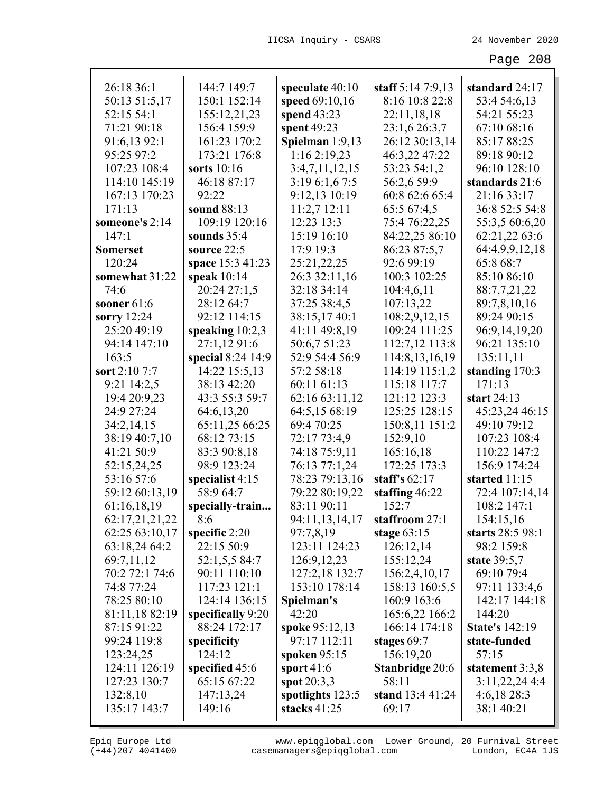| 26:18 36:1      | 144:7 149:7       | speculate 40:10  | staff 5:14 7:9,13      | standard 24:17        |
|-----------------|-------------------|------------------|------------------------|-----------------------|
| 50:13 51:5,17   | 150:1 152:14      | speed 69:10,16   | 8:16 10:8 22:8         | 53:4 54:6,13          |
| 52:15 54:1      | 155:12,21,23      | spend $43:23$    | 22:11,18,18            | 54:21 55:23           |
| 71:21 90:18     | 156:4 159:9       | spent 49:23      | 23:1,6 26:3,7          | 67:10 68:16           |
| 91:6,13 92:1    | 161:23 170:2      | Spielman 1:9,13  | 26:12 30:13,14         | 85:17 88:25           |
| 95:25 97:2      | 173:21 176:8      | 1:16 2:19,23     | 46:3,22 47:22          | 89:18 90:12           |
| 107:23 108:4    | sorts 10:16       | 3:4,7,11,12,15   | 53:23 54:1,2           | 96:10 128:10          |
| 114:10 145:19   | 46:18 87:17       | 3:19 6:1,6 7:5   | 56:2,6 59:9            | standards 21:6        |
| 167:13 170:23   | 92:22             | 9:12,13 10:19    | 60:8 62:6 65:4         | 21:16 33:17           |
| 171:13          | sound 88:13       | 11:2,712:11      | 65:5 67:4,5            | 36:8 52:5 54:8        |
| someone's 2:14  | 109:19 120:16     | 12:23 13:3       | 75:4 76:22,25          | 55:3,5 60:6,20        |
| 147:1           | sounds $35:4$     | 15:19 16:10      | 84:22,25 86:10         | 62:21,22 63:6         |
| <b>Somerset</b> | source 22:5       | 17:9 19:3        | 86:23 87:5,7           | 64:4,9,9,12,18        |
| 120:24          | space 15:3 41:23  | 25:21,22,25      | 92:6 99:19             | 65:8 68:7             |
| somewhat 31:22  | speak $10:14$     | 26:3 32:11,16    | 100:3 102:25           | 85:10 86:10           |
| 74:6            | 20:24 27:1,5      | 32:18 34:14      | 104:4,6,11             | 88:7,7,21,22          |
| sooner $61:6$   | 28:12 64:7        | 37:25 38:4,5     | 107:13,22              | 89:7,8,10,16          |
| sorry 12:24     | 92:12 114:15      | 38:15,17 40:1    | 108:2,9,12,15          | 89:24 90:15           |
| 25:20 49:19     | speaking $10:2,3$ | 41:11 49:8,19    | 109:24 111:25          | 96:9,14,19,20         |
| 94:14 147:10    | 27:1,12 91:6      | 50:6,7 51:23     | 112:7,12 113:8         | 96:21 135:10          |
| 163:5           | special 8:24 14:9 | 52:9 54:4 56:9   | 114:8, 13, 16, 19      | 135:11,11             |
| sort 2:10 7:7   | 14:22 15:5,13     | 57:2 58:18       | 114:19 115:1,2         | standing 170:3        |
| 9:21 14:2,5     | 38:13 42:20       | 60:11 61:13      | 115:18 117:7           | 171:13                |
| 19:4 20:9,23    | 43:3 55:3 59:7    | 62:16 63:11,12   | 121:12 123:3           | start $24:13$         |
| 24:9 27:24      | 64:6,13,20        | 64:5,15 68:19    | 125:25 128:15          | 45:23,24 46:15        |
| 34:2,14,15      | 65:11,25 66:25    | 69:4 70:25       | 150:8,11 151:2         | 49:10 79:12           |
| 38:19 40:7,10   | 68:12 73:15       | 72:17 73:4,9     | 152:9,10               | 107:23 108:4          |
| 41:21 50:9      | 83:3 90:8,18      | 74:18 75:9,11    | 165:16,18              | 110:22 147:2          |
| 52:15,24,25     | 98:9 123:24       | 76:13 77:1,24    | 172:25 173:3           | 156:9 174:24          |
| 53:16 57:6      | specialist 4:15   | 78:23 79:13,16   | staff's $62:17$        | started 11:15         |
| 59:12 60:13,19  | 58:9 64:7         | 79:22 80:19,22   | staffing $46:22$       | 72:4 107:14,14        |
| 61:16,18,19     | specially-train   | 83:11 90:11      | 152:7                  | 108:2 147:1           |
| 62:17,21,21,22  | 8:6               | 94:11,13,14,17   | staffroom 27:1         | 154:15,16             |
| 62:25 63:10,17  | specific $2:20$   | 97:7,8,19        | stage $63:15$          | starts 28:5 98:1      |
| 63:18,24 64:2   | 22:15 50:9        | 123:11 124:23    | 126:12,14              | 98:2 159:8            |
| 69:7,11,12      | 52:1,5,5 84:7     | 126:9, 12, 23    | 155:12,24              | state 39:5,7          |
| 70:2 72:1 74:6  | 90:11 110:10      | 127:2,18 132:7   | 156:2,4,10,17          | 69:10 79:4            |
| 74:8 77:24      | 117:23 121:1      | 153:10 178:14    | 158:13 160:5,5         | 97:11 133:4,6         |
| 78:25 80:10     | 124:14 136:15     | Spielman's       | 160:9 163:6            | 142:17 144:18         |
| 81:11,18 82:19  | specifically 9:20 | 42:20            | 165:6,22 166:2         | 144:20                |
| 87:15 91:22     | 88:24 172:17      | spoke 95:12,13   | 166:14 174:18          | <b>State's 142:19</b> |
| 99:24 119:8     | specificity       | 97:17 112:11     | stages 69:7            | state-funded          |
| 123:24,25       | 124:12            | spoken 95:15     | 156:19,20              | 57:15                 |
| 124:11 126:19   | specified 45:6    | sport $41:6$     | <b>Stanbridge 20:6</b> | statement 3:3,8       |
| 127:23 130:7    | 65:15 67:22       | spot $20:3,3$    | 58:11                  | 3:11,22,244:4         |
| 132:8,10        | 147:13,24         | spotlights 123:5 | stand 13:4 41:24       | 4:6,1828:3            |
| 135:17 143:7    | 149:16            | stacks 41:25     | 69:17                  | 38:1 40:21            |
|                 |                   |                  |                        |                       |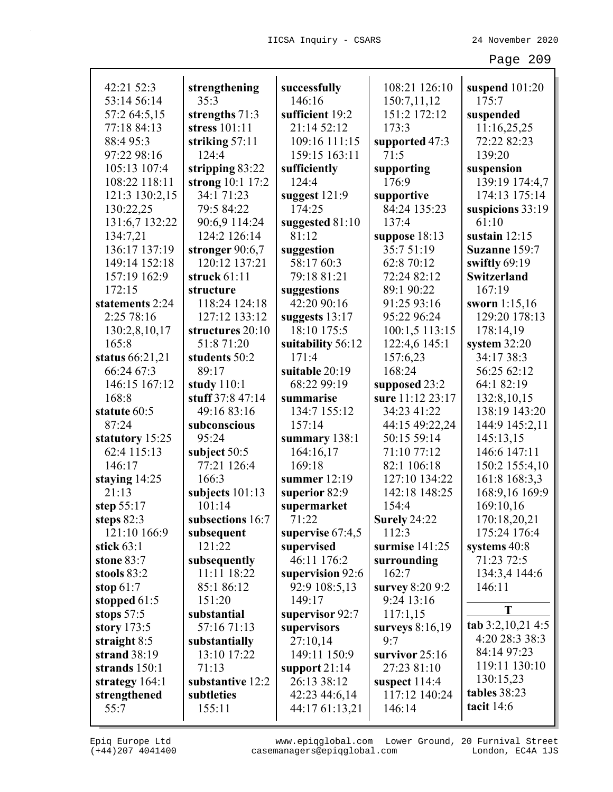| 42:21 52:3                  |                                   |                         | 108:21 126:10            |                           |
|-----------------------------|-----------------------------------|-------------------------|--------------------------|---------------------------|
| 53:14 56:14                 | strengthening<br>35:3             | successfully<br>146:16  | 150:7,11,12              | suspend $101:20$<br>175:7 |
| 57:2 64:5,15                |                                   | sufficient 19:2         | 151:2 172:12             |                           |
| 77:18 84:13                 | strengths $71:3$<br>stress 101:11 | 21:14 52:12             | 173:3                    | suspended<br>11:16,25,25  |
| 88:4 95:3                   | striking 57:11                    | 109:16 111:15           | supported 47:3           | 72:22 82:23               |
| 97:22 98:16                 | 124:4                             | 159:15 163:11           | 71:5                     | 139:20                    |
| 105:13 107:4                | stripping 83:22                   | sufficiently            | supporting               | suspension                |
| 108:22 118:11               | strong $10:1$ 17:2                | 124:4                   | 176:9                    | 139:19 174:4,7            |
| 121:3 130:2,15              | 34:1 71:23                        | suggest $121:9$         | supportive               | 174:13 175:14             |
| 130:22,25                   | 79:5 84:22                        | 174:25                  | 84:24 135:23             | suspicions 33:19          |
| 131:6,7 132:22              | 90:6,9 114:24                     | suggested 81:10         | 137:4                    | 61:10                     |
| 134:7,21                    | 124:2 126:14                      | 81:12                   | suppose $18:13$          | sustain $12:15$           |
| 136:17 137:19               | stronger 90:6,7                   | suggestion              | 35:751:19                | Suzanne 159:7             |
| 149:14 152:18               | 120:12 137:21                     | 58:17 60:3              | 62:8 70:12               | swiftly 69:19             |
| 157:19 162:9                | struck $61:11$                    | 79:18 81:21             | 72:24 82:12              | Switzerland               |
| 172:15                      | structure                         | suggestions             | 89:1 90:22               | 167:19                    |
| statements 2:24             | 118:24 124:18                     | 42:20 90:16             | 91:25 93:16              | sworn $1:15,16$           |
| 2:25 78:16                  | 127:12 133:12                     | suggests $13:17$        | 95:22 96:24              | 129:20 178:13             |
| 130:2,8,10,17               | structures 20:10                  | 18:10 175:5             | 100:1,5 113:15           | 178:14,19                 |
| 165:8                       | 51:8 71:20                        | suitability 56:12       | 122:4,6 145:1            | system $32:20$            |
| status 66:21,21             | students 50:2                     | 171:4                   | 157:6,23                 | 34:17 38:3                |
| 66:24 67:3                  | 89:17                             | suitable 20:19          | 168:24                   | 56:25 62:12               |
| 146:15 167:12               | study $110:1$                     | 68:22 99:19             | supposed 23:2            | 64:1 82:19                |
| 168:8                       | stuff 37:8 47:14                  | summarise               | sure 11:12 23:17         | 132:8, 10, 15             |
| statute 60:5                | 49:16 83:16                       | 134:7 155:12            | 34:23 41:22              | 138:19 143:20             |
| 87:24                       | subconscious                      | 157:14                  | 44:15 49:22,24           | 144:9 145:2,11            |
| statutory 15:25             | 95:24                             | summary 138:1           | 50:15 59:14              | 145:13,15                 |
| 62:4 115:13                 | subject 50:5                      | 164:16,17               | 71:10 77:12              | 146:6 147:11              |
| 146:17                      | 77:21 126:4                       | 169:18                  | 82:1 106:18              | 150:2 155:4,10            |
| staying 14:25               | 166:3                             | summer $12:19$          | 127:10 134:22            | 161:8 168:3,3             |
| 21:13                       | subjects $101:13$                 | superior 82:9           | 142:18 148:25            | 168:9,16 169:9            |
| step $55:17$                | 101:14                            | supermarket             | 154:4                    | 169:10,16                 |
| steps 82:3                  | subsections 16:7                  | 71:22                   | Surely 24:22             | 170:18,20,21              |
| 121:10 166:9                | subsequent                        | supervise 67:4,5        | 112:3                    | 175:24 176:4              |
| stick $63:1$                | 121:22                            | supervised              | surmise 141:25           | systems 40:8              |
| stone 83:7                  | subsequently                      | 46:11 176:2             | surrounding              | 71:23 72:5                |
| stools 83:2                 | 11:11 18:22                       | supervision 92:6        | 162:7                    | 134:3,4 144:6             |
| stop $61:7$                 | 85:1 86:12                        | 92:9 108:5,13           | survey 8:20 9:2          | 146:11                    |
| stopped $61:5$              | 151:20                            | 149:17                  | 9:24 13:16               | T                         |
| stops $57:5$                | substantial<br>57:16 71:13        | supervisor 92:7         | 117:1,15                 | tab 3:2,10,21 4:5         |
| story 173:5<br>straight 8:5 | substantially                     | supervisors<br>27:10,14 | surveys $8:16,19$<br>9:7 | 4:20 28:3 38:3            |
| strand $38:19$              | 13:10 17:22                       | 149:11 150:9            | survivor $25:16$         | 84:14 97:23               |
| strands 150:1               | 71:13                             | support $21:14$         | 27:23 81:10              | 119:11 130:10             |
| strategy $164:1$            | substantive 12:2                  | 26:13 38:12             | suspect 114:4            | 130:15,23                 |
| strengthened                | subtleties                        | 42:23 44:6,14           | 117:12 140:24            | tables 38:23              |
| 55:7                        | 155:11                            | 44:17 61:13,21          | 146:14                   | tacit $14:6$              |
|                             |                                   |                         |                          |                           |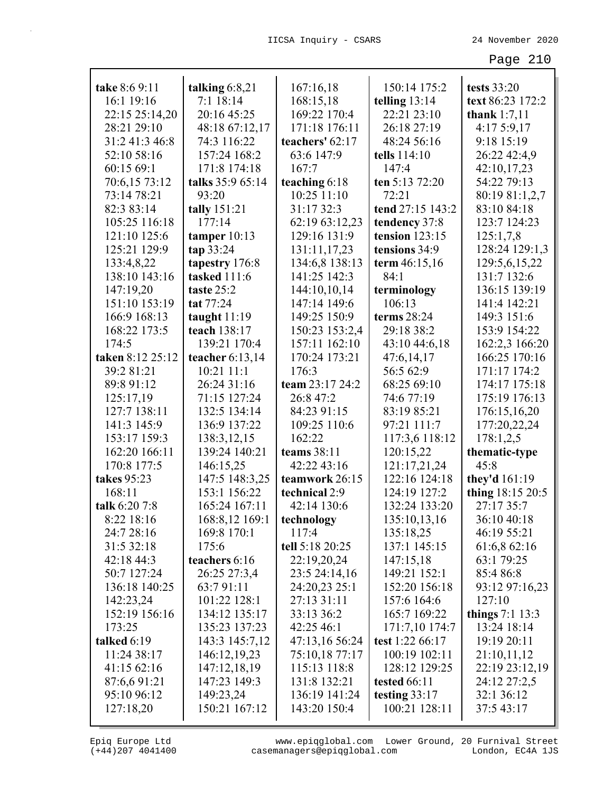| take 8:6 9:11    | talking $6:8,21$  | 167:16,18       | 150:14 175:2     | tests 33:20       |
|------------------|-------------------|-----------------|------------------|-------------------|
| 16:1 19:16       | 7:1 18:14         | 168:15,18       | telling $13:14$  | text 86:23 172:2  |
| 22:15 25:14,20   | 20:16 45:25       | 169:22 170:4    | 22:21 23:10      | thank $1:7,11$    |
| 28:21 29:10      | 48:18 67:12,17    | 171:18 176:11   | 26:18 27:19      | 4:175:9,17        |
| 31:2 41:3 46:8   | 74:3 116:22       | teachers' 62:17 | 48:24 56:16      | 9:18 15:19        |
| 52:10 58:16      | 157:24 168:2      | 63:6 147:9      | tells 114:10     | 26:22 42:4,9      |
| 60:15 69:1       | 171:8 174:18      | 167:7           | 147:4            | 42:10,17,23       |
| 70:6,15 73:12    | talks 35:9 65:14  | teaching 6:18   | ten 5:13 72:20   | 54:22 79:13       |
| 73:14 78:21      | 93:20             | 10:25 11:10     | 72:21            | 80:19 81:1,2,7    |
| 82:3 83:14       | tally 151:21      | 31:17 32:3      | tend 27:15 143:2 | 83:10 84:18       |
| 105:25 116:18    | 177:14            | 62:19 63:12,23  | tendency 37:8    | 123:7 124:23      |
| 121:10 125:6     | tamper $10:13$    | 129:16 131:9    | tension $123:15$ | 125:1,7,8         |
| 125:21 129:9     | tan 33:24         | 131:11,17,23    | tensions 34:9    | 128:24 129:1,3    |
| 133:4,8,22       | tapestry 176:8    | 134:6,8 138:13  | term $46:15,16$  | 129:5,6,15,22     |
| 138:10 143:16    | tasked 111:6      | 141:25 142:3    | 84:1             | 131:7 132:6       |
| 147:19,20        | taste 25:2        | 144:10,10,14    | terminology      | 136:15 139:19     |
| 151:10 153:19    | tat 77:24         | 147:14 149:6    | 106:13           | 141:4 142:21      |
| 166:9 168:13     | taught $11:19$    | 149:25 150:9    | terms $28:24$    | 149:3 151:6       |
| 168:22 173:5     | teach 138:17      | 150:23 153:2,4  | 29:18 38:2       | 153:9 154:22      |
| 174:5            | 139:21 170:4      | 157:11 162:10   | 43:10 44:6,18    | 162:2,3 166:20    |
| taken 8:12 25:12 | teacher $6:13,14$ | 170:24 173:21   | 47:6,14,17       | 166:25 170:16     |
| 39:281:21        | $10:21$ $11:1$    | 176:3           | 56:5 62:9        | 171:17 174:2      |
| 89:8 91:12       | 26:24 31:16       | team 23:17 24:2 | 68:25 69:10      | 174:17 175:18     |
| 125:17,19        | 71:15 127:24      | 26:8 47:2       | 74:6 77:19       | 175:19 176:13     |
| 127:7 138:11     | 132:5 134:14      | 84:23 91:15     | 83:19 85:21      | 176:15,16,20      |
| 141:3 145:9      | 136:9 137:22      | 109:25 110:6    | 97:21 111:7      | 177:20,22,24      |
| 153:17 159:3     | 138:3,12,15       | 162:22          | 117:3,6 118:12   | 178:1,2,5         |
| 162:20 166:11    | 139:24 140:21     | teams $38:11$   | 120:15,22        | thematic-type     |
| 170:8 177:5      | 146:15,25         | 42:22 43:16     | 121:17,21,24     | 45:8              |
| takes 95:23      | 147:5 148:3,25    | teamwork 26:15  | 122:16 124:18    | they'd 161:19     |
| 168:11           | 153:1 156:22      | technical 2:9   | 124:19 127:2     | thing 18:15 20:5  |
| talk 6:20 7:8    | 165:24 167:11     | 42:14 130:6     | 132:24 133:20    | 27:17 35:7        |
| 8:22 18:16       | 168:8,12 169:1    | technology      | 135:10,13,16     | 36:10 40:18       |
| 24:7 28:16       | 169:8 170:1       | 117:4           | 135:18,25        | 46:19 55:21       |
| 31:5 32:18       | 175:6             | tell 5:18 20:25 | 137:1 145:15     | 61:6,8 62:16      |
| 42:18 44:3       | teachers 6:16     | 22:19,20,24     | 147:15,18        | 63:1 79:25        |
| 50:7 127:24      | 26:25 27:3,4      | 23:5 24:14,16   | 149:21 152:1     | 85:4 86:8         |
| 136:18 140:25    | 63:791:11         | 24:20,23 25:1   | 152:20 156:18    | 93:12 97:16,23    |
| 142:23,24        | 101:22 128:1      | 27:13 31:11     | 157:6 164:6      | 127:10            |
| 152:19 156:16    | 134:12 135:17     | 33:13 36:2      | 165:7 169:22     | things $7:1$ 13:3 |
| 173:25           | 135:23 137:23     | 42:25 46:1      | 171:7,10 174:7   | 13:24 18:14       |
| talked 6:19      | 143:3 145:7,12    | 47:13,16 56:24  | test 1:22 66:17  | 19:19 20:11       |
| 11:24 38:17      | 146:12,19,23      | 75:10,18 77:17  | 100:19 102:11    | 21:10,11,12       |
| 41:15 62:16      | 147:12,18,19      | 115:13 118:8    | 128:12 129:25    | 22:19 23:12,19    |
| 87:6,691:21      | 147:23 149:3      | 131:8 132:21    | tested 66:11     | 24:12 27:2,5      |
| 95:10 96:12      | 149:23,24         | 136:19 141:24   | testing $33:17$  | 32:1 36:12        |
|                  | 150:21 167:12     | 143:20 150:4    | 100:21 128:11    | 37:5 43:17        |
| 127:18,20        |                   |                 |                  |                   |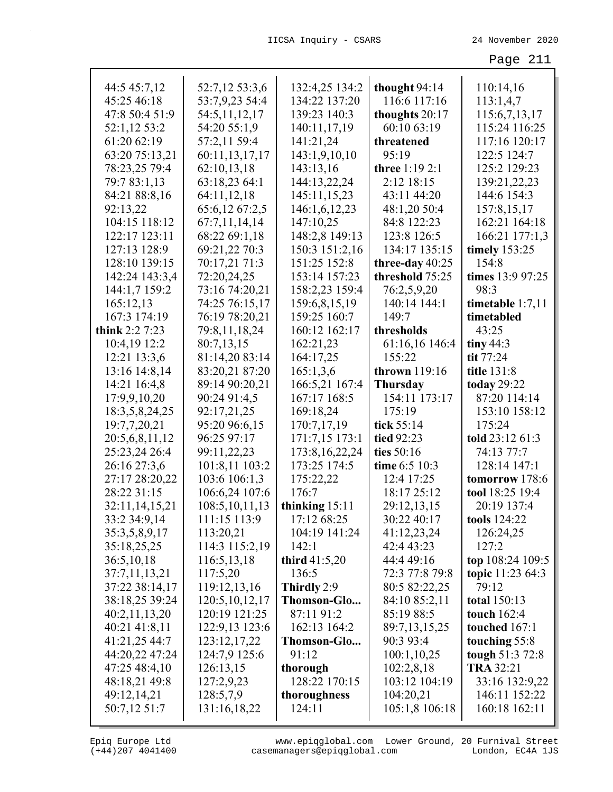| 44:5 45:7,12   | 52:7,12 53:3,6    | 132:4,25 134:2                | thought 94:14     | 110:14,16               |
|----------------|-------------------|-------------------------------|-------------------|-------------------------|
| 45:25 46:18    | 53:7,9,23 54:4    | 134:22 137:20                 | 116:6 117:16      | 113:1,4,7               |
| 47:8 50:4 51:9 | 54:5,11,12,17     | 139:23 140:3                  | thoughts 20:17    | 115:6,7,13,17           |
| 52:1,12 53:2   | 54:20 55:1,9      | 140:11,17,19                  | 60:10 63:19       | 115:24 116:25           |
| 61:20 62:19    | 57:2,11 59:4      | 141:21,24                     | threatened        | 117:16 120:17           |
| 63:20 75:13,21 | 60:11,13,17,17    | 143:1,9,10,10                 | 95:19             | 122:5 124:7             |
| 78:23,25 79:4  | 62:10,13,18       | 143:13,16                     | three 1:19 2:1    | 125:2 129:23            |
| 79:7 83:1,13   | 63:18,23 64:1     | 144:13,22,24                  | 2:12 18:15        | 139:21,22,23            |
| 84:21 88:8,16  | 64:11,12,18       | 145:11,15,23                  | 43:11 44:20       | 144:6 154:3             |
| 92:13,22       | 65:6,12 67:2,5    | 146:1,6,12,23                 | 48:1,20 50:4      | 157:8,15,17             |
| 104:15 118:12  | 67:7,11,14,14     | 147:10,25                     | 84:8 122:23       | 162:21 164:18           |
| 122:17 123:11  | 68:22 69:1,18     | 148:2,8 149:13                | 123:8 126:5       | 166:21 177:1,3          |
| 127:13 128:9   | 69:21,22 70:3     | 150:3 151:2,16                | 134:17 135:15     | timely 153:25           |
| 128:10 139:15  | 70:17,21 71:3     | 151:25 152:8                  | three-day $40:25$ | 154:8                   |
| 142:24 143:3,4 | 72:20,24,25       | 153:14 157:23                 | threshold 75:25   | times 13:9 97:25        |
|                | 73:16 74:20,21    | 158:2,23 159:4                |                   | 98:3                    |
| 144:1,7 159:2  |                   |                               | 76:2,5,9,20       |                         |
| 165:12,13      | 74:25 76:15,17    | 159:6,8,15,19<br>159:25 160:7 | 140:14 144:1      | timetable 1:7,11        |
| 167:3 174:19   | 76:19 78:20,21    |                               | 149:7             | timetabled              |
| think 2:2 7:23 | 79:8,11,18,24     | 160:12 162:17                 | thresholds        | 43:25                   |
| 10:4,19 12:2   | 80:7,13,15        | 162:21,23                     | 61:16,16 146:4    | tiny 44:3               |
| 12:21 13:3,6   | 81:14,20 83:14    | 164:17,25                     | 155:22            | tit 77:24               |
| 13:16 14:8,14  | 83:20,21 87:20    | 165:1,3,6                     | thrown 119:16     | title 131:8             |
| 14:21 16:4,8   | 89:14 90:20,21    | 166:5,21 167:4                | <b>Thursday</b>   | <b>today</b> 29:22      |
| 17:9,9,10,20   | 90:24 91:4,5      | 167:17 168:5                  | 154:11 173:17     | 87:20 114:14            |
| 18:3,5,8,24,25 | 92:17,21,25       | 169:18,24                     | 175:19            | 153:10 158:12           |
| 19:7,7,20,21   | 95:20 96:6,15     | 170:7,17,19                   | tick 55:14        | 175:24                  |
| 20:5,6,8,11,12 | 96:25 97:17       | 171:7,15 173:1                | tied 92:23        | told 23:12 61:3         |
| 25:23,24 26:4  | 99:11,22,23       | 173:8, 16, 22, 24             | ties 50:16        | 74:13 77:7              |
| 26:16 27:3,6   | 101:8,11 103:2    | 173:25 174:5                  | time 6:5 10:3     | 128:14 147:1            |
| 27:17 28:20,22 | 103:6 106:1,3     | 175:22,22                     | 12:4 17:25        | tomorrow 178:6          |
| 28:22 31:15    | 106:6,24 107:6    | 176:7                         | 18:17 25:12       | tool 18:25 19:4         |
| 32:11,14,15,21 | 108:5, 10, 11, 13 | thinking $15:11$              | 29:12,13,15       | 20:19 137:4             |
| 33:2 34:9,14   | 111:15 113:9      | 17:12 68:25                   | 30:22 40:17       | tools 124:22            |
| 35:3,5,8,9,17  | 113:20,21         | 104:19 141:24                 | 41:12,23,24       | 126:24,25               |
| 35:18,25,25    | 114:3 115:2,19    | 142:1                         | 42:4 43:23        | 127:2                   |
| 36:5,10,18     | 116:5,13,18       | third $41:5,20$               | 44:4 49:16        | top 108:24 109:5        |
| 37:7,11,13,21  | 117:5,20          | 136:5                         | 72:3 77:8 79:8    | <b>topic</b> 11:23 64:3 |
| 37:22 38:14,17 | 119:12,13,16      | Thirdly 2:9                   | 80:5 82:22,25     | 79:12                   |
| 38:18,25 39:24 | 120:5, 10, 12, 17 | Thomson-Glo                   | 84:10 85:2,11     | <b>total</b> 150:13     |
| 40:2,11,13,20  | 120:19 121:25     | 87:11 91:2                    | 85:19 88:5        | touch $162:4$           |
| 40:21 41:8,11  | 122:9,13 123:6    | 162:13 164:2                  | 89:7,13,15,25     | touched 167:1           |
| 41:21,25 44:7  | 123:12,17,22      | Thomson-Glo                   | 90:3 93:4         | touching 55:8           |
| 44:20,22 47:24 | 124:7,9 125:6     | 91:12                         | 100:1,10,25       | tough 51:3 72:8         |
| 47:25 48:4,10  | 126:13,15         | thorough                      | 102:2,8,18        | <b>TRA 32:21</b>        |
| 48:18,21 49:8  | 127:2,9,23        | 128:22 170:15                 | 103:12 104:19     | 33:16 132:9,22          |
| 49:12,14,21    | 128:5,7,9         | thoroughness                  | 104:20,21         | 146:11 152:22           |
| 50:7,12 51:7   | 131:16,18,22      | 124:11                        | 105:1,8 106:18    | 160:18 162:11           |
|                |                   |                               |                   |                         |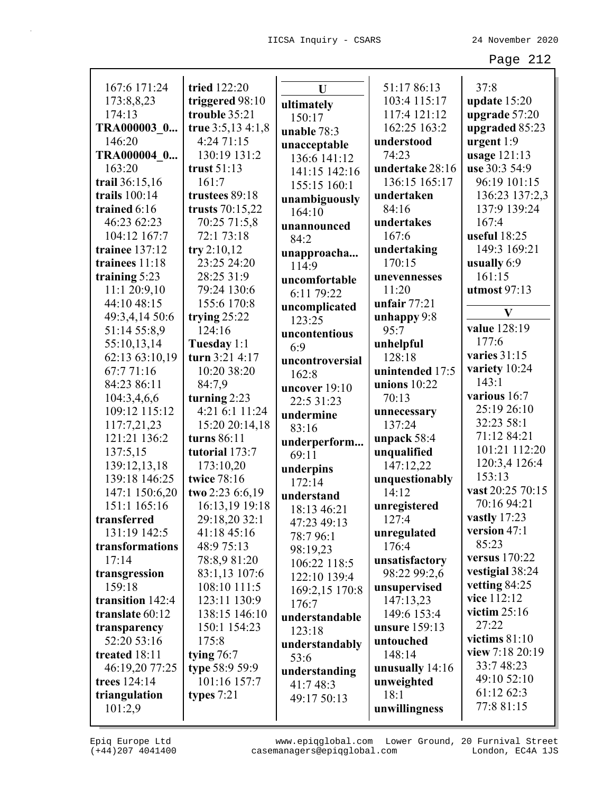| 167:6 171:24     | tried 122:20      | U               | 51:17 86:13     | 37:8             |
|------------------|-------------------|-----------------|-----------------|------------------|
| 173:8,8,23       | triggered 98:10   | ultimately      | 103:4 115:17    | update 15:20     |
| 174:13           | trouble 35:21     | 150:17          | 117:4 121:12    | upgrade 57:20    |
| TRA000003 0      | true 3:5,13 4:1,8 | unable 78:3     | 162:25 163:2    | upgraded 85:23   |
| 146:20           | 4:24 71:15        | unacceptable    | understood      | urgent $1:9$     |
| TRA000004 0      | 130:19 131:2      | 136:6 141:12    | 74:23           | usage 121:13     |
| 163:20           | trust $51:13$     | 141:15 142:16   | undertake 28:16 | use 30:3 54:9    |
| trail 36:15,16   | 161:7             | 155:15 160:1    | 136:15 165:17   | 96:19 101:15     |
| trails 100:14    | trustees 89:18    | unambiguously   | undertaken      | 136:23 137:2,3   |
| trained 6:16     | trusts $70:15,22$ | 164:10          | 84:16           | 137:9 139:24     |
| 46:23 62:23      | 70:25 71:5,8      | unannounced     | undertakes      | 167:4            |
| 104:12 167:7     | 72:1 73:18        | 84:2            | 167:6           | useful 18:25     |
| trainee 137:12   | try 2:10,12       | unapproacha     | undertaking     | 149:3 169:21     |
| trainees 11:18   | 23:25 24:20       | 114:9           | 170:15          | usually 6:9      |
| training 5:23    | 28:25 31:9        | uncomfortable   | unevennesses    | 161:15           |
| 11:1 20:9,10     | 79:24 130:6       | 6:11 79:22      | 11:20           | utmost 97:13     |
| 44:10 48:15      | 155:6 170:8       | uncomplicated   | unfair $77:21$  |                  |
| 49:3,4,14 50:6   | trying $25:22$    | 123:25          | unhappy 9:8     | $\mathbf{V}$     |
| 51:14 55:8,9     | 124:16            | uncontentious   | 95:7            | value 128:19     |
| 55:10,13,14      | Tuesday 1:1       | 6:9             | unhelpful       | 177:6            |
| 62:13 63:10,19   | turn 3:21 4:17    | uncontroversial | 128:18          | varies $31:15$   |
| 67:771:16        | 10:20 38:20       | 162:8           | unintended 17:5 | variety 10:24    |
| 84:23 86:11      | 84:7,9            | uncover 19:10   | unions $10:22$  | 143:1            |
| 104:3,4,6,6      | turning $2:23$    | 22:5 31:23      | 70:13           | various 16:7     |
| 109:12 115:12    | 4:21 6:1 11:24    | undermine       | unnecessary     | 25:19 26:10      |
| 117:7,21,23      | 15:20 20:14,18    | 83:16           | 137:24          | 32:23 58:1       |
| 121:21 136:2     | turns 86:11       | underperform    | unpack 58:4     | 71:12 84:21      |
| 137:5,15         | tutorial 173:7    | 69:11           | unqualified     | 101:21 112:20    |
| 139:12,13,18     | 173:10,20         | underpins       | 147:12,22       | 120:3,4 126:4    |
| 139:18 146:25    | twice 78:16       | 172:14          | unquestionably  | 153:13           |
| 147:1 150:6,20   | two 2:23 6:6,19   | understand      | 14:12           | vast 20:25 70:15 |
| 151:1 165:16     | 16:13,19 19:18    | 18:13 46:21     | unregistered    | 70:16 94:21      |
| transferred      | 29:18,20 32:1     | 47:23 49:13     | 127:4           | vastly $17:23$   |
| 131:19 142:5     | 41:18 45:16       | 78:796:1        | unregulated     | version 47:1     |
| transformations  | 48:9 75:13        | 98:19,23        | 176:4           | 85:23            |
| 17:14            | 78:8,9 81:20      | 106:22 118:5    | unsatisfactory  | versus 170:22    |
| transgression    | 83:1,13 107:6     | 122:10 139:4    | 98:22 99:2,6    | vestigial 38:24  |
| 159:18           | 108:10 111:5      | 169:2,15 170:8  | unsupervised    | vetting 84:25    |
| transition 142:4 | 123:11 130:9      | 176:7           | 147:13,23       | vice 112:12      |
| translate 60:12  | 138:15 146:10     | understandable  | 149:6 153:4     | victim $25:16$   |
| transparency     | 150:1 154:23      | 123:18          | unsure 159:13   | 27:22            |
| 52:20 53:16      | 175:8             | understandably  | untouched       | victims $81:10$  |
| treated 18:11    | tying $76:7$      | 53:6            | 148:14          | view 7:18 20:19  |
| 46:19,20 77:25   | type 58:9 59:9    | understanding   | unusually 14:16 | 33:7 48:23       |
| trees 124:14     | 101:16 157:7      | 41:7 48:3       | unweighted      | 49:10 52:10      |
| triangulation    | types $7:21$      | 49:17 50:13     | 18:1            | 61:12 62:3       |
| 101:2,9          |                   |                 | unwillingness   | 77:8 81:15       |
|                  |                   |                 |                 |                  |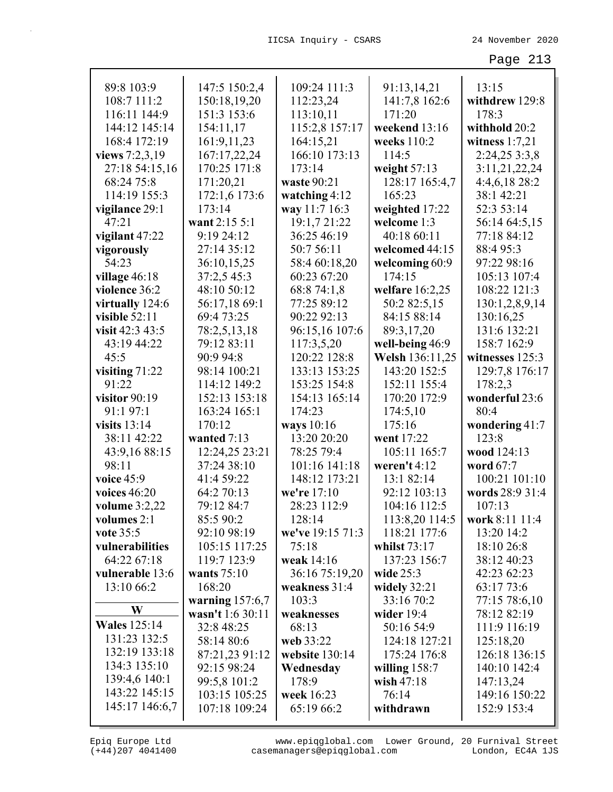| 89:8 103:9           | 147:5 150:2,4     | 109:24 111:3     | 91:13,14,21     | 13:15            |
|----------------------|-------------------|------------------|-----------------|------------------|
| 108:7 111:2          | 150:18,19,20      | 112:23,24        | 141:7,8 162:6   | withdrew 129:8   |
| 116:11 144:9         | 151:3 153:6       | 113:10,11        | 171:20          | 178:3            |
| 144:12 145:14        | 154:11,17         | 115:2,8 157:17   | weekend 13:16   | withhold 20:2    |
| 168:4 172:19         | 161:9,11,23       | 164:15,21        | weeks 110:2     | witness $1:7,21$ |
| views 7:2,3,19       | 167:17,22,24      | 166:10 173:13    | 114:5           | 2:24,25 3:3,8    |
| 27:18 54:15,16       | 170:25 171:8      | 173:14           | weight $57:13$  | 3:11,21,22,24    |
| 68:24 75:8           | 171:20,21         | waste 90:21      | 128:17 165:4,7  | 4:4,6,18 28:2    |
| 114:19 155:3         | 172:1,6 173:6     | watching $4:12$  | 165:23          | 38:1 42:21       |
| vigilance 29:1       | 173:14            | way 11:7 16:3    | weighted 17:22  | 52:3 53:14       |
| 47:21                | want 2:15 5:1     | 19:1,7 21:22     | welcome 1:3     | 56:14 64:5,15    |
| vigilant 47:22       | 9:19 24:12        | 36:25 46:19      | 40:18 60:11     | 77:18 84:12      |
| vigorously           | 27:14 35:12       | 50:7 56:11       | welcomed 44:15  | 88:4 95:3        |
| 54:23                | 36:10,15,25       | 58:4 60:18,20    | welcoming 60:9  | 97:22 98:16      |
| village 46:18        | 37:2,5 45:3       | 60:23 67:20      | 174:15          | 105:13 107:4     |
| violence 36:2        | 48:10 50:12       | 68:8 74:1,8      | welfare 16:2,25 | 108:22 121:3     |
| virtually 124:6      | 56:17,18 69:1     | 77:25 89:12      | 50:2 82:5,15    | 130:1,2,8,9,14   |
| visible $52:11$      | 69:4 73:25        | 90:22 92:13      | 84:15 88:14     | 130:16,25        |
| visit 42:3 43:5      | 78:2,5,13,18      | 96:15,16 107:6   | 89:3,17,20      | 131:6 132:21     |
| 43:19 44:22          | 79:12 83:11       | 117:3,5,20       | well-being 46:9 | 158:7 162:9      |
| 45:5                 | 90:9 94:8         | 120:22 128:8     | Welsh 136:11,25 | witnesses 125:3  |
| visiting $71:22$     | 98:14 100:21      | 133:13 153:25    | 143:20 152:5    | 129:7,8 176:17   |
| 91:22                | 114:12 149:2      | 153:25 154:8     | 152:11 155:4    | 178:2,3          |
| visitor $90:19$      | 152:13 153:18     | 154:13 165:14    | 170:20 172:9    | wonderful 23:6   |
| 91:1 97:1            | 163:24 165:1      | 174:23           | 174:5,10        | 80:4             |
| visits $13:14$       | 170:12            | ways 10:16       | 175:16          | wondering $41:7$ |
| 38:11 42:22          | wanted 7:13       | 13:20 20:20      | went 17:22      | 123:8            |
| 43:9,16 88:15        | 12:24,25 23:21    | 78:25 79:4       | 105:11 165:7    | wood 124:13      |
| 98:11                | 37:24 38:10       | 101:16 141:18    | weren't $4:12$  | word 67:7        |
| voice 45:9           | 41:4 59:22        | 148:12 173:21    | 13:1 82:14      | 100:21 101:10    |
| voices 46:20         | 64:2 70:13        | we're 17:10      | 92:12 103:13    | words 28:9 31:4  |
| <b>volume</b> 3:2,22 | 79:12 84:7        | 28:23 112:9      | 104:16 112:5    | 107:13           |
| volumes 2:1          | 85:5 90:2         | 128:14           | 113:8,20 114:5  | work 8:11 11:4   |
| vote 35:5            | 92:10 98:19       | we've 19:15 71:3 | 118:21 177:6    | 13:20 14:2       |
| vulnerabilities      | 105:15 117:25     | 75:18            | whilst $73:17$  | 18:10 26:8       |
| 64:22 67:18          | 119:7 123:9       | weak 14:16       | 137:23 156:7    | 38:12 40:23      |
| vulnerable 13:6      | wants $75:10$     | 36:16 75:19,20   | wide 25:3       | 42:23 62:23      |
| 13:10 66:2           | 168:20            | weakness 31:4    | widely $32:21$  | 63:17 73:6       |
|                      | warning $157:6,7$ | 103:3            | 33:16 70:2      | 77:15 78:6,10    |
| W                    | wasn't 1:6 30:11  | weaknesses       | wider $19:4$    | 78:12 82:19      |
| <b>Wales</b> 125:14  | 32:8 48:25        | 68:13            | 50:16 54:9      | 111:9 116:19     |
| 131:23 132:5         | 58:14 80:6        | web 33:22        | 124:18 127:21   | 125:18,20        |
| 132:19 133:18        | 87:21,23 91:12    | website $130:14$ | 175:24 176:8    | 126:18 136:15    |
| 134:3 135:10         | 92:15 98:24       | Wednesday        | willing $158:7$ | 140:10 142:4     |
| 139:4,6 140:1        | 99:5,8 101:2      | 178:9            | wish $47:18$    | 147:13,24        |
| 143:22 145:15        | 103:15 105:25     | week 16:23       | 76:14           | 149:16 150:22    |
| 145:17 146:6,7       | 107:18 109:24     | 65:19 66:2       | withdrawn       | 152:9 153:4      |
|                      |                   |                  |                 |                  |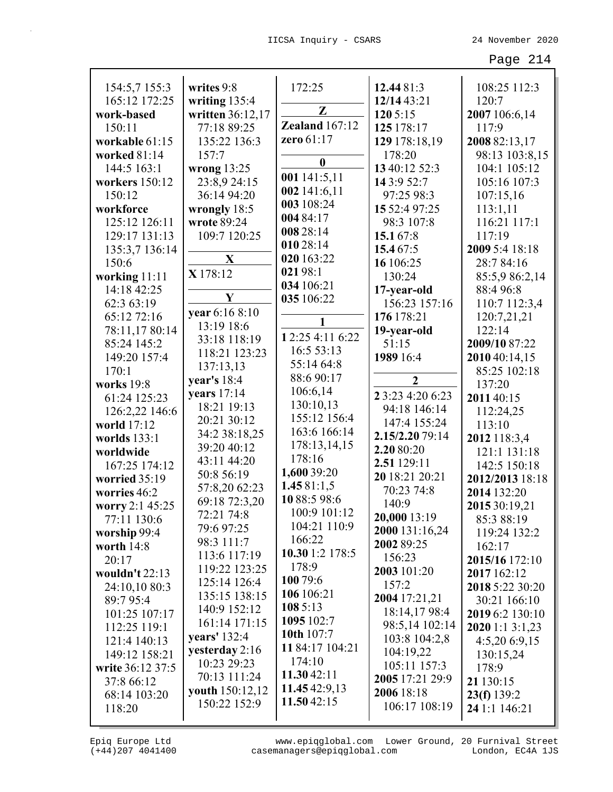| 154:5,7 155:3    | writes 9:8             | 172:25           | 12.44 81:3       | 108:25 112:3    |
|------------------|------------------------|------------------|------------------|-----------------|
| 165:12 172:25    | writing 135:4          | $\mathbf{Z}$     | 12/14 43:21      | 120:7           |
| work-based       | written 36:12,17       |                  | 120 5:15         | 2007 106:6,14   |
| 150:11           | 77:18 89:25            | Zealand 167:12   | 125 178:17       | 117:9           |
| workable 61:15   | 135:22 136:3           | zero 61:17       | 129 178:18,19    | 2008 82:13,17   |
| worked 81:14     | 157:7                  | $\boldsymbol{0}$ | 178:20           | 98:13 103:8,15  |
| 144:5 163:1      | wrong $13:25$          | 001 141:5,11     | 13 40:12 52:3    | 104:1 105:12    |
| workers 150:12   | 23:8,9 24:15           | 002 141:6,11     | 14 3:9 52:7      | 105:16 107:3    |
| 150:12           | 36:14 94:20            | 003 108:24       | 97:25 98:3       | 107:15,16       |
| workforce        | wrongly 18:5           | 004 84:17        | 15 52:4 97:25    | 113:1,11        |
| 125:12 126:11    | wrote 89:24            | 008 28:14        | 98:3 107:8       | 116:21 117:1    |
| 129:17 131:13    | 109:7 120:25           | 010 28:14        | 15.167:8         | 117:19          |
| 135:3,7 136:14   |                        | 020 163:22       | 15.4 67:5        | 2009 5:4 18:18  |
| 150:6            | $\mathbf X$            | 02198:1          | 16 106:25        | 28:7 84:16      |
| working 11:11    | X 178:12               |                  | 130:24           | 85:5,9 86:2,14  |
| 14:18 42:25      | Y                      | 034 106:21       | 17-year-old      | 88:4 96:8       |
| 62:3 63:19       | vear 6:16 8:10         | 035 106:22       | 156:23 157:16    | 110:7 112:3,4   |
| 65:12 72:16      |                        |                  | 176 178:21       | 120:7,21,21     |
| 78:11,17 80:14   | 13:19 18:6             | 12:25 4:11 6:22  | 19-year-old      | 122:14          |
| 85:24 145:2      | 33:18 118:19           | 16:5 53:13       | 51:15            | 2009/10 87:22   |
| 149:20 157:4     | 118:21 123:23          | 55:14 64:8       | 1989 16:4        | 2010 40:14,15   |
| 170:1            | 137:13,13              | 88:6 90:17       |                  | 85:25 102:18    |
| works 19:8       | year's $18:4$          | 106:6,14         | $\mathbf{2}$     | 137:20          |
| 61:24 125:23     | years $17:14$          | 130:10,13        | 2 3:23 4:20 6:23 | 2011 40:15      |
| 126:2,22 146:6   | 18:21 19:13            | 155:12 156:4     | 94:18 146:14     | 112:24,25       |
| world 17:12      | 20:21 30:12            | 163:6 166:14     | 147:4 155:24     | 113:10          |
| worlds 133:1     | 34:2 38:18,25          | 178:13,14,15     | 2.15/2.20 79:14  | 2012 118:3,4    |
| worldwide        | 39:20 40:12            | 178:16           | 2.20 80:20       | 121:1 131:18    |
| 167:25 174:12    | 43:11 44:20            | 1,600 39:20      | 2.51 129:11      | 142:5 150:18    |
| worried 35:19    | 50:8 56:19             | 1.4581:1,5       | 20 18:21 20:21   | 2012/2013 18:18 |
| worries 46:2     | 57:8,20 62:23          | 1088:598:6       | 70:23 74:8       | 2014 132:20     |
| worry 2:1 45:25  | 69:18 72:3,20          | 100:9 101:12     | 140:9            | 2015 30:19,21   |
| 77:11 130:6      | 72:21 74:8             | 104:21 110:9     | 20,000 13:19     | 85:3 88:19      |
| worship 99:4     | 79:6 97:25             | 166:22           | 2000 131:16,24   | 119:24 132:2    |
| worth 14:8       | 98:3 111:7             | 10.30 1:2 178:5  | 2002 89:25       | 162:17          |
| 20:17            | 113:6 117:19           | 178:9            | 156:23           | 2015/16 172:10  |
| wouldn't 22:13   | 119:22 123:25          | 100 79:6         | 2003 101:20      | 2017 162:12     |
| 24:10,10 80:3    | 125:14 126:4           | 106 106:21       | 157:2            | 2018 5:22 30:20 |
| 89:7 95:4        | 135:15 138:15          | 1085:13          | 2004 17:21,21    | 30:21 166:10    |
| 101:25 107:17    | 140:9 152:12           | 1095 102:7       | 18:14,17 98:4    | 2019 6:2 130:10 |
| 112:25 119:1     | 161:14 171:15          | 10th 107:7       | 98:5,14 102:14   | 2020 1:1 3:1,23 |
| 121:4 140:13     | years' 132:4           | 11 84:17 104:21  | 103:8 104:2,8    | 4:5,206:9,15    |
| 149:12 158:21    | yesterday 2:16         | 174:10           | 104:19,22        | 130:15,24       |
| write 36:12 37:5 | 10:23 29:23            | 11.30 42:11      | 105:11 157:3     | 178:9           |
| 37:8 66:12       | 70:13 111:24           | 11.45 42:9,13    | 2005 17:21 29:9  | 21 130:15       |
| 68:14 103:20     | <b>youth</b> 150:12,12 | 11.50 42:15      | 2006 18:18       | 23(f) 139:2     |
| 118:20           | 150:22 152:9           |                  | 106:17 108:19    | 24 1:1 146:21   |
|                  |                        |                  |                  |                 |